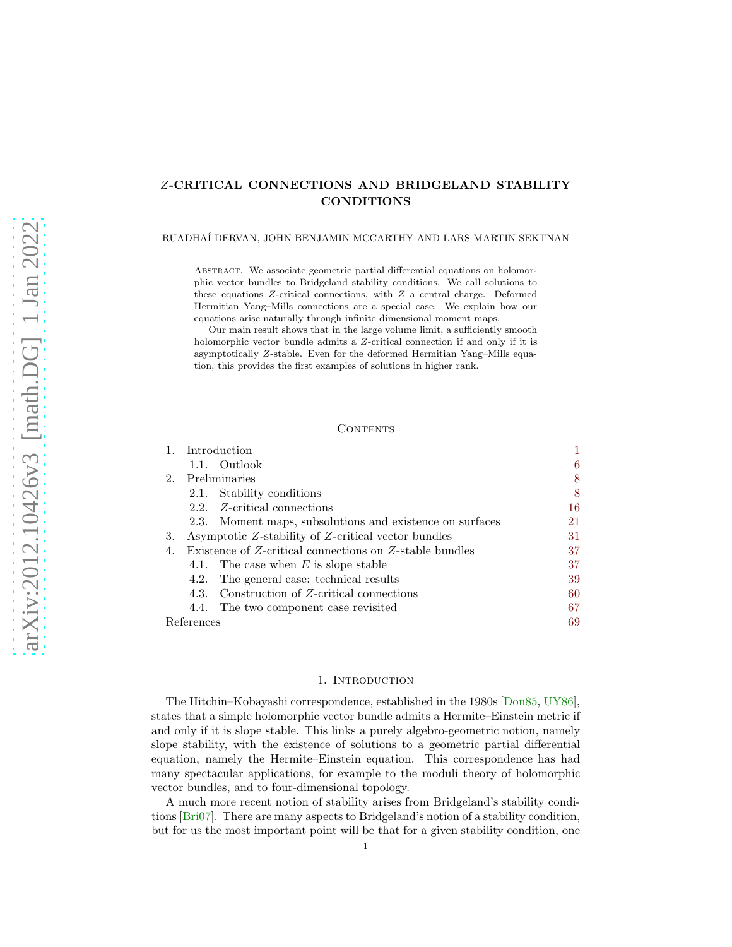# <span id="page-0-1"></span>Z-CRITICAL CONNECTIONS AND BRIDGELAND STABILITY CONDITIONS

# RUADHA´I DERVAN, JOHN BENJAMIN MCCARTHY AND LARS MARTIN SEKTNAN

ABSTRACT. We associate geometric partial differential equations on holomorphic vector bundles to Bridgeland stability conditions. We call solutions to these equations Z-critical connections, with Z a central charge. Deformed Hermitian Yang–Mills connections are a special case. We explain how our equations arise naturally through infinite dimensional moment maps.

Our main result shows that in the large volume limit, a sufficiently smooth holomorphic vector bundle admits a Z-critical connection if and only if it is asymptotically Z-stable. Even for the deformed Hermitian Yang–Mills equation, this provides the first examples of solutions in higher rank.

# CONTENTS

|  | 6                                                                                                                                                                                                                                                                                                                                                                                                                                                                                   |
|--|-------------------------------------------------------------------------------------------------------------------------------------------------------------------------------------------------------------------------------------------------------------------------------------------------------------------------------------------------------------------------------------------------------------------------------------------------------------------------------------|
|  | 8                                                                                                                                                                                                                                                                                                                                                                                                                                                                                   |
|  | 8                                                                                                                                                                                                                                                                                                                                                                                                                                                                                   |
|  | 16                                                                                                                                                                                                                                                                                                                                                                                                                                                                                  |
|  | 21                                                                                                                                                                                                                                                                                                                                                                                                                                                                                  |
|  | 31                                                                                                                                                                                                                                                                                                                                                                                                                                                                                  |
|  | 37                                                                                                                                                                                                                                                                                                                                                                                                                                                                                  |
|  | 37                                                                                                                                                                                                                                                                                                                                                                                                                                                                                  |
|  | 39                                                                                                                                                                                                                                                                                                                                                                                                                                                                                  |
|  | 60                                                                                                                                                                                                                                                                                                                                                                                                                                                                                  |
|  | 67                                                                                                                                                                                                                                                                                                                                                                                                                                                                                  |
|  | 69                                                                                                                                                                                                                                                                                                                                                                                                                                                                                  |
|  | Introduction<br>1.1. Outlook<br>Preliminaries<br>2.1. Stability conditions<br>2.2. Z-critical connections<br>2.3. Moment maps, subsolutions and existence on surfaces<br>Asymptotic Z-stability of Z-critical vector bundles<br>Existence of Z-critical connections on Z-stable bundles<br>4.1. The case when $E$ is slope stable<br>4.2. The general case: technical results<br>4.3. Construction of Z-critical connections<br>4.4. The two component case revisited<br>References |

### 1. INTRODUCTION

<span id="page-0-0"></span>The Hitchin–Kobayashi correspondence, established in the 1980s [\[Don85,](#page-68-1) [UY86\]](#page-69-0), states that a simple holomorphic vector bundle admits a Hermite–Einstein metric if and only if it is slope stable. This links a purely algebro-geometric notion, namely slope stability, with the existence of solutions to a geometric partial differential equation, namely the Hermite–Einstein equation. This correspondence has had many spectacular applications, for example to the moduli theory of holomorphic vector bundles, and to four-dimensional topology.

A much more recent notion of stability arises from Bridgeland's stability conditions [\[Bri07\]](#page-68-2). There are many aspects to Bridgeland's notion of a stability condition, but for us the most important point will be that for a given stability condition, one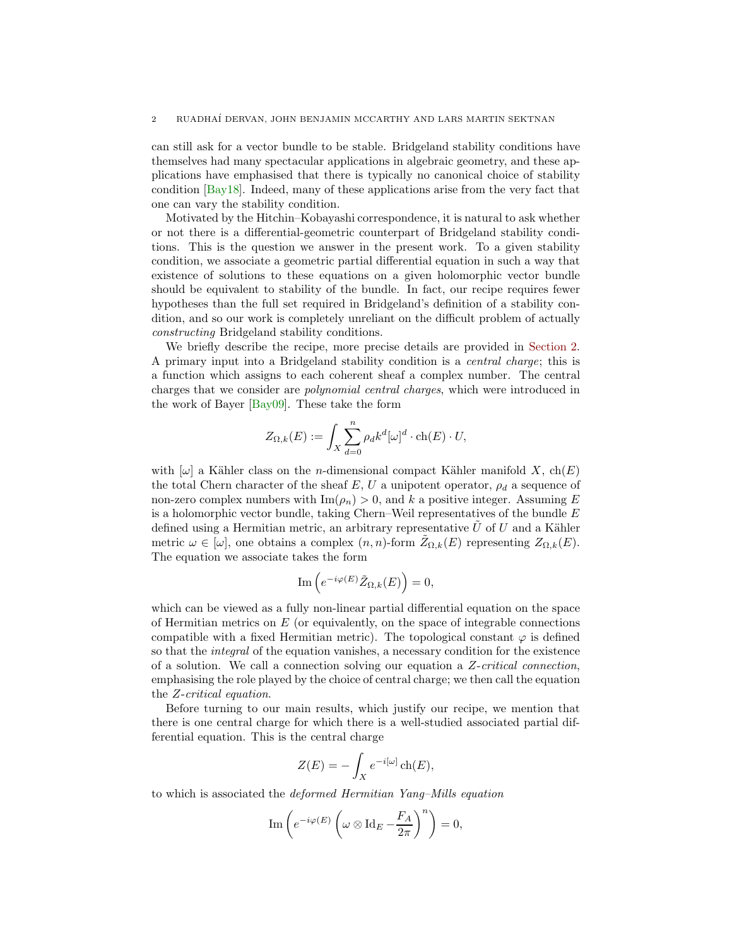<span id="page-1-0"></span>can still ask for a vector bundle to be stable. Bridgeland stability conditions have themselves had many spectacular applications in algebraic geometry, and these applications have emphasised that there is typically no canonical choice of stability condition [\[Bay18\]](#page-68-3). Indeed, many of these applications arise from the very fact that one can vary the stability condition.

Motivated by the Hitchin–Kobayashi correspondence, it is natural to ask whether or not there is a differential-geometric counterpart of Bridgeland stability conditions. This is the question we answer in the present work. To a given stability condition, we associate a geometric partial differential equation in such a way that existence of solutions to these equations on a given holomorphic vector bundle should be equivalent to stability of the bundle. In fact, our recipe requires fewer hypotheses than the full set required in Bridgeland's definition of a stability condition, and so our work is completely unreliant on the difficult problem of actually constructing Bridgeland stability conditions.

We briefly describe the recipe, more precise details are provided in [Section 2.](#page-7-0) A primary input into a Bridgeland stability condition is a central charge; this is a function which assigns to each coherent sheaf a complex number. The central charges that we consider are polynomial central charges, which were introduced in the work of Bayer [\[Bay09\]](#page-68-4). These take the form

$$
Z_{\Omega,k}(E) := \int_X \sum_{d=0}^n \rho_d k^d [\omega]^d \cdot \text{ch}(E) \cdot U,
$$

with  $[\omega]$  a Kähler class on the *n*-dimensional compact Kähler manifold X, ch(E) the total Chern character of the sheaf E, U a unipotent operator,  $\rho_d$  a sequence of non-zero complex numbers with  $\text{Im}(\rho_n) > 0$ , and k a positive integer. Assuming E is a holomorphic vector bundle, taking Chern–Weil representatives of the bundle  $E$ defined using a Hermitian metric, an arbitrary representative  $\hat{U}$  of U and a Kähler metric  $\omega \in [\omega]$ , one obtains a complex  $(n, n)$ -form  $Z_{\Omega, k}(E)$  representing  $Z_{\Omega, k}(E)$ . The equation we associate takes the form

$$
\operatorname{Im}\left(e^{-i\varphi(E)}\tilde{Z}_{\Omega,k}(E)\right) = 0,
$$

which can be viewed as a fully non-linear partial differential equation on the space of Hermitian metrics on  $E$  (or equivalently, on the space of integrable connections compatible with a fixed Hermitian metric). The topological constant  $\varphi$  is defined so that the integral of the equation vanishes, a necessary condition for the existence of a solution. We call a connection solving our equation a  $Z$ -critical connection, emphasising the role played by the choice of central charge; we then call the equation the Z-critical equation.

Before turning to our main results, which justify our recipe, we mention that there is one central charge for which there is a well-studied associated partial differential equation. This is the central charge

$$
Z(E) = -\int_X e^{-i[\omega]} \operatorname{ch}(E),
$$

to which is associated the deformed Hermitian Yang–Mills equation

$$
\text{Im}\left(e^{-i\varphi(E)}\left(\omega\otimes \text{Id}_E - \frac{F_A}{2\pi}\right)^n\right) = 0,
$$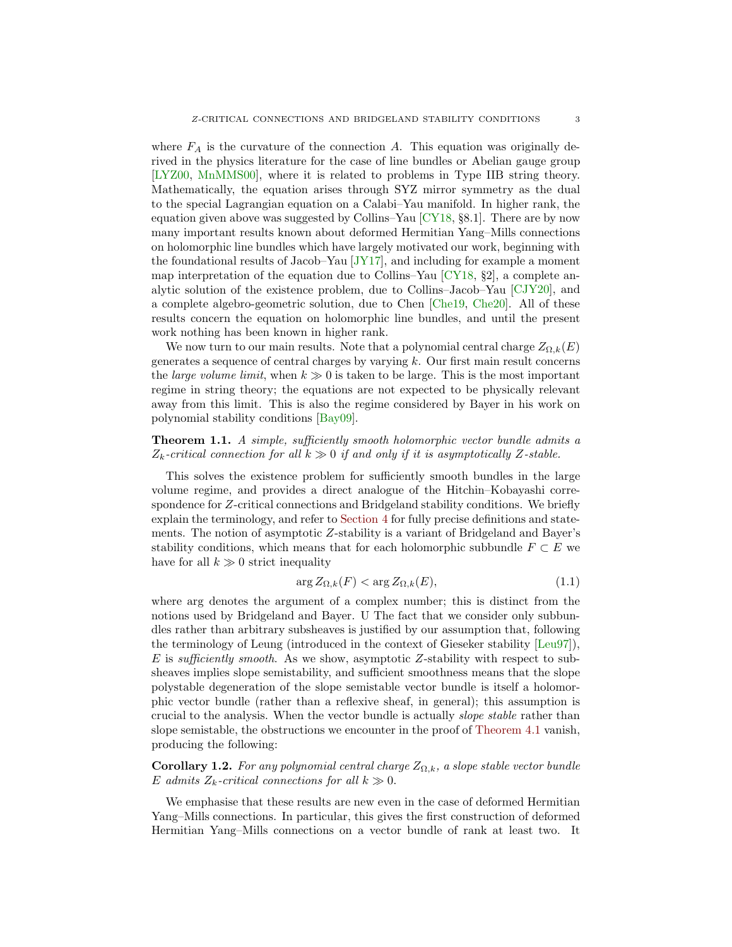<span id="page-2-1"></span>where  $F_A$  is the curvature of the connection A. This equation was originally derived in the physics literature for the case of line bundles or Abelian gauge group [\[LYZ00,](#page-69-1) [MnMMS00\]](#page-69-2), where it is related to problems in Type IIB string theory. Mathematically, the equation arises through SYZ mirror symmetry as the dual to the special Lagrangian equation on a Calabi–Yau manifold. In higher rank, the equation given above was suggested by Collins–Yau [\[CY18,](#page-68-5) §8.1]. There are by now many important results known about deformed Hermitian Yang–Mills connections on holomorphic line bundles which have largely motivated our work, beginning with the foundational results of Jacob–Yau  $JY17$ , and including for example a moment map interpretation of the equation due to Collins–Yau [\[CY18,](#page-68-5) §2], a complete analytic solution of the existence problem, due to Collins–Jacob–Yau [\[CJY20\]](#page-68-6), and a complete algebro-geometric solution, due to Chen [\[Che19,](#page-68-7) [Che20\]](#page-68-8). All of these results concern the equation on holomorphic line bundles, and until the present work nothing has been known in higher rank.

We now turn to our main results. Note that a polynomial central charge  $Z_{\Omega,k}(E)$ generates a sequence of central charges by varying  $k$ . Our first main result concerns the *large volume limit*, when  $k \gg 0$  is taken to be large. This is the most important regime in string theory; the equations are not expected to be physically relevant away from this limit. This is also the regime considered by Bayer in his work on polynomial stability conditions [\[Bay09\]](#page-68-4).

# Theorem 1.1. A simple, sufficiently smooth holomorphic vector bundle admits a  $Z_k$ -critical connection for all  $k \gg 0$  if and only if it is asymptotically Z-stable.

This solves the existence problem for sufficiently smooth bundles in the large volume regime, and provides a direct analogue of the Hitchin–Kobayashi correspondence for Z-critical connections and Bridgeland stability conditions. We briefly explain the terminology, and refer to [Section 4](#page-36-0) for fully precise definitions and statements. The notion of asymptotic Z-stability is a variant of Bridgeland and Bayer's stability conditions, which means that for each holomorphic subbundle  $F \subset E$  we have for all  $k \gg 0$  strict inequality

<span id="page-2-0"></span>
$$
\arg Z_{\Omega,k}(F) < \arg Z_{\Omega,k}(E),\tag{1.1}
$$

where arg denotes the argument of a complex number; this is distinct from the notions used by Bridgeland and Bayer. U The fact that we consider only subbundles rather than arbitrary subsheaves is justified by our assumption that, following the terminology of Leung (introduced in the context of Gieseker stability [\[Leu97\]](#page-69-4)),  $E$  is sufficiently smooth. As we show, asymptotic Z-stability with respect to subsheaves implies slope semistability, and sufficient smoothness means that the slope polystable degeneration of the slope semistable vector bundle is itself a holomorphic vector bundle (rather than a reflexive sheaf, in general); this assumption is crucial to the analysis. When the vector bundle is actually slope stable rather than slope semistable, the obstructions we encounter in the proof of [Theorem 4.1](#page-36-2) vanish, producing the following:

**Corollary 1.2.** For any polynomial central charge  $Z_{\Omega,k}$ , a slope stable vector bundle E admits  $Z_k$ -critical connections for all  $k \gg 0$ .

We emphasise that these results are new even in the case of deformed Hermitian Yang–Mills connections. In particular, this gives the first construction of deformed Hermitian Yang–Mills connections on a vector bundle of rank at least two. It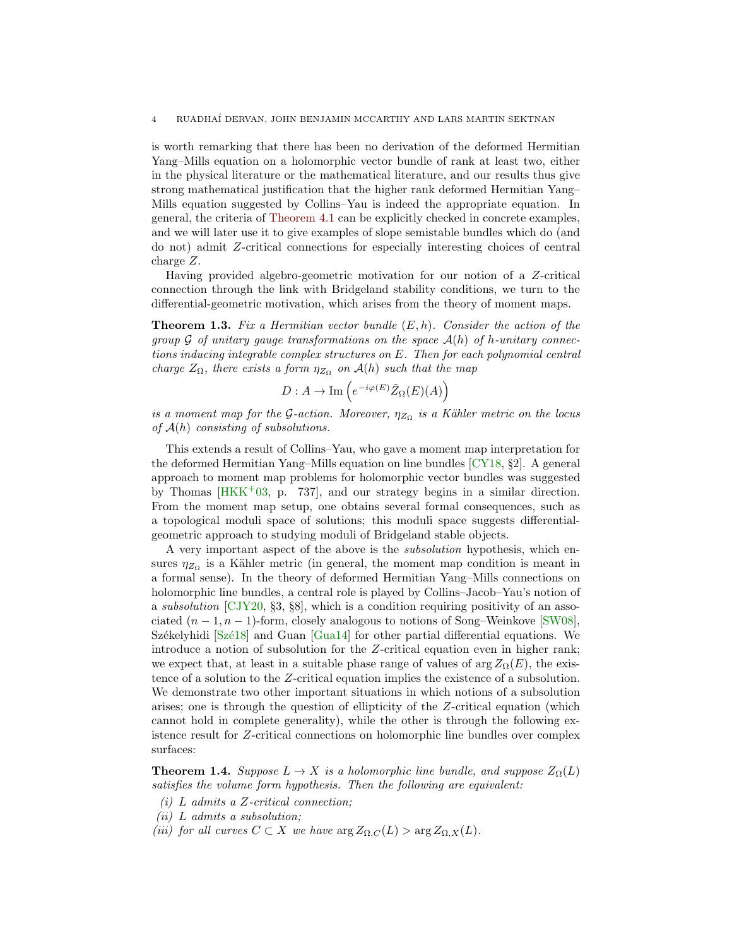<span id="page-3-1"></span>is worth remarking that there has been no derivation of the deformed Hermitian Yang–Mills equation on a holomorphic vector bundle of rank at least two, either in the physical literature or the mathematical literature, and our results thus give strong mathematical justification that the higher rank deformed Hermitian Yang– Mills equation suggested by Collins–Yau is indeed the appropriate equation. In general, the criteria of [Theorem 4.1](#page-36-2) can be explicitly checked in concrete examples, and we will later use it to give examples of slope semistable bundles which do (and do not) admit Z-critical connections for especially interesting choices of central charge Z.

Having provided algebro-geometric motivation for our notion of a Z-critical connection through the link with Bridgeland stability conditions, we turn to the differential-geometric motivation, which arises from the theory of moment maps.

<span id="page-3-0"></span>**Theorem 1.3.** Fix a Hermitian vector bundle  $(E, h)$ . Consider the action of the group G of unitary gauge transformations on the space  $\mathcal{A}(h)$  of h-unitary connections inducing integrable complex structures on E. Then for each polynomial central charge  $Z_{\Omega}$ , there exists a form  $\eta_{Z_{\Omega}}$  on  $\mathcal{A}(h)$  such that the map

$$
D: A \to \mathrm{Im}\left(e^{-i\varphi(E)}\tilde{Z}_{\Omega}(E)(A)\right)
$$

is a moment map for the G-action. Moreover,  $\eta_{Z_{\Omega}}$  is a Kähler metric on the locus of  $A(h)$  consisting of subsolutions.

This extends a result of Collins–Yau, who gave a moment map interpretation for the deformed Hermitian Yang–Mills equation on line bundles [\[CY18,](#page-68-5) §2]. A general approach to moment map problems for holomorphic vector bundles was suggested by Thomas  $[HKK^+03, p. 737]$ , and our strategy begins in a similar direction. From the moment map setup, one obtains several formal consequences, such as a topological moduli space of solutions; this moduli space suggests differentialgeometric approach to studying moduli of Bridgeland stable objects.

A very important aspect of the above is the subsolution hypothesis, which ensures  $\eta_{Z_{\Omega}}$  is a Kähler metric (in general, the moment map condition is meant in a formal sense). In the theory of deformed Hermitian Yang–Mills connections on holomorphic line bundles, a central role is played by Collins–Jacob–Yau's notion of a subsolution [\[CJY20,](#page-68-6) §3, §8], which is a condition requiring positivity of an associated  $(n-1, n-1)$ -form, closely analogous to notions of Song–Weinkove [\[SW08\]](#page-69-6), Székelyhidi  $[Sz\acute{e}18]$  and Guan  $[Gua14]$  for other partial differential equations. We introduce a notion of subsolution for the Z-critical equation even in higher rank; we expect that, at least in a suitable phase range of values of  $arg Z_{\Omega}(E)$ , the existence of a solution to the Z-critical equation implies the existence of a subsolution. We demonstrate two other important situations in which notions of a subsolution arises; one is through the question of ellipticity of the Z-critical equation (which cannot hold in complete generality), while the other is through the following existence result for Z-critical connections on holomorphic line bundles over complex surfaces:

**Theorem 1.4.** Suppose  $L \to X$  is a holomorphic line bundle, and suppose  $Z_{\Omega}(L)$ satisfies the volume form hypothesis. Then the following are equivalent:

- $(i)$  L admits a Z-critical connection;
- (ii) L admits a subsolution;
- (iii) for all curves  $C \subset X$  we have  $\arg Z_{\Omega,C}(L) > \arg Z_{\Omega,X}(L)$ .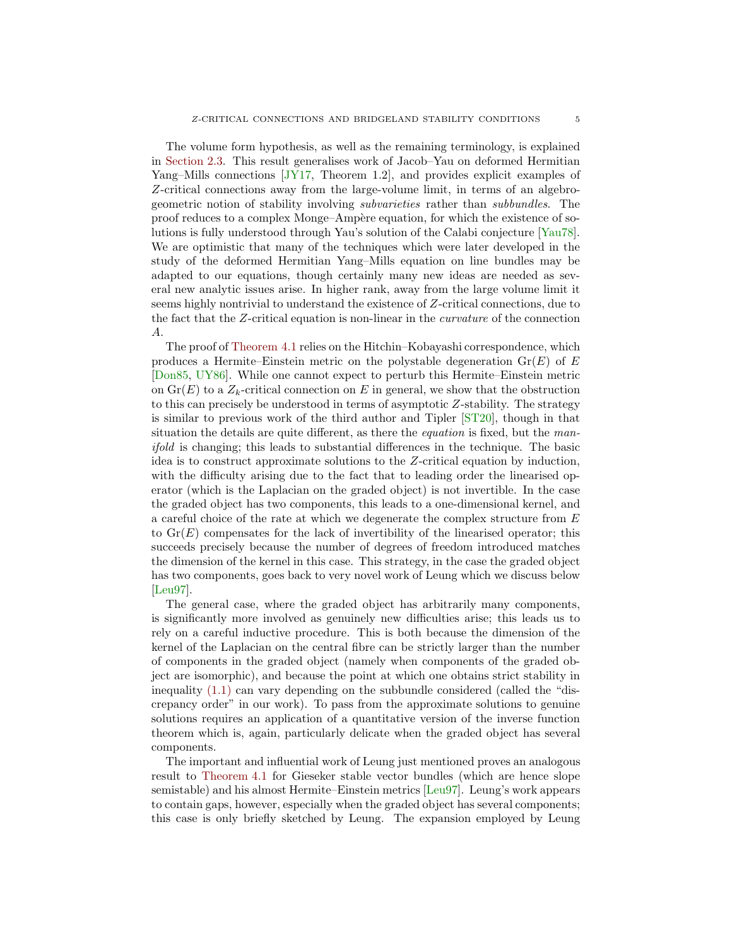<span id="page-4-0"></span>The volume form hypothesis, as well as the remaining terminology, is explained in [Section 2.3.](#page-20-0) This result generalises work of Jacob–Yau on deformed Hermitian Yang–Mills connections [\[JY17,](#page-69-3) Theorem 1.2], and provides explicit examples of Z-critical connections away from the large-volume limit, in terms of an algebrogeometric notion of stability involving subvarieties rather than subbundles. The proof reduces to a complex Monge–Amp`ere equation, for which the existence of solutions is fully understood through Yau's solution of the Calabi conjecture [\[Yau78\]](#page-70-0). We are optimistic that many of the techniques which were later developed in the study of the deformed Hermitian Yang–Mills equation on line bundles may be adapted to our equations, though certainly many new ideas are needed as several new analytic issues arise. In higher rank, away from the large volume limit it seems highly nontrivial to understand the existence of Z-critical connections, due to the fact that the Z-critical equation is non-linear in the curvature of the connection A.

The proof of [Theorem 4.1](#page-36-2) relies on the Hitchin–Kobayashi correspondence, which produces a Hermite–Einstein metric on the polystable degeneration  $\text{Gr}(E)$  of E [\[Don85,](#page-68-1) [UY86\]](#page-69-0). While one cannot expect to perturb this Hermite–Einstein metric on  $\text{Gr}(E)$  to a  $Z_k$ -critical connection on E in general, we show that the obstruction to this can precisely be understood in terms of asymptotic Z-stability. The strategy is similar to previous work of the third author and Tipler [\[ST20\]](#page-69-8), though in that situation the details are quite different, as there the *equation* is fixed, but the manifold is changing; this leads to substantial differences in the technique. The basic idea is to construct approximate solutions to the Z-critical equation by induction, with the difficulty arising due to the fact that to leading order the linearised operator (which is the Laplacian on the graded object) is not invertible. In the case the graded object has two components, this leads to a one-dimensional kernel, and a careful choice of the rate at which we degenerate the complex structure from  $E$ to  $Gr(E)$  compensates for the lack of invertibility of the linearised operator; this succeeds precisely because the number of degrees of freedom introduced matches the dimension of the kernel in this case. This strategy, in the case the graded object has two components, goes back to very novel work of Leung which we discuss below [\[Leu97\]](#page-69-4).

The general case, where the graded object has arbitrarily many components, is significantly more involved as genuinely new difficulties arise; this leads us to rely on a careful inductive procedure. This is both because the dimension of the kernel of the Laplacian on the central fibre can be strictly larger than the number of components in the graded object (namely when components of the graded object are isomorphic), and because the point at which one obtains strict stability in inequality [\(1.1\)](#page-2-0) can vary depending on the subbundle considered (called the "discrepancy order" in our work). To pass from the approximate solutions to genuine solutions requires an application of a quantitative version of the inverse function theorem which is, again, particularly delicate when the graded object has several components.

The important and influential work of Leung just mentioned proves an analogous result to [Theorem 4.1](#page-36-2) for Gieseker stable vector bundles (which are hence slope semistable) and his almost Hermite–Einstein metrics [\[Leu97\]](#page-69-4). Leung's work appears to contain gaps, however, especially when the graded object has several components; this case is only briefly sketched by Leung. The expansion employed by Leung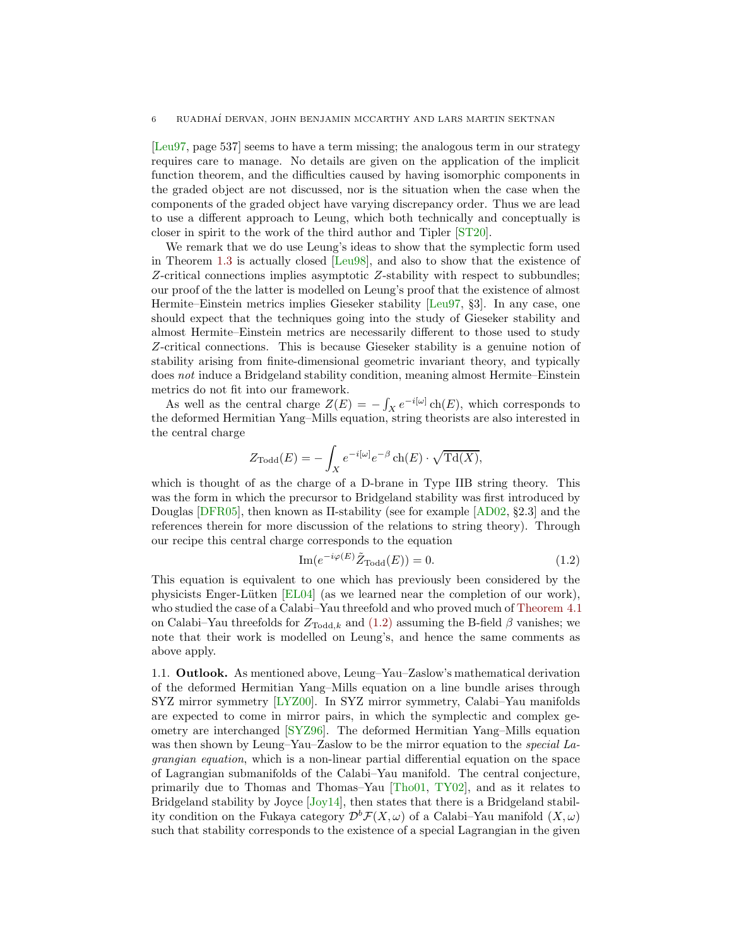<span id="page-5-2"></span>[\[Leu97,](#page-69-4) page 537] seems to have a term missing; the analogous term in our strategy requires care to manage. No details are given on the application of the implicit function theorem, and the difficulties caused by having isomorphic components in the graded object are not discussed, nor is the situation when the case when the components of the graded object have varying discrepancy order. Thus we are lead to use a different approach to Leung, which both technically and conceptually is closer in spirit to the work of the third author and Tipler [\[ST20\]](#page-69-8).

We remark that we do use Leung's ideas to show that the symplectic form used in Theorem [1.3](#page-3-0) is actually closed [\[Leu98\]](#page-69-9), and also to show that the existence of Z-critical connections implies asymptotic Z-stability with respect to subbundles; our proof of the the latter is modelled on Leung's proof that the existence of almost Hermite–Einstein metrics implies Gieseker stability [\[Leu97,](#page-69-4) §3]. In any case, one should expect that the techniques going into the study of Gieseker stability and almost Hermite–Einstein metrics are necessarily different to those used to study Z-critical connections. This is because Gieseker stability is a genuine notion of stability arising from finite-dimensional geometric invariant theory, and typically does not induce a Bridgeland stability condition, meaning almost Hermite–Einstein metrics do not fit into our framework.

As well as the central charge  $Z(E) = -\int_X e^{-i[\omega]} \operatorname{ch}(E)$ , which corresponds to the deformed Hermitian Yang–Mills equation, string theorists are also interested in the central charge

$$
Z_{\text{Total}}(E) = -\int_X e^{-i[\omega]} e^{-\beta} \operatorname{ch}(E) \cdot \sqrt{\operatorname{Td}(X)},
$$

which is thought of as the charge of a D-brane in Type IIB string theory. This was the form in which the precursor to Bridgeland stability was first introduced by Douglas [\[DFR05\]](#page-68-10), then known as Π-stability (see for example [\[AD02,](#page-68-11) §2.3] and the references therein for more discussion of the relations to string theory). Through our recipe this central charge corresponds to the equation

<span id="page-5-1"></span>
$$
\operatorname{Im}(e^{-i\varphi(E)}\tilde{Z}_{\text{Total}}(E)) = 0. \tag{1.2}
$$

This equation is equivalent to one which has previously been considered by the physicists Enger-Lütken  $[EL04]$  (as we learned near the completion of our work), who studied the case of a Calabi–Yau threefold and who proved much of [Theorem 4.1](#page-36-2) on Calabi–Yau threefolds for  $Z_{\text{Total},k}$  and [\(1.2\)](#page-5-1) assuming the B-field  $\beta$  vanishes; we note that their work is modelled on Leung's, and hence the same comments as above apply.

<span id="page-5-0"></span>1.1. Outlook. As mentioned above, Leung–Yau–Zaslow's mathematical derivation of the deformed Hermitian Yang–Mills equation on a line bundle arises through SYZ mirror symmetry [\[LYZ00\]](#page-69-1). In SYZ mirror symmetry, Calabi–Yau manifolds are expected to come in mirror pairs, in which the symplectic and complex geometry are interchanged [\[SYZ96\]](#page-69-10). The deformed Hermitian Yang–Mills equation was then shown by Leung–Yau–Zaslow to be the mirror equation to the *special La*grangian equation, which is a non-linear partial differential equation on the space of Lagrangian submanifolds of the Calabi–Yau manifold. The central conjecture, primarily due to Thomas and Thomas–Yau [\[Tho01,](#page-69-11) [TY02\]](#page-69-12), and as it relates to Bridgeland stability by Joyce [\[Joy14\]](#page-69-13), then states that there is a Bridgeland stability condition on the Fukaya category  $\mathcal{D}^b\mathcal{F}(X,\omega)$  of a Calabi–Yau manifold  $(X,\omega)$ such that stability corresponds to the existence of a special Lagrangian in the given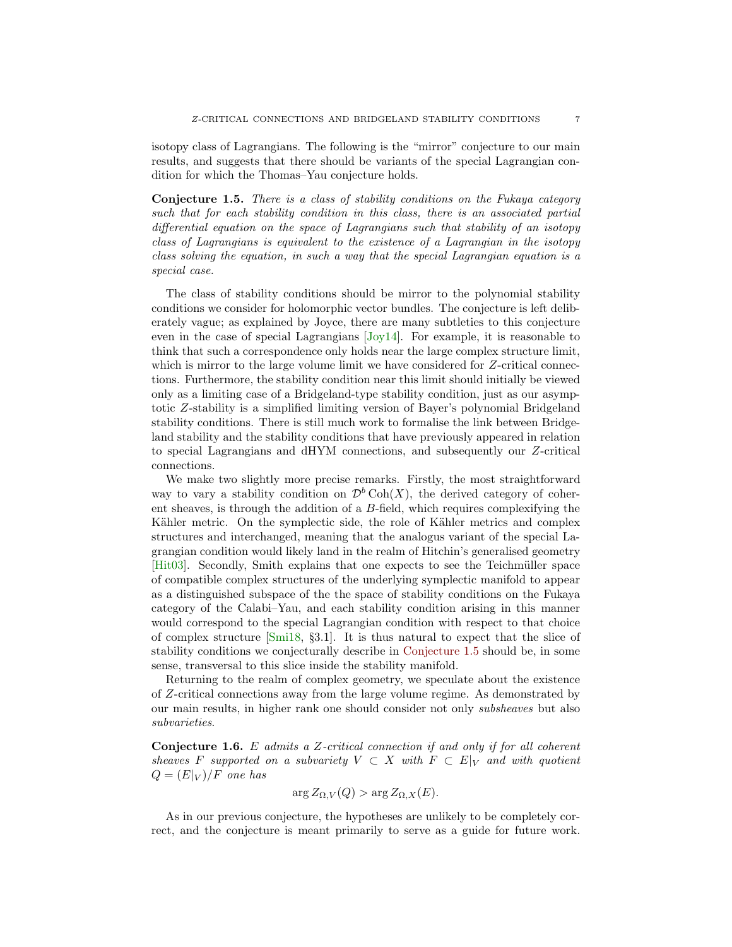<span id="page-6-1"></span>isotopy class of Lagrangians. The following is the "mirror" conjecture to our main results, and suggests that there should be variants of the special Lagrangian condition for which the Thomas–Yau conjecture holds.

<span id="page-6-0"></span>Conjecture 1.5. There is a class of stability conditions on the Fukaya category such that for each stability condition in this class, there is an associated partial differential equation on the space of Lagrangians such that stability of an isotopy class of Lagrangians is equivalent to the existence of a Lagrangian in the isotopy class solving the equation, in such a way that the special Lagrangian equation is a special case.

The class of stability conditions should be mirror to the polynomial stability conditions we consider for holomorphic vector bundles. The conjecture is left deliberately vague; as explained by Joyce, there are many subtleties to this conjecture even in the case of special Lagrangians [\[Joy14\]](#page-69-13). For example, it is reasonable to think that such a correspondence only holds near the large complex structure limit, which is mirror to the large volume limit we have considered for Z-critical connections. Furthermore, the stability condition near this limit should initially be viewed only as a limiting case of a Bridgeland-type stability condition, just as our asymptotic Z-stability is a simplified limiting version of Bayer's polynomial Bridgeland stability conditions. There is still much work to formalise the link between Bridgeland stability and the stability conditions that have previously appeared in relation to special Lagrangians and dHYM connections, and subsequently our Z-critical connections.

We make two slightly more precise remarks. Firstly, the most straightforward way to vary a stability condition on  $\mathcal{D}^b \text{Coh}(X)$ , the derived category of coherent sheaves, is through the addition of a B-field, which requires complexifying the Kähler metric. On the symplectic side, the role of Kähler metrics and complex structures and interchanged, meaning that the analogus variant of the special Lagrangian condition would likely land in the realm of Hitchin's generalised geometry [\[Hit03\]](#page-69-14). Secondly, Smith explains that one expects to see the Teichmüller space of compatible complex structures of the underlying symplectic manifold to appear as a distinguished subspace of the the space of stability conditions on the Fukaya category of the Calabi–Yau, and each stability condition arising in this manner would correspond to the special Lagrangian condition with respect to that choice of complex structure [\[Smi18,](#page-69-15) §3.1]. It is thus natural to expect that the slice of stability conditions we conjecturally describe in [Conjecture 1.5](#page-6-0) should be, in some sense, transversal to this slice inside the stability manifold.

Returning to the realm of complex geometry, we speculate about the existence of Z-critical connections away from the large volume regime. As demonstrated by our main results, in higher rank one should consider not only subsheaves but also subvarieties.

**Conjecture 1.6.** E admits a Z-critical connection if and only if for all coherent sheaves F supported on a subvariety  $V \subset X$  with  $F \subset E|_{V}$  and with quotient  $Q = (E|_V)/F$  one has

$$
\arg Z_{\Omega,V}(Q) > \arg Z_{\Omega,X}(E).
$$

As in our previous conjecture, the hypotheses are unlikely to be completely correct, and the conjecture is meant primarily to serve as a guide for future work.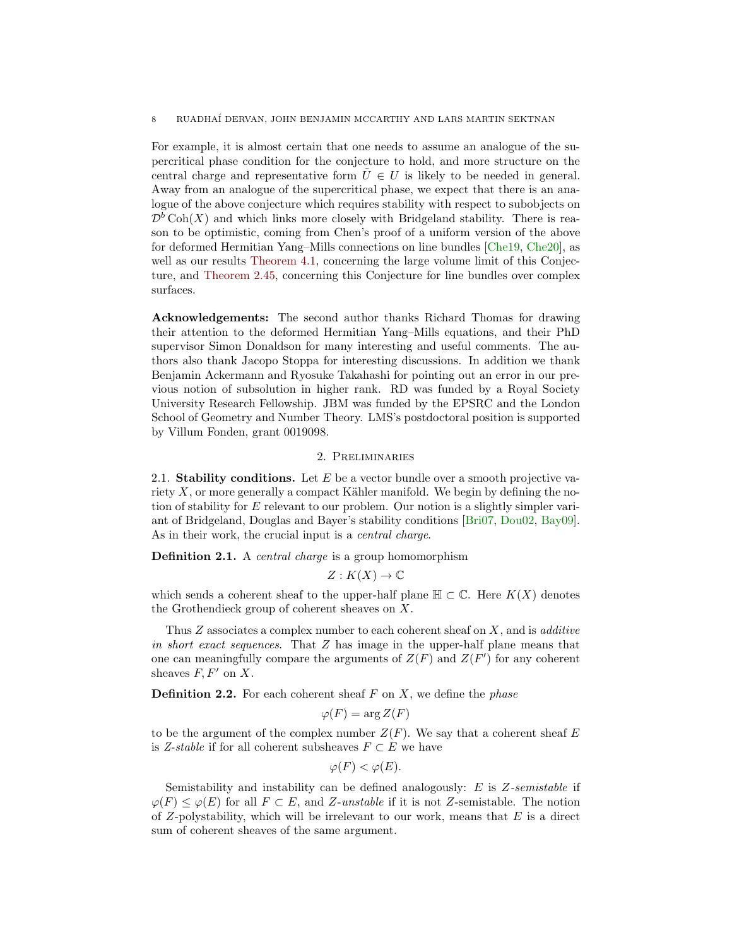<span id="page-7-3"></span>For example, it is almost certain that one needs to assume an analogue of the supercritical phase condition for the conjecture to hold, and more structure on the central charge and representative form  $\tilde{U} \in U$  is likely to be needed in general. Away from an analogue of the supercritical phase, we expect that there is an analogue of the above conjecture which requires stability with respect to subobjects on  $\mathcal{D}^b$  Coh(X) and which links more closely with Bridgeland stability. There is reason to be optimistic, coming from Chen's proof of a uniform version of the above for deformed Hermitian Yang–Mills connections on line bundles [\[Che19,](#page-68-7) [Che20\]](#page-68-8), as well as our results [Theorem 4.1,](#page-36-2) concerning the large volume limit of this Conjecture, and [Theorem 2.45,](#page-28-0) concerning this Conjecture for line bundles over complex surfaces.

Acknowledgements: The second author thanks Richard Thomas for drawing their attention to the deformed Hermitian Yang–Mills equations, and their PhD supervisor Simon Donaldson for many interesting and useful comments. The authors also thank Jacopo Stoppa for interesting discussions. In addition we thank Benjamin Ackermann and Ryosuke Takahashi for pointing out an error in our previous notion of subsolution in higher rank. RD was funded by a Royal Society University Research Fellowship. JBM was funded by the EPSRC and the London School of Geometry and Number Theory. LMS's postdoctoral position is supported by Villum Fonden, grant 0019098.

# 2. Preliminaries

<span id="page-7-1"></span><span id="page-7-0"></span>2.1. Stability conditions. Let  $E$  be a vector bundle over a smooth projective variety  $X$ , or more generally a compact Kähler manifold. We begin by defining the notion of stability for E relevant to our problem. Our notion is a slightly simpler variant of Bridgeland, Douglas and Bayer's stability conditions [\[Bri07,](#page-68-2) [Dou02,](#page-68-13) [Bay09\]](#page-68-4). As in their work, the crucial input is a *central charge*.

**Definition 2.1.** A *central charge* is a group homomorphism

$$
Z: K(X) \to \mathbb{C}
$$

which sends a coherent sheaf to the upper-half plane  $\mathbb{H} \subset \mathbb{C}$ . Here  $K(X)$  denotes the Grothendieck group of coherent sheaves on X.

Thus  $Z$  associates a complex number to each coherent sheaf on  $X$ , and is *additive* in short exact sequences. That Z has image in the upper-half plane means that one can meaningfully compare the arguments of  $Z(F)$  and  $Z(F')$  for any coherent sheaves  $F, F'$  on  $X$ .

**Definition 2.2.** For each coherent sheaf  $F$  on  $X$ , we define the *phase* 

$$
\varphi(F) = \arg Z(F)
$$

to be the argument of the complex number  $Z(F)$ . We say that a coherent sheaf E is Z-stable if for all coherent subsheaves  $F \subset E$  we have

$$
\varphi(F) < \varphi(E).
$$

<span id="page-7-2"></span>Semistability and instability can be defined analogously:  $E$  is  $Z$ -semistable if  $\varphi(F) \leq \varphi(E)$  for all  $F \subset E$ , and Z-unstable if it is not Z-semistable. The notion of  $Z$ -polystability, which will be irrelevant to our work, means that  $E$  is a direct sum of coherent sheaves of the same argument.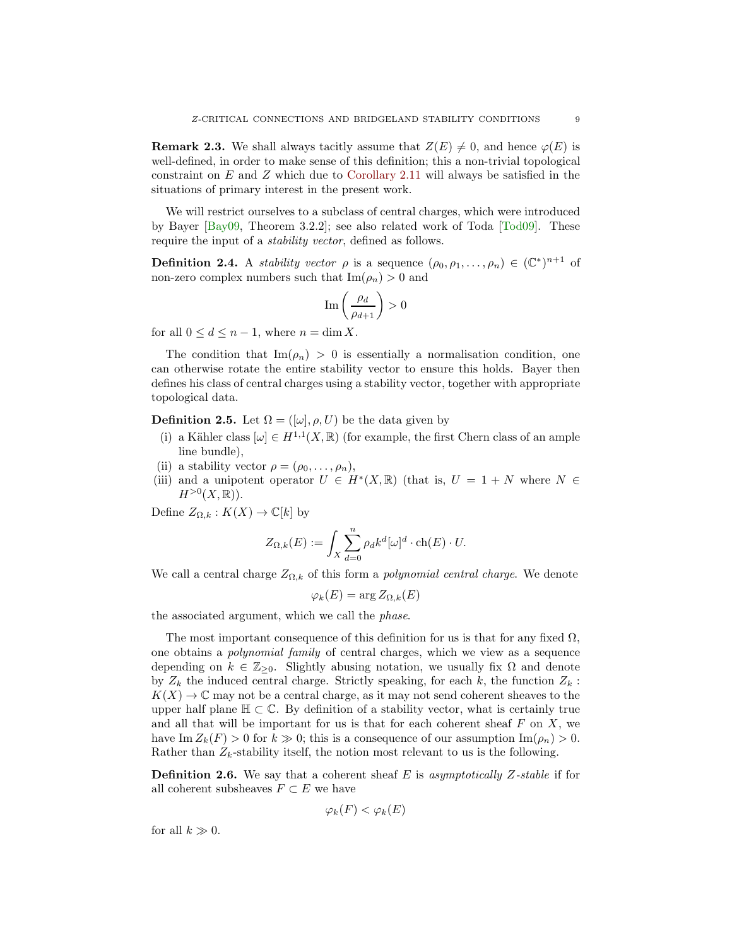<span id="page-8-0"></span>**Remark 2.3.** We shall always tacitly assume that  $Z(E) \neq 0$ , and hence  $\varphi(E)$  is well-defined, in order to make sense of this definition; this a non-trivial topological constraint on  $E$  and  $Z$  which due to [Corollary 2.11](#page-11-0) will always be satisfied in the situations of primary interest in the present work.

We will restrict ourselves to a subclass of central charges, which were introduced by Bayer  $\left|\text{Bay09}, \text{ Theorem 3.2.2}\right|$ ; see also related work of Toda  $\left|\text{Total09}\right|$ . These require the input of a *stability vector*, defined as follows.

**Definition 2.4.** A *stability vector*  $\rho$  is a sequence  $(\rho_0, \rho_1, \ldots, \rho_n) \in (\mathbb{C}^*)^{n+1}$  of non-zero complex numbers such that  $\text{Im}(\rho_n) > 0$  and

$$
\operatorname{Im}\left(\frac{\rho_d}{\rho_{d+1}}\right) > 0
$$

for all  $0 \leq d \leq n-1$ , where  $n = \dim X$ .

The condition that  $\text{Im}(\rho_n) > 0$  is essentially a normalisation condition, one can otherwise rotate the entire stability vector to ensure this holds. Bayer then defines his class of central charges using a stability vector, together with appropriate topological data.

**Definition 2.5.** Let  $\Omega = ([\omega], \rho, U)$  be the data given by

- (i) a Kähler class  $[\omega] \in H^{1,1}(X,\mathbb{R})$  (for example, the first Chern class of an ample line bundle),
- (ii) a stability vector  $\rho = (\rho_0, \ldots, \rho_n),$
- (iii) and a unipotent operator  $U \in H^*(X,\mathbb{R})$  (that is,  $U = 1 + N$  where  $N \in$  $H^{>0}(X,\mathbb{R})$ ).

Define  $Z_{\Omega,k}: K(X) \to \mathbb{C}[k]$  by

$$
Z_{\Omega,k}(E) := \int_X \sum_{d=0}^n \rho_d k^d [\omega]^d \cdot \text{ch}(E) \cdot U.
$$

We call a central charge  $Z_{\Omega,k}$  of this form a *polynomial central charge*. We denote

$$
\varphi_k(E) = \arg Z_{\Omega,k}(E)
$$

the associated argument, which we call the phase.

The most important consequence of this definition for us is that for any fixed  $\Omega$ , one obtains a polynomial family of central charges, which we view as a sequence depending on  $k \in \mathbb{Z}_{\geq 0}$ . Slightly abusing notation, we usually fix  $\Omega$  and denote by  $Z_k$  the induced central charge. Strictly speaking, for each k, the function  $Z_k$ :  $K(X) \to \mathbb{C}$  may not be a central charge, as it may not send coherent sheaves to the upper half plane  $\mathbb{H} \subset \mathbb{C}$ . By definition of a stability vector, what is certainly true and all that will be important for us is that for each coherent sheaf  $F$  on  $X$ , we have Im  $Z_k(F) > 0$  for  $k \gg 0$ ; this is a consequence of our assumption Im( $\rho_n$ ) > 0. Rather than  $Z_k$ -stability itself, the notion most relevant to us is the following.

**Definition 2.6.** We say that a coherent sheaf E is asymptotically Z-stable if for all coherent subsheaves  $F \subset E$  we have

$$
\varphi_k(F) < \varphi_k(E)
$$

for all  $k \gg 0$ .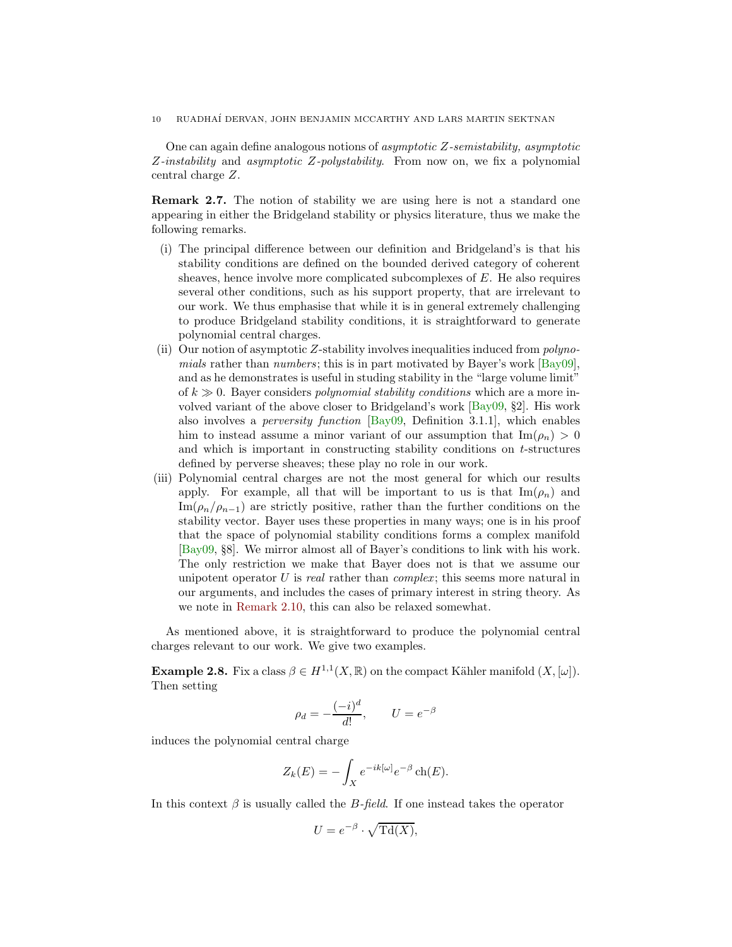<span id="page-9-2"></span><span id="page-9-1"></span>One can again define analogous notions of asymptotic Z-semistability, asymptotic Z-instability and asymptotic Z-polystability. From now on, we fix a polynomial central charge Z.

Remark 2.7. The notion of stability we are using here is not a standard one appearing in either the Bridgeland stability or physics literature, thus we make the following remarks.

- (i) The principal difference between our definition and Bridgeland's is that his stability conditions are defined on the bounded derived category of coherent sheaves, hence involve more complicated subcomplexes of E. He also requires several other conditions, such as his support property, that are irrelevant to our work. We thus emphasise that while it is in general extremely challenging to produce Bridgeland stability conditions, it is straightforward to generate polynomial central charges.
- (ii) Our notion of asymptotic Z-stability involves inequalities induced from polynomials rather than numbers; this is in part motivated by Bayer's work  $\lbrack \text{Bay09} \rbrack$ , and as he demonstrates is useful in studing stability in the "large volume limit" of  $k \gg 0$ . Bayer considers polynomial stability conditions which are a more involved variant of the above closer to Bridgeland's work [\[Bay09,](#page-68-4) §2]. His work also involves a perversity function [\[Bay09,](#page-68-4) Definition 3.1.1], which enables him to instead assume a minor variant of our assumption that  $\text{Im}(\rho_n) > 0$ and which is important in constructing stability conditions on t-structures defined by perverse sheaves; these play no role in our work.
- (iii) Polynomial central charges are not the most general for which our results apply. For example, all that will be important to us is that  $\text{Im}(\rho_n)$  and  $\text{Im}(\rho_n/\rho_{n-1})$  are strictly positive, rather than the further conditions on the stability vector. Bayer uses these properties in many ways; one is in his proof that the space of polynomial stability conditions forms a complex manifold [\[Bay09,](#page-68-4) §8]. We mirror almost all of Bayer's conditions to link with his work. The only restriction we make that Bayer does not is that we assume our unipotent operator  $U$  is *real* rather than *complex*; this seems more natural in our arguments, and includes the cases of primary interest in string theory. As we note in [Remark 2.10,](#page-10-0) this can also be relaxed somewhat.

<span id="page-9-0"></span>As mentioned above, it is straightforward to produce the polynomial central charges relevant to our work. We give two examples.

**Example 2.8.** Fix a class  $\beta \in H^{1,1}(X,\mathbb{R})$  on the compact Kähler manifold  $(X,[\omega])$ . Then setting

$$
\rho_d = -\frac{(-i)^d}{d!}, \qquad U = e^{-\beta}
$$

induces the polynomial central charge

$$
Z_k(E) = -\int_X e^{-ik[\omega]} e^{-\beta} \operatorname{ch}(E).
$$

In this context  $\beta$  is usually called the *B*-field. If one instead takes the operator

$$
U = e^{-\beta} \cdot \sqrt{\mathrm{Td}(X)},
$$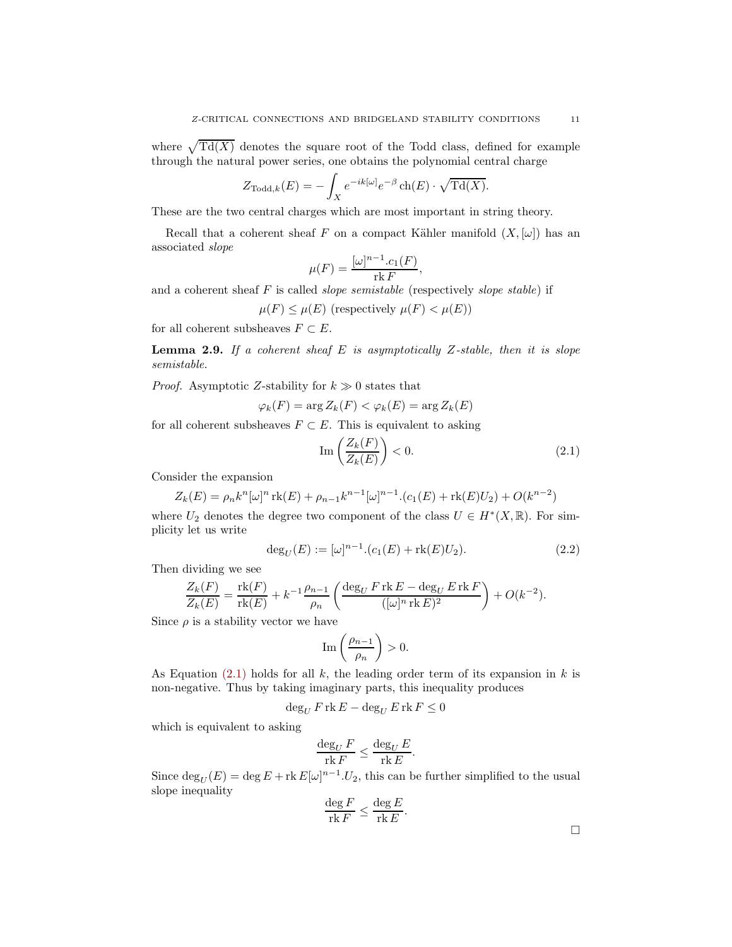where  $\sqrt{\text{Td}(X)}$  denotes the square root of the Todd class, defined for example through the natural power series, one obtains the polynomial central charge

$$
Z_{\text{Todd},k}(E) = -\int_X e^{-ik[\omega]}e^{-\beta} \operatorname{ch}(E) \cdot \sqrt{\operatorname{Td}(X)}.
$$

These are the two central charges which are most important in string theory.

Recall that a coherent sheaf F on a compact Kähler manifold  $(X,[\omega])$  has an associated slope

$$
\mu(F) = \frac{[\omega]^{n-1} . c_1(F)}{\operatorname{rk} F},
$$

and a coherent sheaf  $F$  is called *slope semistable* (respectively *slope stable*) if

 $\mu(F) \leq \mu(E)$  (respectively  $\mu(F) < \mu(E)$ )

<span id="page-10-2"></span>for all coherent subsheaves  $F \subset E$ .

**Lemma 2.9.** If a coherent sheaf  $E$  is asymptotically Z-stable, then it is slope semistable.

*Proof.* Asymptotic Z-stability for  $k \geq 0$  states that

$$
\varphi_k(F) = \arg Z_k(F) < \varphi_k(E) = \arg Z_k(E)
$$

for all coherent subsheaves  $F \subset E$ . This is equivalent to asking

<span id="page-10-1"></span>
$$
\operatorname{Im}\left(\frac{Z_k(F)}{Z_k(E)}\right) < 0.\tag{2.1}
$$

Consider the expansion

$$
Z_k(E) = \rho_n k^n [\omega]^n \operatorname{rk}(E) + \rho_{n-1} k^{n-1} [\omega]^{n-1} (c_1(E) + \operatorname{rk}(E) U_2) + O(k^{n-2})
$$

where  $U_2$  denotes the degree two component of the class  $U \in H^*(X, \mathbb{R})$ . For simplicity let us write

<span id="page-10-3"></span>
$$
\deg_U(E) := [\omega]^{n-1} \cdot (c_1(E) + \text{rk}(E)U_2). \tag{2.2}
$$

Then dividing we see

$$
\frac{Z_k(F)}{Z_k(E)} = \frac{\text{rk}(F)}{\text{rk}(E)} + k^{-1} \frac{\rho_{n-1}}{\rho_n} \left( \frac{\deg_U F \text{rk} E - \deg_U E \text{rk} F}{([\omega]^n \text{rk} E)^2} \right) + O(k^{-2}).
$$

Since  $\rho$  is a stability vector we have

$$
\operatorname{Im}\left(\frac{\rho_{n-1}}{\rho_n}\right) > 0.
$$

As Equation [\(2.1\)](#page-10-1) holds for all  $k$ , the leading order term of its expansion in  $k$  is non-negative. Thus by taking imaginary parts, this inequality produces

$$
\deg_U F \operatorname{rk} E - \deg_U E \operatorname{rk} F \le 0
$$

which is equivalent to asking

$$
\frac{\deg_U F}{\operatorname{rk} F} \le \frac{\deg_U E}{\operatorname{rk} E}.
$$

<span id="page-10-0"></span>Since  $\deg_U(E) = \deg E + \text{rk } E[\omega]^{n-1}$ . U<sub>2</sub>, this can be further simplified to the usual slope inequality

$$
\frac{\deg F}{\operatorname{rk} F} \le \frac{\deg E}{\operatorname{rk} E}.
$$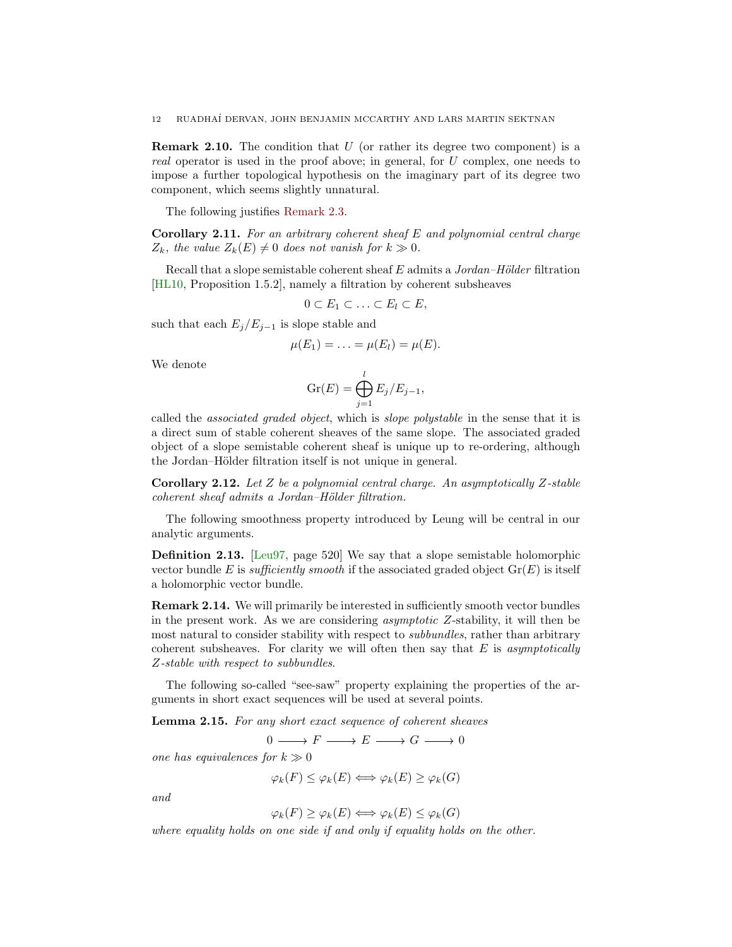<span id="page-11-3"></span>**Remark 2.10.** The condition that  $U$  (or rather its degree two component) is a real operator is used in the proof above; in general, for U complex, one needs to impose a further topological hypothesis on the imaginary part of its degree two component, which seems slightly unnatural.

<span id="page-11-0"></span>The following justifies [Remark 2.3.](#page-7-2)

**Corollary 2.11.** For an arbitrary coherent sheaf  $E$  and polynomial central charge  $Z_k$ , the value  $Z_k(E) \neq 0$  does not vanish for  $k \gg 0$ .

Recall that a slope semistable coherent sheaf  $E$  admits a Jordan–Hölder filtration [\[HL10,](#page-69-17) Proposition 1.5.2], namely a filtration by coherent subsheaves

$$
0\subset E_1\subset\ldots\subset E_l\subset E,
$$

such that each  $E_j/E_{j-1}$  is slope stable and

$$
\mu(E_1)=\ldots=\mu(E_l)=\mu(E).
$$

We denote

$$
\operatorname{Gr}(E) = \bigoplus_{j=1}^{l} E_j/E_{j-1},
$$

called the associated graded object, which is slope polystable in the sense that it is a direct sum of stable coherent sheaves of the same slope. The associated graded object of a slope semistable coherent sheaf is unique up to re-ordering, although the Jordan–Hölder filtration itself is not unique in general.

<span id="page-11-2"></span>**Corollary 2.12.** Let Z be a polynomial central charge. An asymptotically Z-stable  $coherent\ sheaf\ admits\ a\ Jordan-Hölder\ filtration.$ 

The following smoothness property introduced by Leung will be central in our analytic arguments.

Definition 2.13. [\[Leu97,](#page-69-4) page 520] We say that a slope semistable holomorphic vector bundle E is sufficiently smooth if the associated graded object  $\text{Gr}(E)$  is itself a holomorphic vector bundle.

Remark 2.14. We will primarily be interested in sufficiently smooth vector bundles in the present work. As we are considering asymptotic Z-stability, it will then be most natural to consider stability with respect to subbundles, rather than arbitrary coherent subsheaves. For clarity we will often then say that  $E$  is asymptotically Z-stable with respect to subbundles.

<span id="page-11-1"></span>The following so-called "see-saw" property explaining the properties of the arguments in short exact sequences will be used at several points.

Lemma 2.15. For any short exact sequence of coherent sheaves

 $0 \longrightarrow F \longrightarrow E \longrightarrow G \longrightarrow 0$ 

one has equivalences for  $k \gg 0$ 

 $\varphi_k(F) \leq \varphi_k(E) \Longleftrightarrow \varphi_k(E) \geq \varphi_k(G)$ 

and

$$
\varphi_k(F) \ge \varphi_k(E) \Longleftrightarrow \varphi_k(E) \le \varphi_k(G)
$$

where equality holds on one side if and only if equality holds on the other.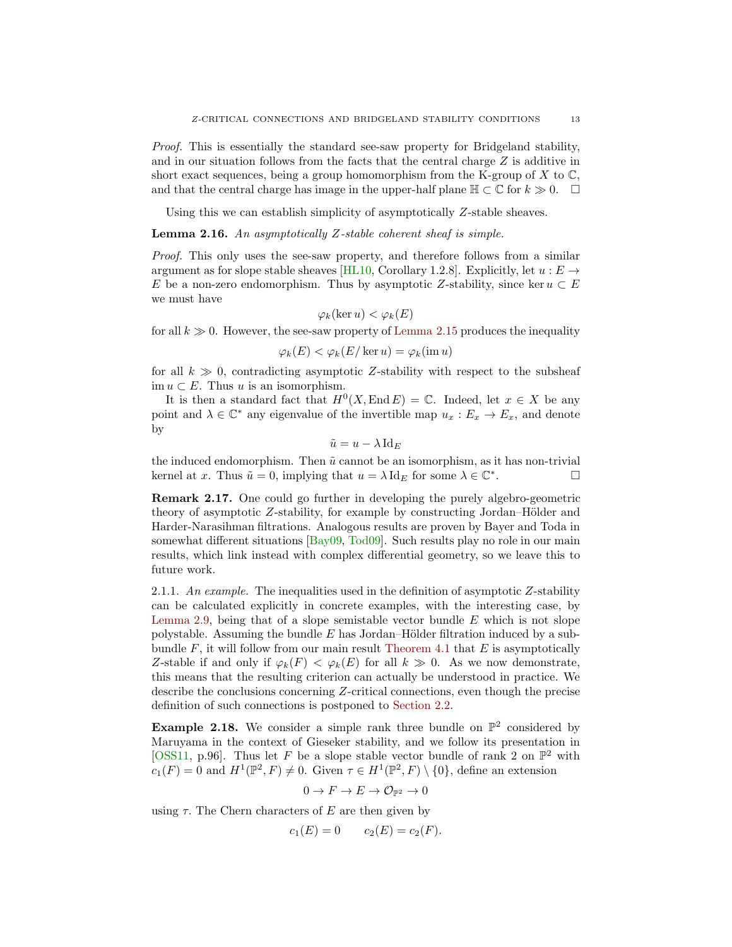<span id="page-12-0"></span>Proof. This is essentially the standard see-saw property for Bridgeland stability, and in our situation follows from the facts that the central charge  $Z$  is additive in short exact sequences, being a group homomorphism from the K-group of  $X$  to  $\mathbb{C}$ , and that the central charge has image in the upper-half plane  $\mathbb{H} \subset \mathbb{C}$  for  $k \geq 0$ .  $\Box$ 

Using this we can establish simplicity of asymptotically Z-stable sheaves.

Lemma 2.16. An asymptotically Z-stable coherent sheaf is simple.

Proof. This only uses the see-saw property, and therefore follows from a similar argument as for slope stable sheaves [\[HL10,](#page-69-17) Corollary 1.2.8]. Explicitly, let  $u : E \rightarrow$ E be a non-zero endomorphism. Thus by asymptotic Z-stability, since ker  $u \subset E$ we must have

$$
\varphi_k(\ker u) < \varphi_k(E)
$$

for all  $k \gg 0$ . However, the see-saw property of [Lemma 2.15](#page-11-1) produces the inequality

$$
\varphi_k(E) < \varphi_k(E/\ker u) = \varphi_k(\operatorname{im} u)
$$

for all  $k \gg 0$ , contradicting asymptotic Z-stability with respect to the subsheaf im  $u \subset E$ . Thus u is an isomorphism.

It is then a standard fact that  $H^0(X, \text{End } E) = \mathbb{C}$ . Indeed, let  $x \in X$  be any point and  $\lambda \in \mathbb{C}^*$  any eigenvalue of the invertible map  $u_x : E_x \to E_x$ , and denote by

$$
\tilde{u} = u - \lambda \operatorname{Id}_E
$$

the induced endomorphism. Then  $\tilde{u}$  cannot be an isomorphism, as it has non-trivial kernel at x. Thus  $\tilde{u} = 0$ , implying that  $u = \lambda \operatorname{Id}_E$  for some  $\lambda \in \mathbb{C}^*$ . — П

Remark 2.17. One could go further in developing the purely algebro-geometric theory of asymptotic  $Z$ -stability, for example by constructing Jordan–Hölder and Harder-Narasihman filtrations. Analogous results are proven by Bayer and Toda in somewhat different situations [\[Bay09,](#page-68-4) [Tod09\]](#page-69-16). Such results play no role in our main results, which link instead with complex differential geometry, so we leave this to future work.

2.1.1. An example. The inequalities used in the definition of asymptotic  $Z$ -stability can be calculated explicitly in concrete examples, with the interesting case, by [Lemma 2.9,](#page-10-2) being that of a slope semistable vector bundle  $E$  which is not slope polystable. Assuming the bundle  $E$  has Jordan–Hölder filtration induced by a subbundle  $F$ , it will follow from our main result [Theorem 4.1](#page-36-2) that  $E$  is asymptotically Z-stable if and only if  $\varphi_k(F) < \varphi_k(E)$  for all  $k \gg 0$ . As we now demonstrate, this means that the resulting criterion can actually be understood in practice. We describe the conclusions concerning Z-critical connections, even though the precise definition of such connections is postponed to [Section 2.2.](#page-15-0)

**Example 2.18.** We consider a simple rank three bundle on  $\mathbb{P}^2$  considered by Maruyama in the context of Gieseker stability, and we follow its presentation in [\[OSS11,](#page-69-18) p.96]. Thus let F be a slope stable vector bundle of rank 2 on  $\mathbb{P}^2$  with  $c_1(F) = 0$  and  $H^1(\mathbb{P}^2, F) \neq 0$ . Given  $\tau \in H^1(\mathbb{P}^2, F) \setminus \{0\}$ , define an extension

$$
0 \to F \to E \to \mathcal{O}_{\mathbb{P}^2} \to 0
$$

using  $\tau$ . The Chern characters of E are then given by

$$
c_1(E) = 0 \t c_2(E) = c_2(F).
$$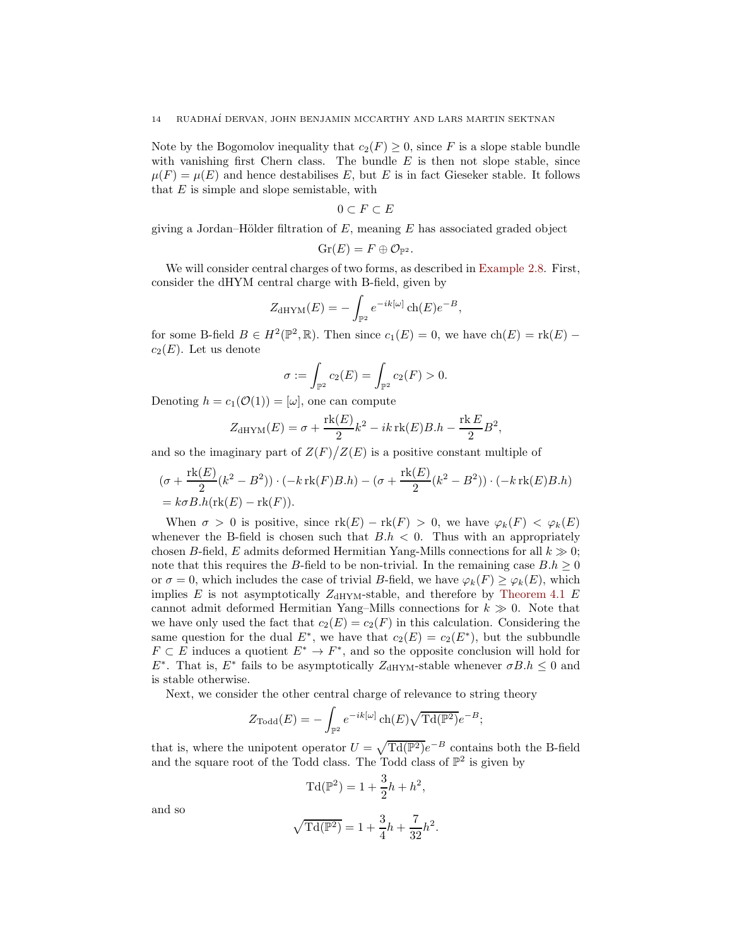Note by the Bogomolov inequality that  $c_2(F) \geq 0$ , since F is a slope stable bundle with vanishing first Chern class. The bundle  $E$  is then not slope stable, since  $\mu(F) = \mu(E)$  and hence destabilises E, but E is in fact Gieseker stable. It follows that  $E$  is simple and slope semistable, with

$$
0\subset F\subset E
$$

giving a Jordan–Hölder filtration of  $E$ , meaning  $E$  has associated graded object

$$
\mathrm{Gr}(E)=F\oplus \mathcal{O}_{\mathbb{P}^2}.
$$

We will consider central charges of two forms, as described in [Example 2.8.](#page-9-0) First, consider the dHYM central charge with B-field, given by

$$
Z_{\text{dHYM}}(E) = -\int_{\mathbb{P}^2} e^{-ik[\omega]} \operatorname{ch}(E) e^{-B},
$$

for some B-field  $B \in H^2(\mathbb{P}^2, \mathbb{R})$ . Then since  $c_1(E) = 0$ , we have  $ch(E) = \text{rk}(E)$  $c_2(E)$ . Let us denote

$$
\sigma := \int_{\mathbb{P}^2} c_2(E) = \int_{\mathbb{P}^2} c_2(F) > 0.
$$

Denoting  $h = c_1(\mathcal{O}(1)) = [\omega]$ , one can compute

$$
Z_{\text{dHYM}}(E) = \sigma + \frac{\text{rk}(E)}{2}k^2 - ik\,\text{rk}(E)B.h - \frac{\text{rk}\,E}{2}B^2,
$$

and so the imaginary part of  $Z(F)/Z(E)$  is a positive constant multiple of

$$
(\sigma + \frac{\text{rk}(E)}{2}(k^2 - B^2)) \cdot (-k \text{rk}(F)B.h) - (\sigma + \frac{\text{rk}(E)}{2}(k^2 - B^2)) \cdot (-k \text{rk}(E)B.h)
$$
  
=  $k \sigma B.h(\text{rk}(E) - \text{rk}(F)).$ 

When  $\sigma > 0$  is positive, since  $\text{rk}(E) - \text{rk}(F) > 0$ , we have  $\varphi_k(F) < \varphi_k(E)$ whenever the B-field is chosen such that  $B.h < 0$ . Thus with an appropriately chosen B-field, E admits deformed Hermitian Yang-Mills connections for all  $k \gg 0$ ; note that this requires the B-field to be non-trivial. In the remaining case  $B.h \geq 0$ or  $\sigma = 0$ , which includes the case of trivial B-field, we have  $\varphi_k(F) \geq \varphi_k(E)$ , which implies E is not asymptotically  $Z_{\text{dHYM}}$ -stable, and therefore by [Theorem 4.1](#page-36-2) E cannot admit deformed Hermitian Yang–Mills connections for  $k \geqslant 0$ . Note that we have only used the fact that  $c_2(E) = c_2(F)$  in this calculation. Considering the same question for the dual  $E^*$ , we have that  $c_2(E) = c_2(E^*)$ , but the subbundle  $F \subset E$  induces a quotient  $E^* \to F^*$ , and so the opposite conclusion will hold for  $E^*$ . That is,  $E^*$  fails to be asymptotically  $Z_{\text{dHYM}}$ -stable whenever  $\sigma B.h \leq 0$  and is stable otherwise.

Next, we consider the other central charge of relevance to string theory

$$
Z_{\text{Todd}}(E) = -\int_{\mathbb{P}^2} e^{-ik[\omega]} \operatorname{ch}(E) \sqrt{\operatorname{Td}(\mathbb{P}^2)} e^{-B};
$$

that is, where the unipotent operator  $U = \sqrt{Td(\mathbb{P}^2)}e^{-B}$  contains both the B-field and the square root of the Todd class. The Todd class of  $\mathbb{P}^2$  is given by

$$
Td(\mathbb{P}^2) = 1 + \frac{3}{2}h + h^2,
$$

and so

$$
\sqrt{\mathrm{Td}(\mathbb{P}^2)}=1+\frac{3}{4}h+\frac{7}{32}h^2.
$$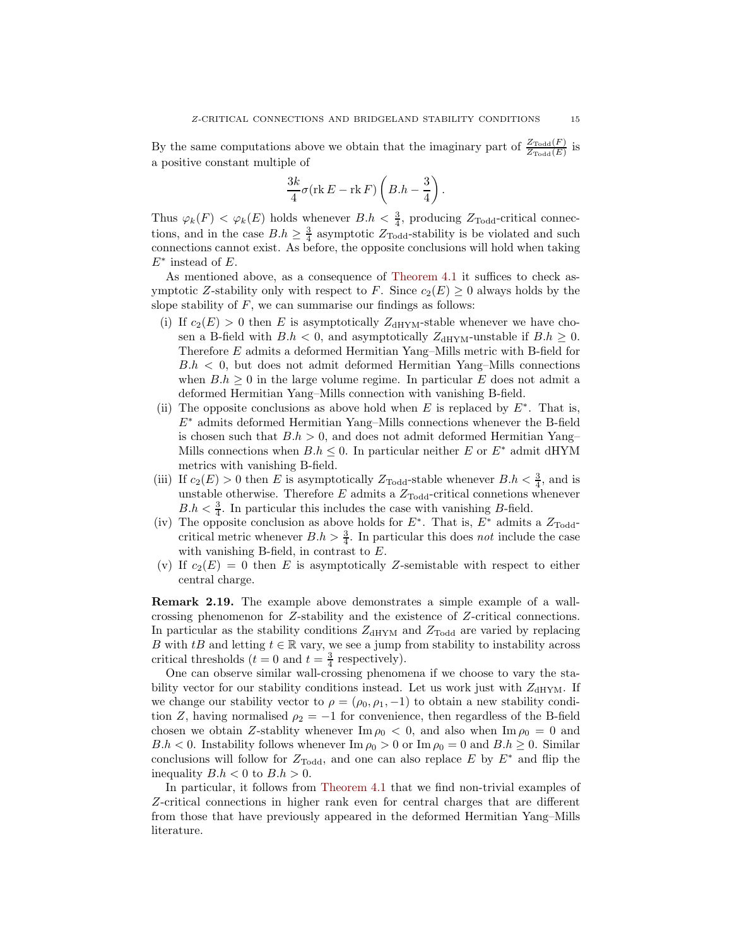By the same computations above we obtain that the imaginary part of  $\frac{Z_{\text{Total}}(F)}{Z_{\text{Total}}(F)}$  $\frac{\text{Z}\text{Total}(F)}{\text{Z}\text{Total}(E)}$  is a positive constant multiple of

$$
\frac{3k}{4}\sigma(\text{rk }E - \text{rk }F)\left(B.h - \frac{3}{4}\right).
$$

Thus  $\varphi_k(F) < \varphi_k(E)$  holds whenever  $B.h < \frac{3}{4}$ , producing  $Z_{\text{Todd}}$ -critical connections, and in the case  $B.h \geq \frac{3}{4}$  asymptotic  $Z_{\text{Todd}}$ -stability is be violated and such connections cannot exist. As before, the opposite conclusions will hold when taking  $E^*$  instead of E.

As mentioned above, as a consequence of [Theorem 4.1](#page-36-2) it suffices to check asymptotic Z-stability only with respect to F. Since  $c_2(E) \geq 0$  always holds by the slope stability of  $F$ , we can summarise our findings as follows:

- (i) If  $c_2(E) > 0$  then E is asymptotically  $Z_{\text{dHYM}}$ -stable whenever we have chosen a B-field with  $B.h < 0$ , and asymptotically  $Z_{\text{dHYM}}$ -unstable if  $B.h \geq 0$ . Therefore E admits a deformed Hermitian Yang–Mills metric with B-field for  $B.h < 0$ , but does not admit deformed Hermitian Yang–Mills connections when  $B.h \geq 0$  in the large volume regime. In particular E does not admit a deformed Hermitian Yang–Mills connection with vanishing B-field.
- (ii) The opposite conclusions as above hold when E is replaced by  $E^*$ . That is,  $E^*$  admits deformed Hermitian Yang–Mills connections whenever the B-field is chosen such that  $B.h > 0$ , and does not admit deformed Hermitian Yang– Mills connections when  $B.h \leq 0$ . In particular neither E or  $E^*$  admit dHYM metrics with vanishing B-field.
- (iii) If  $c_2(E) > 0$  then E is asymptotically  $Z_{\text{Todd}}$ -stable whenever  $B.h < \frac{3}{4}$ , and is unstable otherwise. Therefore  $E$  admits a  $Z_{\text{Todd}}$ -critical connetions whenever  $B.h < \frac{3}{4}$ . In particular this includes the case with vanishing B-field.
- (iv) The opposite conclusion as above holds for  $E^*$ . That is,  $E^*$  admits a  $Z_{\text{Todd}}$ critical metric whenever  $B.h > \frac{3}{4}$ . In particular this does not include the case with vanishing B-field, in contrast to E.
- (v) If  $c_2(E) = 0$  then E is asymptotically Z-semistable with respect to either central charge.

Remark 2.19. The example above demonstrates a simple example of a wallcrossing phenomenon for Z-stability and the existence of Z-critical connections. In particular as the stability conditions  $Z_{\text{dHYM}}$  and  $Z_{\text{Todd}}$  are varied by replacing B with tB and letting  $t \in \mathbb{R}$  vary, we see a jump from stability to instability across critical thresholds  $(t = 0 \text{ and } t = \frac{3}{4} \text{ respectively}).$ 

One can observe similar wall-crossing phenomena if we choose to vary the stability vector for our stability conditions instead. Let us work just with  $Z_{\text{dHYM}}$ . If we change our stability vector to  $\rho = (\rho_0, \rho_1, -1)$  to obtain a new stability condition Z, having normalised  $\rho_2 = -1$  for convenience, then regardless of the B-field chosen we obtain Z-stablity whenever  $\text{Im } \rho_0 < 0$ , and also when  $\text{Im } \rho_0 = 0$  and  $B.h < 0$ . Instability follows whenever  $\text{Im } \rho_0 > 0$  or  $\text{Im } \rho_0 = 0$  and  $B.h \geq 0$ . Similar conclusions will follow for  $Z_{\text{Total}}$ , and one can also replace E by  $E^*$  and flip the inequality  $B.h < 0$  to  $B.h > 0$ .

In particular, it follows from [Theorem 4.1](#page-36-2) that we find non-trivial examples of Z-critical connections in higher rank even for central charges that are different from those that have previously appeared in the deformed Hermitian Yang–Mills literature.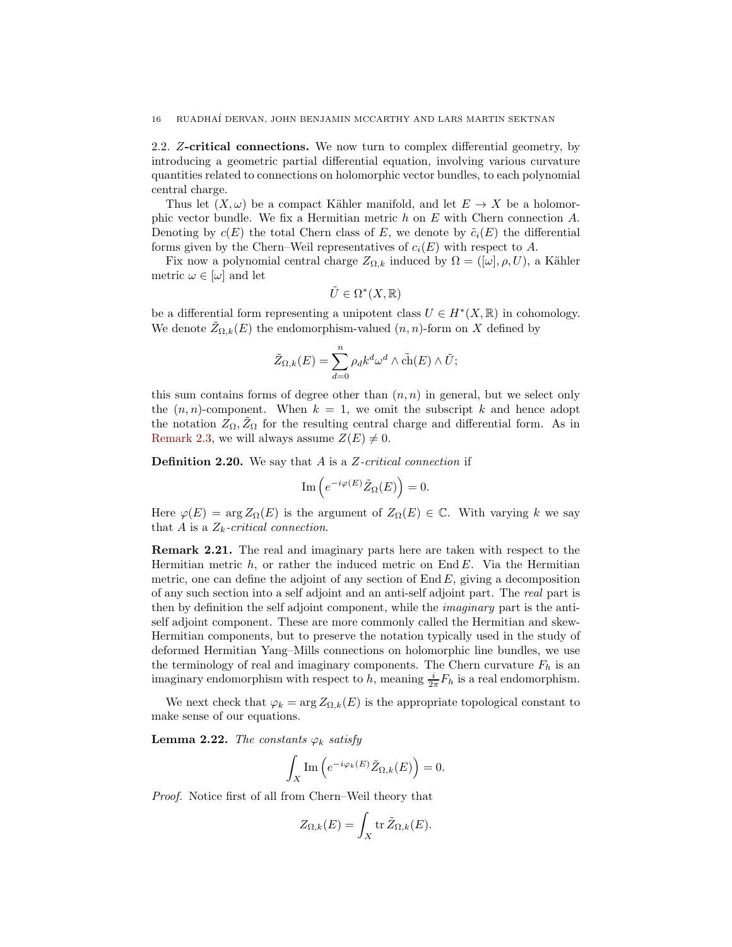<span id="page-15-0"></span>2.2. Z-critical connections. We now turn to complex differential geometry, by introducing a geometric partial differential equation, involving various curvature quantities related to connections on holomorphic vector bundles, to each polynomial central charge.

Thus let  $(X, \omega)$  be a compact Kähler manifold, and let  $E \to X$  be a holomorphic vector bundle. We fix a Hermitian metric  $h$  on  $E$  with Chern connection  $A$ . Denoting by  $c(E)$  the total Chern class of E, we denote by  $\tilde{c}_i(E)$  the differential forms given by the Chern–Weil representatives of  $c_i(E)$  with respect to A.

Fix now a polynomial central charge  $Z_{\Omega,k}$  induced by  $\Omega = ([\omega], \rho, U)$ , a Kähler metric  $\omega \in [\omega]$  and let

$$
\tilde{U} \in \Omega^*(X, \mathbb{R})
$$

be a differential form representing a unipotent class  $U \in H^*(X, \mathbb{R})$  in cohomology. We denote  $Z_{\Omega,k}(E)$  the endomorphism-valued  $(n, n)$ -form on X defined by

$$
\tilde{Z}_{\Omega,k}(E) = \sum_{d=0}^{n} \rho_d k^d \omega^d \wedge c\tilde{h}(E) \wedge \tilde{U};
$$

this sum contains forms of degree other than  $(n, n)$  in general, but we select only the  $(n, n)$ -component. When  $k = 1$ , we omit the subscript k and hence adopt the notation  $Z_{\Omega}, Z_{\Omega}$  for the resulting central charge and differential form. As in [Remark 2.3,](#page-7-2) we will always assume  $Z(E) \neq 0$ .

**Definition 2.20.** We say that  $A$  is a  $Z$ -critical connection if

$$
\mathrm{Im}\left(e^{-i\varphi(E)}\tilde{Z}_{\Omega}(E)\right) = 0.
$$

Here  $\varphi(E) = \arg Z_{\Omega}(E)$  is the argument of  $Z_{\Omega}(E) \in \mathbb{C}$ . With varying k we say that A is a  $Z_k$ -critical connection.

Remark 2.21. The real and imaginary parts here are taken with respect to the Hermitian metric  $h$ , or rather the induced metric on End E. Via the Hermitian metric, one can define the adjoint of any section of  $\text{End }E$ , giving a decomposition of any such section into a self adjoint and an anti-self adjoint part. The real part is then by definition the self adjoint component, while the imaginary part is the antiself adjoint component. These are more commonly called the Hermitian and skew-Hermitian components, but to preserve the notation typically used in the study of deformed Hermitian Yang–Mills connections on holomorphic line bundles, we use the terminology of real and imaginary components. The Chern curvature  $F_h$  is an imaginary endomorphism with respect to h, meaning  $\frac{i}{2\pi}F_h$  is a real endomorphism.

<span id="page-15-1"></span>We next check that  $\varphi_k = \arg Z_{\Omega,k}(E)$  is the appropriate topological constant to make sense of our equations.

**Lemma 2.22.** The constants  $\varphi_k$  satisfy

$$
\int_X \mathrm{Im}\left(e^{-i\varphi_k(E)}\tilde{Z}_{\Omega,k}(E)\right) = 0.
$$

Proof. Notice first of all from Chern–Weil theory that

$$
Z_{\Omega,k}(E) = \int_X \operatorname{tr} \tilde{Z}_{\Omega,k}(E).
$$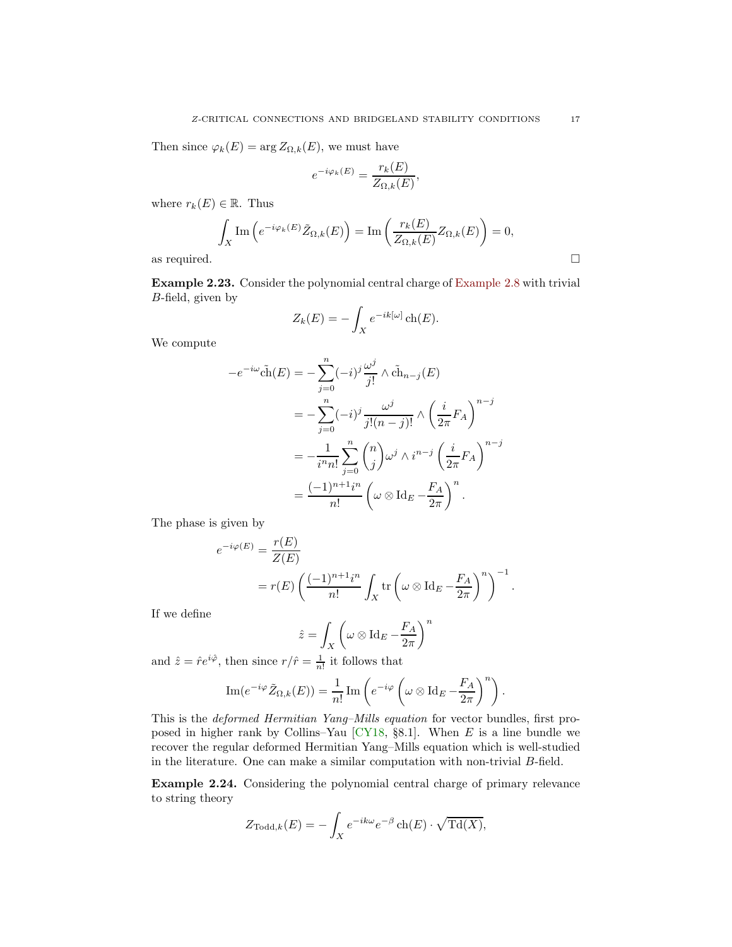<span id="page-16-0"></span>Then since  $\varphi_k(E) = \arg Z_{\Omega,k}(E)$ , we must have

$$
e^{-i\varphi_k(E)} = \frac{r_k(E)}{Z_{\Omega,k}(E)},
$$

where  $r_k(E) \in \mathbb{R}$ . Thus

$$
\int_X \text{Im}\left(e^{-i\varphi_k(E)}\tilde{Z}_{\Omega,k}(E)\right) = \text{Im}\left(\frac{r_k(E)}{Z_{\Omega,k}(E)}Z_{\Omega,k}(E)\right) = 0,
$$
 as required.

Example 2.23. Consider the polynomial central charge of [Example 2.8](#page-9-0) with trivial B-field, given by

$$
Z_k(E) = -\int_X e^{-ik[\omega]} \operatorname{ch}(E).
$$

We compute

$$
-e^{-i\omega}\tilde{\text{ch}}(E) = -\sum_{j=0}^{n} (-i)^{j} \frac{\omega^{j}}{j!} \wedge \tilde{\text{ch}}_{n-j}(E)
$$
  

$$
= -\sum_{j=0}^{n} (-i)^{j} \frac{\omega^{j}}{j!(n-j)!} \wedge \left(\frac{i}{2\pi} F_{A}\right)^{n-j}
$$
  

$$
= -\frac{1}{i^{n}n!} \sum_{j=0}^{n} {n \choose j} \omega^{j} \wedge i^{n-j} \left(\frac{i}{2\pi} F_{A}\right)^{n-j}
$$
  

$$
= \frac{(-1)^{n+1}i^{n}}{n!} \left(\omega \otimes \text{Id}_{E} - \frac{F_{A}}{2\pi}\right)^{n}.
$$

The phase is given by

$$
e^{-i\varphi(E)} = \frac{r(E)}{Z(E)}
$$
  
=  $r(E) \left( \frac{(-1)^{n+1}i^n}{n!} \int_X tr \left( \omega \otimes \text{Id}_E - \frac{F_A}{2\pi} \right)^n \right)^{-1}.$ 

If we define

$$
\hat{z} = \int_X \left( \omega \otimes \text{Id}_E - \frac{F_A}{2\pi} \right)^n
$$

and  $\hat{z} = \hat{r}e^{i\hat{\varphi}},$  then since  $r/\hat{r} = \frac{1}{n!}$  it follows that

Im
$$
(e^{-i\varphi}\tilde{Z}_{\Omega,k}(E)) = \frac{1}{n!}
$$
Im $\left(e^{-i\varphi}\left(\omega \otimes \text{Id}_E - \frac{F_A}{2\pi}\right)^n\right)$ .

This is the deformed Hermitian Yang–Mills equation for vector bundles, first proposed in higher rank by Collins–Yau  $[CY18, §8.1]$ . When E is a line bundle we recover the regular deformed Hermitian Yang–Mills equation which is well-studied in the literature. One can make a similar computation with non-trivial B-field.

Example 2.24. Considering the polynomial central charge of primary relevance to string theory

$$
Z_{\text{Todd},k}(E) = -\int_X e^{-ik\omega} e^{-\beta} \operatorname{ch}(E) \cdot \sqrt{\operatorname{Td}(X)},
$$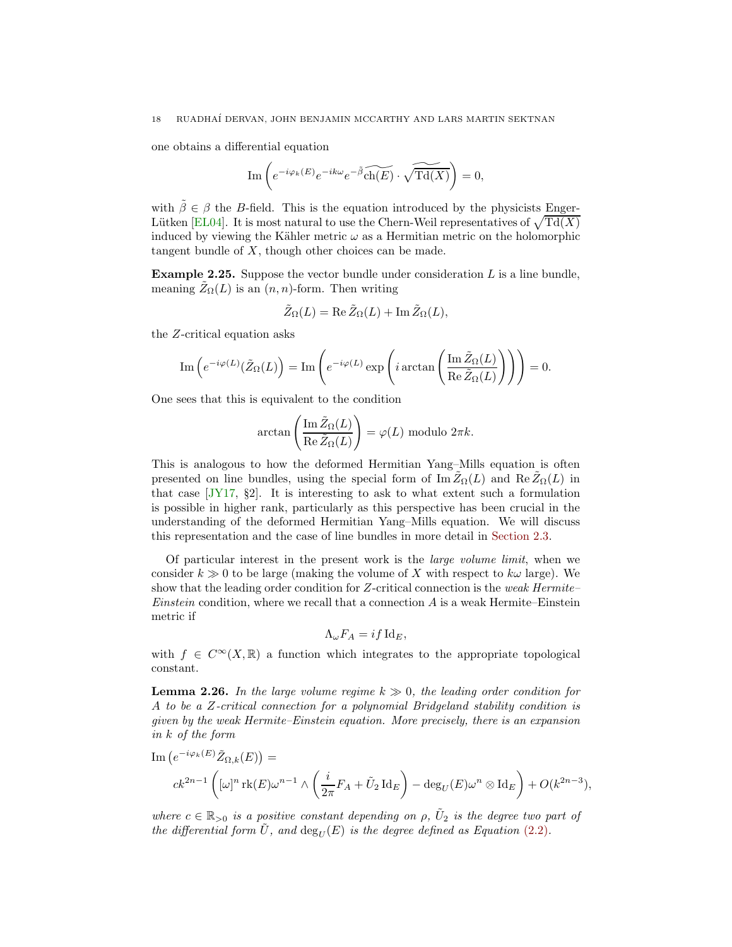<span id="page-17-2"></span>one obtains a differential equation

$$
\text{Im}\left(e^{-i\varphi_k(E)}e^{-ik\omega}e^{-\tilde{\beta}}\widetilde{\text{ch}(E)}\cdot\widetilde{\sqrt{\text{Td}(X)}}\right)=0,
$$

with  $\tilde{\beta} \in \beta$  the B-field. This is the equation introduced by the physicists Enger-Lütken [\[EL04\]](#page-68-12). It is most natural to use the Chern-Weil representatives of  $\sqrt{\text{Td}(X)}$ induced by viewing the Kähler metric  $\omega$  as a Hermitian metric on the holomorphic tangent bundle of  $X$ , though other choices can be made.

<span id="page-17-1"></span>**Example 2.25.** Suppose the vector bundle under consideration  $L$  is a line bundle, meaning  $\tilde{Z}_{\Omega}(L)$  is an  $(n, n)$ -form. Then writing

$$
\tilde{Z}_{\Omega}(L) = \text{Re}\,\tilde{Z}_{\Omega}(L) + \text{Im}\,\tilde{Z}_{\Omega}(L),
$$

the Z-critical equation asks

$$
\operatorname{Im}\left(e^{-i\varphi(L)}(\tilde{Z}_{\Omega}(L)\right) = \operatorname{Im}\left(e^{-i\varphi(L)}\exp\left(i\arctan\left(\frac{\operatorname{Im}\tilde{Z}_{\Omega}(L)}{\operatorname{Re}\tilde{Z}_{\Omega}(L)}\right)\right)\right) = 0.
$$

One sees that this is equivalent to the condition

$$
\arctan\left(\frac{\operatorname{Im}\tilde{Z}_{\Omega}(L)}{\operatorname{Re}\tilde{Z}_{\Omega}(L)}\right) = \varphi(L) \text{ modulo } 2\pi k.
$$

This is analogous to how the deformed Hermitian Yang–Mills equation is often presented on line bundles, using the special form of Im  $Z_{\Omega}(L)$  and Re  $Z_{\Omega}(L)$  in that case [\[JY17,](#page-69-3) §2]. It is interesting to ask to what extent such a formulation is possible in higher rank, particularly as this perspective has been crucial in the understanding of the deformed Hermitian Yang–Mills equation. We will discuss this representation and the case of line bundles in more detail in [Section 2.3.](#page-20-0)

Of particular interest in the present work is the large volume limit, when we consider  $k \gg 0$  to be large (making the volume of X with respect to  $k\omega$  large). We show that the leading order condition for Z-critical connection is the weak Hermite– *Einstein* condition, where we recall that a connection  $\vec{A}$  is a weak Hermite–Einstein metric if

$$
\Lambda_{\omega} F_A = i f \operatorname{Id}_E,
$$

<span id="page-17-0"></span>with  $f \in C^{\infty}(X,\mathbb{R})$  a function which integrates to the appropriate topological constant.

**Lemma 2.26.** In the large volume regime  $k \gg 0$ , the leading order condition for A to be a Z-critical connection for a polynomial Bridgeland stability condition is given by the weak Hermite–Einstein equation. More precisely, there is an expansion in k of the form

Im 
$$
(e^{-i\varphi_k(E)} \tilde{Z}_{\Omega,k}(E)) =
$$
  
\n
$$
ck^{2n-1} \left( [\omega]^n \text{rk}(E) \omega^{n-1} \wedge \left( \frac{i}{2\pi} F_A + \tilde{U}_2 \text{Id}_E \right) - \deg_U(E) \omega^n \otimes \text{Id}_E \right) + O(k^{2n-3}),
$$

where  $c \in \mathbb{R}_{>0}$  is a positive constant depending on  $\rho$ ,  $\tilde{U}_2$  is the degree two part of the differential form  $\hat{U}$ , and  $\deg_{U}(E)$  is the degree defined as Equation [\(2.2\)](#page-10-3).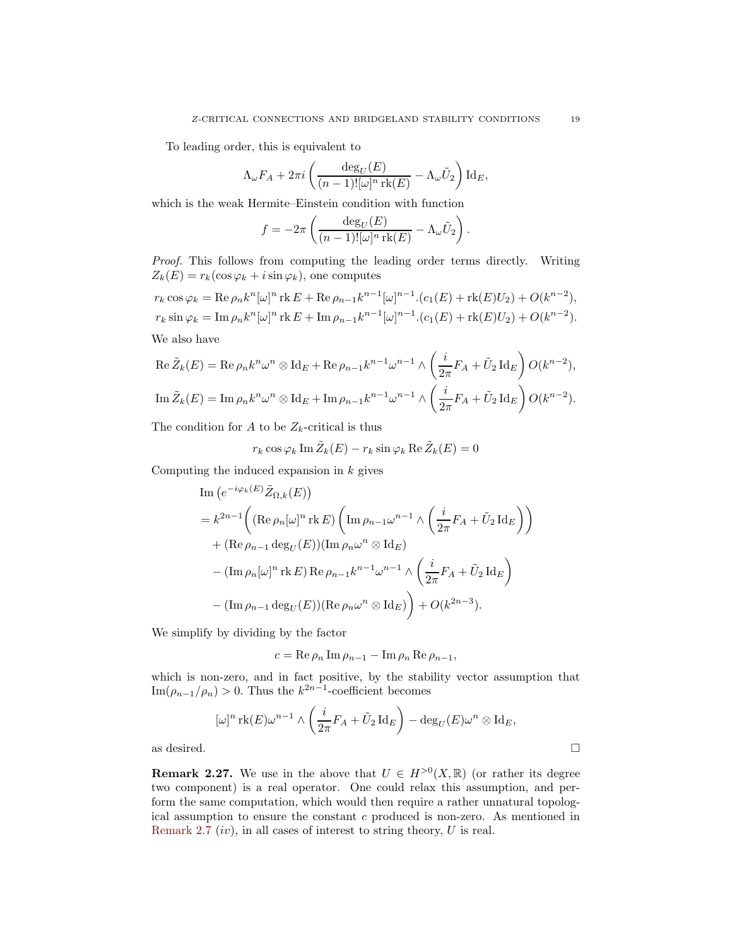To leading order, this is equivalent to

$$
\Lambda_{\omega} F_A + 2\pi i \left( \frac{\deg_U(E)}{(n-1)! [\omega]^n \operatorname{rk}(E)} - \Lambda_{\omega} \tilde{U}_2 \right) \operatorname{Id}_E,
$$

which is the weak Hermite–Einstein condition with function

$$
f = -2\pi \left( \frac{\deg_U(E)}{(n-1)![\omega]^n \operatorname{rk}(E)} - \Lambda_\omega \tilde{U}_2 \right).
$$

Proof. This follows from computing the leading order terms directly. Writing  $Z_k(E) = r_k(\cos\varphi_k + i\sin\varphi_k)$ , one computes

 $r_k \cos \varphi_k = \text{Re}\,\rho_n k^n [\omega]^n \text{rk}\, E + \text{Re}\,\rho_{n-1} k^{n-1} [\omega]^{n-1} . (c_1(E) + \text{rk}(E)U_2) + O(k^{n-2}),$  $r_k \sin \varphi_k = \text{Im } \rho_n k^n [\omega]^n \text{ rk } E + \text{Im } \rho_{n-1} k^{n-1} [\omega]^{n-1} . (c_1(E) + \text{rk}(E)U_2) + O(k^{n-2}).$ We also have

$$
\operatorname{Re}\tilde{Z}_k(E) = \operatorname{Re}\rho_n k^n \omega^n \otimes \operatorname{Id}_E + \operatorname{Re}\rho_{n-1} k^{n-1} \omega^{n-1} \wedge \left(\frac{i}{2\pi} F_A + \tilde{U}_2 \operatorname{Id}_E\right) O(k^{n-2}),
$$
  

$$
\operatorname{Im}\tilde{Z}_k(E) = \operatorname{Im}\rho_n k^n \omega^n \otimes \operatorname{Id}_E + \operatorname{Im}\rho_{n-1} k^{n-1} \omega^{n-1} \wedge \left(\frac{i}{2\pi} F_A + \tilde{U}_2 \operatorname{Id}_E\right) O(k^{n-2}).
$$

The condition for A to be  $Z_k$ -critical is thus

$$
r_k \cos \varphi_k \operatorname{Im} \tilde{Z}_k(E) - r_k \sin \varphi_k \operatorname{Re} \tilde{Z}_k(E) = 0
$$

Computing the induced expansion in  $k$  gives

Im 
$$
(e^{-i\varphi_k(E)} \tilde{Z}_{\Omega,k}(E))
$$
  
\n
$$
= k^{2n-1} \left( (\text{Re } \rho_n[\omega]^n \text{rk } E) \left( \text{Im } \rho_{n-1} \omega^{n-1} \wedge \left( \frac{i}{2\pi} F_A + \tilde{U}_2 \text{Id}_E \right) \right) + (\text{Re } \rho_{n-1} \text{deg}_U(E)) (\text{Im } \rho_n \omega^n \otimes \text{Id}_E)
$$
\n
$$
- (\text{Im } \rho_n[\omega]^n \text{rk } E) \text{Re } \rho_{n-1} k^{n-1} \omega^{n-1} \wedge \left( \frac{i}{2\pi} F_A + \tilde{U}_2 \text{Id}_E \right)
$$
\n
$$
- (\text{Im } \rho_{n-1} \text{deg}_U(E)) (\text{Re } \rho_n \omega^n \otimes \text{Id}_E) + O(k^{2n-3}).
$$

We simplify by dividing by the factor

$$
c = \operatorname{Re}\rho_n \operatorname{Im}\rho_{n-1} - \operatorname{Im}\rho_n \operatorname{Re}\rho_{n-1},
$$

which is non-zero, and in fact positive, by the stability vector assumption that  $\text{Im}(\rho_{n-1}/\rho_n) > 0$ . Thus the  $k^{2n-1}$ -coefficient becomes

$$
[\omega]^n \operatorname{rk}(E) \omega^{n-1} \wedge \left(\frac{i}{2\pi} F_A + \tilde{U}_2 \operatorname{Id}_E\right) - \deg_U(E) \omega^n \otimes \operatorname{Id}_E,
$$
 as desired.

**Remark 2.27.** We use in the above that  $U \in H^{>0}(X,\mathbb{R})$  (or rather its degree two component) is a real operator. One could relax this assumption, and perform the same computation, which would then require a rather unnatural topological assumption to ensure the constant c produced is non-zero. As mentioned in [Remark 2.7](#page-9-1) (iv), in all cases of interest to string theory,  $U$  is real.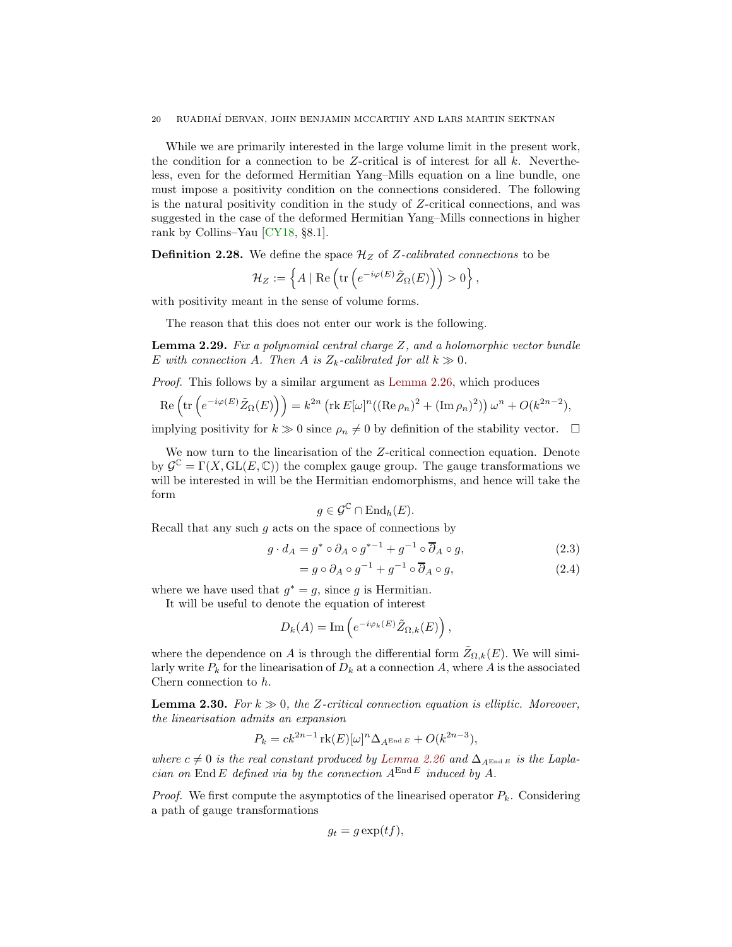<span id="page-19-2"></span>While we are primarily interested in the large volume limit in the present work, the condition for a connection to be Z-critical is of interest for all  $k$ . Nevertheless, even for the deformed Hermitian Yang–Mills equation on a line bundle, one must impose a positivity condition on the connections considered. The following is the natural positivity condition in the study of Z-critical connections, and was suggested in the case of the deformed Hermitian Yang–Mills connections in higher rank by Collins–Yau [\[CY18,](#page-68-5) §8.1].

**Definition 2.28.** We define the space  $\mathcal{H}_Z$  of Z-calibrated connections to be

$$
\mathcal{H}_Z := \left\{ A \mid \text{Re}\left(\text{tr}\left(e^{-i\varphi(E)}\tilde{Z}_{\Omega}(E)\right)\right) > 0\right\},\
$$

with positivity meant in the sense of volume forms.

The reason that this does not enter our work is the following.

**Lemma 2.29.** Fix a polynomial central charge  $Z$ , and a holomorphic vector bundle E with connection A. Then A is  $Z_k$ -calibrated for all  $k \gg 0$ .

Proof. This follows by a similar argument as [Lemma 2.26,](#page-17-0) which produces

$$
\operatorname{Re}\left(\operatorname{tr}\left(e^{-i\varphi(E)}\tilde{Z}_{\Omega}(E)\right)\right) = k^{2n} \left(\operatorname{rk} E[\omega]^n((\operatorname{Re}\rho_n)^2 + (\operatorname{Im}\rho_n)^2)\right)\omega^n + O(k^{2n-2}),
$$

implying positivity for  $k \gg 0$  since  $\rho_n \neq 0$  by definition of the stability vector.  $\Box$ 

We now turn to the linearisation of the Z-critical connection equation. Denote by  $\mathcal{G}^{\mathbb{C}} = \Gamma(X, GL(E, \mathbb{C}))$  the complex gauge group. The gauge transformations we will be interested in will be the Hermitian endomorphisms, and hence will take the form

<span id="page-19-1"></span>
$$
g \in \mathcal{G}^{\mathbb{C}} \cap \operatorname{End}_h(E).
$$

Recall that any such  $g$  acts on the space of connections by

$$
g \cdot d_A = g^* \circ \partial_A \circ g^{*-1} + g^{-1} \circ \overline{\partial}_A \circ g,\tag{2.3}
$$

$$
= g \circ \partial_A \circ g^{-1} + g^{-1} \circ \overline{\partial}_A \circ g, \tag{2.4}
$$

where we have used that  $g^* = g$ , since g is Hermitian.

It will be useful to denote the equation of interest

$$
D_k(A) = \text{Im}\left(e^{-i\varphi_k(E)}\tilde{Z}_{\Omega,k}(E)\right),\,
$$

where the dependence on A is through the differential form  $Z_{\Omega,k}(E)$ . We will similarly write  $P_k$  for the linearisation of  $D_k$  at a connection A, where A is the associated Chern connection to h.

<span id="page-19-0"></span>**Lemma 2.30.** For  $k \gg 0$ , the Z-critical connection equation is elliptic. Moreover, the linearisation admits an expansion

$$
P_k = ck^{2n-1} \operatorname{rk}(E)[\omega]^n \Delta_{A^{\operatorname{End} E}} + O(k^{2n-3}),
$$

where  $c \neq 0$  is the real constant produced by [Lemma 2.26](#page-17-0) and  $\Delta_{A^{End\ E}}$  is the Laplacian on End E defined via by the connection  $A^{\text{End }E}$  induced by A.

*Proof.* We first compute the asymptotics of the linearised operator  $P_k$ . Considering a path of gauge transformations

$$
g_t = g \exp(tf),
$$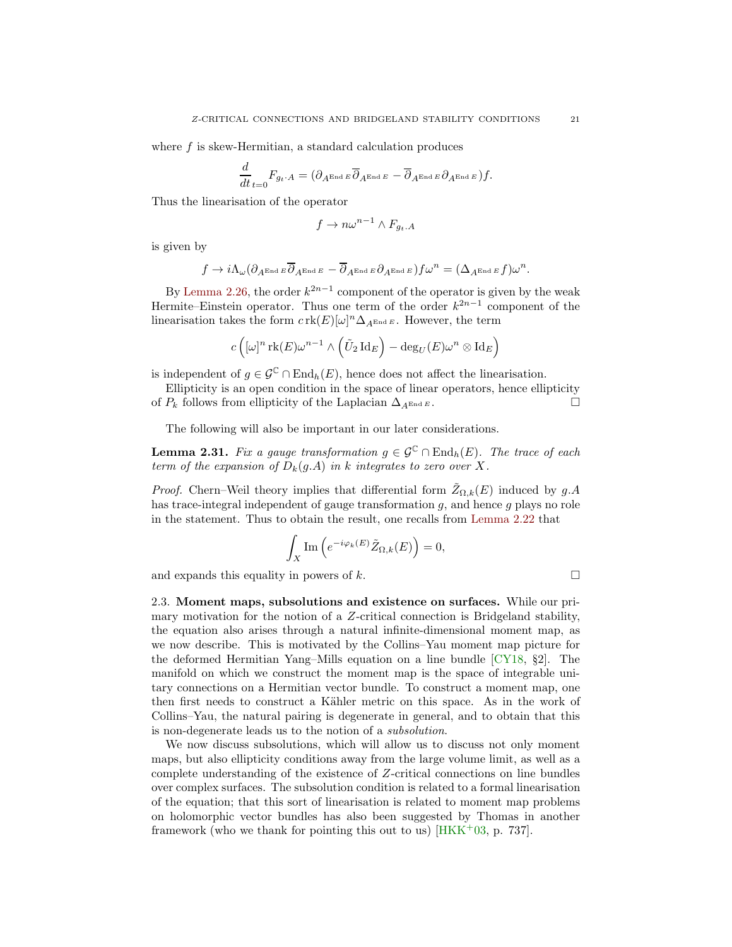<span id="page-20-1"></span>where f is skew-Hermitian, a standard calculation produces

$$
\frac{d}{dt}_{t=0}F_{g_t\cdot A}=(\partial_{A^{\text{End }E}}\overline{\partial}_{A^{\text{End }E}}-\overline{\partial}_{A^{\text{End }E}}\partial_{A^{\text{End }E}})f.
$$

Thus the linearisation of the operator

$$
f \to n\omega^{n-1} \wedge F_{g_t.A}
$$

is given by

$$
f \to i \Lambda_{\omega} (\partial_{A^{\text{End } E}} \overline{\partial}_{A^{\text{End } E}} - \overline{\partial}_{A^{\text{End } E}} \partial_{A^{\text{End } E}}) f \omega^n = (\Delta_{A^{\text{End } E}} f) \omega^n.
$$

By [Lemma 2.26,](#page-17-0) the order  $k^{2n-1}$  component of the operator is given by the weak Hermite–Einstein operator. Thus one term of the order  $k^{2n-1}$  component of the linearisation takes the form  $c \operatorname{rk}(E)[\omega]^n \Delta_{A^{\text{End }E}}$ . However, the term

$$
c\left( [\omega]^n \operatorname{rk}(E) \omega^{n-1} \wedge \left( \tilde{U}_2 \operatorname{Id}_E \right) - \deg_U(E) \omega^n \otimes \operatorname{Id}_E \right)
$$

is independent of  $g \in \mathcal{G}^{\mathbb{C}} \cap \text{End}_{h}(E)$ , hence does not affect the linearisation.

Ellipticity is an open condition in the space of linear operators, hence ellipticity of  $P_k$  follows from ellipticity of the Laplacian  $\Delta_{A^{\text{End }E}}$ .

The following will also be important in our later considerations.

**Lemma 2.31.** Fix a gauge transformation  $g \in \mathcal{G}^{\mathbb{C}} \cap \text{End}_{h}(E)$ . The trace of each term of the expansion of  $D_k(q.A)$  in k integrates to zero over X.

*Proof.* Chern–Weil theory implies that differential form  $\tilde{Z}_{\Omega,k}(E)$  induced by  $g.A$ has trace-integral independent of gauge transformation  $g$ , and hence  $g$  plays no role in the statement. Thus to obtain the result, one recalls from [Lemma 2.22](#page-15-1) that

$$
\int_X \mathrm{Im}\left(e^{-i\varphi_k(E)}\tilde{Z}_{\Omega,k}(E)\right) = 0,
$$

<span id="page-20-0"></span>and expands this equality in powers of k.  $\square$ 

2.3. Moment maps, subsolutions and existence on surfaces. While our primary motivation for the notion of a Z-critical connection is Bridgeland stability, the equation also arises through a natural infinite-dimensional moment map, as we now describe. This is motivated by the Collins–Yau moment map picture for the deformed Hermitian Yang–Mills equation on a line bundle [\[CY18,](#page-68-5) §2]. The manifold on which we construct the moment map is the space of integrable unitary connections on a Hermitian vector bundle. To construct a moment map, one then first needs to construct a Kähler metric on this space. As in the work of Collins–Yau, the natural pairing is degenerate in general, and to obtain that this is non-degenerate leads us to the notion of a subsolution.

We now discuss subsolutions, which will allow us to discuss not only moment maps, but also ellipticity conditions away from the large volume limit, as well as a complete understanding of the existence of Z-critical connections on line bundles over complex surfaces. The subsolution condition is related to a formal linearisation of the equation; that this sort of linearisation is related to moment map problems on holomorphic vector bundles has also been suggested by Thomas in another framework (who we thank for pointing this out to us)  $[HKK^+03, p. 737]$ .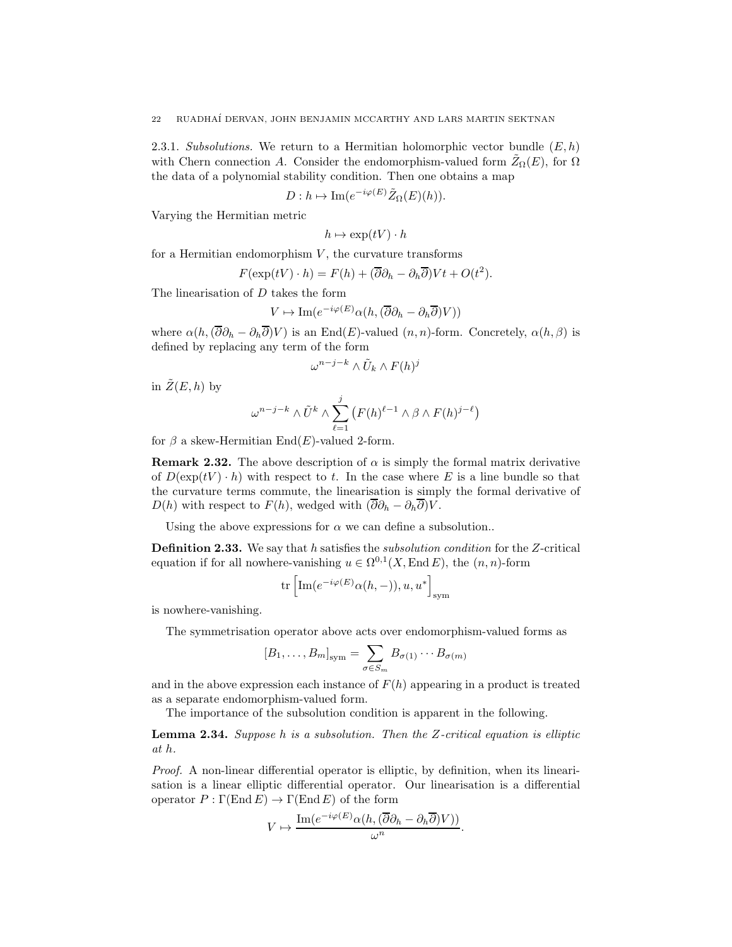<span id="page-21-1"></span>2.3.1. Subsolutions. We return to a Hermitian holomorphic vector bundle  $(E, h)$ with Chern connection A. Consider the endomorphism-valued form  $\tilde{Z}_{\Omega}(E)$ , for  $\Omega$ the data of a polynomial stability condition. Then one obtains a map

$$
D: h \mapsto \mathrm{Im}(e^{-i\varphi(E)}\tilde{Z}_{\Omega}(E)(h)).
$$

Varying the Hermitian metric

$$
h \mapsto \exp(tV) \cdot h
$$

for a Hermitian endomorphism  $V$ , the curvature transforms

$$
F(\exp(tV) \cdot h) = F(h) + (\overline{\partial}\partial_h - \partial_h \overline{\partial})Vt + O(t^2).
$$

The linearisation of D takes the form

$$
V \mapsto \mathrm{Im}(e^{-i\varphi(E)}\alpha(h,(\overline{\partial}\partial_h - \partial_h \overline{\partial})V))
$$

where  $\alpha(h,(\overline{\partial}\partial_h - \partial_h\overline{\partial})V)$  is an End(E)-valued  $(n, n)$ -form. Concretely,  $\alpha(h, \beta)$  is defined by replacing any term of the form

$$
\omega^{n-j-k} \wedge \tilde{U}_k \wedge F(h)^j
$$

in  $\tilde{Z}(E, h)$  by

$$
\omega^{n-j-k} \wedge \tilde{U}^k \wedge \sum_{\ell=1}^j \left( F(h)^{\ell-1} \wedge \beta \wedge F(h)^{j-\ell} \right)
$$

for  $\beta$  a skew-Hermitian End(E)-valued 2-form.

**Remark 2.32.** The above description of  $\alpha$  is simply the formal matrix derivative of  $D(\exp(tV) \cdot h)$  with respect to t. In the case where E is a line bundle so that the curvature terms commute, the linearisation is simply the formal derivative of  $D(h)$  with respect to  $F(h)$ , wedged with  $(\overline{\partial}\partial_h - \partial_h \overline{\partial})V$ .

<span id="page-21-0"></span>Using the above expressions for  $\alpha$  we can define a subsolution..

Definition 2.33. We say that h satisfies the subsolution condition for the Z-critical equation if for all nowhere-vanishing  $u \in \Omega^{0,1}(X, \text{End } E)$ , the  $(n, n)$ -form

$$
\mathrm{tr}\left[\mathrm{Im}(e^{-i\varphi(E)}\alpha(h,-)),u,u^*\right]_{\mathrm{sym}}
$$

is nowhere-vanishing.

The symmetrisation operator above acts over endomorphism-valued forms as

$$
[B_1,\ldots,B_m]_{sym}=\sum_{\sigma\in S_m}B_{\sigma(1)}\cdots B_{\sigma(m)}
$$

and in the above expression each instance of  $F(h)$  appearing in a product is treated as a separate endomorphism-valued form.

The importance of the subsolution condition is apparent in the following.

**Lemma 2.34.** Suppose h is a subsolution. Then the  $Z$ -critical equation is elliptic at h.

Proof. A non-linear differential operator is elliptic, by definition, when its linearisation is a linear elliptic differential operator. Our linearisation is a differential operator  $P : \Gamma(\text{End } E) \to \Gamma(\text{End } E)$  of the form

$$
V \mapsto \frac{\operatorname{Im} (e^{-i\varphi(E)} \alpha(h, (\overline{\partial} \partial_h - \partial_h \overline{\partial}) V))}{\omega^n}.
$$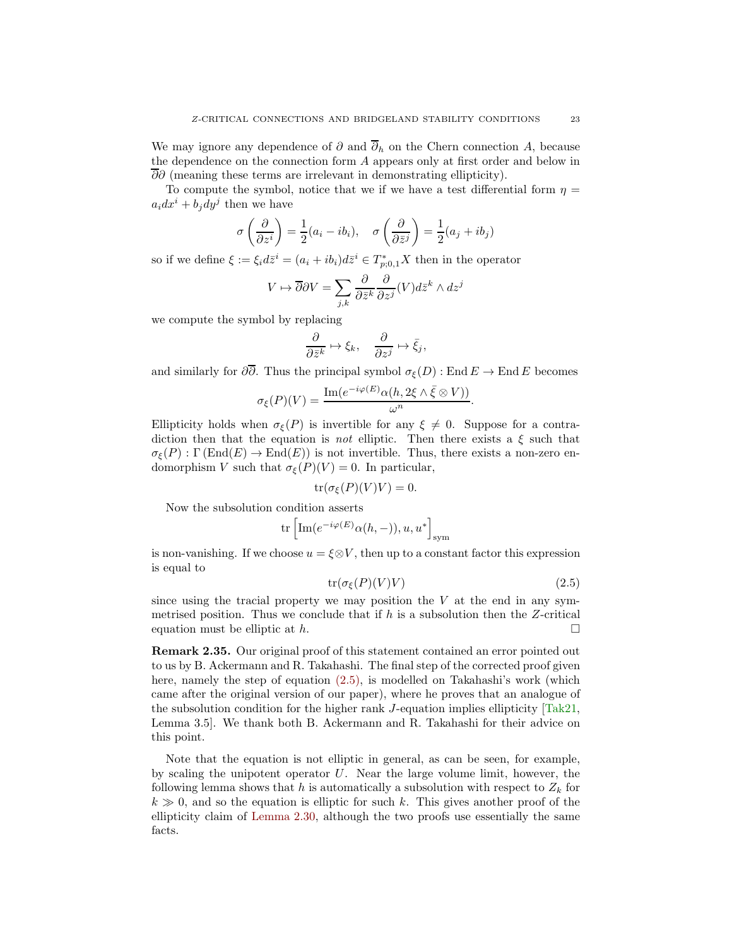<span id="page-22-2"></span>We may ignore any dependence of  $\partial$  and  $\overline{\partial}_h$  on the Chern connection A, because the dependence on the connection form A appears only at first order and below in  $\overline{\partial}\partial$  (meaning these terms are irrelevant in demonstrating ellipticity).

To compute the symbol, notice that we if we have a test differential form  $\eta =$  $a_i dx^i + b_j dy^j$  then we have

$$
\sigma\left(\frac{\partial}{\partial z^i}\right) = \frac{1}{2}(a_i - ib_i), \quad \sigma\left(\frac{\partial}{\partial \bar{z}^j}\right) = \frac{1}{2}(a_j + ib_j)
$$

so if we define  $\xi := \xi_i d\overline{z}^i = (a_i + ib_i)d\overline{z}^i \in T^*_{p;0,1}X$  then in the operator

$$
V \mapsto \overline{\partial} \partial V = \sum_{j,k} \frac{\partial}{\partial \bar{z}^k} \frac{\partial}{\partial z^j} (V) d\bar{z}^k \wedge dz^j
$$

we compute the symbol by replacing

$$
\frac{\partial}{\partial \bar{z}^k} \mapsto \xi_k, \quad \frac{\partial}{\partial z^j} \mapsto \bar{\xi}_j,
$$

and similarly for  $\partial \overline{\partial}$ . Thus the principal symbol  $\sigma_{\varepsilon}(D)$  : End  $E \to \text{End } E$  becomes

$$
\sigma_{\xi}(P)(V) = \frac{\operatorname{Im}(e^{-i\varphi(E)}\alpha(h, 2\xi \wedge \overline{\xi} \otimes V))}{\omega^n}.
$$

Ellipticity holds when  $\sigma_{\xi}(P)$  is invertible for any  $\xi \neq 0$ . Suppose for a contradiction then that the equation is *not* elliptic. Then there exists a  $\xi$  such that  $\sigma_{\mathcal{E}}(P) : \Gamma(\text{End}(E) \to \text{End}(E))$  is not invertible. Thus, there exists a non-zero endomorphism V such that  $\sigma_{\xi}(P)(V) = 0$ . In particular,

$$
\operatorname{tr}(\sigma_{\xi}(P)(V)V) = 0.
$$

Now the subsolution condition asserts

$$
\mathrm{tr}\left[\mathrm{Im}(e^{-i\varphi(E)}\alpha(h,-)),u,u^*\right]_{\mathrm{sym}}
$$

is non-vanishing. If we choose  $u = \xi \otimes V$ , then up to a constant factor this expression is equal to

<span id="page-22-0"></span>
$$
tr(\sigma_{\xi}(P)(V)V) \tag{2.5}
$$

since using the tracial property we may position the  $V$  at the end in any symmetrised position. Thus we conclude that if  $h$  is a subsolution then the Z-critical equation must be elliptic at  $h$ .

Remark 2.35. Our original proof of this statement contained an error pointed out to us by B. Ackermann and R. Takahashi. The final step of the corrected proof given here, namely the step of equation [\(2.5\),](#page-22-0) is modelled on Takahashi's work (which came after the original version of our paper), where he proves that an analogue of the subsolution condition for the higher rank  $J$ -equation implies ellipticity  $[Tak21,$ Lemma 3.5]. We thank both B. Ackermann and R. Takahashi for their advice on this point.

<span id="page-22-1"></span>Note that the equation is not elliptic in general, as can be seen, for example, by scaling the unipotent operator  $U$ . Near the large volume limit, however, the following lemma shows that h is automatically a subsolution with respect to  $Z_k$  for  $k \gg 0$ , and so the equation is elliptic for such k. This gives another proof of the ellipticity claim of [Lemma 2.30,](#page-19-0) although the two proofs use essentially the same facts.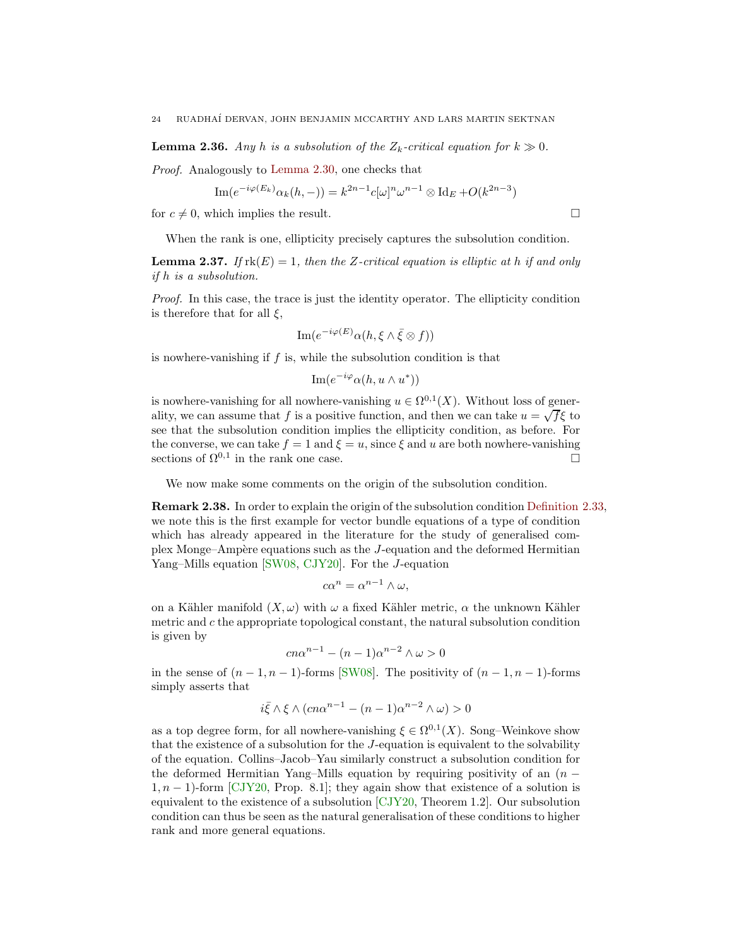<span id="page-23-1"></span>**Lemma 2.36.** Any h is a subsolution of the  $Z_k$ -critical equation for  $k \gg 0$ .

Proof. Analogously to [Lemma 2.30,](#page-19-0) one checks that

Im
$$
(e^{-i\varphi(E_k)}\alpha_k(h,-)) = k^{2n-1}c[\omega]^n\omega^{n-1} \otimes \text{Id}_E + O(k^{2n-3})
$$

for  $c \neq 0$ , which implies the result.

When the rank is one, ellipticity precisely captures the subsolution condition.

**Lemma 2.37.** If  $rk(E) = 1$ , then the Z-critical equation is elliptic at h if and only if h is a subsolution.

Proof. In this case, the trace is just the identity operator. The ellipticity condition is therefore that for all  $\xi$ ,

$$
\mathrm{Im}(e^{-i\varphi(E)}\alpha(h,\xi\wedge\bar{\xi}\otimes f))
$$

is nowhere-vanishing if  $f$  is, while the subsolution condition is that

$$
\mathrm{Im}(e^{-i\varphi}\alpha(h,u\wedge u^*))
$$

is nowhere-vanishing for all nowhere-vanishing  $u \in \Omega^{0,1}(X)$ . Without loss of generality, we can assume that f is a positive function, and then we can take  $u = \sqrt{f} \xi$  to see that the subsolution condition implies the ellipticity condition, as before. For the converse, we can take  $f = 1$  and  $\xi = u$ , since  $\xi$  and u are both nowhere-vanishing sections of  $\Omega^{0,1}$  in the rank one case.

We now make some comments on the origin of the subsolution condition.

Remark 2.38. In order to explain the origin of the subsolution condition [Definition 2.33,](#page-21-0) we note this is the first example for vector bundle equations of a type of condition which has already appeared in the literature for the study of generalised complex Monge–Amp`ere equations such as the J-equation and the deformed Hermitian Yang–Mills equation [\[SW08,](#page-69-6) [CJY20\]](#page-68-6). For the J-equation

$$
c\alpha^n = \alpha^{n-1} \wedge \omega,
$$

on a Kähler manifold  $(X, \omega)$  with  $\omega$  a fixed Kähler metric,  $\alpha$  the unknown Kähler metric and  $c$  the appropriate topological constant, the natural subsolution condition is given by

$$
cn\alpha^{n-1} - (n-1)\alpha^{n-2} \wedge \omega > 0
$$

in the sense of  $(n-1, n-1)$ -forms [\[SW08\]](#page-69-6). The positivity of  $(n-1, n-1)$ -forms simply asserts that

$$
i\bar{\xi} \wedge \xi \wedge (cn\alpha^{n-1} - (n-1)\alpha^{n-2} \wedge \omega) > 0
$$

<span id="page-23-0"></span>as a top degree form, for all nowhere-vanishing  $\xi \in \Omega^{0,1}(X)$ . Song-Weinkove show that the existence of a subsolution for the J-equation is equivalent to the solvability of the equation. Collins–Jacob–Yau similarly construct a subsolution condition for the deformed Hermitian Yang–Mills equation by requiring positivity of an  $(n 1, n - 1$ )-form [\[CJY20,](#page-68-6) Prop. 8.1]; they again show that existence of a solution is equivalent to the existence of a subsolution  $\left[CIY20,$  Theorem 1.2. Our subsolution condition can thus be seen as the natural generalisation of these conditions to higher rank and more general equations.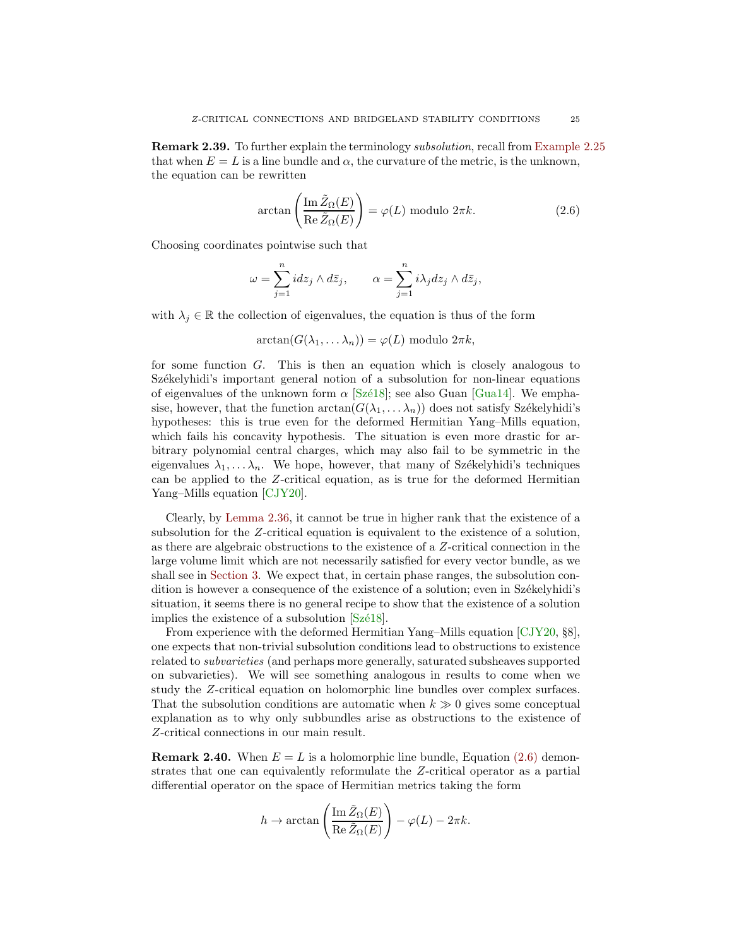<span id="page-24-1"></span>Remark 2.39. To further explain the terminology subsolution, recall from [Example 2.25](#page-17-1) that when  $E = L$  is a line bundle and  $\alpha$ , the curvature of the metric, is the unknown, the equation can be rewritten

<span id="page-24-0"></span>
$$
\arctan\left(\frac{\operatorname{Im}\tilde{Z}_{\Omega}(E)}{\operatorname{Re}\tilde{Z}_{\Omega}(E)}\right) = \varphi(L) \text{ modulo } 2\pi k. \tag{2.6}
$$

Choosing coordinates pointwise such that

$$
\omega = \sum_{j=1}^n idz_j \wedge d\overline{z}_j, \qquad \alpha = \sum_{j=1}^n i\lambda_j dz_j \wedge d\overline{z}_j,
$$

with  $\lambda_j \in \mathbb{R}$  the collection of eigenvalues, the equation is thus of the form

$$
\arctan(G(\lambda_1,\ldots\lambda_n))=\varphi(L) \text{ modulo } 2\pi k,
$$

for some function  $G$ . This is then an equation which is closely analogous to Székelyhidi's important general notion of a subsolution for non-linear equations of eigenvalues of the unknown form  $\alpha$  [Szé18]; see also Guan [\[Gua14\]](#page-68-9). We emphasise, however, that the function  $arctan(G(\lambda_1, \ldots \lambda_n))$  does not satisfy Székelyhidi's hypotheses: this is true even for the deformed Hermitian Yang–Mills equation, which fails his concavity hypothesis. The situation is even more drastic for arbitrary polynomial central charges, which may also fail to be symmetric in the eigenvalues  $\lambda_1, \ldots, \lambda_n$ . We hope, however, that many of Székelyhidi's techniques can be applied to the Z-critical equation, as is true for the deformed Hermitian Yang–Mills equation [\[CJY20\]](#page-68-6).

Clearly, by [Lemma 2.36,](#page-22-1) it cannot be true in higher rank that the existence of a subsolution for the Z-critical equation is equivalent to the existence of a solution, as there are algebraic obstructions to the existence of a Z-critical connection in the large volume limit which are not necessarily satisfied for every vector bundle, as we shall see in [Section 3.](#page-30-0) We expect that, in certain phase ranges, the subsolution condition is however a consequence of the existence of a solution; even in Székelyhidi's situation, it seems there is no general recipe to show that the existence of a solution implies the existence of a subsolution  $[Sz\acute{e}18]$ .

From experience with the deformed Hermitian Yang–Mills equation [\[CJY20,](#page-68-6) §8], one expects that non-trivial subsolution conditions lead to obstructions to existence related to subvarieties (and perhaps more generally, saturated subsheaves supported on subvarieties). We will see something analogous in results to come when we study the Z-critical equation on holomorphic line bundles over complex surfaces. That the subsolution conditions are automatic when  $k \gg 0$  gives some conceptual explanation as to why only subbundles arise as obstructions to the existence of Z-critical connections in our main result.

**Remark 2.40.** When  $E = L$  is a holomorphic line bundle, Equation [\(2.6\)](#page-24-0) demonstrates that one can equivalently reformulate the Z-critical operator as a partial differential operator on the space of Hermitian metrics taking the form

$$
h \to \arctan\left(\frac{\operatorname{Im} \tilde{Z}_{\Omega}(E)}{\operatorname{Re} \tilde{Z}_{\Omega}(E)}\right) - \varphi(L) - 2\pi k.
$$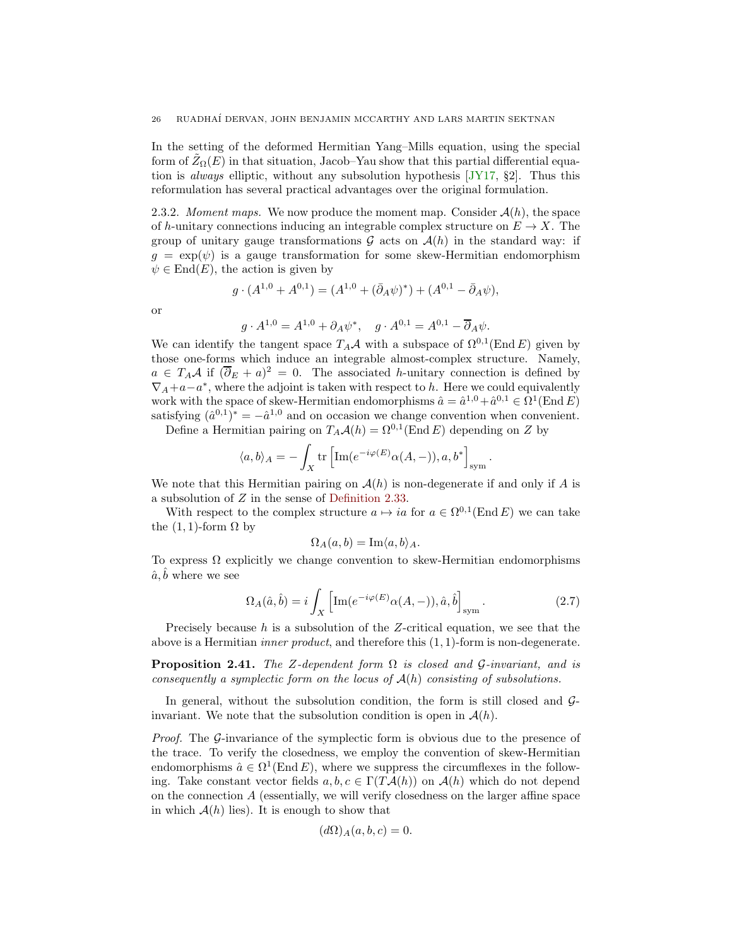<span id="page-25-1"></span>In the setting of the deformed Hermitian Yang–Mills equation, using the special form of  $\bar{Z}_{\Omega}(E)$  in that situation, Jacob–Yau show that this partial differential equation is always elliptic, without any subsolution hypothesis [\[JY17,](#page-69-3) §2]. Thus this reformulation has several practical advantages over the original formulation.

2.3.2. Moment maps. We now produce the moment map. Consider  $\mathcal{A}(h)$ , the space of h-unitary connections inducing an integrable complex structure on  $E \to X$ . The group of unitary gauge transformations  $\mathcal G$  acts on  $\mathcal A(h)$  in the standard way: if  $g = \exp(\psi)$  is a gauge transformation for some skew-Hermitian endomorphism  $\psi \in \text{End}(E)$ , the action is given by

$$
g \cdot (A^{1,0} + A^{0,1}) = (A^{1,0} + (\bar{\partial}_A \psi)^*) + (A^{0,1} - \bar{\partial}_A \psi),
$$

or

$$
g \cdot A^{1,0} = A^{1,0} + \partial_A \psi^*, \quad g \cdot A^{0,1} = A^{0,1} - \overline{\partial}_A \psi.
$$

We can identify the tangent space  $T_A\mathcal{A}$  with a subspace of  $\Omega^{0,1}(\text{End }E)$  given by those one-forms which induce an integrable almost-complex structure. Namely,  $a \in T_A \mathcal{A}$  if  $(\overline{\partial}_E + a)^2 = 0$ . The associated *h*-unitary connection is defined by  $\nabla_A + a - a^*$ , where the adjoint is taken with respect to h. Here we could equivalently work with the space of skew-Hermitian endomorphisms  $\hat{a} = \hat{a}^{1,0} + \hat{a}^{0,1} \in \Omega^1(\text{End } E)$ satisfying  $(\hat{a}^{0,1})^* = -\hat{a}^{1,0}$  and on occasion we change convention when convenient.

Define a Hermitian pairing on  $T_A\mathcal{A}(h) = \Omega^{0,1}(\text{End } E)$  depending on Z by

$$
\langle a, b \rangle_A = - \int_X \text{tr}\left[ \text{Im}(e^{-i\varphi(E)} \alpha(A, -)), a, b^* \right]_{\text{sym}}.
$$

We note that this Hermitian pairing on  $\mathcal{A}(h)$  is non-degenerate if and only if A is a subsolution of Z in the sense of [Definition 2.33.](#page-21-0)

With respect to the complex structure  $a \mapsto ia$  for  $a \in \Omega^{0,1}(\text{End } E)$  we can take the  $(1, 1)$ -form  $\Omega$  by

$$
\Omega_A(a,b) = \operatorname{Im}\langle a,b \rangle_A.
$$

To express  $\Omega$  explicitly we change convention to skew-Hermitian endomorphisms  $\hat{a}, \hat{b}$  where we see

<span id="page-25-0"></span>
$$
\Omega_A(\hat{a}, \hat{b}) = i \int_X \left[ \text{Im}(e^{-i\varphi(E)} \alpha(A, -)), \hat{a}, \hat{b} \right]_{\text{sym}}.
$$
\n(2.7)

Precisely because h is a subsolution of the Z-critical equation, we see that the above is a Hermitian *inner product*, and therefore this  $(1, 1)$ -form is non-degenerate.

**Proposition 2.41.** The Z-dependent form  $\Omega$  is closed and G-invariant, and is consequently a symplectic form on the locus of  $A(h)$  consisting of subsolutions.

In general, without the subsolution condition, the form is still closed and  $\mathcal{G}$ invariant. We note that the subsolution condition is open in  $\mathcal{A}(h)$ .

Proof. The G-invariance of the symplectic form is obvious due to the presence of the trace. To verify the closedness, we employ the convention of skew-Hermitian endomorphisms  $\hat{a} \in \Omega^1(\text{End } E)$ , where we suppress the circumflexes in the following. Take constant vector fields  $a, b, c \in \Gamma(T\mathcal{A}(h))$  on  $\mathcal{A}(h)$  which do not depend on the connection  $A$  (essentially, we will verify closedness on the larger affine space in which  $A(h)$  lies). It is enough to show that

$$
(d\Omega)_A(a,b,c) = 0.
$$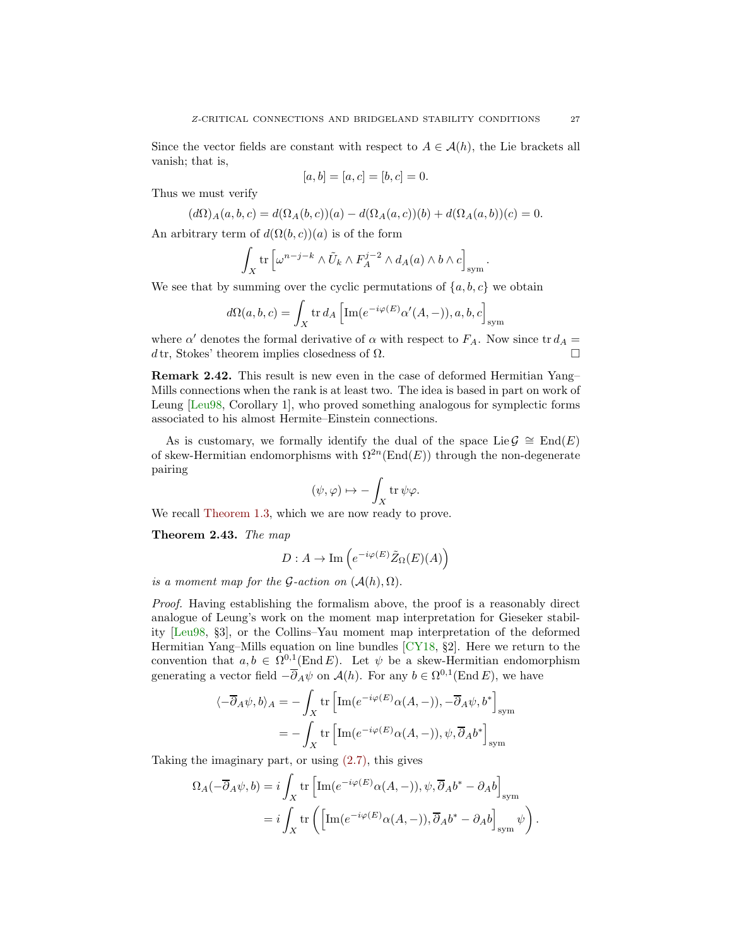<span id="page-26-0"></span>Since the vector fields are constant with respect to  $A \in \mathcal{A}(h)$ , the Lie brackets all vanish; that is,

$$
[a, b] = [a, c] = [b, c] = 0.
$$

Thus we must verify

$$
(d\Omega)_A(a,b,c) = d(\Omega_A(b,c))(a) - d(\Omega_A(a,c))(b) + d(\Omega_A(a,b))(c) = 0.
$$

An arbitrary term of  $d(\Omega(b, c))(a)$  is of the form

$$
\int_X \operatorname{tr} \left[ \omega^{n-j-k} \wedge \tilde{U}_k \wedge F_A^{j-2} \wedge d_A(a) \wedge b \wedge c \right]_{\text{sym}}.
$$

We see that by summing over the cyclic permutations of  $\{a, b, c\}$  we obtain

$$
d\Omega(a, b, c) = \int_X \text{tr} \, dA \left[ \text{Im}(e^{-i\varphi(E)} \alpha'(A, -)), a, b, c \right]_{\text{sym}}
$$

where  $\alpha'$  denotes the formal derivative of  $\alpha$  with respect to  $F_A$ . Now since tr  $d_A =$ d tr, Stokes' theorem implies closedness of  $\Omega$ .

Remark 2.42. This result is new even in the case of deformed Hermitian Yang– Mills connections when the rank is at least two. The idea is based in part on work of Leung [\[Leu98,](#page-69-9) Corollary 1], who proved something analogous for symplectic forms associated to his almost Hermite–Einstein connections.

As is customary, we formally identify the dual of the space Lie  $\mathcal{G} \cong \text{End}(E)$ of skew-Hermitian endomorphisms with  $\Omega^{2n}(\text{End}(E))$  through the non-degenerate pairing

$$
(\psi, \varphi) \mapsto -\int_X \operatorname{tr} \psi \varphi.
$$

We recall [Theorem 1.3,](#page-3-0) which we are now ready to prove.

Theorem 2.43. The map

$$
D:A\to \mathrm{Im}\left(e^{-i\varphi(E)}\tilde{Z}_\Omega(E)(A)\right)
$$

is a moment map for the G-action on  $(A(h), \Omega)$ .

Proof. Having establishing the formalism above, the proof is a reasonably direct analogue of Leung's work on the moment map interpretation for Gieseker stability [\[Leu98,](#page-69-9) §3], or the Collins–Yau moment map interpretation of the deformed Hermitian Yang–Mills equation on line bundles [\[CY18,](#page-68-5) §2]. Here we return to the convention that  $a, b \in \Omega^{0,1}(\text{End } E)$ . Let  $\psi$  be a skew-Hermitian endomorphism generating a vector field  $-\overline{\partial}_A \psi$  on  $\mathcal{A}(h)$ . For any  $b \in \Omega^{0,1}(\text{End } E)$ , we have

$$
\langle -\overline{\partial}_A \psi, b \rangle_A = -\int_X \text{tr}\left[ \text{Im}(e^{-i\varphi(E)}\alpha(A, -)), -\overline{\partial}_A \psi, b^* \right]_{\text{sym}}
$$
  

$$
= -\int_X \text{tr}\left[ \text{Im}(e^{-i\varphi(E)}\alpha(A, -)), \psi, \overline{\partial}_A b^* \right]_{\text{sym}}
$$

Taking the imaginary part, or using [\(2.7\),](#page-25-0) this gives

$$
\Omega_A(-\overline{\partial}_A\psi, b) = i \int_X \text{tr}\left[\text{Im}(e^{-i\varphi(E)}\alpha(A, -)), \psi, \overline{\partial}_A b^* - \partial_A b\right]_{\text{sym}}
$$
  
=  $i \int_X \text{tr}\left(\left[\text{Im}(e^{-i\varphi(E)}\alpha(A, -)), \overline{\partial}_A b^* - \partial_A b\right]_{\text{sym}} \psi\right).$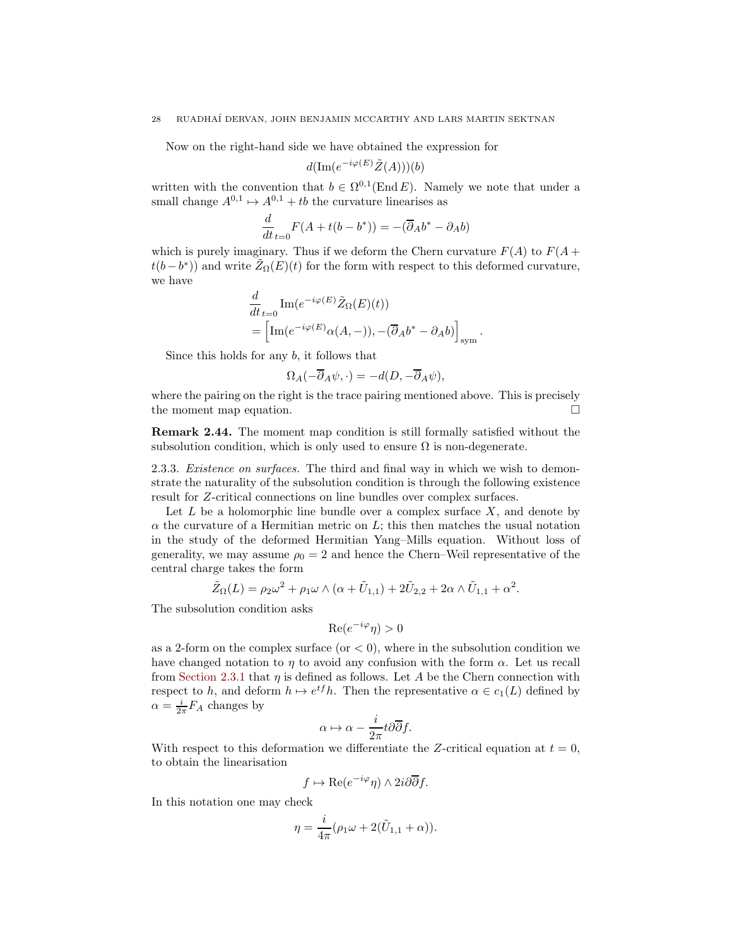Now on the right-hand side we have obtained the expression for

$$
d(\operatorname{Im}(e^{-i\varphi(E)}\tilde{Z}(A)))(b)
$$

written with the convention that  $b \in \Omega^{0,1}(\text{End } E)$ . Namely we note that under a small change  $A^{0,1} \mapsto A^{0,1} + tb$  the curvature linearises as

$$
\frac{d}{dt}_{t=0}F(A+t(b-b^*)) = -(\overline{\partial}_A b^* - \partial_A b)
$$

which is purely imaginary. Thus if we deform the Chern curvature  $F(A)$  to  $F(A +$  $t(b - b^*)$ ) and write  $\tilde{Z}_{\Omega}(E)(t)$  for the form with respect to this deformed curvature, we have

$$
\frac{d}{dt}_{t=0} \operatorname{Im} (e^{-i\varphi(E)} \tilde{Z}_{\Omega}(E)(t))
$$
\n
$$
= \left[ \operatorname{Im} (e^{-i\varphi(E)} \alpha(A, -)), -(\overline{\partial}_A b^* - \partial_A b) \right]_{\text{sym}}
$$

.

Since this holds for any b, it follows that

$$
\Omega_A(-\overline{\partial}_A\psi,\cdot) = -d(D,-\overline{\partial}_A\psi),
$$

where the pairing on the right is the trace pairing mentioned above. This is precisely the moment map equation.

Remark 2.44. The moment map condition is still formally satisfied without the subsolution condition, which is only used to ensure  $\Omega$  is non-degenerate.

2.3.3. *Existence on surfaces*. The third and final way in which we wish to demonstrate the naturality of the subsolution condition is through the following existence result for Z-critical connections on line bundles over complex surfaces.

Let  $L$  be a holomorphic line bundle over a complex surface  $X$ , and denote by  $\alpha$  the curvature of a Hermitian metric on L; this then matches the usual notation in the study of the deformed Hermitian Yang–Mills equation. Without loss of generality, we may assume  $\rho_0 = 2$  and hence the Chern–Weil representative of the central charge takes the form

$$
\tilde{Z}_{\Omega}(L) = \rho_2 \omega^2 + \rho_1 \omega \wedge (\alpha + \tilde{U}_{1,1}) + 2\tilde{U}_{2,2} + 2\alpha \wedge \tilde{U}_{1,1} + \alpha^2.
$$

The subsolution condition asks

$$
\operatorname{Re}(e^{-i\varphi}\eta) > 0
$$

as a 2-form on the complex surface (or  $\lt 0$ ), where in the subsolution condition we have changed notation to  $\eta$  to avoid any confusion with the form  $\alpha$ . Let us recall from [Section 2.3.1](#page-21-1) that  $\eta$  is defined as follows. Let A be the Chern connection with respect to h, and deform  $h \mapsto e^{tf}h$ . Then the representative  $\alpha \in c_1(L)$  defined by  $\alpha = \frac{i}{2\pi} F_A$  changes by

$$
\alpha \mapsto \alpha - \frac{i}{2\pi} t\partial \overline{\partial} f.
$$

With respect to this deformation we differentiate the Z-critical equation at  $t = 0$ , to obtain the linearisation

$$
f \mapsto \text{Re}(e^{-i\varphi}\eta) \wedge 2i\partial \overline{\partial} f.
$$

In this notation one may check

$$
\eta = \frac{i}{4\pi} (\rho_1 \omega + 2(\tilde{U}_{1,1} + \alpha)).
$$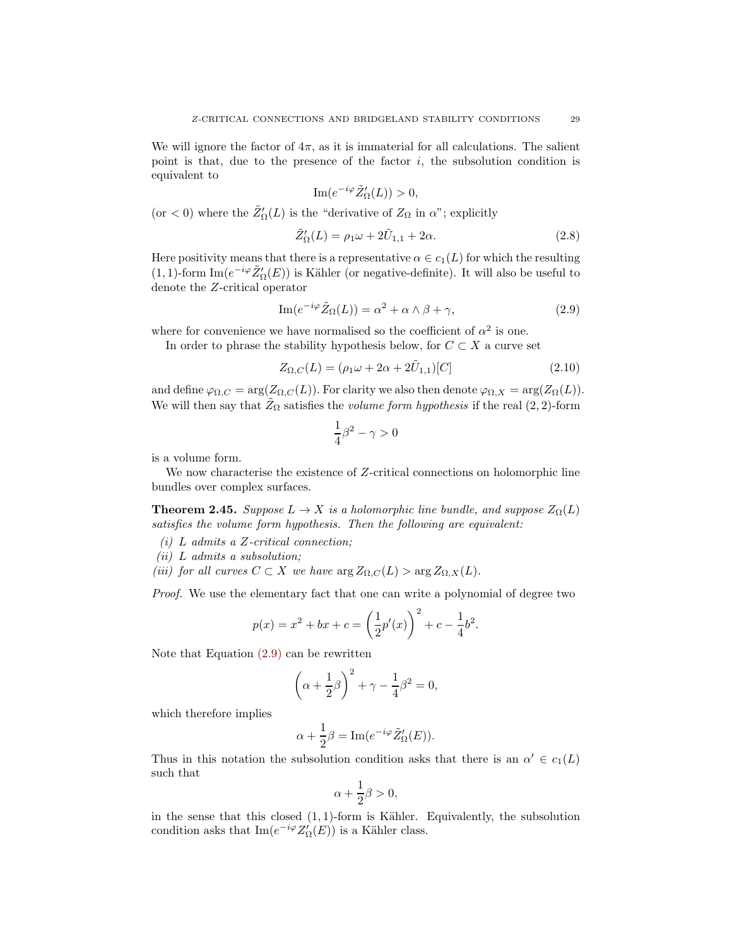We will ignore the factor of  $4\pi$ , as it is immaterial for all calculations. The salient point is that, due to the presence of the factor  $i$ , the subsolution condition is equivalent to

$$
\operatorname{Im}(e^{-i\varphi}\tilde{Z}'_{\Omega}(L)) > 0,
$$

(or  $<$  0) where the  $\tilde{Z}'_{\Omega}(L)$  is the "derivative of  $Z_{\Omega}$  in  $\alpha$ "; explicitly

<span id="page-28-2"></span>
$$
\tilde{Z}'_{\Omega}(L) = \rho_1 \omega + 2\tilde{U}_{1,1} + 2\alpha.
$$
\n(2.8)

Here positivity means that there is a representative  $\alpha \in c_1(L)$  for which the resulting (1, 1)-form  $\text{Im}(e^{-i\varphi}\tilde{Z}'_{\Omega}(E))$  is Kähler (or negative-definite). It will also be useful to denote the Z-critical operator

<span id="page-28-1"></span>
$$
\operatorname{Im}(e^{-i\varphi}\tilde{Z}_{\Omega}(L)) = \alpha^2 + \alpha \wedge \beta + \gamma,\tag{2.9}
$$

where for convenience we have normalised so the coefficient of  $\alpha^2$  is one.

In order to phrase the stability hypothesis below, for  $C \subset X$  a curve set

<span id="page-28-3"></span>
$$
Z_{\Omega,C}(L) = (\rho_1 \omega + 2\alpha + 2\tilde{U}_{1,1})[C] \tag{2.10}
$$

and define  $\varphi_{\Omega,C} = \arg(Z_{\Omega,C}(L))$ . For clarity we also then denote  $\varphi_{\Omega,X} = \arg(Z_{\Omega}(L))$ . We will then say that  $\tilde{Z}_{\Omega}$  satisfies the *volume form hypothesis* if the real (2, 2)-form

$$
\frac{1}{4}\beta^2 - \gamma > 0
$$

is a volume form.

<span id="page-28-0"></span>We now characterise the existence of Z-critical connections on holomorphic line bundles over complex surfaces.

**Theorem 2.45.** Suppose  $L \to X$  is a holomorphic line bundle, and suppose  $Z_{\Omega}(L)$ satisfies the volume form hypothesis. Then the following are equivalent:

- (i) L admits a Z-critical connection;
- (ii) L admits a subsolution;
- (iii) for all curves  $C \subset X$  we have  $\arg Z_{\Omega,C}(L) > \arg Z_{\Omega,X}(L)$ .

Proof. We use the elementary fact that one can write a polynomial of degree two

$$
p(x) = x^{2} + bx + c = \left(\frac{1}{2}p'(x)\right)^{2} + c - \frac{1}{4}b^{2}.
$$

Note that Equation [\(2.9\)](#page-28-1) can be rewritten

$$
\left(\alpha + \frac{1}{2}\beta\right)^2 + \gamma - \frac{1}{4}\beta^2 = 0,
$$

which therefore implies

$$
\alpha + \frac{1}{2}\beta = \operatorname{Im}(e^{-i\varphi}\tilde{Z}'_{\Omega}(E)).
$$

Thus in this notation the subsolution condition asks that there is an  $\alpha' \in c_1(L)$ such that

$$
\alpha + \frac{1}{2}\beta > 0,
$$

in the sense that this closed  $(1, 1)$ -form is Kähler. Equivalently, the subsolution condition asks that  $\text{Im}(e^{-i\varphi}Z'_{\Omega}(E))$  is a Kähler class.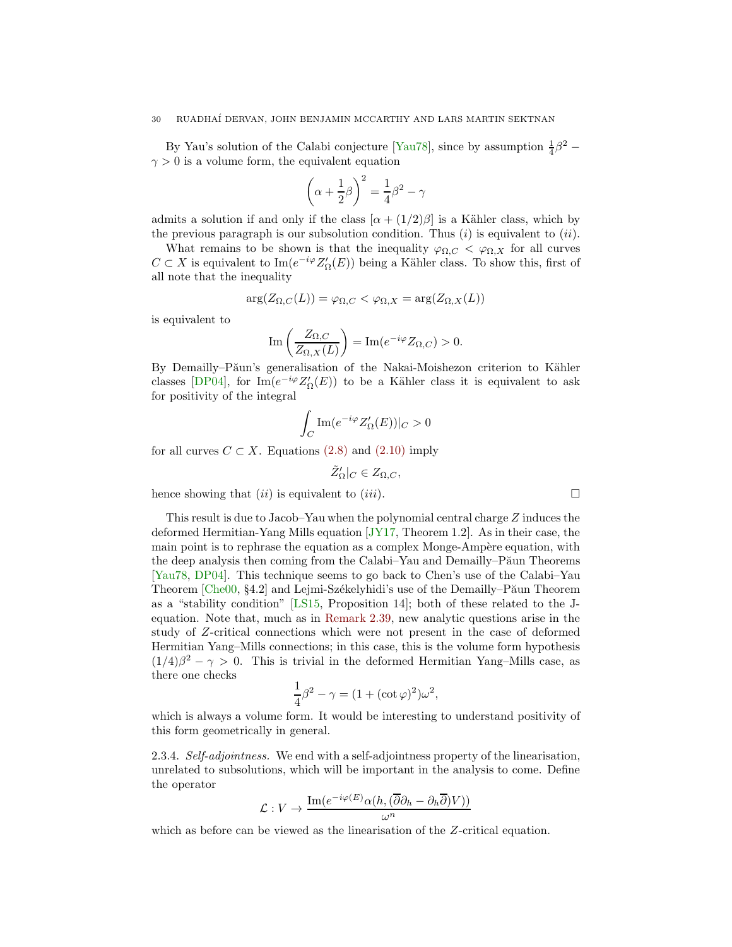<span id="page-29-0"></span>By Yau's solution of the Calabi conjecture [\[Yau78\]](#page-70-0), since by assumption  $\frac{1}{4}\beta^2$  –  $\gamma > 0$  is a volume form, the equivalent equation

$$
\left(\alpha + \frac{1}{2}\beta\right)^2 = \frac{1}{4}\beta^2 - \gamma
$$

admits a solution if and only if the class  $[\alpha + (1/2)\beta]$  is a Kähler class, which by the previous paragraph is our subsolution condition. Thus  $(i)$  is equivalent to  $(ii)$ .

What remains to be shown is that the inequality  $\varphi_{\Omega,C} < \varphi_{\Omega,X}$  for all curves  $C \subset X$  is equivalent to Im( $e^{-i\varphi}Z'_{\Omega}(E)$ ) being a Kähler class. To show this, first of all note that the inequality

$$
\arg(Z_{\Omega,C}(L)) = \varphi_{\Omega,C} < \varphi_{\Omega,X} = \arg(Z_{\Omega,X}(L))
$$

is equivalent to

$$
\operatorname{Im}\left(\frac{Z_{\Omega,C}}{Z_{\Omega,X}(L)}\right) = \operatorname{Im}(e^{-i\varphi}Z_{\Omega,C}) > 0.
$$

By Demailly–Păun's generalisation of the Nakai-Moishezon criterion to Kähler classes [\[DP04\]](#page-68-14), for  $\text{Im}(e^{-i\varphi}Z_{\Omega}(E))$  to be a Kähler class it is equivalent to ask for positivity of the integral

$$
\int_C \operatorname{Im} (e^{-i\varphi} Z'_\Omega(E))|_C > 0
$$

for all curves  $C \subset X$ . Equations [\(2.8\)](#page-28-2) and [\(2.10\)](#page-28-3) imply

$$
\tilde{Z}'_{\Omega}|_{C} \in Z_{\Omega,C},
$$

hence showing that  $(ii)$  is equivalent to  $(iii)$ .

This result is due to Jacob–Yau when the polynomial central charge Z induces the deformed Hermitian-Yang Mills equation [\[JY17,](#page-69-3) Theorem 1.2]. As in their case, the main point is to rephrase the equation as a complex Monge-Ampère equation, with the deep analysis then coming from the Calabi–Yau and Demailly–Păun Theorems [\[Yau78,](#page-70-0) [DP04\]](#page-68-14). This technique seems to go back to Chen's use of the Calabi–Yau Theorem  $[Che00, §4.2]$  and Lejmi-Székelyhidi's use of the Demailly–Păun Theorem as a "stability condition" [\[LS15,](#page-69-20) Proposition 14]; both of these related to the Jequation. Note that, much as in [Remark 2.39,](#page-23-0) new analytic questions arise in the study of Z-critical connections which were not present in the case of deformed Hermitian Yang–Mills connections; in this case, this is the volume form hypothesis  $(1/4)\beta^2 - \gamma > 0$ . This is trivial in the deformed Hermitian Yang–Mills case, as there one checks

$$
\frac{1}{4}\beta^2 - \gamma = (1 + (\cot \varphi)^2)\omega^2,
$$

which is always a volume form. It would be interesting to understand positivity of this form geometrically in general.

2.3.4. Self-adjointness. We end with a self-adjointness property of the linearisation, unrelated to subsolutions, which will be important in the analysis to come. Define the operator

$$
\mathcal{L}: V \to \frac{\operatorname{Im}(e^{-i\varphi(E)}\alpha(h,(\overline{\partial}\partial_h - \partial_h\overline{\partial})V))}{\omega^n}
$$

which as before can be viewed as the linearisation of the Z-critical equation.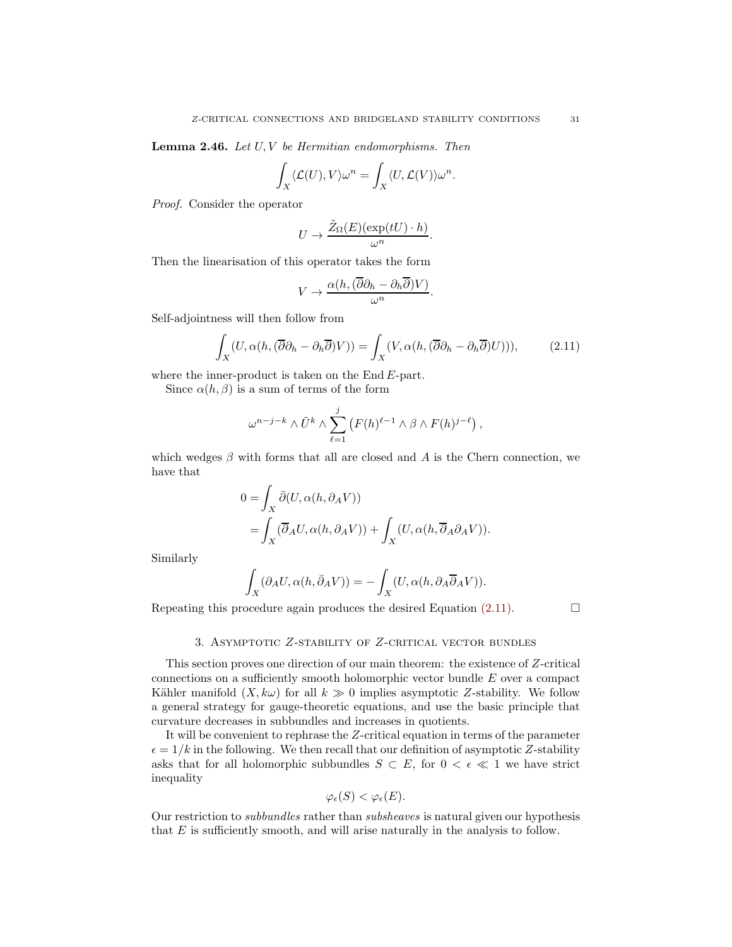**Lemma 2.46.** Let  $U, V$  be Hermitian endomorphisms. Then

$$
\int_X \langle \mathcal{L}(U), V \rangle \omega^n = \int_X \langle U, \mathcal{L}(V) \rangle \omega^n.
$$

Proof. Consider the operator

$$
U \to \frac{\tilde{Z}_{\Omega}(E)(\exp(tU) \cdot h)}{\omega^n}.
$$

Then the linearisation of this operator takes the form

$$
V \to \frac{\alpha(h, (\overline{\partial}\partial_h - \partial_h \overline{\partial})V)}{\omega^n}.
$$

Self-adjointness will then follow from

<span id="page-30-1"></span>
$$
\int_{X} (U, \alpha(h, (\overline{\partial} \partial_h - \partial_h \overline{\partial}) V)) = \int_{X} (V, \alpha(h, (\overline{\partial} \partial_h - \partial_h \overline{\partial}) U))), \tag{2.11}
$$

where the inner-product is taken on the  $End E$ -part.

Since  $\alpha(h,\beta)$  is a sum of terms of the form

$$
\omega^{n-j-k} \wedge \tilde{U}^k \wedge \sum_{\ell=1}^j \left( F(h)^{\ell-1} \wedge \beta \wedge F(h)^{j-\ell} \right),
$$

which wedges  $\beta$  with forms that all are closed and A is the Chern connection, we have that

$$
0 = \int_X \bar{\partial}(U, \alpha(h, \partial_A V))
$$
  
= 
$$
\int_X (\overline{\partial}_A U, \alpha(h, \partial_A V)) + \int_X (U, \alpha(h, \overline{\partial}_A \partial_A V)).
$$

Similarly

$$
\int_X (\partial_A U, \alpha(h, \bar{\partial}_A V)) = - \int_X (U, \alpha(h, \partial_A \bar{\partial}_A V)).
$$

<span id="page-30-0"></span>Repeating this procedure again produces the desired Equation  $(2.11)$ .

# 3. Asymptotic Z-stability of Z-critical vector bundles

This section proves one direction of our main theorem: the existence of Z-critical connections on a sufficiently smooth holomorphic vector bundle E over a compact Kähler manifold  $(X, k\omega)$  for all  $k \gg 0$  implies asymptotic Z-stability. We follow a general strategy for gauge-theoretic equations, and use the basic principle that curvature decreases in subbundles and increases in quotients.

It will be convenient to rephrase the Z-critical equation in terms of the parameter  $\epsilon = 1/k$  in the following. We then recall that our definition of asymptotic Z-stability asks that for all holomorphic subbundles  $S \subset E$ , for  $0 < \epsilon \ll 1$  we have strict inequality

$$
\varphi_{\epsilon}(S) < \varphi_{\epsilon}(E).
$$

Our restriction to subbundles rather than subsheaves is natural given our hypothesis that  $E$  is sufficiently smooth, and will arise naturally in the analysis to follow.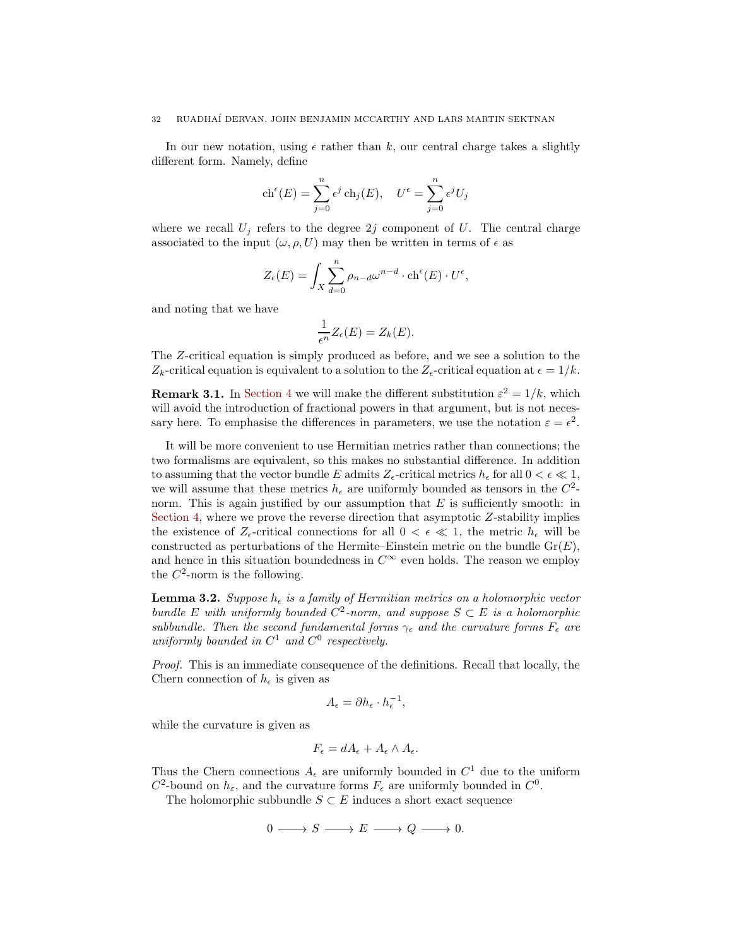In our new notation, using  $\epsilon$  rather than k, our central charge takes a slightly different form. Namely, define

$$
ch^{\epsilon}(E) = \sum_{j=0}^{n} \epsilon^{j} ch_{j}(E), \quad U^{\epsilon} = \sum_{j=0}^{n} \epsilon^{j} U_{j}
$$

where we recall  $U_j$  refers to the degree 2j component of U. The central charge associated to the input  $(\omega, \rho, U)$  may then be written in terms of  $\epsilon$  as

$$
Z_{\epsilon}(E) = \int_{X} \sum_{d=0}^{n} \rho_{n-d} \omega^{n-d} \cdot \text{ch}^{\epsilon}(E) \cdot U^{\epsilon},
$$

and noting that we have

$$
\frac{1}{\epsilon^n}Z_{\epsilon}(E) = Z_k(E).
$$

The Z-critical equation is simply produced as before, and we see a solution to the  $Z_k$ -critical equation is equivalent to a solution to the  $Z_{\epsilon}$ -critical equation at  $\epsilon = 1/k$ .

**Remark 3.1.** In [Section 4](#page-36-0) we will make the different substitution  $\varepsilon^2 = 1/k$ , which will avoid the introduction of fractional powers in that argument, but is not necessary here. To emphasise the differences in parameters, we use the notation  $\varepsilon = \epsilon^2$ .

It will be more convenient to use Hermitian metrics rather than connections; the two formalisms are equivalent, so this makes no substantial difference. In addition to assuming that the vector bundle E admits  $Z_{\epsilon}$ -critical metrics  $h_{\epsilon}$  for all  $0 < \epsilon \ll 1$ , we will assume that these metrics  $h_{\epsilon}$  are uniformly bounded as tensors in the  $C^2$ norm. This is again justified by our assumption that  $E$  is sufficiently smooth: in [Section 4,](#page-36-0) where we prove the reverse direction that asymptotic  $Z$ -stability implies the existence of  $Z_{\epsilon}$ -critical connections for all  $0 < \epsilon \ll 1$ , the metric  $h_{\epsilon}$  will be constructed as perturbations of the Hermite–Einstein metric on the bundle  $Gr(E)$ , and hence in this situation boundedness in  $C^{\infty}$  even holds. The reason we employ the  $C^2$ -norm is the following.

<span id="page-31-0"></span>**Lemma 3.2.** Suppose  $h_{\epsilon}$  is a family of Hermitian metrics on a holomorphic vector bundle E with uniformly bounded  $C^2$ -norm, and suppose  $S \subset E$  is a holomorphic subbundle. Then the second fundamental forms  $\gamma_{\epsilon}$  and the curvature forms  $F_{\epsilon}$  are uniformly bounded in  $C^1$  and  $C^0$  respectively.

Proof. This is an immediate consequence of the definitions. Recall that locally, the Chern connection of  $h_{\epsilon}$  is given as

$$
A_{\epsilon} = \partial h_{\epsilon} \cdot h_{\epsilon}^{-1},
$$

while the curvature is given as

$$
F_{\epsilon} = dA_{\epsilon} + A_{\epsilon} \wedge A_{\epsilon}.
$$

Thus the Chern connections  $A_{\epsilon}$  are uniformly bounded in  $C^{1}$  due to the uniform  $C^2$ -bound on  $h_{\varepsilon}$ , and the curvature forms  $F_{\varepsilon}$  are uniformly bounded in  $C^0$ .

The holomorphic subbundle  $S \subset E$  induces a short exact sequence

 $0 \longrightarrow S \longrightarrow E \longrightarrow Q \longrightarrow 0.$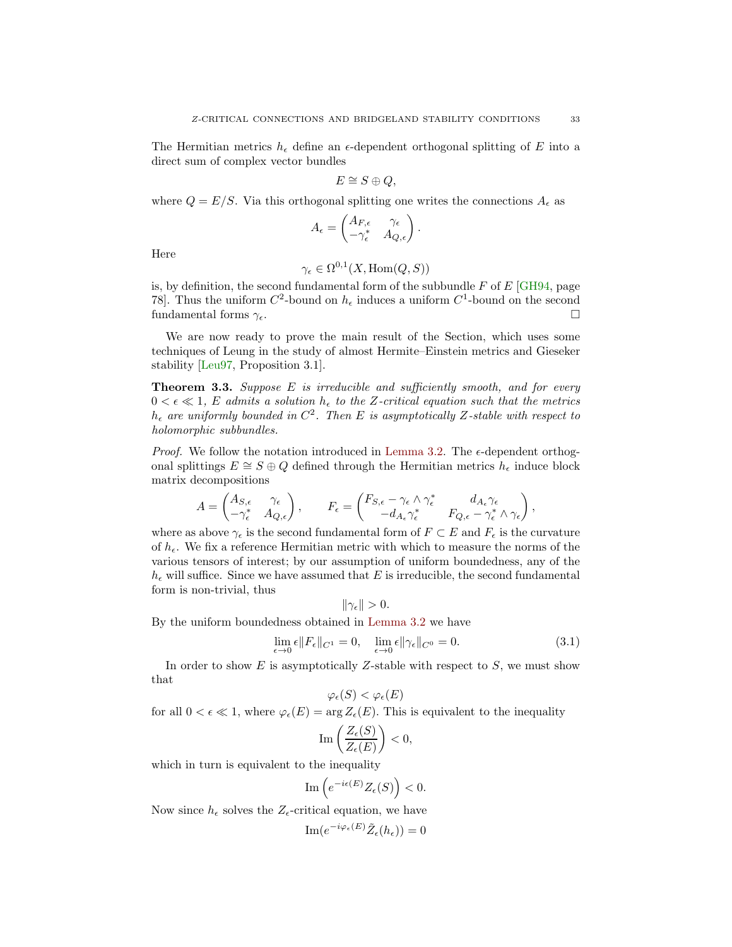<span id="page-32-2"></span>The Hermitian metrics  $h_{\epsilon}$  define an  $\epsilon$ -dependent orthogonal splitting of E into a direct sum of complex vector bundles

$$
E \cong S \oplus Q,
$$

where  $Q = E/S$ . Via this orthogonal splitting one writes the connections  $A_{\epsilon}$  as

$$
A_{\epsilon} = \begin{pmatrix} A_{F,\epsilon} & \gamma_{\epsilon} \\ -\gamma_{\epsilon}^* & A_{Q,\epsilon} \end{pmatrix}.
$$

Here

$$
\gamma_{\epsilon} \in \Omega^{0,1}(X, \text{Hom}(Q, S))
$$

is, by definition, the second fundamental form of the subbundle  $F$  of  $E$  [\[GH94,](#page-68-16) page 78. Thus the uniform  $C^2$ -bound on  $h_{\epsilon}$  induces a uniform  $C^1$ -bound on the second fundamental forms  $\gamma_{\epsilon}$ .

We are now ready to prove the main result of the Section, which uses some techniques of Leung in the study of almost Hermite–Einstein metrics and Gieseker stability [\[Leu97,](#page-69-4) Proposition 3.1].

<span id="page-32-1"></span>**Theorem 3.3.** Suppose  $E$  is irreducible and sufficiently smooth, and for every  $0 < \epsilon \ll 1$ , E admits a solution  $h_{\epsilon}$  to the Z-critical equation such that the metrics  $h_{\epsilon}$  are uniformly bounded in  $C^2$ . Then E is asymptotically Z-stable with respect to holomorphic subbundles.

*Proof.* We follow the notation introduced in [Lemma 3.2.](#page-31-0) The  $\epsilon$ -dependent orthogonal splittings  $E \cong S \oplus Q$  defined through the Hermitian metrics  $h_{\epsilon}$  induce block matrix decompositions

$$
A = \begin{pmatrix} A_{S,\epsilon} & \gamma_{\epsilon} \\ -\gamma_{\epsilon}^* & A_{Q,\epsilon} \end{pmatrix}, \qquad F_{\epsilon} = \begin{pmatrix} F_{S,\epsilon} - \gamma_{\epsilon} \wedge \gamma_{\epsilon}^* & d_{A_{\epsilon}} \gamma_{\epsilon} \\ -d_{A_{\epsilon}} \gamma_{\epsilon}^* & F_{Q,\epsilon} - \gamma_{\epsilon}^* \wedge \gamma_{\epsilon} \end{pmatrix},
$$

where as above  $\gamma_{\epsilon}$  is the second fundamental form of  $F \subset E$  and  $F_{\epsilon}$  is the curvature of  $h_{\epsilon}$ . We fix a reference Hermitian metric with which to measure the norms of the various tensors of interest; by our assumption of uniform boundedness, any of the  $h_{\epsilon}$  will suffice. Since we have assumed that E is irreducible, the second fundamental form is non-trivial, thus

$$
\|\gamma_{\epsilon}\|>0.
$$

By the uniform boundedness obtained in [Lemma 3.2](#page-31-0) we have

<span id="page-32-0"></span>
$$
\lim_{\epsilon \to 0} \epsilon \|F_{\epsilon}\|_{C^1} = 0, \quad \lim_{\epsilon \to 0} \epsilon \|\gamma_{\epsilon}\|_{C^0} = 0.
$$
\n(3.1)

In order to show  $E$  is asymptotically Z-stable with respect to  $S$ , we must show that

$$
\varphi_{\epsilon}(S) < \varphi_{\epsilon}(E)
$$

for all  $0 < \epsilon \ll 1$ , where  $\varphi_{\epsilon}(E) = \arg Z_{\epsilon}(E)$ . This is equivalent to the inequality

$$
\mathrm{Im}\left(\frac{Z_{\epsilon}(S)}{Z_{\epsilon}(E)}\right)<0,
$$

which in turn is equivalent to the inequality

$$
\operatorname{Im}\left(e^{-i\epsilon(E)}Z_{\epsilon}(S)\right) < 0.
$$

Now since  $h_{\epsilon}$  solves the  $Z_{\epsilon}$ -critical equation, we have

$$
\mathrm{Im}(e^{-i\varphi_{\epsilon}(E)}\tilde{Z}_{\epsilon}(h_{\epsilon}))=0
$$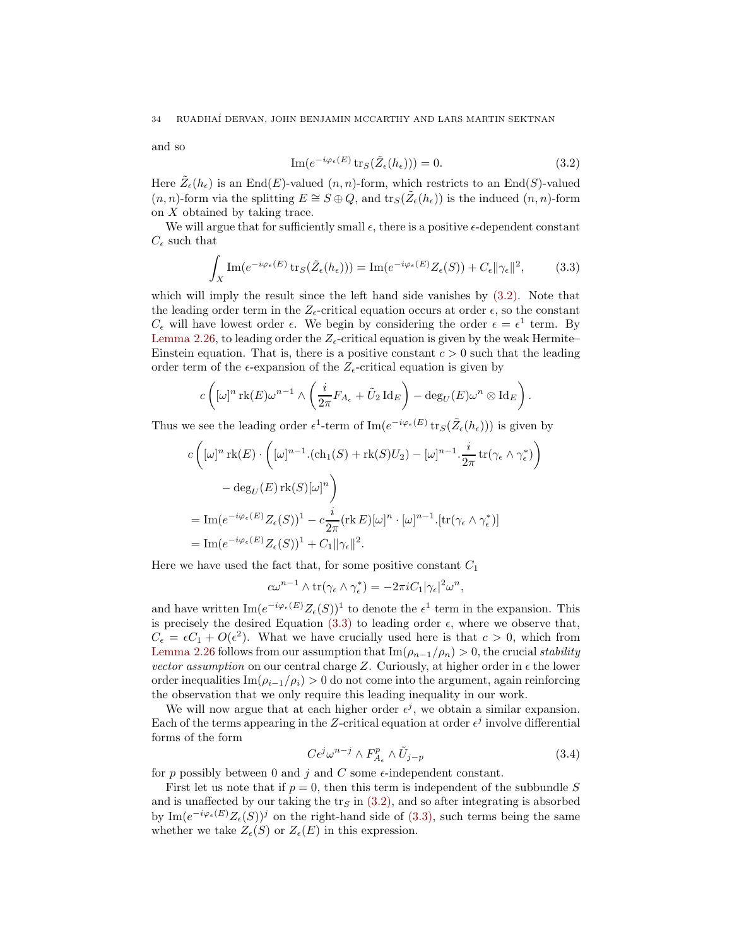and so

<span id="page-33-0"></span>
$$
\operatorname{Im}(e^{-i\varphi_{\epsilon}(E)}\operatorname{tr}_{S}(\tilde{Z}_{\epsilon}(h_{\epsilon})))=0.
$$
\n(3.2)

Here  $\tilde{Z}_{\epsilon}(h_{\epsilon})$  is an End(E)-valued  $(n, n)$ -form, which restricts to an End(S)-valued  $(n, n)$ -form via the splitting  $E \cong S \oplus Q$ , and  $\text{tr}_S(\tilde{Z}_{\epsilon}(h_{\epsilon}))$  is the induced  $(n, n)$ -form on X obtained by taking trace.

We will argue that for sufficiently small  $\epsilon$ , there is a positive  $\epsilon$ -dependent constant  $C_{\epsilon}$  such that

<span id="page-33-1"></span>
$$
\int_X \operatorname{Im}(e^{-i\varphi_\epsilon(E)} \operatorname{tr}_S(\tilde{Z}_\epsilon(h_\epsilon))) = \operatorname{Im}(e^{-i\varphi_\epsilon(E)} Z_\epsilon(S)) + C_\epsilon \|\gamma_\epsilon\|^2, \tag{3.3}
$$

which will imply the result since the left hand side vanishes by [\(3.2\).](#page-33-0) Note that the leading order term in the  $Z_{\epsilon}$ -critical equation occurs at order  $\epsilon$ , so the constant  $C_{\epsilon}$  will have lowest order  $\epsilon$ . We begin by considering the order  $\epsilon = \epsilon^1$  term. By [Lemma 2.26,](#page-17-0) to leading order the  $Z_{\epsilon}$ -critical equation is given by the weak Hermite– Einstein equation. That is, there is a positive constant  $c > 0$  such that the leading order term of the  $\epsilon$ -expansion of the  $Z_{\epsilon}$ -critical equation is given by

$$
c\left( [\omega]^n \operatorname{rk}(E) \omega^{n-1} \wedge \left( \frac{i}{2\pi} F_{A_\epsilon} + \tilde{U}_2 \operatorname{Id}_E \right) - \deg_U(E) \omega^n \otimes \operatorname{Id}_E \right).
$$

Thus we see the leading order  $\epsilon^1$ -term of  $\text{Im}(e^{-i\varphi_\epsilon(E)} \text{tr}_S(\tilde{Z}_{\epsilon}(h_{\epsilon})))$  is given by

$$
c\left([\omega]^n \operatorname{rk}(E) \cdot \left([\omega]^{n-1} \cdot (\operatorname{ch}_1(S) + \operatorname{rk}(S)U_2) - [\omega]^{n-1} \cdot \frac{i}{2\pi} \operatorname{tr}(\gamma_{\epsilon} \wedge \gamma_{\epsilon}^*)\right) \right.
$$
  

$$
- \deg_U(E) \operatorname{rk}(S)[\omega]^n
$$
  

$$
= \operatorname{Im} (e^{-i\varphi_{\epsilon}(E)} Z_{\epsilon}(S))^1 - c \frac{i}{2\pi} (\operatorname{rk} E)[\omega]^n \cdot [\omega]^{n-1} \cdot [\operatorname{tr}(\gamma_{\epsilon} \wedge \gamma_{\epsilon}^*)]
$$
  

$$
= \operatorname{Im} (e^{-i\varphi_{\epsilon}(E)} Z_{\epsilon}(S))^1 + C_1 \|\gamma_{\epsilon}\|^2.
$$

Here we have used the fact that, for some positive constant  $C_1$ 

$$
c\omega^{n-1} \wedge \text{tr}(\gamma_{\epsilon} \wedge \gamma_{\epsilon}^{*}) = -2\pi i C_{1}|\gamma_{\epsilon}|^{2}\omega^{n},
$$

and have written  $\text{Im}(e^{-i\varphi_{\epsilon}(E)}Z_{\epsilon}(S))^1$  to denote the  $\epsilon^1$  term in the expansion. This is precisely the desired Equation [\(3.3\)](#page-33-1) to leading order  $\epsilon$ , where we observe that,  $C_{\epsilon} = \epsilon C_1 + O(\epsilon^2)$ . What we have crucially used here is that  $c > 0$ , which from [Lemma 2.26](#page-17-0) follows from our assumption that  $\text{Im}(\rho_{n-1}/\rho_n) > 0$ , the crucial stability vector assumption on our central charge Z. Curiously, at higher order in  $\epsilon$  the lower order inequalities Im( $\rho_{i-1}/\rho_i$ ) > 0 do not come into the argument, again reinforcing the observation that we only require this leading inequality in our work.

We will now argue that at each higher order  $\epsilon^j$ , we obtain a similar expansion. Each of the terms appearing in the Z-critical equation at order  $\epsilon^j$  involve differential forms of the form

<span id="page-33-2"></span>
$$
C\epsilon^j \omega^{n-j} \wedge F^p_{A_\epsilon} \wedge \tilde{U}_{j-p} \tag{3.4}
$$

for p possibly between 0 and j and C some  $\epsilon$ -independent constant.

First let us note that if  $p = 0$ , then this term is independent of the subbundle S and is unaffected by our taking the  $\text{tr}_S$  in [\(3.2\),](#page-33-0) and so after integrating is absorbed by  $\text{Im}(e^{-i\varphi_{\epsilon}(E)}Z_{\epsilon}(S))^j$  on the right-hand side of [\(3.3\),](#page-33-1) such terms being the same whether we take  $Z_{\epsilon}(S)$  or  $Z_{\epsilon}(E)$  in this expression.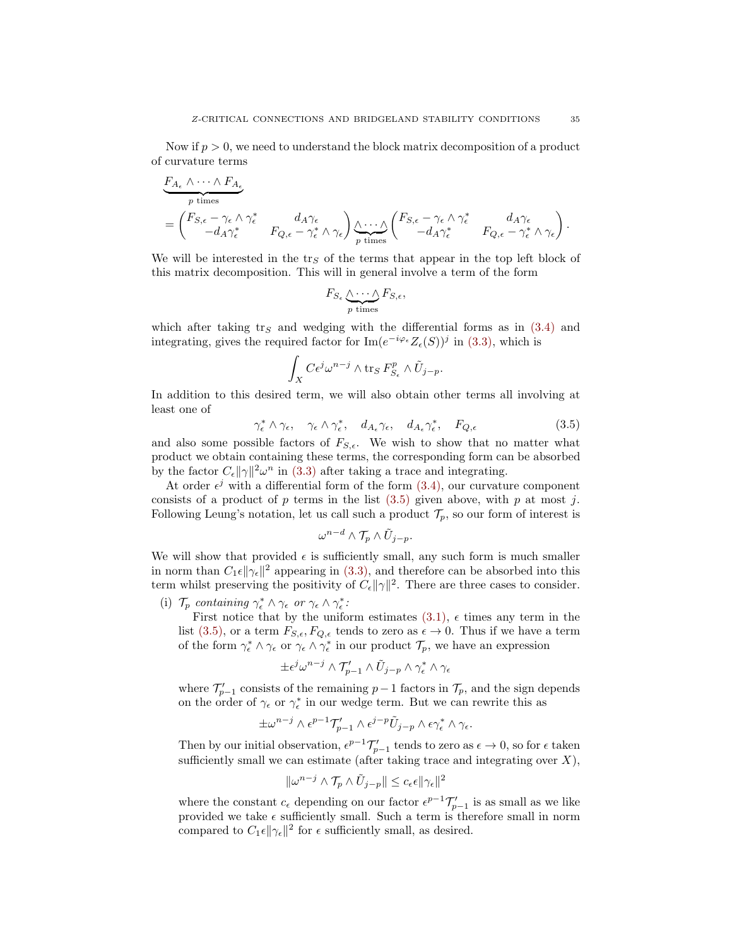Now if  $p > 0$ , we need to understand the block matrix decomposition of a product of curvature terms

$$
\frac{F_{A_{\epsilon}} \wedge \cdots \wedge F_{A_{\epsilon}}}{p \text{ times}}
$$
\n
$$
= \begin{pmatrix} F_{S,\epsilon} - \gamma_{\epsilon} \wedge \gamma_{\epsilon}^{*} & d_{A} \gamma_{\epsilon} \\ -d_{A} \gamma_{\epsilon}^{*} & F_{Q,\epsilon} - \gamma_{\epsilon}^{*} \wedge \gamma_{\epsilon} \end{pmatrix} \underbrace{\wedge \cdots \wedge}_{p \text{ times}} \begin{pmatrix} F_{S,\epsilon} - \gamma_{\epsilon} \wedge \gamma_{\epsilon}^{*} & d_{A} \gamma_{\epsilon} \\ -d_{A} \gamma_{\epsilon}^{*} & F_{Q,\epsilon} - \gamma_{\epsilon}^{*} \wedge \gamma_{\epsilon} \end{pmatrix}.
$$

We will be interested in the tr<sub>S</sub> of the terms that appear in the top left block of this matrix decomposition. This will in general involve a term of the form

$$
F_{S_{\epsilon}} \underbrace{\wedge \cdots \wedge}_{p \text{ times}} F_{S,\epsilon},
$$

which after taking  $\text{tr}_S$  and wedging with the differential forms as in [\(3.4\)](#page-33-2) and integrating, gives the required factor for  $\text{Im}(e^{-i\varphi_{\epsilon}}Z_{\epsilon}(S))^j$  in [\(3.3\),](#page-33-1) which is

$$
\int_X C\epsilon^j \omega^{n-j} \wedge \operatorname{tr}_S F_{S_{\epsilon}}^p \wedge \tilde{U}_{j-p}.
$$

In addition to this desired term, we will also obtain other terms all involving at least one of

<span id="page-34-0"></span>
$$
\gamma_{\epsilon}^* \wedge \gamma_{\epsilon}, \quad \gamma_{\epsilon} \wedge \gamma_{\epsilon}^*, \quad d_{A_{\epsilon}} \gamma_{\epsilon}, \quad d_{A_{\epsilon}} \gamma_{\epsilon}^*, \quad F_{Q, \epsilon} \tag{3.5}
$$

and also some possible factors of  $F_{S,\epsilon}$ . We wish to show that no matter what product we obtain containing these terms, the corresponding form can be absorbed by the factor  $C_{\epsilon} ||\gamma||^2 \omega^n$  in [\(3.3\)](#page-33-1) after taking a trace and integrating.

At order  $\epsilon^j$  with a differential form of the form  $(3.4)$ , our curvature component consists of a product of p terms in the list  $(3.5)$  given above, with p at most j. Following Leung's notation, let us call such a product  $\mathcal{T}_p$ , so our form of interest is

$$
\omega^{n-d}\wedge \mathcal{T}_p\wedge \tilde{U}_{j-p}.
$$

We will show that provided  $\epsilon$  is sufficiently small, any such form is much smaller in norm than  $C_1\epsilon \|\gamma_{\epsilon}\|^2$  appearing in [\(3.3\),](#page-33-1) and therefore can be absorbed into this term whilst preserving the positivity of  $C_{\epsilon} ||\gamma||^2$ . There are three cases to consider.

(i)  $\mathcal{T}_p$  containing  $\gamma_{\epsilon}^* \wedge \gamma_{\epsilon}$  or  $\gamma_{\epsilon} \wedge \gamma_{\epsilon}^*$ :

First notice that by the uniform estimates  $(3.1)$ ,  $\epsilon$  times any term in the list [\(3.5\),](#page-34-0) or a term  $F_{S,\epsilon}, F_{Q,\epsilon}$  tends to zero as  $\epsilon \to 0$ . Thus if we have a term of the form  $\gamma_{\epsilon}^* \wedge \gamma_{\epsilon}$  or  $\gamma_{\epsilon} \wedge \gamma_{\epsilon}^*$  in our product  $\mathcal{T}_p$ , we have an expression

$$
\pm \epsilon^j \omega^{n-j} \wedge \mathcal{T}'_{p-1} \wedge \tilde{U}_{j-p} \wedge \gamma_{\epsilon}^* \wedge \gamma_{\epsilon}
$$

where  $\mathcal{T}'_{p-1}$  consists of the remaining  $p-1$  factors in  $\mathcal{T}_p$ , and the sign depends on the order of  $\gamma_{\epsilon}$  or  $\gamma_{\epsilon}^{*}$  in our wedge term. But we can rewrite this as

$$
\pm \omega^{n-j} \wedge \epsilon^{p-1} \mathcal{T}'_{p-1} \wedge \epsilon^{j-p} \tilde{U}_{j-p} \wedge \epsilon \gamma_{\epsilon}^* \wedge \gamma_{\epsilon}.
$$

Then by our initial observation,  $\epsilon^{p-1}\mathcal{T}'_{p-1}$  tends to zero as  $\epsilon \to 0$ , so for  $\epsilon$  taken sufficiently small we can estimate (after taking trace and integrating over  $X$ ),

$$
\|\omega^{n-j} \wedge \mathcal{T}_p \wedge \tilde{U}_{j-p}\| \le c_{\epsilon} \epsilon \|\gamma_{\epsilon}\|^2
$$

where the constant  $c_{\epsilon}$  depending on our factor  $\epsilon^{p-1}\mathcal{T}'_{p-1}$  is as small as we like provided we take  $\epsilon$  sufficiently small. Such a term is therefore small in norm compared to  $C_1 \epsilon ||\gamma_{\epsilon}||^2$  for  $\epsilon$  sufficiently small, as desired.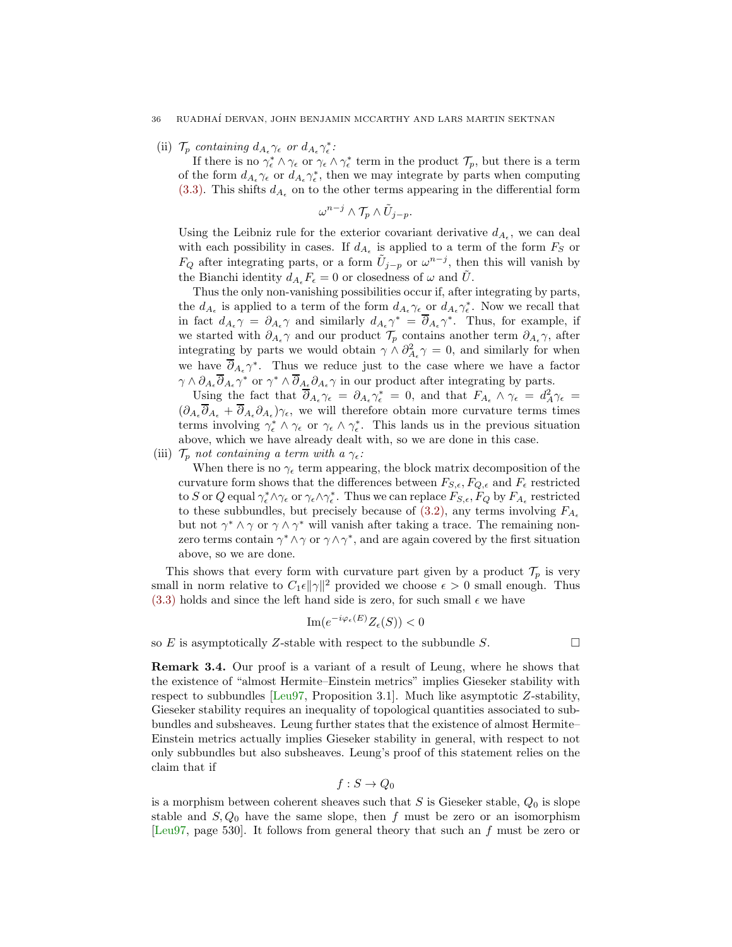<span id="page-35-0"></span>(ii)  $\mathcal{T}_p$  containing  $d_{A_{\epsilon}} \gamma_{\epsilon}$  or  $d_{A_{\epsilon}} \gamma_{\epsilon}^{*}$ :

If there is no  $\gamma_{\epsilon}^* \wedge \gamma_{\epsilon}$  or  $\gamma_{\epsilon} \wedge \gamma_{\epsilon}^*$  term in the product  $\mathcal{T}_p$ , but there is a term of the form  $d_{A_{\epsilon}}\gamma_{\epsilon}$  or  $d_{A_{\epsilon}}\gamma_{\epsilon}^{*}$ , then we may integrate by parts when computing [\(3.3\).](#page-33-1) This shifts  $d_{A_{\epsilon}}$  on to the other terms appearing in the differential form

 $\omega^{n-j} \wedge \mathcal{T}_p \wedge \tilde{U}_{j-p}.$ 

Using the Leibniz rule for the exterior covariant derivative  $d_{A_{\epsilon}}$ , we can deal with each possibility in cases. If  $d_{A_{\epsilon}}$  is applied to a term of the form  $F_S$  or  $F_Q$  after integrating parts, or a form  $\tilde{U}_{j-p}$  or  $\omega^{n-j}$ , then this will vanish by the Bianchi identity  $d_{A_{\epsilon}}F_{\epsilon}=0$  or closedness of  $\omega$  and  $\tilde{U}$ .

Thus the only non-vanishing possibilities occur if, after integrating by parts, the  $d_{A_{\epsilon}}$  is applied to a term of the form  $d_{A_{\epsilon}}\gamma_{\epsilon}$  or  $d_{A_{\epsilon}}\gamma_{\epsilon}^{*}$ . Now we recall that in fact  $d_{A_{\epsilon}} \gamma = \partial_{A_{\epsilon}} \gamma$  and similarly  $d_{A_{\epsilon}} \gamma^* = \partial_{A_{\epsilon}} \gamma^*$ . Thus, for example, if we started with  $\partial_{A_{\epsilon}} \gamma$  and our product  $\mathcal{T}_p$  contains another term  $\partial_{A_{\epsilon}} \gamma$ , after integrating by parts we would obtain  $\gamma \wedge \partial_{A_{\epsilon}}^2 \gamma = 0$ , and similarly for when we have  $\partial_{A_{\epsilon}} \gamma^*$ . Thus we reduce just to the case where we have a factor  $\gamma \wedge \partial_{A_{\epsilon}} \partial_{A_{\epsilon}} \gamma^*$  or  $\gamma^* \wedge \partial_{A_{\epsilon}} \partial_{A_{\epsilon}} \gamma$  in our product after integrating by parts.

Using the fact that  $\overline{\partial}_{A_{\epsilon}}\gamma_{\epsilon} = \partial_{A_{\epsilon}}\gamma_{\epsilon}^{*} = 0$ , and that  $F_{A_{\epsilon}} \wedge \gamma_{\epsilon} = d_{A}^{2}\gamma_{\epsilon} =$  $(\partial_{A_\epsilon}\partial_{A_\epsilon}+\partial_{A_\epsilon}\partial_{A_\epsilon})\gamma_\epsilon$ , we will therefore obtain more curvature terms times terms involving  $\gamma_{\epsilon}^* \wedge \gamma_{\epsilon}$  or  $\gamma_{\epsilon} \wedge \gamma_{\epsilon}^*$ . This lands us in the previous situation above, which we have already dealt with, so we are done in this case.

- (iii)  $\mathcal{T}_p$  not containing a term with a  $\gamma_{\epsilon}$ :
	- When there is no  $\gamma_{\epsilon}$  term appearing, the block matrix decomposition of the curvature form shows that the differences between  $F_{S,\epsilon}, F_{Q,\epsilon}$  and  $F_{\epsilon}$  restricted to S or Q equal  $\gamma_{\epsilon}^* \wedge \gamma_{\epsilon}$  or  $\gamma_{\epsilon} \wedge \gamma_{\epsilon}^*$ . Thus we can replace  $F_{S,\epsilon}$ ,  $F_Q$  by  $F_{A_{\epsilon}}$  restricted to these subbundles, but precisely because of [\(3.2\),](#page-33-0) any terms involving  $F_{A_{\epsilon}}$ but not  $\gamma^* \wedge \gamma$  or  $\gamma \wedge \gamma^*$  will vanish after taking a trace. The remaining nonzero terms contain  $\gamma^* \wedge \gamma$  or  $\gamma \wedge \gamma^*$ , and are again covered by the first situation above, so we are done.

This shows that every form with curvature part given by a product  $\mathcal{T}_p$  is very small in norm relative to  $C_1 \epsilon ||\gamma||^2$  provided we choose  $\epsilon > 0$  small enough. Thus [\(3.3\)](#page-33-1) holds and since the left hand side is zero, for such small  $\epsilon$  we have

$$
\operatorname{Im}(e^{-i\varphi_{\epsilon}(E)}Z_{\epsilon}(S)) < 0
$$

so E is asymptotically Z-stable with respect to the subbundle S.  $\Box$ 

Remark 3.4. Our proof is a variant of a result of Leung, where he shows that the existence of "almost Hermite–Einstein metrics" implies Gieseker stability with respect to subbundles [\[Leu97,](#page-69-4) Proposition 3.1]. Much like asymptotic  $Z$ -stability, Gieseker stability requires an inequality of topological quantities associated to subbundles and subsheaves. Leung further states that the existence of almost Hermite– Einstein metrics actually implies Gieseker stability in general, with respect to not only subbundles but also subsheaves. Leung's proof of this statement relies on the claim that if

$$
f: S \to Q_0
$$

is a morphism between coherent sheaves such that  $S$  is Gieseker stable,  $Q_0$  is slope stable and  $S, Q_0$  have the same slope, then f must be zero or an isomorphism [\[Leu97,](#page-69-4) page 530]. It follows from general theory that such an f must be zero or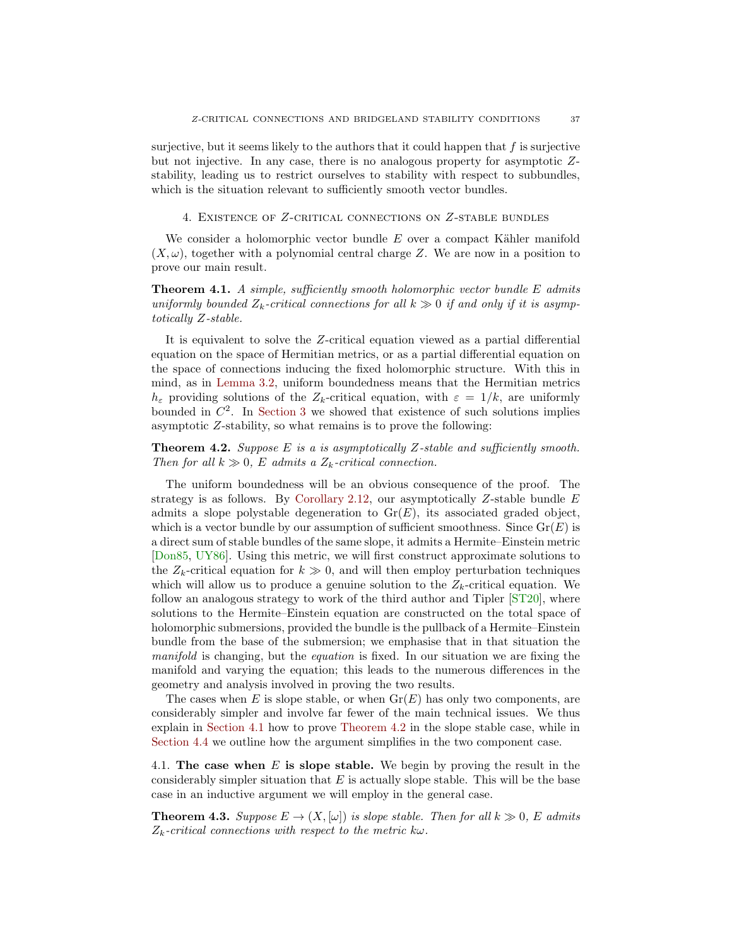<span id="page-36-5"></span>surjective, but it seems likely to the authors that it could happen that  $f$  is surjective but not injective. In any case, there is no analogous property for asymptotic Zstability, leading us to restrict ourselves to stability with respect to subbundles, which is the situation relevant to sufficiently smooth vector bundles.

<span id="page-36-0"></span>4. Existence of Z-critical connections on Z-stable bundles

We consider a holomorphic vector bundle  $E$  over a compact Kähler manifold  $(X, \omega)$ , together with a polynomial central charge Z. We are now in a position to prove our main result.

<span id="page-36-2"></span>**Theorem 4.1.** A simple, sufficiently smooth holomorphic vector bundle E admits uniformly bounded  $Z_k$ -critical connections for all  $k \gg 0$  if and only if it is asymptotically Z-stable.

It is equivalent to solve the Z-critical equation viewed as a partial differential equation on the space of Hermitian metrics, or as a partial differential equation on the space of connections inducing the fixed holomorphic structure. With this in mind, as in [Lemma 3.2,](#page-31-0) uniform boundedness means that the Hermitian metrics  $h_{\varepsilon}$  providing solutions of the  $Z_k$ -critical equation, with  $\varepsilon = 1/k$ , are uniformly bounded in  $\mathbb{C}^2$ . In [Section 3](#page-30-0) we showed that existence of such solutions implies asymptotic Z-stability, so what remains is to prove the following:

<span id="page-36-3"></span>**Theorem 4.2.** Suppose E is a is asymptotically Z-stable and sufficiently smooth. Then for all  $k \gg 0$ , E admits a  $Z_k$ -critical connection.

The uniform boundedness will be an obvious consequence of the proof. The strategy is as follows. By [Corollary 2.12,](#page-11-2) our asymptotically  $Z$ -stable bundle  $E$ admits a slope polystable degeneration to  $\text{Gr}(E)$ , its associated graded object, which is a vector bundle by our assumption of sufficient smoothness. Since  $\text{Gr}(E)$  is a direct sum of stable bundles of the same slope, it admits a Hermite–Einstein metric [\[Don85,](#page-68-1) [UY86\]](#page-69-0). Using this metric, we will first construct approximate solutions to the  $Z_k$ -critical equation for  $k \gg 0$ , and will then employ perturbation techniques which will allow us to produce a genuine solution to the  $Z_k$ -critical equation. We follow an analogous strategy to work of the third author and Tipler [\[ST20\]](#page-69-8), where solutions to the Hermite–Einstein equation are constructed on the total space of holomorphic submersions, provided the bundle is the pullback of a Hermite–Einstein bundle from the base of the submersion; we emphasise that in that situation the manifold is changing, but the equation is fixed. In our situation we are fixing the manifold and varying the equation; this leads to the numerous differences in the geometry and analysis involved in proving the two results.

The cases when E is slope stable, or when  $Gr(E)$  has only two components, are considerably simpler and involve far fewer of the main technical issues. We thus explain in [Section 4.1](#page-36-1) how to prove [Theorem 4.2](#page-36-3) in the slope stable case, while in [Section 4.4](#page-66-0) we outline how the argument simplifies in the two component case.

<span id="page-36-1"></span>4.1. The case when E is slope stable. We begin by proving the result in the considerably simpler situation that  $E$  is actually slope stable. This will be the base case in an inductive argument we will employ in the general case.

<span id="page-36-4"></span>**Theorem 4.3.** Suppose  $E \to (X, [\omega])$  is slope stable. Then for all  $k \gg 0$ , E admits  $Z_k$ -critical connections with respect to the metric  $k\omega$ .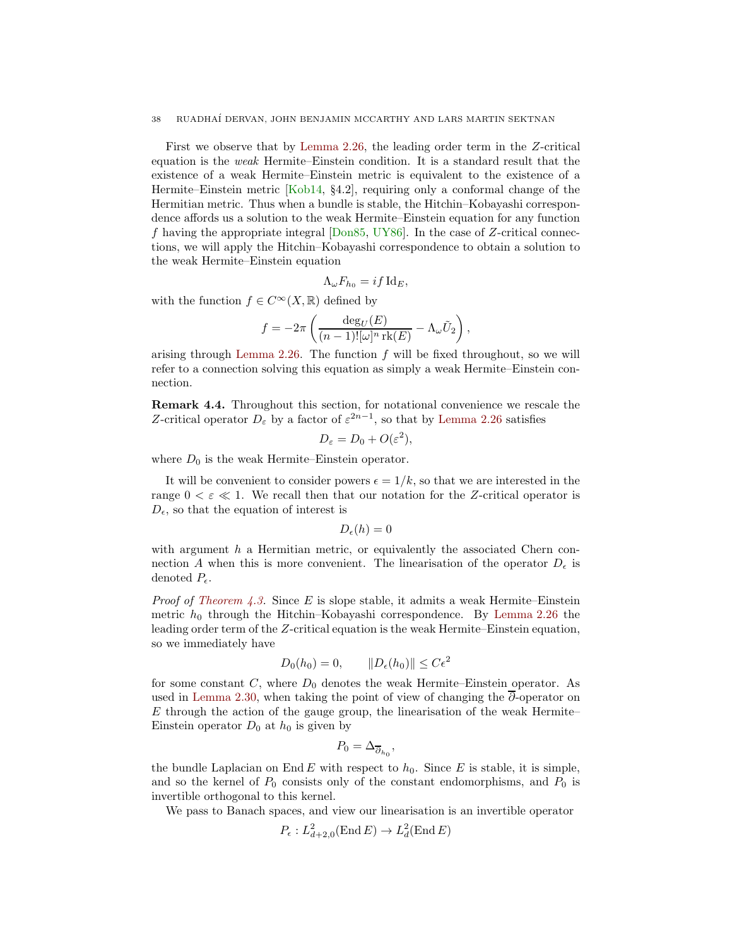<span id="page-37-0"></span>First we observe that by [Lemma 2.26,](#page-17-0) the leading order term in the Z-critical equation is the weak Hermite–Einstein condition. It is a standard result that the existence of a weak Hermite–Einstein metric is equivalent to the existence of a Hermite–Einstein metric [\[Kob14,](#page-69-21) §4.2], requiring only a conformal change of the Hermitian metric. Thus when a bundle is stable, the Hitchin–Kobayashi correspondence affords us a solution to the weak Hermite–Einstein equation for any function f having the appropriate integral  $[Don85, UV86]$ . In the case of Z-critical connections, we will apply the Hitchin–Kobayashi correspondence to obtain a solution to the weak Hermite–Einstein equation

$$
\Lambda_{\omega} F_{h_0} = i f \operatorname{Id}_E,
$$

with the function  $f \in C^{\infty}(X,\mathbb{R})$  defined by

$$
f = -2\pi \left( \frac{\deg_U(E)}{(n-1)![\omega]^n \operatorname{rk}(E)} - \Lambda_\omega \tilde{U}_2 \right),\,
$$

arising through [Lemma 2.26.](#page-17-0) The function  $f$  will be fixed throughout, so we will refer to a connection solving this equation as simply a weak Hermite–Einstein connection.

Remark 4.4. Throughout this section, for notational convenience we rescale the Z-critical operator  $D_{\varepsilon}$  by a factor of  $\varepsilon^{2n-1}$ , so that by [Lemma 2.26](#page-17-0) satisfies

$$
D_{\varepsilon}=D_0+O(\varepsilon^2),
$$

where  $D_0$  is the weak Hermite–Einstein operator.

It will be convenient to consider powers  $\epsilon = 1/k$ , so that we are interested in the range  $0 < \varepsilon \ll 1$ . We recall then that our notation for the Z-critical operator is  $D_{\epsilon}$ , so that the equation of interest is

$$
D_{\epsilon}(h)=0
$$

with argument  $h$  a Hermitian metric, or equivalently the associated Chern connection A when this is more convenient. The linearisation of the operator  $D_{\epsilon}$  is denoted  $P_{\epsilon}$ .

*Proof of [Theorem 4.3.](#page-36-4)* Since E is slope stable, it admits a weak Hermite–Einstein metric  $h_0$  through the Hitchin–Kobayashi correspondence. By [Lemma 2.26](#page-17-0) the leading order term of the Z-critical equation is the weak Hermite–Einstein equation, so we immediately have

$$
D_0(h_0) = 0, \qquad ||D_{\epsilon}(h_0)|| \leq C\epsilon^2
$$

for some constant  $C$ , where  $D_0$  denotes the weak Hermite–Einstein operator. As used in [Lemma 2.30,](#page-19-0) when taking the point of view of changing the  $\overline{\partial}$ -operator on  $E$  through the action of the gauge group, the linearisation of the weak Hermite– Einstein operator  $D_0$  at  $h_0$  is given by

$$
P_0=\Delta_{\overline{\partial}_{h_0}},
$$

the bundle Laplacian on End E with respect to  $h_0$ . Since E is stable, it is simple, and so the kernel of  $P_0$  consists only of the constant endomorphisms, and  $P_0$  is invertible orthogonal to this kernel.

We pass to Banach spaces, and view our linearisation is an invertible operator

$$
P_{\epsilon}: L^2_{d+2,0}(\text{End}\,E) \to L^2_d(\text{End}\,E)
$$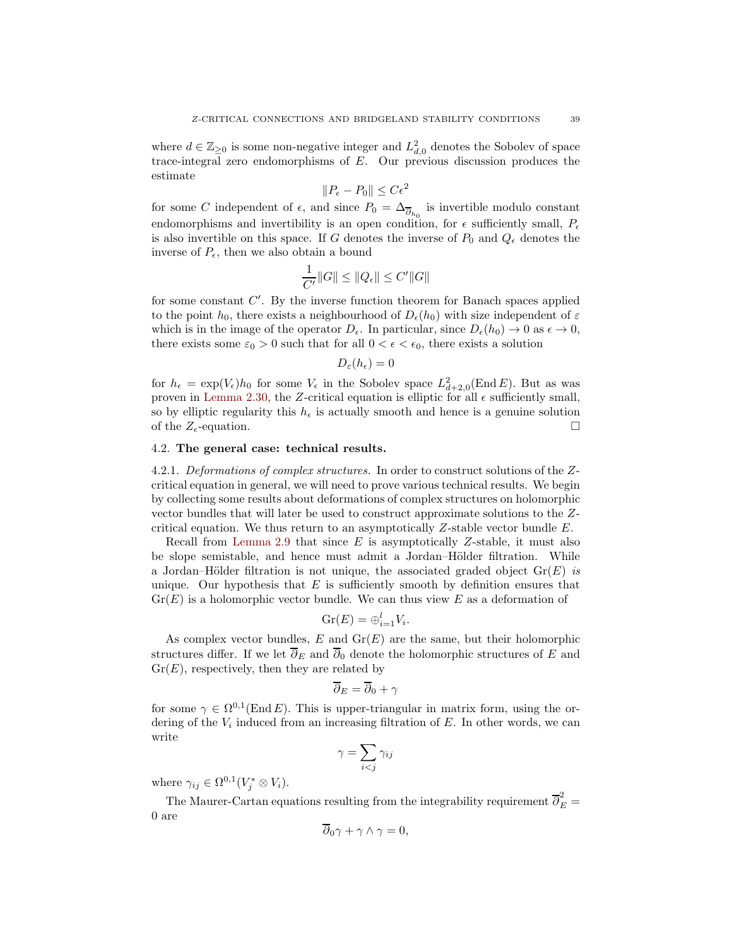where  $d \in \mathbb{Z}_{\geq 0}$  is some non-negative integer and  $L^2_{d,0}$  denotes the Sobolev of space trace-integral zero endomorphisms of E. Our previous discussion produces the estimate

$$
||P_{\epsilon} - P_0|| \le C\epsilon^2
$$

for some C independent of  $\epsilon$ , and since  $P_0 = \Delta_{\overline{\partial}_{h_0}}$  is invertible modulo constant endomorphisms and invertibility is an open condition, for  $\epsilon$  sufficiently small,  $P_{\epsilon}$ is also invertible on this space. If G denotes the inverse of  $P_0$  and  $Q_\epsilon$  denotes the inverse of  $P_{\epsilon}$ , then we also obtain a bound

$$
\frac{1}{C'}\|G\| \le \|Q_{\epsilon}\| \le C'\|G\|
$$

for some constant C'. By the inverse function theorem for Banach spaces applied to the point  $h_0$ , there exists a neighbourhood of  $D_{\epsilon}(h_0)$  with size independent of  $\varepsilon$ which is in the image of the operator  $D_{\epsilon}$ . In particular, since  $D_{\epsilon}(h_0) \to 0$  as  $\epsilon \to 0$ , there exists some  $\varepsilon_0 > 0$  such that for all  $0 < \epsilon < \epsilon_0$ , there exists a solution

$$
D_{\varepsilon}(h_{\epsilon})=0
$$

for  $h_{\epsilon} = \exp(V_{\epsilon})h_0$  for some  $V_{\epsilon}$  in the Sobolev space  $L^2_{d+2,0}(\text{End }E)$ . But as was proven in [Lemma 2.30,](#page-19-0) the Z-critical equation is elliptic for all  $\epsilon$  sufficiently small, so by elliptic regularity this  $h_{\epsilon}$  is actually smooth and hence is a genuine solution of the  $Z_{\epsilon}$ -equation.

# <span id="page-38-1"></span><span id="page-38-0"></span>4.2. The general case: technical results.

4.2.1. Deformations of complex structures. In order to construct solutions of the Zcritical equation in general, we will need to prove various technical results. We begin by collecting some results about deformations of complex structures on holomorphic vector bundles that will later be used to construct approximate solutions to the Zcritical equation. We thus return to an asymptotically  $Z$ -stable vector bundle  $E$ .

Recall from [Lemma 2.9](#page-10-2) that since  $E$  is asymptotically Z-stable, it must also be slope semistable, and hence must admit a Jordan–Hölder filtration. While a Jordan–Hölder filtration is not unique, the associated graded object  $\text{Gr}(E)$  is unique. Our hypothesis that  $E$  is sufficiently smooth by definition ensures that  $Gr(E)$  is a holomorphic vector bundle. We can thus view E as a deformation of

$$
\operatorname{Gr}(E) = \bigoplus_{i=1}^{l} V_i.
$$

As complex vector bundles,  $E$  and  $Gr(E)$  are the same, but their holomorphic structures differ. If we let  $\overline{\partial}_E$  and  $\overline{\partial}_0$  denote the holomorphic structures of E and  $Gr(E)$ , respectively, then they are related by

$$
\overline{\partial}_E = \overline{\partial}_0 + \gamma
$$

for some  $\gamma \in \Omega^{0,1}(\text{End } E)$ . This is upper-triangular in matrix form, using the ordering of the  $V_i$  induced from an increasing filtration of  $E$ . In other words, we can write

$$
\gamma = \sum_{i < j} \gamma_{ij}
$$

where  $\gamma_{ij} \in \Omega^{0,1}(V_j^* \otimes V_i)$ .

The Maurer-Cartan equations resulting from the integrability requirement  $\overline{\partial}_{E}^{2} =$ 0 are

$$
\partial_0 \gamma + \gamma \wedge \gamma = 0,
$$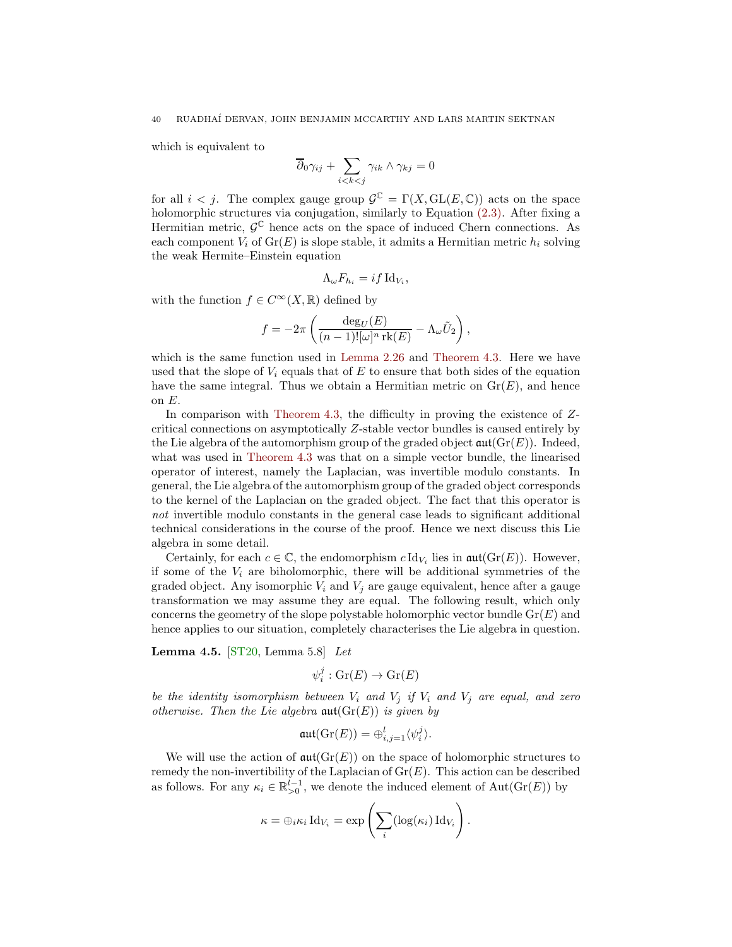<span id="page-39-1"></span>which is equivalent to

$$
\overline{\partial}_0 \gamma_{ij} + \sum_{i < k < j} \gamma_{ik} \wedge \gamma_{kj} = 0
$$

for all  $i < j$ . The complex gauge group  $\mathcal{G}^{\mathbb{C}} = \Gamma(X, GL(E, \mathbb{C}))$  acts on the space holomorphic structures via conjugation, similarly to Equation [\(2.3\).](#page-19-1) After fixing a Hermitian metric,  $\mathcal{G}^{\mathbb{C}}$  hence acts on the space of induced Chern connections. As each component  $V_i$  of  $Gr(E)$  is slope stable, it admits a Hermitian metric  $h_i$  solving the weak Hermite–Einstein equation

$$
\Lambda_{\omega} F_{h_i} = i f \operatorname{Id}_{V_i},
$$

with the function  $f \in C^{\infty}(X,\mathbb{R})$  defined by

$$
f = -2\pi \left( \frac{\deg_U(E)}{(n-1)! [\omega]^n \operatorname{rk}(E)} - \Lambda_\omega \tilde{U}_2 \right),
$$

which is the same function used in [Lemma 2.26](#page-17-0) and [Theorem 4.3.](#page-36-4) Here we have used that the slope of  $V_i$  equals that of E to ensure that both sides of the equation have the same integral. Thus we obtain a Hermitian metric on  $Gr(E)$ , and hence on  $E$ .

In comparison with [Theorem 4.3,](#page-36-4) the difficulty in proving the existence of  $Z$ critical connections on asymptotically Z-stable vector bundles is caused entirely by the Lie algebra of the automorphism group of the graded object  $\mathfrak{aut}(Gr(E))$ . Indeed, what was used in [Theorem 4.3](#page-36-4) was that on a simple vector bundle, the linearised operator of interest, namely the Laplacian, was invertible modulo constants. In general, the Lie algebra of the automorphism group of the graded object corresponds to the kernel of the Laplacian on the graded object. The fact that this operator is not invertible modulo constants in the general case leads to significant additional technical considerations in the course of the proof. Hence we next discuss this Lie algebra in some detail.

Certainly, for each  $c \in \mathbb{C}$ , the endomorphism  $c \, \text{Id}_{V_i}$  lies in  $\mathfrak{aut}(\text{Gr}(E))$ . However, if some of the  $V_i$  are biholomorphic, there will be additional symmetries of the graded object. Any isomorphic  $V_i$  and  $V_j$  are gauge equivalent, hence after a gauge transformation we may assume they are equal. The following result, which only concerns the geometry of the slope polystable holomorphic vector bundle  $Gr(E)$  and hence applies to our situation, completely characterises the Lie algebra in question.

<span id="page-39-0"></span>**Lemma 4.5.** [\[ST20,](#page-69-8) Lemma 5.8] Let

$$
\psi_i^j : \operatorname{Gr}(E) \to \operatorname{Gr}(E)
$$

be the identity isomorphism between  $V_i$  and  $V_j$  if  $V_i$  and  $V_j$  are equal, and zero otherwise. Then the Lie algebra  $\mathfrak{aut}(\mathrm{Gr}(E))$  is given by

$$
\mathfrak{aut}(\mathrm{Gr}(E)) = \oplus_{i,j=1}^l \langle \psi_i^j \rangle.
$$

We will use the action of  $\mathfrak{aut}(Gr(E))$  on the space of holomorphic structures to remedy the non-invertibility of the Laplacian of  $Gr(E)$ . This action can be described as follows. For any  $\kappa_i \in \mathbb{R}_{>0}^{l-1}$ , we denote the induced element of  $\text{Aut}(\text{Gr}(E))$  by

$$
\kappa = \bigoplus_i \kappa_i \operatorname{Id}_{V_i} = \exp \left( \sum_i (\log(\kappa_i) \operatorname{Id}_{V_i}) \right).
$$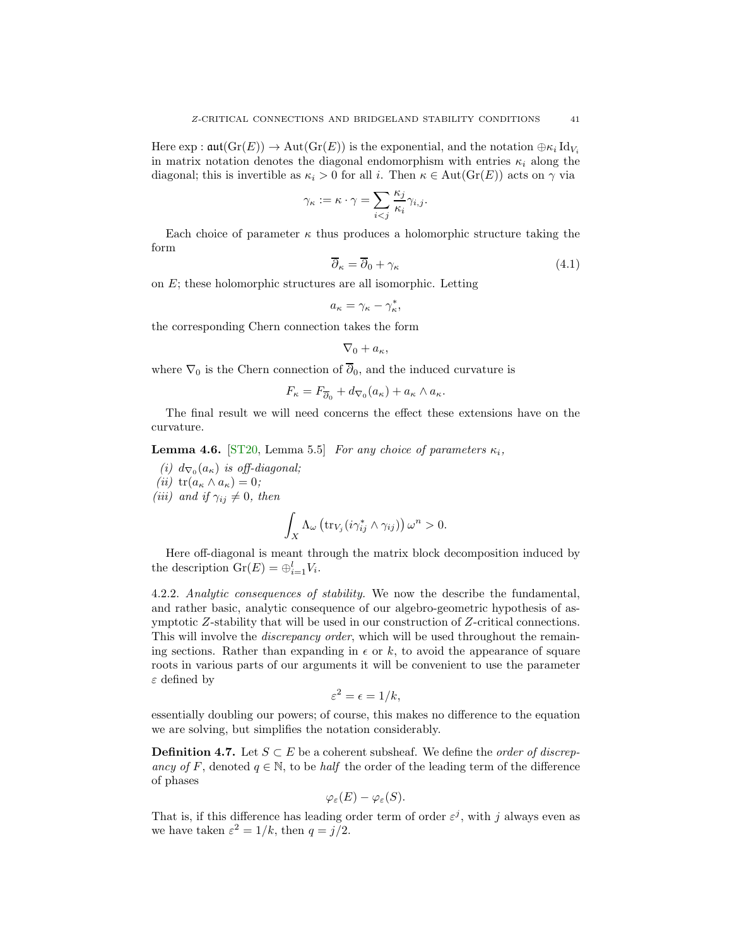<span id="page-40-2"></span>Here  $\exp : \mathfrak{aut}(\mathrm{Gr}(E)) \to \mathrm{Aut}(\mathrm{Gr}(E))$  is the exponential, and the notation  $\oplus \kappa_i \mathrm{Id}_{V_i}$ in matrix notation denotes the diagonal endomorphism with entries  $\kappa_i$  along the diagonal; this is invertible as  $\kappa_i > 0$  for all i. Then  $\kappa \in \text{Aut}(\text{Gr}(E))$  acts on  $\gamma$  via

$$
\gamma_{\kappa} := \kappa \cdot \gamma = \sum_{i < j} \frac{\kappa_j}{\kappa_i} \gamma_{i,j}.
$$

Each choice of parameter  $\kappa$  thus produces a holomorphic structure taking the form

<span id="page-40-1"></span>
$$
\overline{\partial}_{\kappa} = \overline{\partial}_0 + \gamma_{\kappa} \tag{4.1}
$$

on E; these holomorphic structures are all isomorphic. Letting

$$
a_{\kappa} = \gamma_{\kappa} - \gamma_{\kappa}^*,
$$

the corresponding Chern connection takes the form

$$
\nabla_0 + a_{\kappa},
$$

where  $\nabla_0$  is the Chern connection of  $\overline{\partial}_0$ , and the induced curvature is

$$
F_{\kappa} = F_{\overline{\partial}_0} + d_{\nabla_0}(a_{\kappa}) + a_{\kappa} \wedge a_{\kappa}.
$$

<span id="page-40-0"></span>The final result we will need concerns the effect these extensions have on the curvature.

**Lemma 4.6.** [\[ST20,](#page-69-8) Lemma 5.5] For any choice of parameters  $\kappa_i$ ,

(i)  $d_{\nabla_0}(a_{\kappa})$  is off-diagonal; (ii)  $tr(a_{\kappa} \wedge a_{\kappa}) = 0;$ (iii) and if  $\gamma_{ii} \neq 0$ , then

$$
u_j
$$
 and 
$$
u_j \gamma_{ij} \neq 0
$$
, then

$$
\int_X \Lambda_\omega \left( \operatorname{tr}_{V_j} (i \gamma_{ij}^* \wedge \gamma_{ij}) \right) \omega^n > 0.
$$

Here off-diagonal is meant through the matrix block decomposition induced by the description  $\mathrm{Gr}(E) = \bigoplus_{i=1}^{l} V_i$ .

4.2.2. Analytic consequences of stability. We now the describe the fundamental, and rather basic, analytic consequence of our algebro-geometric hypothesis of asymptotic Z-stability that will be used in our construction of Z-critical connections. This will involve the *discrepancy order*, which will be used throughout the remaining sections. Rather than expanding in  $\epsilon$  or k, to avoid the appearance of square roots in various parts of our arguments it will be convenient to use the parameter ε defined by

$$
\varepsilon^2 = \epsilon = 1/k,
$$

essentially doubling our powers; of course, this makes no difference to the equation we are solving, but simplifies the notation considerably.

**Definition 4.7.** Let  $S \subset E$  be a coherent subsheaf. We define the *order of discrep*ancy of F, denoted  $q \in \mathbb{N}$ , to be *half* the order of the leading term of the difference of phases

$$
\varphi_{\varepsilon}(E)-\varphi_{\varepsilon}(S).
$$

That is, if this difference has leading order term of order  $\varepsilon^j$ , with j always even as we have taken  $\varepsilon^2 = 1/k$ , then  $q = j/2$ .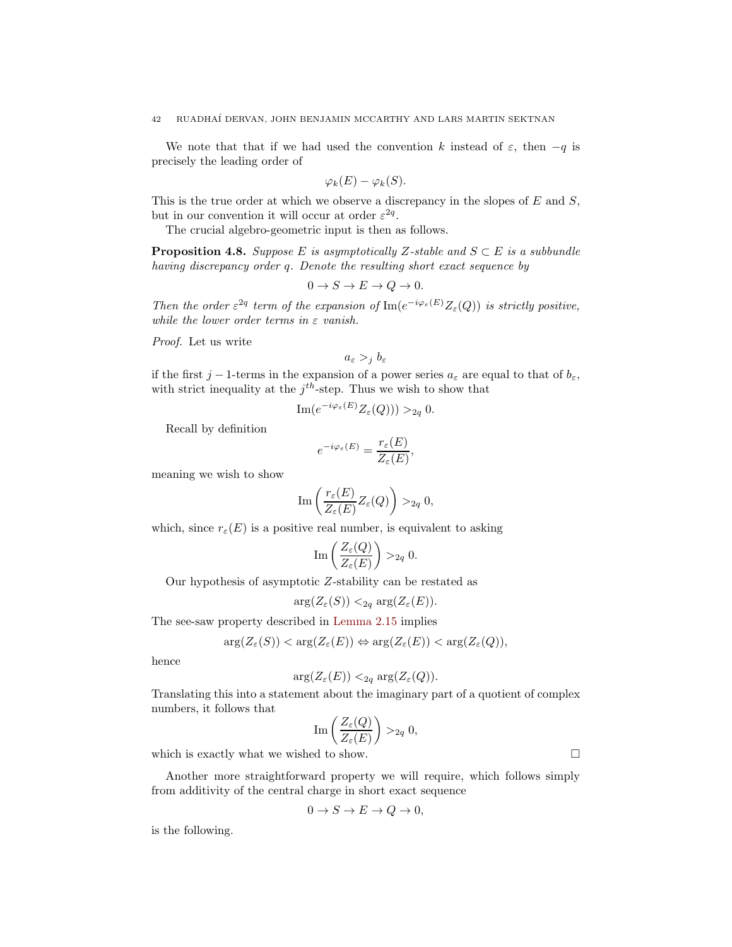We note that that if we had used the convention k instead of  $\varepsilon$ , then  $-q$  is precisely the leading order of

$$
\varphi_k(E)-\varphi_k(S).
$$

This is the true order at which we observe a discrepancy in the slopes of  $E$  and  $S$ , but in our convention it will occur at order  $\varepsilon^{2q}$ .

<span id="page-41-0"></span>The crucial algebro-geometric input is then as follows.

**Proposition 4.8.** Suppose E is asymptotically Z-stable and  $S \subset E$  is a subbundle having discrepancy order q. Denote the resulting short exact sequence by

$$
0 \to S \to E \to Q \to 0.
$$

Then the order  $\varepsilon^{2q}$  term of the expansion of  $\text{Im}(e^{-i\varphi_{\varepsilon}(E)}Z_{\varepsilon}(Q))$  is strictly positive, while the lower order terms in  $\varepsilon$  vanish.

Proof. Let us write

$$
a_{\varepsilon} >_j b_{\varepsilon}
$$

if the first j – 1-terms in the expansion of a power series  $a_{\varepsilon}$  are equal to that of  $b_{\varepsilon}$ , with strict inequality at the  $j^{th}$ -step. Thus we wish to show that

$$
\operatorname{Im}(e^{-i\varphi_{\varepsilon}(E)}Z_{\varepsilon}(Q)))>_{2q} 0.
$$

Recall by definition

$$
e^{-i\varphi_{\varepsilon}(E)} = \frac{r_{\varepsilon}(E)}{Z_{\varepsilon}(E)},
$$

meaning we wish to show

$$
\mathrm{Im}\left(\frac{r_{\varepsilon}(E)}{Z_{\varepsilon}(E)}Z_{\varepsilon}(Q)\right)>_{2q} 0,
$$

which, since  $r_{\varepsilon}(E)$  is a positive real number, is equivalent to asking

$$
\operatorname{Im}\left(\frac{Z_{\varepsilon}(Q)}{Z_{\varepsilon}(E)}\right) >_{2q} 0.
$$

Our hypothesis of asymptotic Z-stability can be restated as

$$
\arg(Z_{\varepsilon}(S)) <_{2q} \arg(Z_{\varepsilon}(E)).
$$

The see-saw property described in [Lemma 2.15](#page-11-1) implies

$$
\arg(Z_{\varepsilon}(S)) < \arg(Z_{\varepsilon}(E)) \Leftrightarrow \arg(Z_{\varepsilon}(E)) < \arg(Z_{\varepsilon}(Q)),
$$

hence

$$
\arg(Z_{\varepsilon}(E)) <_{2q} \arg(Z_{\varepsilon}(Q)).
$$

Translating this into a statement about the imaginary part of a quotient of complex numbers, it follows that

$$
\operatorname{Im}\left(\frac{Z_{\varepsilon}(Q)}{Z_{\varepsilon}(E)}\right) >_{2q} 0,
$$

which is exactly what we wished to show.  $\Box$ 

Another more straightforward property we will require, which follows simply from additivity of the central charge in short exact sequence

$$
0 \to S \to E \to Q \to 0,
$$

<span id="page-41-1"></span>is the following.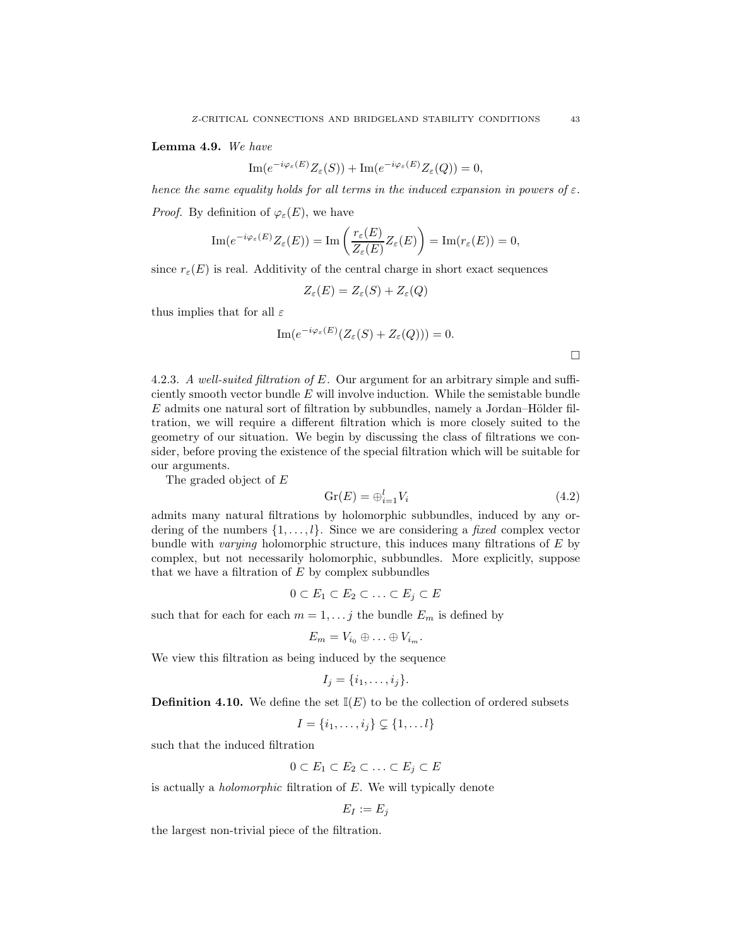Lemma 4.9. We have

$$
\operatorname{Im} (e^{-i\varphi_{\varepsilon}(E)}Z_{\varepsilon}(S)) + \operatorname{Im} (e^{-i\varphi_{\varepsilon}(E)}Z_{\varepsilon}(Q)) = 0,
$$

hence the same equality holds for all terms in the induced expansion in powers of  $\varepsilon$ . *Proof.* By definition of  $\varphi_{\varepsilon}(E)$ , we have

$$
\operatorname{Im}(e^{-i\varphi_{\varepsilon}(E)}Z_{\varepsilon}(E)) = \operatorname{Im}\left(\frac{r_{\varepsilon}(E)}{Z_{\varepsilon}(E)}Z_{\varepsilon}(E)\right) = \operatorname{Im}(r_{\varepsilon}(E)) = 0,
$$

since  $r_{\varepsilon}(E)$  is real. Additivity of the central charge in short exact sequences

$$
Z_{\varepsilon}(E) = Z_{\varepsilon}(S) + Z_{\varepsilon}(Q)
$$

thus implies that for all  $\varepsilon$ 

$$
\operatorname{Im}(e^{-i\varphi_{\varepsilon}(E)}(Z_{\varepsilon}(S) + Z_{\varepsilon}(Q))) = 0.
$$

4.2.3. A well-suited filtration of E. Our argument for an arbitrary simple and sufficiently smooth vector bundle  $E$  will involve induction. While the semistable bundle  $E$  admits one natural sort of filtration by subbundles, namely a Jordan–Hölder filtration, we will require a different filtration which is more closely suited to the geometry of our situation. We begin by discussing the class of filtrations we consider, before proving the existence of the special filtration which will be suitable for our arguments.

The graded object of E

$$
Gr(E) = \bigoplus_{i=1}^{l} V_i
$$
\n(4.2)

admits many natural filtrations by holomorphic subbundles, induced by any ordering of the numbers  $\{1, \ldots, l\}$ . Since we are considering a *fixed* complex vector bundle with varying holomorphic structure, this induces many filtrations of E by complex, but not necessarily holomorphic, subbundles. More explicitly, suppose that we have a filtration of  $E$  by complex subbundles

$$
0 \subset E_1 \subset E_2 \subset \ldots \subset E_j \subset E
$$

such that for each for each  $m = 1, \ldots j$  the bundle  $E_m$  is defined by

$$
E_m=V_{i_0}\oplus\ldots\oplus V_{i_m}.
$$

We view this filtration as being induced by the sequence

$$
I_j = \{i_1, \ldots, i_j\}.
$$

**Definition 4.10.** We define the set  $\mathbb{I}(E)$  to be the collection of ordered subsets

 $I = \{i_1, \ldots, i_j\} \subsetneq \{1, \ldots, l\}$ 

such that the induced filtration

$$
0 \subset E_1 \subset E_2 \subset \ldots \subset E_j \subset E
$$

is actually a *holomorphic* filtration of  $E$ . We will typically denote

$$
E_I:=E_j
$$

the largest non-trivial piece of the filtration.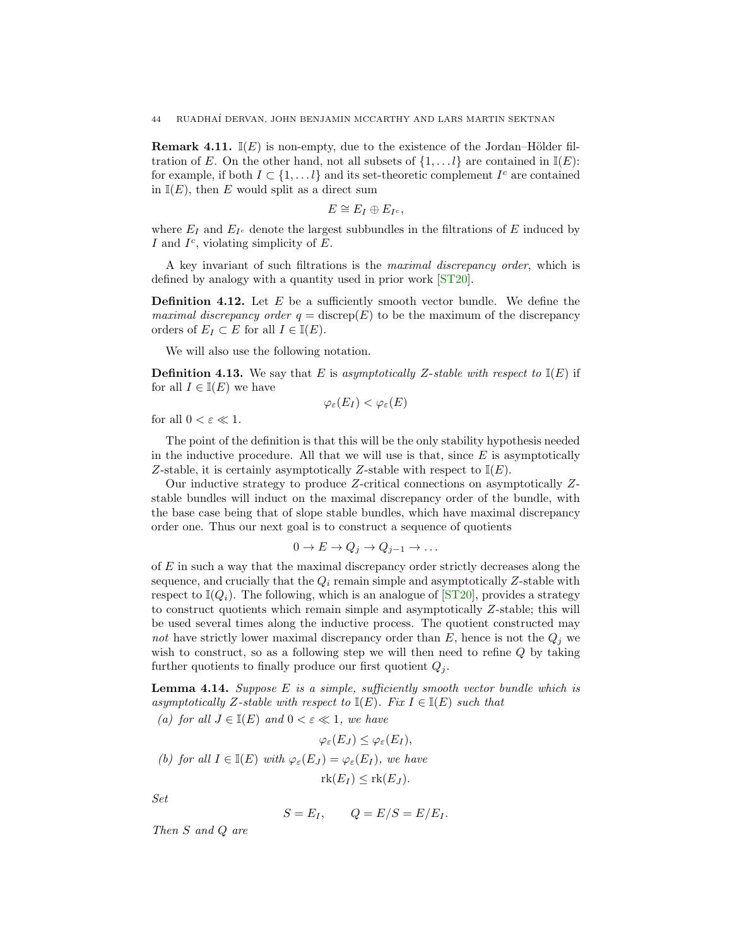<span id="page-43-2"></span>**Remark 4.11.**  $\mathbb{I}(E)$  is non-empty, due to the existence of the Jordan–Hölder filtration of E. On the other hand, not all subsets of  $\{1, \ldots l\}$  are contained in  $\mathbb{I}(E)$ : for example, if both  $I \subset \{1, \ldots l\}$  and its set-theoretic complement  $I^c$  are contained in  $\mathbb{I}(E)$ , then E would split as a direct sum

$$
E\cong E_I\oplus E_{I^c},
$$

where  $E_I$  and  $E_{I^c}$  denote the largest subbundles in the filtrations of E induced by I and  $I^c$ , violating simplicity of E.

<span id="page-43-1"></span>A key invariant of such filtrations is the maximal discrepancy order, which is defined by analogy with a quantity used in prior work [\[ST20\]](#page-69-8).

**Definition 4.12.** Let  $E$  be a sufficiently smooth vector bundle. We define the *maximal discrepancy order q* = discrep(E) to be the maximum of the discrepancy orders of  $E_I \subset E$  for all  $I \in \mathbb{I}(E)$ .

We will also use the following notation.

**Definition 4.13.** We say that E is asymptotically Z-stable with respect to  $\mathbb{I}(E)$  if for all  $I \in \mathbb{I}(E)$  we have

 $\varphi_{\varepsilon}(E_I) < \varphi_{\varepsilon}(E)$ 

for all  $0 < \varepsilon \ll 1$ .

The point of the definition is that this will be the only stability hypothesis needed in the inductive procedure. All that we will use is that, since  $E$  is asymptotically Z-stable, it is certainly asymptotically Z-stable with respect to  $\mathbb{I}(E)$ .

Our inductive strategy to produce Z-critical connections on asymptotically Zstable bundles will induct on the maximal discrepancy order of the bundle, with the base case being that of slope stable bundles, which have maximal discrepancy order one. Thus our next goal is to construct a sequence of quotients

$$
0 \to E \to Q_j \to Q_{j-1} \to \dots
$$

of E in such a way that the maximal discrepancy order strictly decreases along the sequence, and crucially that the  $Q_i$  remain simple and asymptotically  $Z$ -stable with respect to  $\mathbb{I}(Q_i)$ . The following, which is an analogue of  $\mathbb{I}(ST20)$ , provides a strategy to construct quotients which remain simple and asymptotically Z-stable; this will be used several times along the inductive process. The quotient constructed may not have strictly lower maximal discrepancy order than  $E$ , hence is not the  $Q_i$  we wish to construct, so as a following step we will then need to refine Q by taking further quotients to finally produce our first quotient  $Q_i$ .

<span id="page-43-0"></span>**Lemma 4.14.** Suppose  $E$  is a simple, sufficiently smooth vector bundle which is asymptotically Z-stable with respect to  $\mathbb{I}(E)$ . Fix  $I \in \mathbb{I}(E)$  such that

(a) for all  $J \in \mathbb{I}(E)$  and  $0 < \varepsilon \ll 1$ , we have

$$
\varphi_{\varepsilon}(E_J) \leq \varphi_{\varepsilon}(E_I),
$$
  
(b) for all  $I \in \mathbb{I}(E)$  with  $\varphi_{\varepsilon}(E_J) = \varphi_{\varepsilon}(E_I)$ , we have  
 $\text{rk}(E_I) \leq \text{rk}(E_J).$ 

Set

$$
S = E_I, \qquad Q = E/S = E/E_I.
$$

Then S and Q are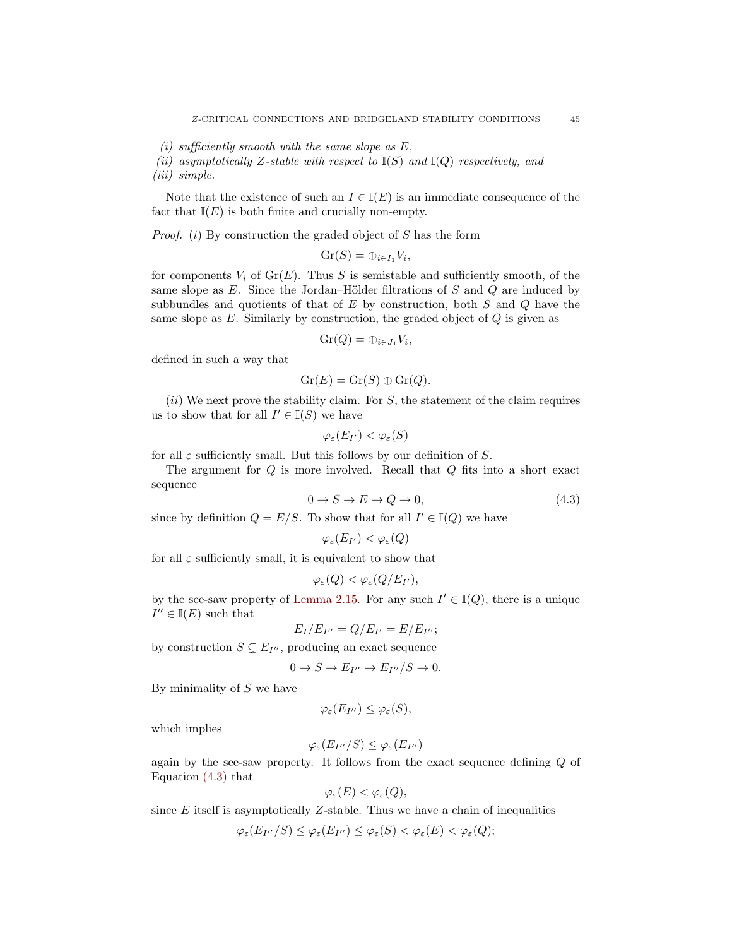- (i) sufficiently smooth with the same slope as  $E$ ,
- (ii) asymptotically Z-stable with respect to  $\mathbb{I}(S)$  and  $\mathbb{I}(Q)$  respectively, and

(iii) simple.

Note that the existence of such an  $I \in \mathbb{I}(E)$  is an immediate consequence of the fact that  $\mathbb{I}(E)$  is both finite and crucially non-empty.

*Proof.* (i) By construction the graded object of  $S$  has the form

$$
\mathrm{Gr}(S)=\oplus_{i\in I_1}V_i,
$$

for components  $V_i$  of  $Gr(E)$ . Thus S is semistable and sufficiently smooth, of the same slope as  $E$ . Since the Jordan–Hölder filtrations of  $S$  and  $Q$  are induced by subbundles and quotients of that of  $E$  by construction, both  $S$  and  $Q$  have the same slope as  $E$ . Similarly by construction, the graded object of  $Q$  is given as

$$
\mathrm{Gr}(Q)=\oplus_{i\in J_1}V_i,
$$

defined in such a way that

$$
\operatorname{Gr}(E) = \operatorname{Gr}(S) \oplus \operatorname{Gr}(Q).
$$

 $(ii)$  We next prove the stability claim. For S, the statement of the claim requires us to show that for all  $I' \in \mathbb{I}(S)$  we have

$$
\varphi_\varepsilon(E_{I'}) < \varphi_\varepsilon(S)
$$

for all  $\varepsilon$  sufficiently small. But this follows by our definition of S.

The argument for Q is more involved. Recall that Q fits into a short exact sequence

<span id="page-44-0"></span>
$$
0 \to S \to E \to Q \to 0,\tag{4.3}
$$

since by definition  $Q = E/S$ . To show that for all  $I' \in \mathbb{I}(Q)$  we have

$$
\varphi_\varepsilon(E_{I'}) < \varphi_\varepsilon(Q)
$$

for all  $\varepsilon$  sufficiently small, it is equivalent to show that

$$
\varphi_{\varepsilon}(Q) < \varphi_{\varepsilon}(Q/E_{I'}),
$$

by the see-saw property of [Lemma 2.15.](#page-11-1) For any such  $I' \in \mathbb{I}(Q)$ , there is a unique  $I'' \in \mathbb{I}(E)$  such that

$$
E_I/E_{I''}=Q/E_{I'}=E/E_{I''};
$$

by construction  $S \subsetneq E_{I''}$ , producing an exact sequence

$$
0 \to S \to E_{I''} \to E_{I''}/S \to 0.
$$

By minimality of  $S$  we have

$$
\varphi_{\varepsilon}(E_{I^{\prime\prime}})\leq \varphi_{\varepsilon}(S),
$$

which implies

$$
\varphi_{\varepsilon}(E_{I''}/S) \leq \varphi_{\varepsilon}(E_{I''})
$$

again by the see-saw property. It follows from the exact sequence defining Q of Equation [\(4.3\)](#page-44-0) that

$$
\varphi_{\varepsilon}(E) < \varphi_{\varepsilon}(Q),
$$

since  $E$  itself is asymptotically  $Z$ -stable. Thus we have a chain of inequalities

$$
\varphi_{\varepsilon}(E_{I''}/S) \leq \varphi_{\varepsilon}(E_{I''}) \leq \varphi_{\varepsilon}(S) < \varphi_{\varepsilon}(E) < \varphi_{\varepsilon}(Q);
$$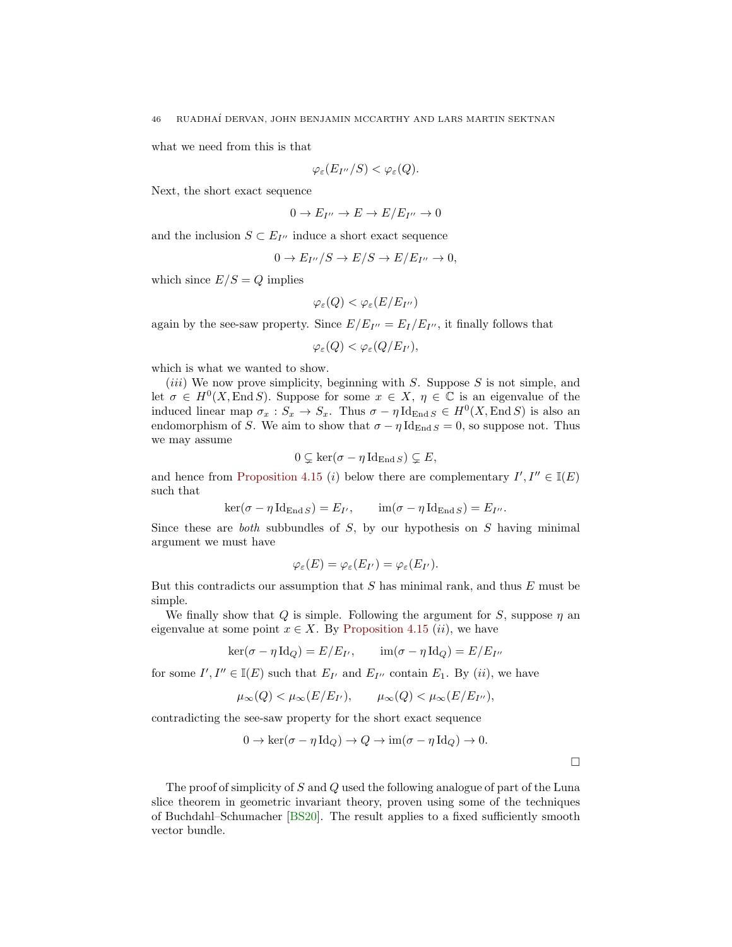<span id="page-45-1"></span>what we need from this is that

$$
\varphi_{\varepsilon}(E_{I''}/S) < \varphi_{\varepsilon}(Q).
$$

Next, the short exact sequence

$$
0 \to E_{I''} \to E \to E/E_{I''} \to 0
$$

and the inclusion  $S \subset E_{I''}$  induce a short exact sequence

$$
0 \to E_{I''}/S \to E/S \to E/E_{I''} \to 0,
$$

which since  $E/S = Q$  implies

$$
\varphi_{\varepsilon}(Q) < \varphi_{\varepsilon}(E/E_{I^{\prime\prime}})
$$

again by the see-saw property. Since  $E/E_{I''}=E_I/E_{I''}$ , it finally follows that

$$
\varphi_{\varepsilon}(Q) < \varphi_{\varepsilon}(Q/E_{I'}),
$$

which is what we wanted to show.

(*iii*) We now prove simplicity, beginning with  $S$ . Suppose  $S$  is not simple, and let  $\sigma \in H^0(X, \text{End } S)$ . Suppose for some  $x \in X$ ,  $\eta \in \mathbb{C}$  is an eigenvalue of the induced linear map  $\sigma_x : S_x \to S_x$ . Thus  $\sigma - \eta \operatorname{Id}_{\text{End }S} \in H^0(X, \text{End }S)$  is also an endomorphism of S. We aim to show that  $\sigma - \eta \mathrm{Id}_{\mathrm{End} S} = 0$ , so suppose not. Thus we may assume

$$
0 \subsetneq \ker(\sigma - \eta \operatorname{Id}_{\operatorname{End} S}) \subsetneq E,
$$

and hence from [Proposition 4.15](#page-45-0) (*i*) below there are complementary  $I', I'' \in \mathbb{I}(E)$ such that

$$
\ker(\sigma - \eta \operatorname{Id}_{\operatorname{End} S}) = E_{I'}, \qquad \operatorname{im}(\sigma - \eta \operatorname{Id}_{\operatorname{End} S}) = E_{I''}.
$$

Since these are *both* subbundles of  $S$ , by our hypothesis on  $S$  having minimal argument we must have

$$
\varphi_{\varepsilon}(E) = \varphi_{\varepsilon}(E_{I'}) = \varphi_{\varepsilon}(E_{I'}).
$$

But this contradicts our assumption that  $S$  has minimal rank, and thus  $E$  must be simple.

We finally show that Q is simple. Following the argument for S, suppose  $\eta$  and eigenvalue at some point  $x \in X$ . By [Proposition 4.15](#page-45-0) (*ii*), we have

$$
\ker(\sigma - \eta \operatorname{Id}_Q) = E/E_{I'}, \qquad \operatorname{im}(\sigma - \eta \operatorname{Id}_Q) = E/E_{I''}
$$

for some  $I', I'' \in \mathbb{I}(E)$  such that  $E_{I'}$  and  $E_{I''}$  contain  $E_1$ . By  $(ii)$ , we have

$$
\mu_{\infty}(Q) < \mu_{\infty}(E/E_{I'}),
$$
\n $\mu_{\infty}(Q) < \mu_{\infty}(E/E_{I''}),$ 

contradicting the see-saw property for the short exact sequence

$$
0 \to \ker(\sigma - \eta \operatorname{Id}_Q) \to Q \to \operatorname{im}(\sigma - \eta \operatorname{Id}_Q) \to 0.
$$

 $\Box$ 

<span id="page-45-0"></span>The proof of simplicity of S and Q used the following analogue of part of the Luna slice theorem in geometric invariant theory, proven using some of the techniques of Buchdahl–Schumacher [\[BS20\]](#page-68-17). The result applies to a fixed sufficiently smooth vector bundle.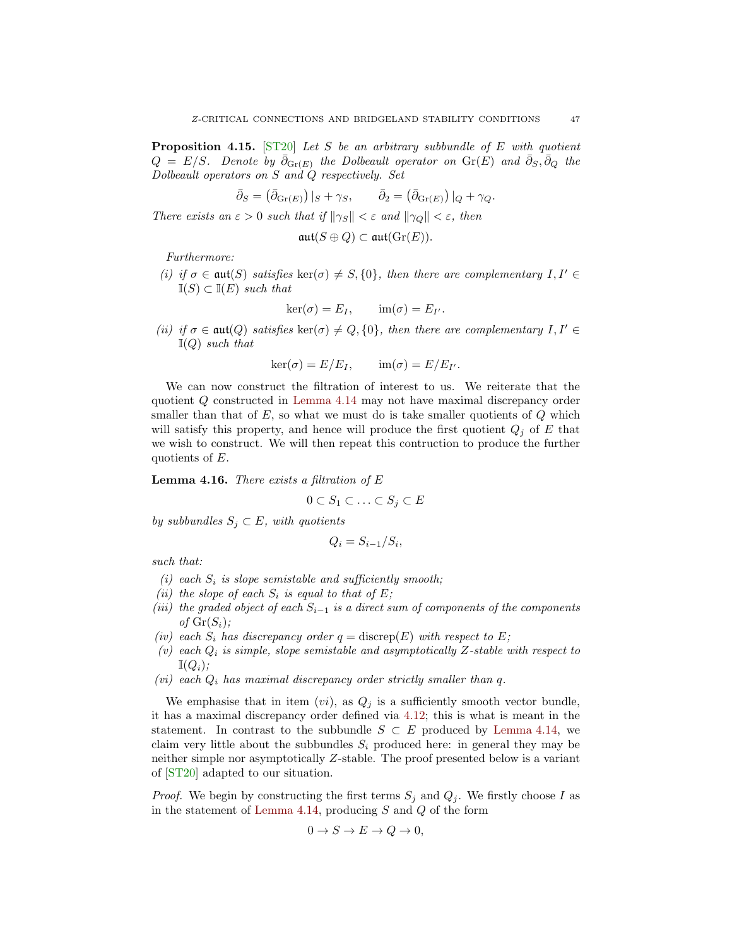<span id="page-46-1"></span>**Proposition 4.15.** [\[ST20\]](#page-69-8) Let S be an arbitrary subbundle of E with quotient  $Q = E/S$ . Denote by  $\bar{\partial}_{\text{Gr}(E)}$  the Dolbeault operator on  $\text{Gr}(E)$  and  $\bar{\partial}_S, \bar{\partial}_Q$  the Dolbeault operators on S and Q respectively. Set

$$
\bar{\partial}_S = (\bar{\partial}_{\text{Gr}(E)}) |_{S} + \gamma_S, \qquad \bar{\partial}_2 = (\bar{\partial}_{\text{Gr}(E)}) |_{Q} + \gamma_Q.
$$

There exists an  $\varepsilon > 0$  such that if  $\|\gamma_S\| < \varepsilon$  and  $\|\gamma_Q\| < \varepsilon$ , then

$$
\mathfrak{aut}(S\oplus Q)\subset \mathfrak{aut}(\mathrm{Gr}(E)).
$$

Furthermore:

(i) if  $\sigma \in \mathfrak{aut}(S)$  satisfies ker( $\sigma$ )  $\neq S$ , {0}, then there are complementary I, I'  $\mathbb{I}(S) \subset \mathbb{I}(E)$  such that

$$
\ker(\sigma) = E_I, \qquad \mathrm{im}(\sigma) = E_{I'}.
$$

(ii) if  $\sigma \in \text{aut}(Q)$  satisfies ker( $\sigma$ )  $\neq Q$ , {0}, then there are complementary  $I, I' \in$  $\mathbb{I}(Q)$  such that

$$
\ker(\sigma) = E/E_I, \qquad \text{im}(\sigma) = E/E_{I'}.
$$

We can now construct the filtration of interest to us. We reiterate that the quotient Q constructed in [Lemma 4.14](#page-43-0) may not have maximal discrepancy order smaller than that of  $E$ , so what we must do is take smaller quotients of  $Q$  which will satisfy this property, and hence will produce the first quotient  $Q_j$  of E that we wish to construct. We will then repeat this contruction to produce the further quotients of E.

<span id="page-46-0"></span>**Lemma 4.16.** There exists a filtration of  $E$ 

$$
0 \subset S_1 \subset \ldots \subset S_j \subset E
$$

by subbundles  $S_j \subset E$ , with quotients

$$
Q_i = S_{i-1}/S_i,
$$

such that:

- (i) each  $S_i$  is slope semistable and sufficiently smooth;
- (ii) the slope of each  $S_i$  is equal to that of E;
- (iii) the graded object of each  $S_{i-1}$  is a direct sum of components of the components of  $Gr(S_i)$ ;
- (iv) each  $S_i$  has discrepancy order  $q = \text{discrep}(E)$  with respect to E;
- (v) each  $Q_i$  is simple, slope semistable and asymptotically Z-stable with respect to  $\mathbb{I}(Q_i)$ ;
- (*vi*) each  $Q_i$  has maximal discrepancy order strictly smaller than q.

We emphasise that in item  $(vi)$ , as  $Q_j$  is a sufficiently smooth vector bundle, it has a maximal discrepancy order defined via [4.12;](#page-43-1) this is what is meant in the statement. In contrast to the subbundle  $S \subset E$  produced by [Lemma 4.14,](#page-43-0) we claim very little about the subbundles  $S_i$  produced here: in general they may be neither simple nor asymptotically Z-stable. The proof presented below is a variant of [\[ST20\]](#page-69-8) adapted to our situation.

*Proof.* We begin by constructing the first terms  $S_j$  and  $Q_j$ . We firstly choose I as in the statement of [Lemma 4.14,](#page-43-0) producing  $S$  and  $Q$  of the form

$$
0 \to S \to E \to Q \to 0,
$$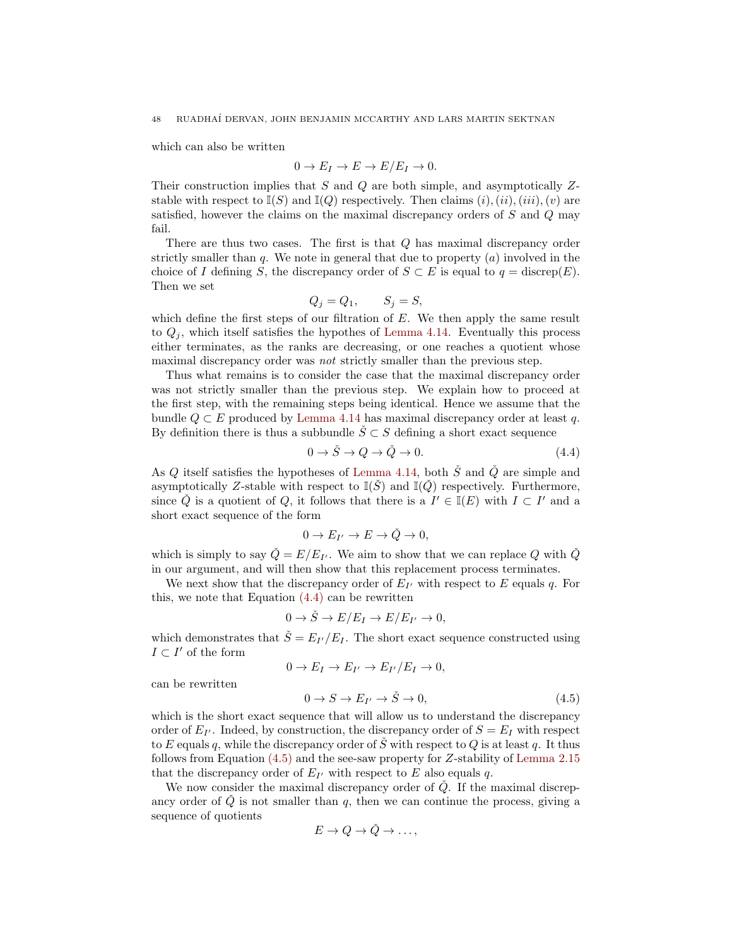which can also be written

$$
0 \to E_I \to E \to E/E_I \to 0.
$$

Their construction implies that  $S$  and  $Q$  are both simple, and asymptotically  $Z$ stable with respect to  $\mathbb{I}(S)$  and  $\mathbb{I}(Q)$  respectively. Then claims  $(i), (ii), (iii), (v)$  are satisfied, however the claims on the maximal discrepancy orders of S and Q may fail.

There are thus two cases. The first is that  $Q$  has maximal discrepancy order strictly smaller than  $q$ . We note in general that due to property  $(a)$  involved in the choice of I defining S, the discrepancy order of  $S \subset E$  is equal to  $q = \text{discrep}(E)$ . Then we set

$$
Q_j = Q_1, \qquad S_j = S,
$$

which define the first steps of our filtration of  $E$ . We then apply the same result to  $Q_i$ , which itself satisfies the hypothes of [Lemma 4.14.](#page-43-0) Eventually this process either terminates, as the ranks are decreasing, or one reaches a quotient whose maximal discrepancy order was *not* strictly smaller than the previous step.

Thus what remains is to consider the case that the maximal discrepancy order was not strictly smaller than the previous step. We explain how to proceed at the first step, with the remaining steps being identical. Hence we assume that the bundle  $Q \subset E$  produced by [Lemma 4.14](#page-43-0) has maximal discrepancy order at least q. By definition there is thus a subbundle  $\check{S} \subset S$  defining a short exact sequence

<span id="page-47-0"></span>
$$
0 \to \check{S} \to Q \to \check{Q} \to 0. \tag{4.4}
$$

As Q itself satisfies the hypotheses of [Lemma 4.14,](#page-43-0) both  $\check{S}$  and  $\check{Q}$  are simple and asymptotically Z-stable with respect to  $\mathbb{I}(\check{S})$  and  $\mathbb{I}(\check{Q})$  respectively. Furthermore, since  $\check{Q}$  is a quotient of  $Q$ , it follows that there is a  $I' \in \mathbb{I}(E)$  with  $I \subset I'$  and a short exact sequence of the form

$$
0 \to E_{I'} \to E \to \check{Q} \to 0,
$$

which is simply to say  $\check{Q} = E/E_{I'}$ . We aim to show that we can replace Q with  $\check{Q}$ in our argument, and will then show that this replacement process terminates.

We next show that the discrepancy order of  $E_{I'}$  with respect to E equals q. For this, we note that Equation [\(4.4\)](#page-47-0) can be rewritten

$$
0 \to \check{S} \to E/E_I \to E/E_{I'} \to 0,
$$

which demonstrates that  $\check{S} = E_{I'}/E_{I}$ . The short exact sequence constructed using  $I \subset I'$  of the form

$$
0 \to E_I \to E_{I'} \to E_{I'}/E_I \to 0,
$$

can be rewritten

<span id="page-47-1"></span>
$$
0 \to S \to E_{I'} \to \check{S} \to 0, \tag{4.5}
$$

which is the short exact sequence that will allow us to understand the discrepancy order of  $E_{I'}$ . Indeed, by construction, the discrepancy order of  $S = E_I$  with respect to E equals q, while the discrepancy order of  $\check{S}$  with respect to Q is at least q. It thus follows from Equation [\(4.5\)](#page-47-1) and the see-saw property for Z-stability of [Lemma 2.15](#page-11-1) that the discrepancy order of  $E_{I'}$  with respect to E also equals q.

We now consider the maximal discrepancy order of  $\check{Q}$ . If the maximal discrepancy order of  $\check{Q}$  is not smaller than q, then we can continue the process, giving a sequence of quotients

$$
E \to Q \to \check{Q} \to \ldots,
$$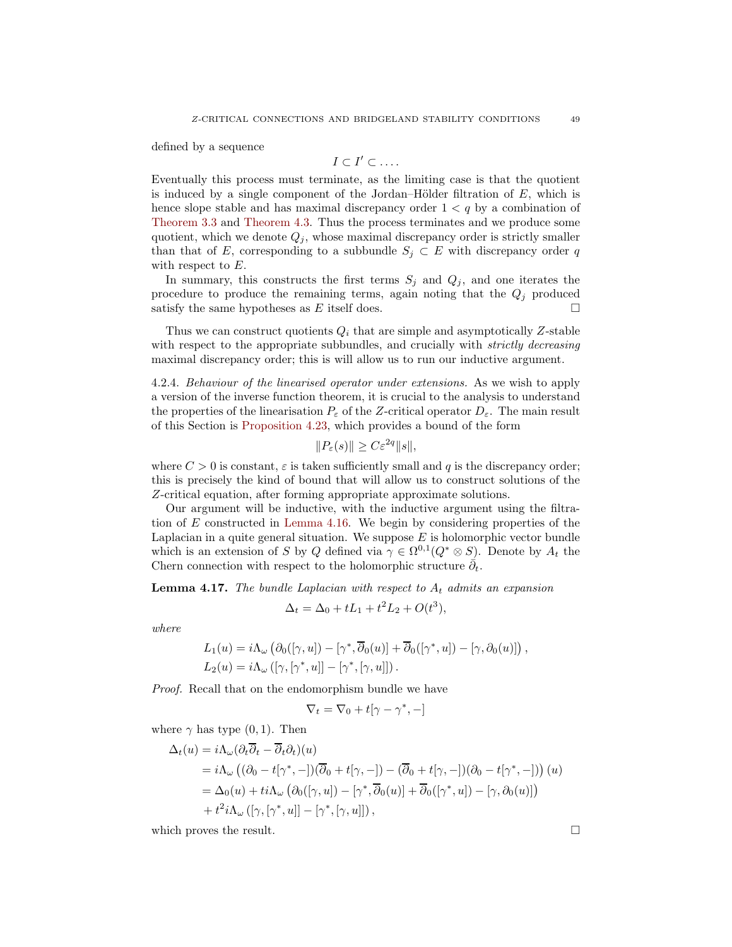defined by a sequence

$$
I\subset I'\subset\ldots.
$$

Eventually this process must terminate, as the limiting case is that the quotient is induced by a single component of the Jordan–Hölder filtration of  $E$ , which is hence slope stable and has maximal discrepancy order  $1 < q$  by a combination of [Theorem 3.3](#page-32-1) and [Theorem 4.3.](#page-36-4) Thus the process terminates and we produce some quotient, which we denote  $Q_j$ , whose maximal discrepancy order is strictly smaller than that of E, corresponding to a subbundle  $S_j \subset E$  with discrepancy order q with respect to E.

In summary, this constructs the first terms  $S_j$  and  $Q_j$ , and one iterates the procedure to produce the remaining terms, again noting that the  $Q_j$  produced satisfy the same hypotheses as E itself does.  $\square$ 

Thus we can construct quotients  $Q_i$  that are simple and asymptotically Z-stable with respect to the appropriate subbundles, and crucially with *strictly decreasing* maximal discrepancy order; this is will allow us to run our inductive argument.

4.2.4. Behaviour of the linearised operator under extensions. As we wish to apply a version of the inverse function theorem, it is crucial to the analysis to understand the properties of the linearisation  $P_{\varepsilon}$  of the Z-critical operator  $D_{\varepsilon}$ . The main result of this Section is [Proposition 4.23,](#page-53-0) which provides a bound of the form

$$
||P_{\varepsilon}(s)|| \ge C\varepsilon^{2q}||s||,
$$

where  $C > 0$  is constant,  $\varepsilon$  is taken sufficiently small and q is the discrepancy order; this is precisely the kind of bound that will allow us to construct solutions of the Z-critical equation, after forming appropriate approximate solutions.

Our argument will be inductive, with the inductive argument using the filtration of E constructed in [Lemma 4.16.](#page-46-0) We begin by considering properties of the Laplacian in a quite general situation. We suppose  $E$  is holomorphic vector bundle which is an extension of S by Q defined via  $\gamma \in \Omega^{0,1}(Q^* \otimes S)$ . Denote by  $A_t$  the Chern connection with respect to the holomorphic structure  $\bar{\partial}_t$ .

<span id="page-48-0"></span>**Lemma 4.17.** The bundle Laplacian with respect to  $A_t$  admits an expansion

$$
\Delta_t = \Delta_0 + tL_1 + t^2L_2 + O(t^3),
$$

where

$$
L_1(u) = i\Lambda_{\omega} \left( \partial_0([\gamma, u]) - [\gamma^*, \overline{\partial}_0(u)] + \overline{\partial}_0([\gamma^*, u]) - [\gamma, \partial_0(u)] \right),
$$
  
\n
$$
L_2(u) = i\Lambda_{\omega} ([\gamma, [\gamma^*, u]] - [\gamma^*, [\gamma, u]]).
$$

Proof. Recall that on the endomorphism bundle we have

$$
\nabla_t = \nabla_0 + t[\gamma - \gamma^*, -]
$$

where  $\gamma$  has type  $(0, 1)$ . Then

$$
\Delta_t(u) = i\Lambda_\omega(\partial_t \overline{\partial}_t - \overline{\partial}_t \partial_t)(u)
$$
  
=  $i\Lambda_\omega((\partial_0 - t[\gamma^*, -])(\overline{\partial}_0 + t[\gamma, -]) - (\overline{\partial}_0 + t[\gamma, -])(\partial_0 - t[\gamma^*, -]))(u)$   
=  $\Delta_0(u) + ti\Lambda_\omega(\partial_0([\gamma, u]) - [\gamma^*, \overline{\partial}_0(u)] + \overline{\partial}_0([\gamma^*, u]) - [\gamma, \partial_0(u)])$   
+  $t^2i\Lambda_\omega([\gamma, [\gamma^*, u]] - [\gamma^*, [\gamma, u]]),$ 

<span id="page-48-1"></span>which proves the result.  $\square$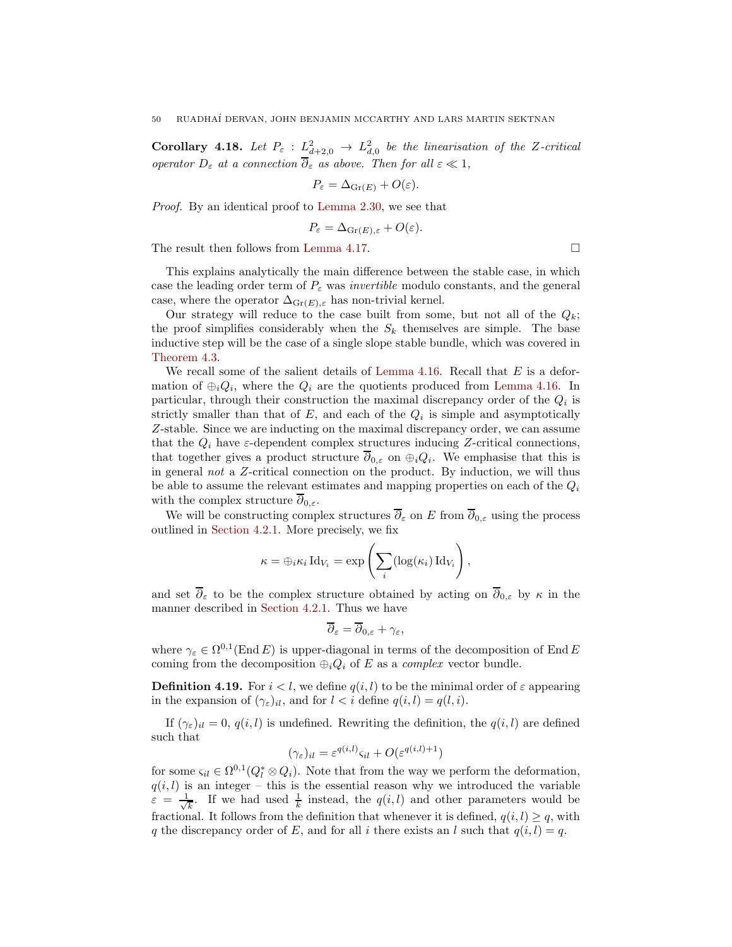**Corollary 4.18.** Let  $P_{\varepsilon}$  :  $L^2_{d+2,0}$   $\rightarrow$   $L^2_{d,0}$  be the linearisation of the Z-critical operator  $D_{\varepsilon}$  at a connection  $\overline{\partial}_{\varepsilon}$  as above. Then for all  $\varepsilon \ll 1$ ,

$$
P_{\varepsilon} = \Delta_{\mathrm{Gr}(E)} + O(\varepsilon).
$$

Proof. By an identical proof to [Lemma 2.30,](#page-19-0) we see that

$$
P_{\varepsilon} = \Delta_{\mathrm{Gr}(E), \varepsilon} + O(\varepsilon).
$$

The result then follows from [Lemma 4.17.](#page-48-0)

This explains analytically the main difference between the stable case, in which case the leading order term of  $P_{\varepsilon}$  was *invertible* modulo constants, and the general case, where the operator  $\Delta_{\mathrm{Gr}(E),\varepsilon}$  has non-trivial kernel.

Our strategy will reduce to the case built from some, but not all of the  $Q_k$ ; the proof simplifies considerably when the  $S_k$  themselves are simple. The base inductive step will be the case of a single slope stable bundle, which was covered in [Theorem 4.3.](#page-36-4)

We recall some of the salient details of [Lemma 4.16.](#page-46-0) Recall that  $E$  is a deformation of  $\bigoplus_i Q_i$ , where the  $Q_i$  are the quotients produced from [Lemma 4.16.](#page-46-0) In particular, through their construction the maximal discrepancy order of the  $Q_i$  is strictly smaller than that of  $E$ , and each of the  $Q_i$  is simple and asymptotically Z-stable. Since we are inducting on the maximal discrepancy order, we can assume that the  $Q_i$  have  $\varepsilon$ -dependent complex structures inducing Z-critical connections, that together gives a product structure  $\partial_{0,\varepsilon}$  on  $\bigoplus_i Q_i$ . We emphasise that this is in general not a Z-critical connection on the product. By induction, we will thus be able to assume the relevant estimates and mapping properties on each of the  $Q_i$ with the complex structure  $\overline{\partial}_{0,\varepsilon}$ .

We will be constructing complex structures  $\overline{\partial}_{\varepsilon}$  on E from  $\overline{\partial}_{0,\varepsilon}$  using the process outlined in [Section 4.2.1.](#page-38-1) More precisely, we fix

$$
\kappa = \bigoplus_i \kappa_i \operatorname{Id}_{V_i} = \exp \left( \sum_i (\log(\kappa_i) \operatorname{Id}_{V_i}) \right),
$$

and set  $\overline{\partial}_{\varepsilon}$  to be the complex structure obtained by acting on  $\overline{\partial}_{0,\varepsilon}$  by  $\kappa$  in the manner described in [Section 4.2.1.](#page-38-1) Thus we have

$$
\overline{\partial}_{\varepsilon} = \overline{\partial}_{0,\varepsilon} + \gamma_{\varepsilon},
$$

where  $\gamma_{\varepsilon} \in \Omega^{0,1}(\text{End } E)$  is upper-diagonal in terms of the decomposition of End E coming from the decomposition  $\bigoplus_i Q_i$  of E as a *complex* vector bundle.

**Definition 4.19.** For  $i < l$ , we define  $q(i, l)$  to be the minimal order of  $\varepsilon$  appearing in the expansion of  $(\gamma_{\varepsilon})_{il}$ , and for  $l < i$  define  $q(i, l) = q(l, i)$ .

If  $(\gamma_{\varepsilon})_{il} = 0$ ,  $q(i, l)$  is undefined. Rewriting the definition, the  $q(i, l)$  are defined such that

$$
(\gamma_{\varepsilon})_{il} = \varepsilon^{q(i,l)} \varsigma_{il} + O(\varepsilon^{q(i,l)+1})
$$

for some  $\varsigma_{il} \in \Omega^{0,1}(Q_l^* \otimes Q_i)$ . Note that from the way we perform the deformation,  $q(i, l)$  is an integer – this is the essential reason why we introduced the variable  $\varepsilon = \frac{1}{\sqrt{2}}$  $\frac{1}{k}$ . If we had used  $\frac{1}{k}$  instead, the  $q(i, l)$  and other parameters would be fractional. It follows from the definition that whenever it is defined,  $q(i, l) \geq q$ , with q the discrepancy order of E, and for all i there exists an l such that  $q(i, l) = q$ .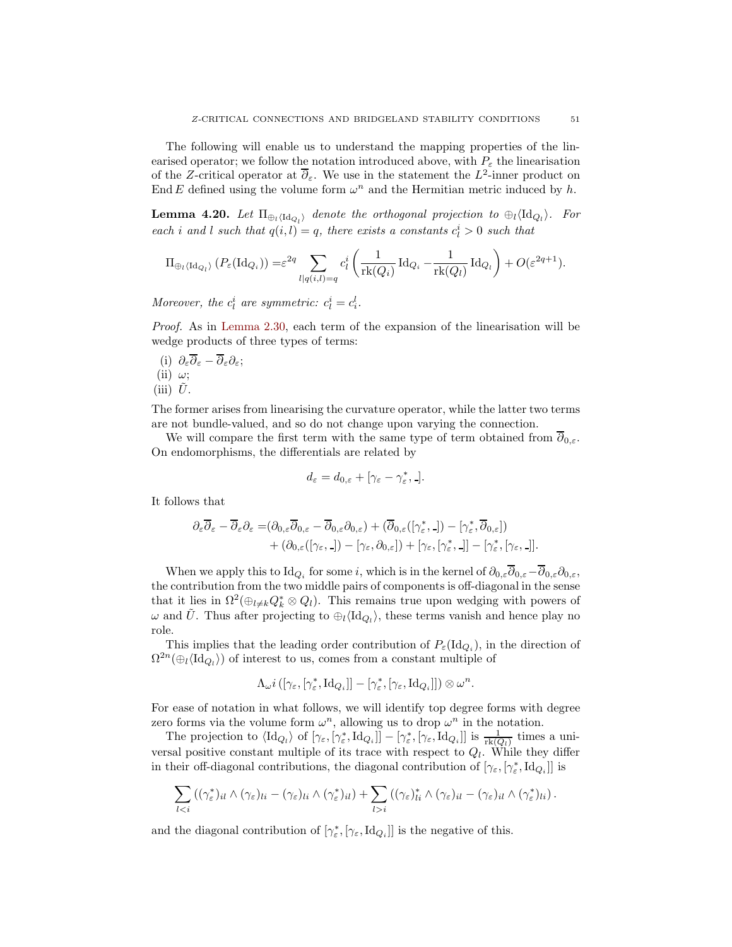The following will enable us to understand the mapping properties of the linearised operator; we follow the notation introduced above, with  $P_{\varepsilon}$  the linearisation of the Z-critical operator at  $\overline{\partial}_{\varepsilon}$ . We use in the statement the  $L^2$ -inner product on End E defined using the volume form  $\omega^n$  and the Hermitian metric induced by h.

<span id="page-50-0"></span>**Lemma 4.20.** Let  $\Pi_{\oplus_l\langle \mathrm{Id}_{Q_l}\rangle}$  denote the orthogonal projection to  $\oplus_l\langle \mathrm{Id}_{Q_l}\rangle$ . For each i and l such that  $q(i, l) = q$ , there exists a constants  $c_l^i > 0$  such that

$$
\Pi_{\oplus_l \langle \mathrm{Id}_{Q_l} \rangle} (P_{\varepsilon}(\mathrm{Id}_{Q_i})) = \varepsilon^{2q} \sum_{l \mid q(i,l)=q} c_l^i \left( \frac{1}{\mathrm{rk}(Q_i)} \mathrm{Id}_{Q_i} - \frac{1}{\mathrm{rk}(Q_l)} \mathrm{Id}_{Q_l} \right) + O(\varepsilon^{2q+1}).
$$

Moreover, the  $c_l^i$  are symmetric:  $c_l^i = c_l^l$ .

Proof. As in [Lemma 2.30,](#page-19-0) each term of the expansion of the linearisation will be wedge products of three types of terms:

(i)  $\partial_{\varepsilon}\overline{\partial}_{\varepsilon} - \overline{\partial}_{\varepsilon}\partial_{\varepsilon};$ (ii)  $\omega$ ; (iii)  $\tilde{U}$ .

The former arises from linearising the curvature operator, while the latter two terms are not bundle-valued, and so do not change upon varying the connection.

We will compare the first term with the same type of term obtained from  $\partial_{0,\varepsilon}$ . On endomorphisms, the differentials are related by

$$
d_{\varepsilon}=d_{0,\varepsilon}+[\gamma_{\varepsilon}-\gamma_{\varepsilon}^*,-].
$$

It follows that

$$
\begin{split} \partial_\varepsilon \overline{\partial}_\varepsilon - \overline{\partial}_\varepsilon \partial_\varepsilon = & (\partial_{0,\varepsilon} \overline{\partial}_{0,\varepsilon} - \overline{\partial}_{0,\varepsilon} \partial_{0,\varepsilon}) + (\overline{\partial}_{0,\varepsilon}([\gamma^*_{\varepsilon},\_]) - [\gamma^*_{\varepsilon}, \overline{\partial}_{0,\varepsilon}]) \\ & + (\partial_{0,\varepsilon}([\gamma_{\varepsilon},\_]) - [\gamma_{\varepsilon}, \partial_{0,\varepsilon}]) + [\gamma_{\varepsilon}, [\gamma^*_{\varepsilon},\_]] - [\gamma^*_{\varepsilon}, [\gamma_{\varepsilon},\_]]. \end{split}
$$

When we apply this to  $\mathrm{Id}_{Q_i}$  for some i, which is in the kernel of  $\partial_{0,\varepsilon}\partial_{0,\varepsilon}-\partial_{0,\varepsilon}\partial_{0,\varepsilon}$ , the contribution from the two middle pairs of components is off-diagonal in the sense that it lies in  $\Omega^2(\oplus_{l\neq k}Q^*_k\otimes Q_l)$ . This remains true upon wedging with powers of  $\omega$  and  $\tilde{U}$ . Thus after projecting to  $\oplus_l \langle \mathrm{Id}_{Q_l} \rangle$ , these terms vanish and hence play no role.

This implies that the leading order contribution of  $P_{\varepsilon}(\mathrm{Id}_{Q_i})$ , in the direction of  $\Omega^{2n}(\oplus_{l} \langle \mathrm{Id}_{Q_{l}} \rangle)$  of interest to us, comes from a constant multiple of

$$
\Lambda_{\omega}i\left([\gamma_{\varepsilon},[\gamma_{\varepsilon}^*,\mathrm{Id}_{Q_i}]\right]-[\gamma_{\varepsilon}^*,[\gamma_{\varepsilon},\mathrm{Id}_{Q_i}]]\right)\otimes\omega^n.
$$

For ease of notation in what follows, we will identify top degree forms with degree zero forms via the volume form  $\omega^n$ , allowing us to drop  $\omega^n$  in the notation.

The projection to  $\langle \mathrm{Id}_{Q_l} \rangle$  of  $[\gamma_{\varepsilon}, [\gamma_{\varepsilon}^*, \mathrm{Id}_{Q_i}]] - [\gamma_{\varepsilon}^*, [\gamma_{\varepsilon}, \mathrm{Id}_{Q_i}]]$  is  $\frac{1}{\mathrm{rk}(Q_l)}$  times a universal positive constant multiple of its trace with respect to  $Q_l$ . While they differ in their off-diagonal contributions, the diagonal contribution of  $[\gamma_{\varepsilon}, [\gamma_{\varepsilon}^*, \text{Id}_{Q_i}]]$  is

$$
\sum_{l < i} \left( (\gamma_{\varepsilon}^*)_{il} \wedge (\gamma_{\varepsilon})_{li} - (\gamma_{\varepsilon})_{li} \wedge (\gamma_{\varepsilon}^*)_{il} \right) + \sum_{l > i} \left( (\gamma_{\varepsilon})_{li}^* \wedge (\gamma_{\varepsilon})_{il} - (\gamma_{\varepsilon})_{il} \wedge (\gamma_{\varepsilon}^*)_{li} \right).
$$

and the diagonal contribution of  $[\gamma_{\varepsilon}^*, [\gamma_{\varepsilon}, \text{Id}_{Q_i}]]$  is the negative of this.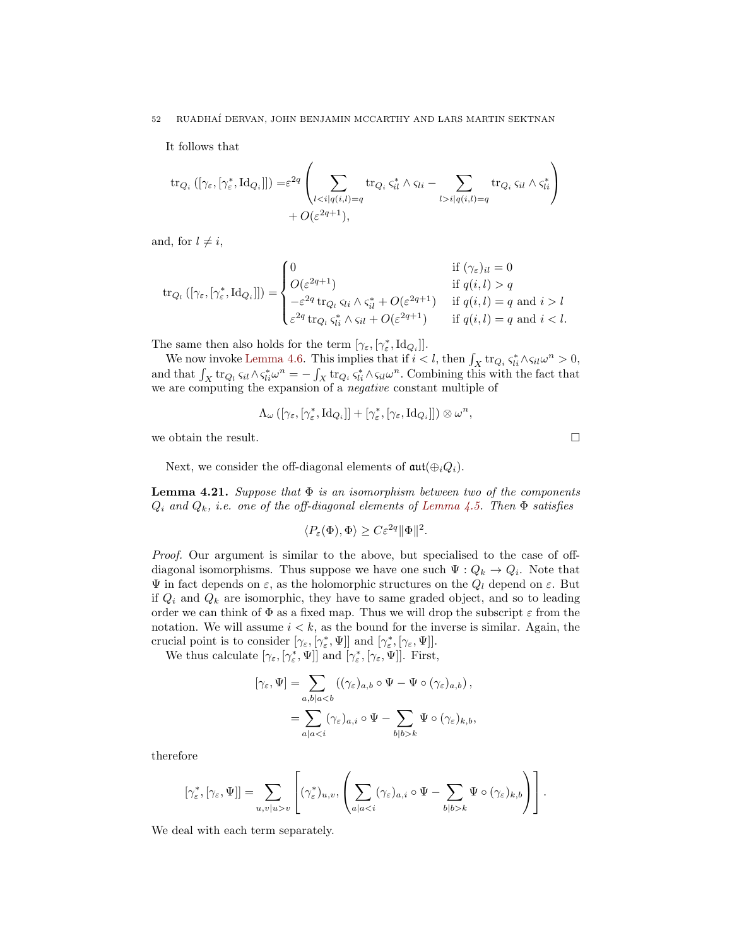It follows that

$$
\text{tr}_{Q_i}([\gamma_{\varepsilon}, [\gamma_{\varepsilon}^*, \text{Id}_{Q_i}]]) = \varepsilon^{2q} \left( \sum_{l < i | q(i,l) = q} \text{tr}_{Q_i} \varsigma_{il}^* \wedge \varsigma_{li} - \sum_{l > i | q(i,l) = q} \text{tr}_{Q_i} \varsigma_{il} \wedge \varsigma_{li}^* \right) \\
+ O(\varepsilon^{2q+1}),
$$

and, for  $l \neq i$ ,

$$
\text{tr}_{Q_l}([\gamma_{\varepsilon},[\gamma_{\varepsilon}^*,\text{Id}_{Q_i}]]) = \begin{cases} 0 & \text{if } (\gamma_{\varepsilon})_{il} = 0 \\ O(\varepsilon^{2q+1}) & \text{if } q(i,l) > q \\ -\varepsilon^{2q} \text{tr}_{Q_l} \, \varsigma_{li} \wedge \varsigma_{il}^* + O(\varepsilon^{2q+1}) & \text{if } q(i,l) = q \text{ and } i > l \\ \varepsilon^{2q} \text{tr}_{Q_l} \, \varsigma_{li}^* \wedge \varsigma_{il} + O(\varepsilon^{2q+1}) & \text{if } q(i,l) = q \text{ and } i < l. \end{cases}
$$

The same then also holds for the term  $[\gamma_{\varepsilon}, [\gamma_{\varepsilon}^*, \mathrm{Id}_{Q_i}]].$ 

We now invoke [Lemma 4.6.](#page-40-0) This implies that if  $i < l$ , then  $\int_X tr_{Q_i} \zeta_{li}^* \wedge \zeta_{il} \omega^n > 0$ , and that  $\int_X tr_{Q_l} \zeta_{il} \wedge \zeta_{li}^* \omega^n = -\int_X tr_{Q_i} \zeta_{il}^* \wedge \zeta_{il} \omega^n$ . Combining this with the fact that we are computing the expansion of a negative constant multiple of

$$
\Lambda_{\omega}\left([\gamma_{\varepsilon},[\gamma_{\varepsilon}^*,\mathrm{Id}_{Q_i}]]+[\gamma_{\varepsilon}^*,[\gamma_{\varepsilon},\mathrm{Id}_{Q_i}]]\right)\otimes \omega^n,
$$

we obtain the result.  $\Box$ 

<span id="page-51-0"></span>Next, we consider the off-diagonal elements of  $\mathfrak{aut}(\oplus_iQ_i)$ .

**Lemma 4.21.** Suppose that  $\Phi$  is an isomorphism between two of the components  $Q_i$  and  $Q_k$ , i.e. one of the off-diagonal elements of [Lemma 4.5.](#page-39-0) Then  $\Phi$  satisfies

$$
\langle P_{\varepsilon}(\Phi), \Phi \rangle \ge C \varepsilon^{2q} ||\Phi||^2.
$$

Proof. Our argument is similar to the above, but specialised to the case of offdiagonal isomorphisms. Thus suppose we have one such  $\Psi: Q_k \to Q_i$ . Note that  $\Psi$  in fact depends on ε, as the holomorphic structures on the  $Q_l$  depend on ε. But if  $Q_i$  and  $Q_k$  are isomorphic, they have to same graded object, and so to leading order we can think of  $\Phi$  as a fixed map. Thus we will drop the subscript  $\varepsilon$  from the notation. We will assume  $i < k$ , as the bound for the inverse is similar. Again, the crucial point is to consider  $[\gamma_{\varepsilon}, [\gamma_{\varepsilon}^*, \Psi]]$  and  $[\gamma_{\varepsilon}^*, [\gamma_{\varepsilon}, \Psi]]$ .

We thus calculate  $[\gamma_{\varepsilon}, [\gamma_{\varepsilon}^*, \Psi]]$  and  $[\gamma_{\varepsilon}^*, [\gamma_{\varepsilon}, \Psi]]$ . First,

$$
[\gamma_{\varepsilon}, \Psi] = \sum_{a,b|a  
= 
$$
\sum_{a|ak} \Psi \circ (\gamma_{\varepsilon})_{k,b},
$$
$$

therefore

$$
[\gamma_{\varepsilon}^*,[\gamma_{\varepsilon},\Psi]] = \sum_{u,v|u>v} \left[ (\gamma_{\varepsilon}^*)_{u,v}, \left( \sum_{a|ak} \Psi \circ (\gamma_{\varepsilon})_{k,b} \right) \right].
$$

We deal with each term separately.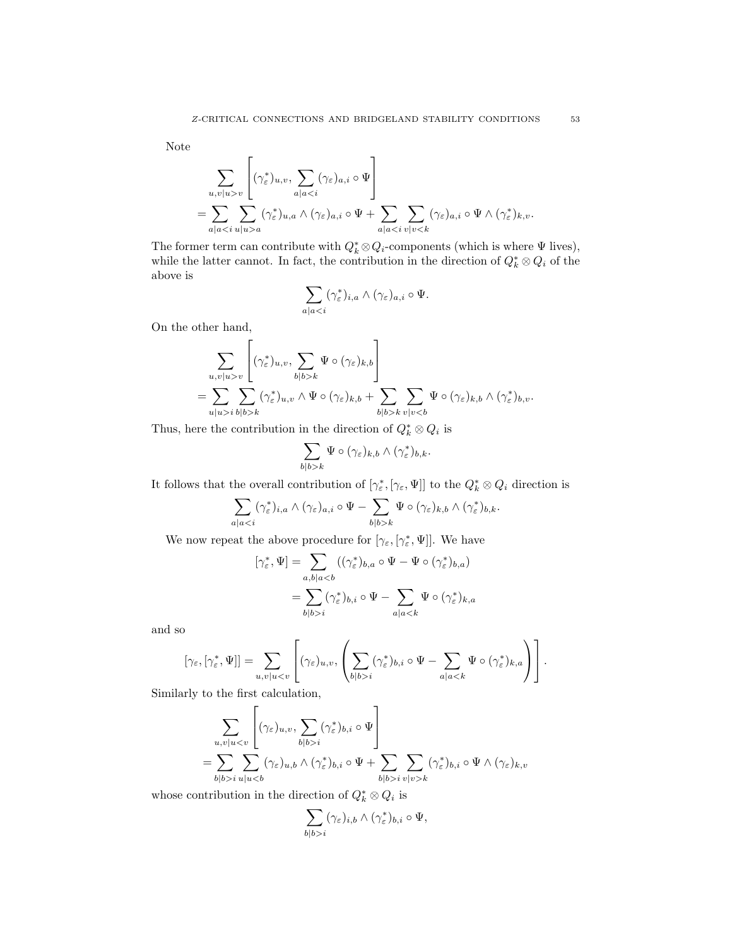Note

$$
\sum_{u,v|u>v} \left[ (\gamma_{\varepsilon}^*)_{u,v}, \sum_{a|a  
= 
$$
\sum_{a|aa} (\gamma_{\varepsilon}^*)_{u,a} \wedge (\gamma_{\varepsilon})_{a,i} \circ \Psi + \sum_{a|a
$$
$$

The former term can contribute with  $Q_k^* \otimes Q_i$ -components (which is where  $\Psi$  lives), while the latter cannot. In fact, the contribution in the direction of  $Q_k^* \otimes Q_i$  of the above is

$$
\sum_{a|a
$$

On the other hand,

$$
\sum_{u,v|u>v} \left[ (\gamma_{\varepsilon}^*)_{u,v}, \sum_{b|b>k} \Psi \circ (\gamma_{\varepsilon})_{k,b} \right]
$$
  
= 
$$
\sum_{u|u>i} \sum_{b|b>k} (\gamma_{\varepsilon}^*)_{u,v} \wedge \Psi \circ (\gamma_{\varepsilon})_{k,b} + \sum_{b|b>k} \sum_{v|v
$$

Thus, here the contribution in the direction of  $Q_k^* \otimes Q_i$  is

$$
\sum_{b|b>k}\Psi\circ(\gamma_{\varepsilon})_{k,b}\wedge(\gamma_{\varepsilon}^*)_{b,k}.
$$

It follows that the overall contribution of  $[\gamma_{\varepsilon}^*, [\gamma_{\varepsilon}, \Psi]]$  to the  $Q_k^* \otimes Q_i$  direction is

$$
\sum_{a|ak} \Psi \circ (\gamma_{\varepsilon})_{k,b} \wedge (\gamma_{\varepsilon}^*)_{b,k}.
$$

We now repeat the above procedure for  $[\gamma_{\varepsilon}, [\gamma_{\varepsilon}^*, \Psi]]$ . We have

$$
[\gamma_{\varepsilon}^*, \Psi] = \sum_{a, b \mid a < b} ((\gamma_{\varepsilon}^*)_{b,a} \circ \Psi - \Psi \circ (\gamma_{\varepsilon}^*)_{b,a})
$$

$$
= \sum_{b \mid b > i} (\gamma_{\varepsilon}^*)_{b,i} \circ \Psi - \sum_{a \mid a < k} \Psi \circ (\gamma_{\varepsilon}^*)_{k,a}
$$

and so

$$
[\gamma_{\varepsilon},[\gamma_{\varepsilon}^*,\Psi]]=\sum_{u,v|ui}(\gamma_{\varepsilon}^*)_{b,i}\circ\Psi-\sum_{a|a
$$

Similarly to the first calculation,

$$
\sum_{u,v|ui} (\gamma_{\varepsilon}^{*})_{b,i} \circ \Psi \right]
$$
  
= 
$$
\sum_{b|b>i} \sum_{u|ui} \sum_{v|v>k} (\gamma_{\varepsilon}^{*})_{b,i} \circ \Psi \wedge (\gamma_{\varepsilon})_{k,v}
$$

whose contribution in the direction of  $Q_k^* \otimes Q_i$  is

$$
\sum_{b|b>i} (\gamma_{\varepsilon})_{i,b} \wedge (\gamma_{\varepsilon}^*)_{b,i} \circ \Psi,
$$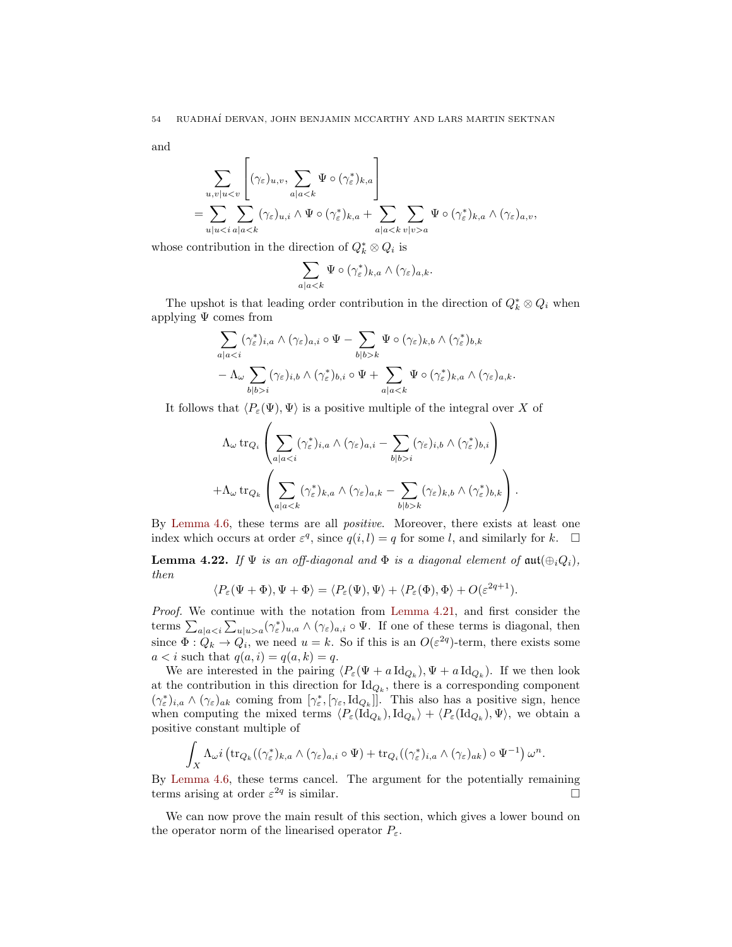and

$$
\sum_{u,v|u  
= 
$$
\sum_{u|ua}="" \wedge="" math="">
$$
$$

whose contribution in the direction of  $Q_k^* \otimes Q_i$  is

$$
\sum_{a|a
$$

The upshot is that leading order contribution in the direction of  $Q_k^* \otimes Q_i$  when applying  $\Psi$  comes from

$$
\sum_{a|ak} \Psi \circ (\gamma_{\varepsilon})_{k,b} \wedge (\gamma_{\varepsilon}^*)_{b,k} -\Lambda_{\omega} \sum_{b|b>i} (\gamma_{\varepsilon})_{i,b} \wedge (\gamma_{\varepsilon}^*)_{b,i} \circ \Psi + \sum_{a|a
$$

It follows that  $\langle P_{\varepsilon}(\Psi), \Psi \rangle$  is a positive multiple of the integral over X of

$$
\Lambda_{\omega} \operatorname{tr}_{Q_i} \left( \sum_{a|ai} (\gamma_{\varepsilon})_{i,b} \wedge (\gamma_{\varepsilon}^*)_{b,i} \right) \n+ \Lambda_{\omega} \operatorname{tr}_{Q_k} \left( \sum_{a|ak} (\gamma_{\varepsilon})_{k,b} \wedge (\gamma_{\varepsilon}^*)_{b,k} \right).
$$

By [Lemma 4.6,](#page-40-0) these terms are all positive. Moreover, there exists at least one index which occurs at order  $\varepsilon^q$ , since  $q(i, l) = q$  for some l, and similarly for k.  $\Box$ 

<span id="page-53-1"></span>**Lemma 4.22.** If  $\Psi$  is an off-diagonal and  $\Phi$  is a diagonal element of  $\text{aut}(\bigoplus_i Q_i)$ , then

$$
\langle P_{\varepsilon}(\Psi + \Phi), \Psi + \Phi \rangle = \langle P_{\varepsilon}(\Psi), \Psi \rangle + \langle P_{\varepsilon}(\Phi), \Phi \rangle + O(\varepsilon^{2q+1}).
$$

Proof. We continue with the notation from [Lemma 4.21,](#page-51-0) and first consider the terms  $\sum_{a|a \lt i} \sum_{u|u>a} (\gamma^*_{\varepsilon})_{u,a} \wedge (\gamma_{\varepsilon})_{a,i} \circ \Psi$ . If one of these terms is diagonal, then since  $\Phi: Q_k \to Q_i$ , we need  $u = k$ . So if this is an  $O(\varepsilon^{2q})$ -term, there exists some  $a < i$  such that  $q(a, i) = q(a, k) = q$ .

We are interested in the pairing  $\langle P_{\varepsilon}(\Psi + a \, \text{Id}_{Q_k}), \Psi + a \, \text{Id}_{Q_k} \rangle$ . If we then look at the contribution in this direction for  $\mathrm{Id}_{Q_k}$ , there is a corresponding component  $(\gamma_{\varepsilon}^*)_{i,a} \wedge (\gamma_{\varepsilon})_{ak}$  coming from  $[\gamma_{\varepsilon}^*, [\gamma_{\varepsilon}, \mathrm{Id}_{Q_k}]]$ . This also has a positive sign, hence when computing the mixed terms  $\langle P_{\varepsilon}(\mathrm{Id}_{Q_k}), \mathrm{Id}_{Q_k} \rangle + \langle P_{\varepsilon}(\mathrm{Id}_{Q_k}), \Psi \rangle$ , we obtain a positive constant multiple of

$$
\int_X \Lambda_\omega i \left( \operatorname{tr}_{Q_k}((\gamma^*_\varepsilon)_{k,a} \wedge (\gamma_\varepsilon)_{a,i} \circ \Psi) + \operatorname{tr}_{Q_i}((\gamma^*_\varepsilon)_{i,a} \wedge (\gamma_\varepsilon)_{ak}) \circ \Psi^{-1} \right) \omega^n.
$$

By [Lemma 4.6,](#page-40-0) these terms cancel. The argument for the potentially remaining terms arising at order  $\varepsilon^{2q}$  is similar.

<span id="page-53-0"></span>We can now prove the main result of this section, which gives a lower bound on the operator norm of the linearised operator  $P_{\varepsilon}$ .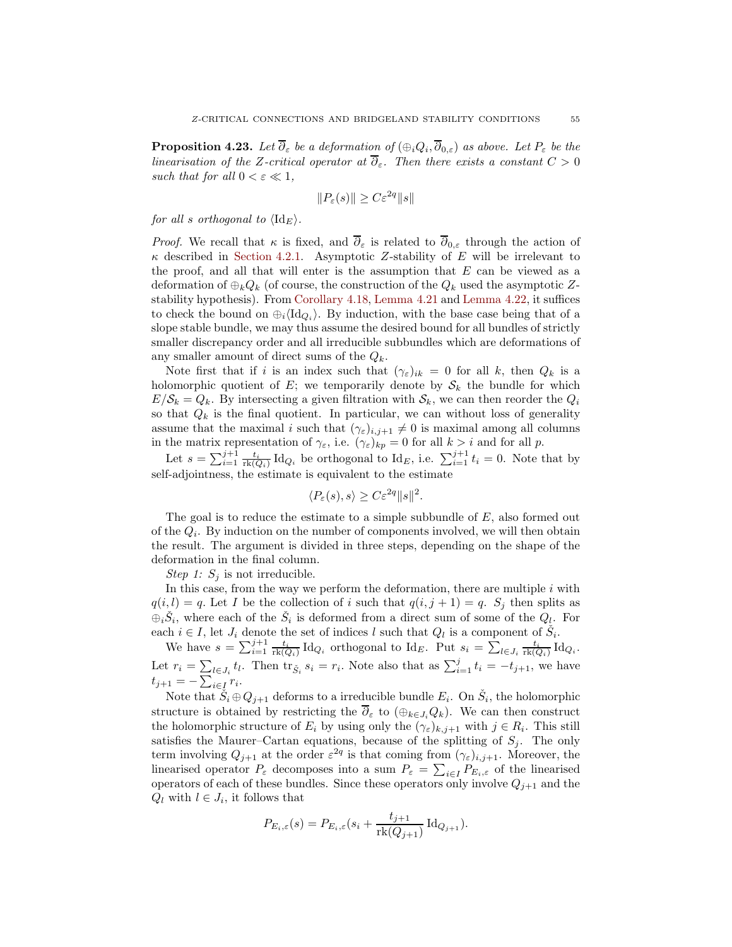**Proposition 4.23.** Let  $\partial_{\varepsilon}$  be a deformation of  $(\oplus_i Q_i, \partial_{0,\varepsilon})$  as above. Let  $P_{\varepsilon}$  be the linearisation of the Z-critical operator at  $\overline{\partial}_{\varepsilon}$ . Then there exists a constant  $C > 0$ such that for all  $0 < \varepsilon \ll 1$ ,

$$
||P_{\varepsilon}(s)|| \geq C \varepsilon^{2q} ||s||
$$

for all s orthogonal to  $\langle \mathrm{Id}_E \rangle$ .

*Proof.* We recall that  $\kappa$  is fixed, and  $\overline{\partial}_{\varepsilon}$  is related to  $\overline{\partial}_{0,\varepsilon}$  through the action of  $\kappa$  described in [Section 4.2.1.](#page-38-1) Asymptotic Z-stability of E will be irrelevant to the proof, and all that will enter is the assumption that  $E$  can be viewed as a deformation of  $\bigoplus_k Q_k$  (of course, the construction of the  $Q_k$  used the asymptotic Zstability hypothesis). From [Corollary 4.18,](#page-48-1) [Lemma 4.21](#page-51-0) and [Lemma 4.22,](#page-53-1) it suffices to check the bound on  $\oplus_i \langle \mathrm{Id}_{Q_i} \rangle$ . By induction, with the base case being that of a slope stable bundle, we may thus assume the desired bound for all bundles of strictly smaller discrepancy order and all irreducible subbundles which are deformations of any smaller amount of direct sums of the  $Q_k$ .

Note first that if i is an index such that  $(\gamma_{\varepsilon})_{ik} = 0$  for all k, then  $Q_k$  is a holomorphic quotient of E; we temporarily denote by  $S_k$  the bundle for which  $E/\mathcal{S}_k = Q_k$ . By intersecting a given filtration with  $\mathcal{S}_k$ , we can then reorder the  $Q_i$ so that  $Q_k$  is the final quotient. In particular, we can without loss of generality assume that the maximal i such that  $(\gamma_{\varepsilon})_{i,j+1} \neq 0$  is maximal among all columns in the matrix representation of  $\gamma_{\varepsilon}$ , i.e.  $(\gamma_{\varepsilon})_{kp} = 0$  for all  $k > i$  and for all p.

Let  $s = \sum_{i=1}^{j+1} \frac{t_i}{\text{rk}(Q_i)} \text{Id}_{Q_i}$  be orthogonal to  $\text{Id}_E$ , i.e.  $\sum_{i=1}^{j+1} t_i = 0$ . Note that by self-adjointness, the estimate is equivalent to the estimate

$$
\langle P_{\varepsilon}(s), s \rangle \ge C \varepsilon^{2q} ||s||^2.
$$

The goal is to reduce the estimate to a simple subbundle of E, also formed out of the  $Q_i$ . By induction on the number of components involved, we will then obtain the result. The argument is divided in three steps, depending on the shape of the deformation in the final column.

Step 1:  $S_i$  is not irreducible.

In this case, from the way we perform the deformation, there are multiple  $i$  with  $q(i, l) = q$ . Let I be the collection of i such that  $q(i, j + 1) = q$ .  $S_j$  then splits as  $\oplus_i \check{S}_i$ , where each of the  $\check{S}_i$  is deformed from a direct sum of some of the  $Q_i$ . For each  $i \in I$ , let  $J_i$  denote the set of indices l such that  $Q_l$  is a component of  $\check{S}_i$ .

We have  $s = \sum_{i=1}^{j+1} \frac{t_i}{\text{rk}(Q_i)} \text{Id}_{Q_i}$  orthogonal to  $\text{Id}_E$ . Put  $s_i = \sum_{l \in J_i} \frac{t_i}{\text{rk}(Q_i)} \text{Id}_{Q_i}$ . Let  $r_i = \sum_{l \in J_i} t_l$ . Then  $\text{tr}_{\tilde{S}_i} s_i = r_i$ . Note also that as  $\sum_{i=1}^j t_i = -t_{j+1}$ , we have  $t_{j+1} = -\sum_{i \in I} r_i$ .

Note that  $\check{S}_i \oplus Q_{j+1}$  deforms to a irreducible bundle  $E_i$ . On  $\check{S}_i$ , the holomorphic structure is obtained by restricting the  $\overline{\partial}_{\varepsilon}$  to  $(\bigoplus_{k\in J_i}Q_k)$ . We can then construct the holomorphic structure of  $E_i$  by using only the  $(\gamma_{\varepsilon})_{k,j+1}$  with  $j \in R_i$ . This still satisfies the Maurer–Cartan equations, because of the splitting of  $S_i$ . The only term involving  $Q_{j+1}$  at the order  $\varepsilon^{2q}$  is that coming from  $(\gamma_{\varepsilon})_{i,j+1}$ . Moreover, the linearised operator  $P_{\varepsilon}$  decomposes into a sum  $P_{\varepsilon} = \sum_{i \in I} P_{E_i, \varepsilon}$  of the linearised operators of each of these bundles. Since these operators only involve  $Q_{j+1}$  and the  $Q_l$  with  $l \in J_i$ , it follows that

$$
P_{E_i,\varepsilon}(s) = P_{E_i,\varepsilon}(s_i + \frac{t_{j+1}}{\mathrm{rk}(Q_{j+1})} \mathrm{Id}_{Q_{j+1}}).
$$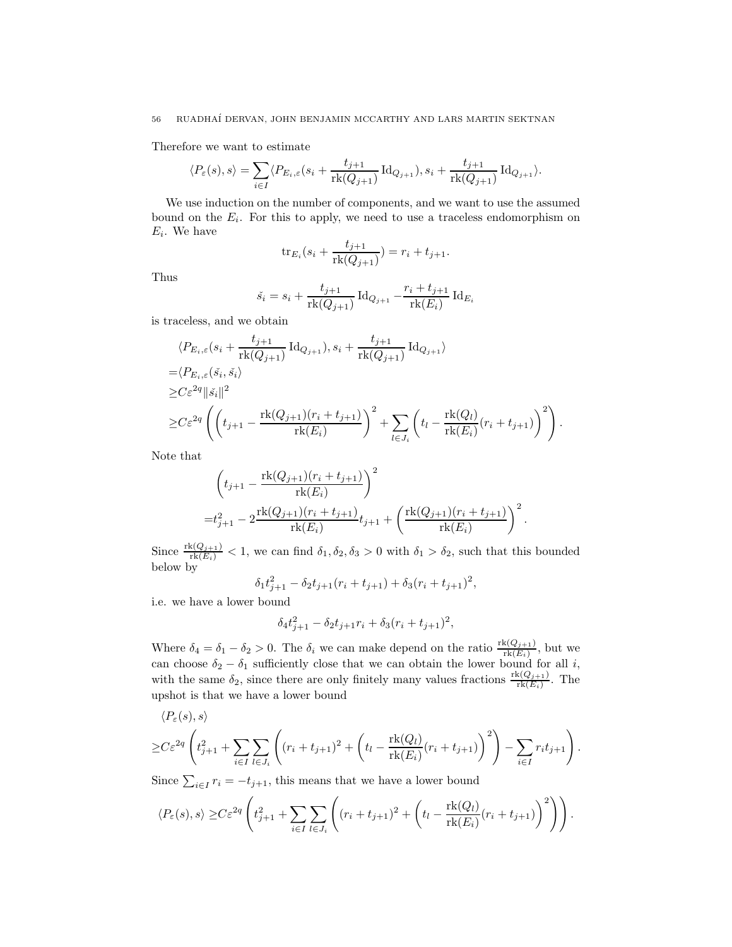Therefore we want to estimate

$$
\langle P_{\varepsilon}(s), s \rangle = \sum_{i \in I} \langle P_{E_i, \varepsilon}(s_i + \frac{t_{j+1}}{\mathrm{rk}(Q_{j+1})} \mathrm{Id}_{Q_{j+1}}), s_i + \frac{t_{j+1}}{\mathrm{rk}(Q_{j+1})} \mathrm{Id}_{Q_{j+1}} \rangle.
$$

We use induction on the number of components, and we want to use the assumed bound on the  $E_i$ . For this to apply, we need to use a traceless endomorphism on  $E_i$ . We have

$$
\text{tr}_{E_i}(s_i + \frac{t_{j+1}}{\text{rk}(Q_{j+1})}) = r_i + t_{j+1}.
$$

Thus

$$
\check{s}_i = s_i + \frac{t_{j+1}}{\mathrm{rk}(Q_{j+1})} \operatorname{Id}_{Q_{j+1}} - \frac{r_i + t_{j+1}}{\mathrm{rk}(E_i)} \operatorname{Id}_{E_i}
$$

is traceless, and we obtain

$$
\langle P_{E_i,\varepsilon}(s_i + \frac{t_{j+1}}{\mathrm{rk}(Q_{j+1})} \mathrm{Id}_{Q_{j+1}}), s_i + \frac{t_{j+1}}{\mathrm{rk}(Q_{j+1})} \mathrm{Id}_{Q_{j+1}} \rangle
$$
  
= $\langle P_{E_i,\varepsilon}(\check{s}_i, \check{s}_i) \rangle$   
 $\geq C\varepsilon^{2q} ||\check{s}_i||^2$   
 $\geq C\varepsilon^{2q} \left( \left( t_{j+1} - \frac{\mathrm{rk}(Q_{j+1})(r_i + t_{j+1})}{\mathrm{rk}(E_i)} \right)^2 + \sum_{l \in J_i} \left( t_l - \frac{\mathrm{rk}(Q_l)}{\mathrm{rk}(E_i)} (r_i + t_{j+1}) \right)^2 \right).$ 

Note that

$$
\left(t_{j+1} - \frac{\mathrm{rk}(Q_{j+1})(r_i + t_{j+1})}{\mathrm{rk}(E_i)}\right)^2
$$
  
=  $t_{j+1}^2 - 2\frac{\mathrm{rk}(Q_{j+1})(r_i + t_{j+1})}{\mathrm{rk}(E_i)}t_{j+1} + \left(\frac{\mathrm{rk}(Q_{j+1})(r_i + t_{j+1})}{\mathrm{rk}(E_i)}\right)^2$ .

Since  $\frac{\text{rk}(Q_{j+1})}{\text{rk}(E_i)} < 1$ , we can find  $\delta_1, \delta_2, \delta_3 > 0$  with  $\delta_1 > \delta_2$ , such that this bounded below by

$$
\delta_1 t_{j+1}^2 - \delta_2 t_{j+1} (r_i + t_{j+1}) + \delta_3 (r_i + t_{j+1})^2,
$$

i.e. we have a lower bound

$$
\delta_4 t_{j+1}^2 - \delta_2 t_{j+1} r_i + \delta_3 (r_i + t_{j+1})^2,
$$

Where  $\delta_4 = \delta_1 - \delta_2 > 0$ . The  $\delta_i$  we can make depend on the ratio  $\frac{\text{rk}(Q_{j+1})}{\text{rk}(E_i)}$ , but we can choose  $\delta_2 - \delta_1$  sufficiently close that we can obtain the lower bound for all i, with the same  $\delta_2$ , since there are only finitely many values fractions  $\frac{\text{rk}(Q_{j+1})}{\text{rk}(E_i)}$ . The upshot is that we have a lower bound

$$
\langle P_{\varepsilon}(s), s \rangle
$$
  
\n
$$
\geq C \varepsilon^{2q} \left( t_{j+1}^{2} + \sum_{i \in I} \sum_{l \in J_{i}} \left( (r_{i} + t_{j+1})^{2} + \left( t_{l} - \frac{\mathrm{rk}(Q_{l})}{\mathrm{rk}(E_{i})} (r_{i} + t_{j+1}) \right)^{2} \right) - \sum_{i \in I} r_{i} t_{j+1} \right).
$$

Since  $\sum_{i \in I} r_i = -t_{j+1}$ , this means that we have a lower bound

$$
\langle P_{\varepsilon}(s),s\rangle \geq C\varepsilon^{2q} \left(t_{j+1}^2 + \sum_{i\in I}\sum_{l\in J_i}\left((r_i+t_{j+1})^2 + \left(t_l - \frac{\mathrm{rk}(Q_l)}{\mathrm{rk}(E_i)}(r_i+t_{j+1})\right)^2\right)\right).
$$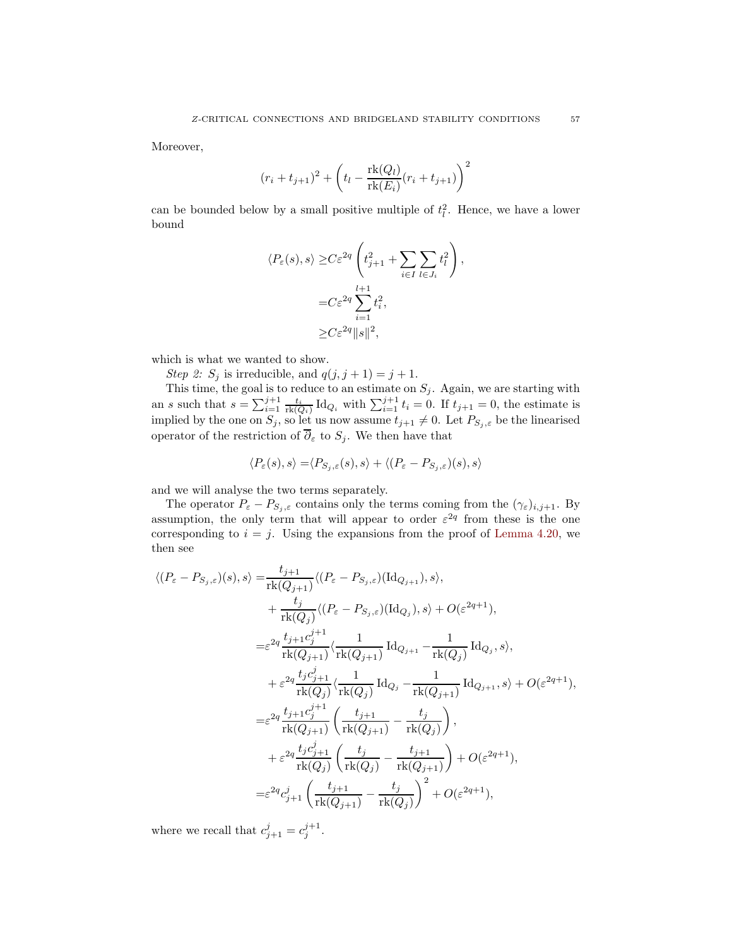Moreover,

$$
(r_i + t_{j+1})^2 + \left(t_l - \frac{\mathrm{rk}(Q_l)}{\mathrm{rk}(E_i)}(r_i + t_{j+1})\right)^2
$$

can be bounded below by a small positive multiple of  $t_l^2$ . Hence, we have a lower bound

$$
\langle P_{\varepsilon}(s), s \rangle \geq C \varepsilon^{2q} \left( t_{j+1}^2 + \sum_{i \in I} \sum_{l \in J_i} t_l^2 \right),
$$
  

$$
= C \varepsilon^{2q} \sum_{i=1}^{l+1} t_i^2,
$$
  

$$
\geq C \varepsilon^{2q} ||s||^2,
$$

which is what we wanted to show.

Step 2:  $S_j$  is irreducible, and  $q(j, j + 1) = j + 1$ .

This time, the goal is to reduce to an estimate on  $S_j$ . Again, we are starting with an s such that  $s = \sum_{i=1}^{j+1} \frac{t_i}{\mathrm{rk}(Q_i)} \mathrm{Id}_{Q_i}$  with  $\sum_{i=1}^{j+1} t_i = 0$ . If  $t_{j+1} = 0$ , the estimate is implied by the one on  $S_j$ , so let us now assume  $t_{j+1} \neq 0$ . Let  $P_{S_j, \varepsilon}$  be the linearised operator of the restriction of  $\overline{\partial}_{\varepsilon}$  to  $S_j$ . We then have that

$$
\langle P_{\varepsilon}(s), s \rangle = \langle P_{S_j, \varepsilon}(s), s \rangle + \langle (P_{\varepsilon} - P_{S_j, \varepsilon})(s), s \rangle
$$

and we will analyse the two terms separately.

The operator  $P_{\varepsilon} - P_{S_j, \varepsilon}$  contains only the terms coming from the  $(\gamma_{\varepsilon})_{i,j+1}$ . By assumption, the only term that will appear to order  $\varepsilon^{2q}$  from these is the one corresponding to  $i = j$ . Using the expansions from the proof of [Lemma 4.20,](#page-50-0) we then see

$$
\langle (P_{\varepsilon} - P_{S_j, \varepsilon})(s), s \rangle = \frac{t_{j+1}}{\mathrm{rk}(Q_{j+1})} \langle (P_{\varepsilon} - P_{S_j, \varepsilon})(\mathrm{Id}_{Q_{j+1}}), s \rangle, \n+ \frac{t_j}{\mathrm{rk}(Q_j)} \langle (P_{\varepsilon} - P_{S_j, \varepsilon})(\mathrm{Id}_{Q_j}), s \rangle + O(\varepsilon^{2q+1}), \n= \varepsilon^{2q} \frac{t_{j+1} c_j^{j+1}}{\mathrm{rk}(Q_{j+1})} \langle \frac{1}{\mathrm{rk}(Q_{j+1})} \mathrm{Id}_{Q_{j+1}} - \frac{1}{\mathrm{rk}(Q_j)} \mathrm{Id}_{Q_j}, s \rangle, \n+ \varepsilon^{2q} \frac{t_j c_{j+1}^j}{\mathrm{rk}(Q_j)} \langle \frac{1}{\mathrm{rk}(Q_j)} \mathrm{Id}_{Q_j} - \frac{1}{\mathrm{rk}(Q_{j+1})} \mathrm{Id}_{Q_{j+1}}, s \rangle + O(\varepsilon^{2q+1}), \n= \varepsilon^{2q} \frac{t_{j+1} c_j^{j+1}}{\mathrm{rk}(Q_{j+1})} \left( \frac{t_{j+1}}{\mathrm{rk}(Q_{j+1})} - \frac{t_j}{\mathrm{rk}(Q_j)} \right), \n+ \varepsilon^{2q} \frac{t_j c_{j+1}^j}{\mathrm{rk}(Q_j)} \left( \frac{t_j}{\mathrm{rk}(Q_j)} - \frac{t_{j+1}}{\mathrm{rk}(Q_{j+1})} \right) + O(\varepsilon^{2q+1}), \n= \varepsilon^{2q} c_{j+1}^j \left( \frac{t_{j+1}}{\mathrm{rk}(Q_{j+1})} - \frac{t_j}{\mathrm{rk}(Q_j)} \right)^2 + O(\varepsilon^{2q+1}),
$$

where we recall that  $c_{j+1}^j = c_j^{j+1}$ .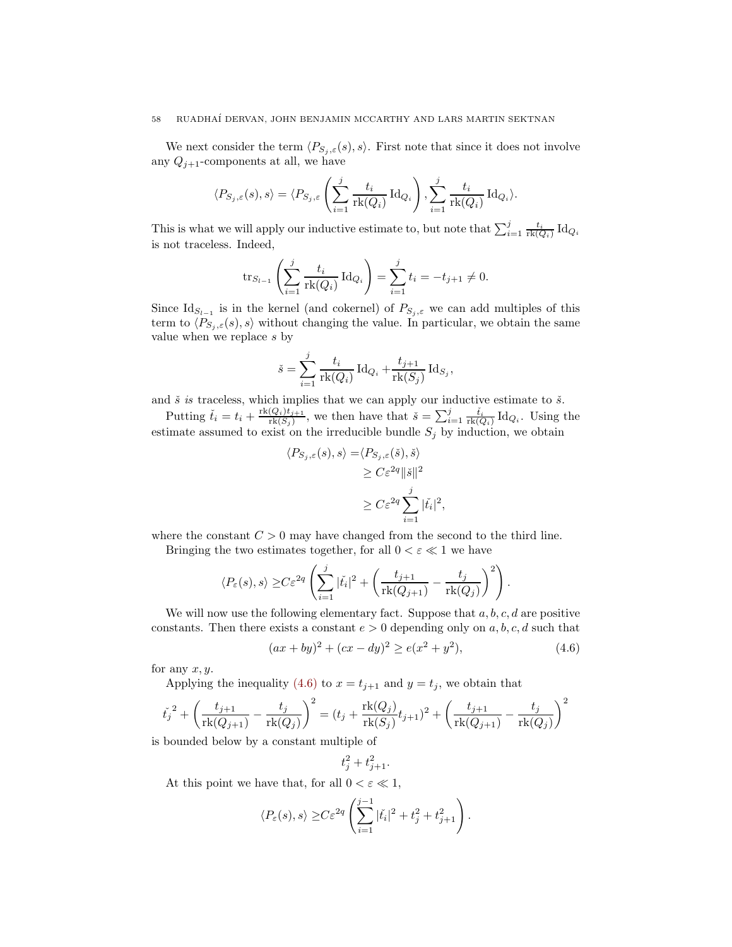We next consider the term  $\langle P_{S_j, \varepsilon}(s), s \rangle$ . First note that since it does not involve any  $Q_{j+1}$ -components at all, we have

$$
\langle P_{S_j,\varepsilon}(s),s\rangle = \langle P_{S_j,\varepsilon}\left(\sum_{i=1}^j \frac{t_i}{\text{rk}(Q_i)}\operatorname{Id}_{Q_i}\right), \sum_{i=1}^j \frac{t_i}{\text{rk}(Q_i)}\operatorname{Id}_{Q_i}\rangle.
$$

This is what we will apply our inductive estimate to, but note that  $\sum_{i=1}^{j} \frac{t_i}{\text{rk}(Q_i)} \text{Id}_{Q_i}$ is not traceless. Indeed,

$$
\text{tr}_{S_{l-1}}\left(\sum_{i=1}^j \frac{t_i}{\text{rk}(Q_i)} \,\text{Id}_{Q_i}\right) = \sum_{i=1}^j t_i = -t_{j+1} \neq 0.
$$

Since  $\mathrm{Id}_{S_{l-1}}$  is in the kernel (and cokernel) of  $P_{S_j,\varepsilon}$  we can add multiples of this term to  $\langle P_{S_i,\varepsilon}(s), s \rangle$  without changing the value. In particular, we obtain the same value when we replace s by

$$
\check{s} = \sum_{i=1}^{j} \frac{t_i}{\text{rk}(Q_i)} \operatorname{Id}_{Q_i} + \frac{t_{j+1}}{\text{rk}(S_j)} \operatorname{Id}_{S_j},
$$

and  $\check{s}$  is traceless, which implies that we can apply our inductive estimate to  $\check{s}$ .

Putting  $\check{t}_i = t_i + \frac{\text{rk}(Q_i)t_{j+1}}{\text{rk}(S_i)}$  $\frac{(Q_i)t_{j+1}}{\text{rk}(S_j)}$ , we then have that  $\check{s} = \sum_{i=1}^j \frac{\check{t}_i}{\text{rk}(Q_i)} \text{Id}_{Q_i}$ . Using the estimate assumed to exist on the irreducible bundle  $S_j$  by induction, we obtain

$$
\langle P_{S_j, \varepsilon}(s), s \rangle = \langle P_{S_j, \varepsilon}(\check{s}), \check{s} \rangle
$$
  
\n
$$
\geq C \varepsilon^{2q} \|\check{s}\|^2
$$
  
\n
$$
\geq C \varepsilon^{2q} \sum_{i=1}^j |\check{t}_i|^2
$$

where the constant  $C > 0$  may have changed from the second to the third line.

Bringing the two estimates together, for all  $0 < \varepsilon \ll 1$  we have

$$
\langle P_{\varepsilon}(s), s \rangle \geq C \varepsilon^{2q} \left( \sum_{i=1}^{j} |\check{t}_i|^2 + \left( \frac{t_{j+1}}{\mathrm{rk}(Q_{j+1})} - \frac{t_j}{\mathrm{rk}(Q_j)} \right)^2 \right).
$$

We will now use the following elementary fact. Suppose that  $a, b, c, d$  are positive constants. Then there exists a constant  $e > 0$  depending only on a, b, c, d such that

$$
(ax + by)2 + (cx - dy)2 \ge e(x2 + y2),
$$
\n(4.6)

<span id="page-57-0"></span>,

for any  $x, y$ .

Applying the inequality [\(4.6\)](#page-57-0) to  $x = t_{j+1}$  and  $y = t_j$ , we obtain that

$$
\check{t_j}^2 + \left(\frac{t_{j+1}}{\text{rk}(Q_{j+1})} - \frac{t_j}{\text{rk}(Q_j)}\right)^2 = (t_j + \frac{\text{rk}(Q_j)}{\text{rk}(S_j)}t_{j+1})^2 + \left(\frac{t_{j+1}}{\text{rk}(Q_{j+1})} - \frac{t_j}{\text{rk}(Q_j)}\right)^2
$$

is bounded below by a constant multiple of

$$
t_j^2 + t_{j+1}^2.
$$

At this point we have that, for all  $0 < \varepsilon \ll 1$ ,

$$
\langle P_{\varepsilon}(s), s \rangle \geq C \varepsilon^{2q} \left( \sum_{i=1}^{j-1} |\check{t}_i|^2 + t_j^2 + t_{j+1}^2 \right).
$$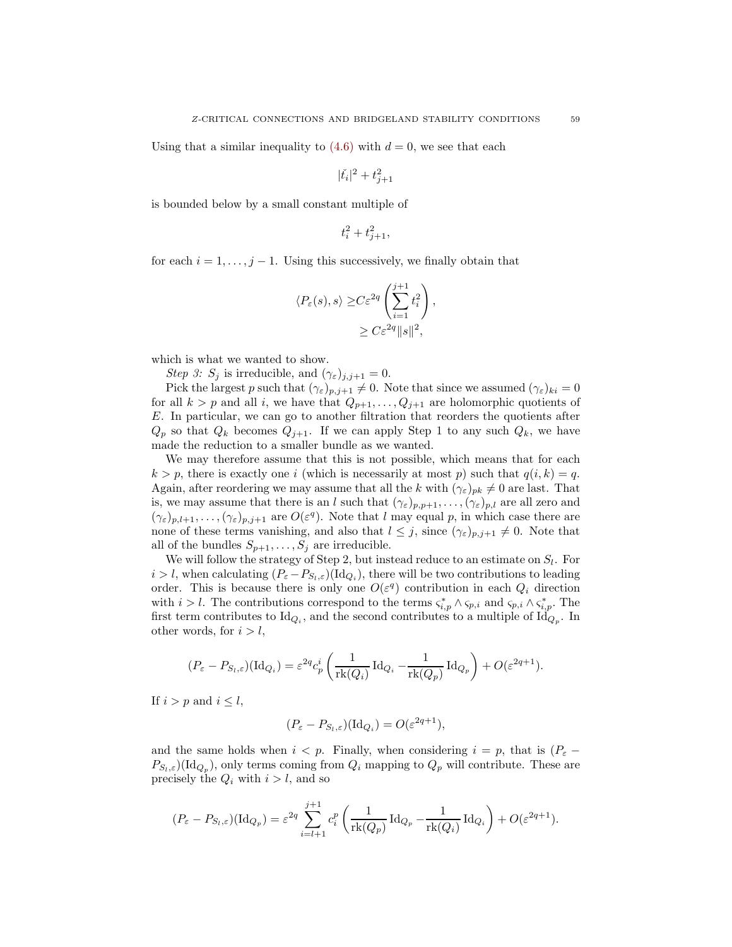Using that a similar inequality to  $(4.6)$  with  $d = 0$ , we see that each

$$
|\check{t_i}|^2+t_{j+1}^2
$$

is bounded below by a small constant multiple of

$$
t_i^2 + t_{j+1}^2,
$$

for each  $i = 1, \ldots, j - 1$ . Using this successively, we finally obtain that

$$
\langle P_{\varepsilon}(s), s \rangle \geq C \varepsilon^{2q} \left( \sum_{i=1}^{j+1} t_i^2 \right),
$$
  

$$
\geq C \varepsilon^{2q} \|s\|^2,
$$

which is what we wanted to show.

Step 3:  $S_j$  is irreducible, and  $(\gamma_{\varepsilon})_{j,j+1} = 0$ .

Pick the largest p such that  $(\gamma_{\varepsilon})_{p,j+1} \neq 0$ . Note that since we assumed  $(\gamma_{\varepsilon})_{ki} = 0$ for all  $k > p$  and all i, we have that  $Q_{p+1}, \ldots, Q_{j+1}$  are holomorphic quotients of E. In particular, we can go to another filtration that reorders the quotients after  $Q_p$  so that  $Q_k$  becomes  $Q_{j+1}$ . If we can apply Step 1 to any such  $Q_k$ , we have made the reduction to a smaller bundle as we wanted.

We may therefore assume that this is not possible, which means that for each  $k > p$ , there is exactly one i (which is necessarily at most p) such that  $q(i, k) = q$ . Again, after reordering we may assume that all the k with  $(\gamma_{\varepsilon})_{pk} \neq 0$  are last. That is, we may assume that there is an l such that  $(\gamma_{\varepsilon})_{p,p+1}, \ldots, (\gamma_{\varepsilon})_{p,l}$  are all zero and  $(\gamma_{\varepsilon})_{p,l+1},\ldots,(\gamma_{\varepsilon})_{p,j+1}$  are  $O(\varepsilon^{q})$ . Note that l may equal p, in which case there are none of these terms vanishing, and also that  $l \leq j$ , since  $(\gamma_{\varepsilon})_{p,j+1} \neq 0$ . Note that all of the bundles  $S_{p+1}, \ldots, S_j$  are irreducible.

We will follow the strategy of Step 2, but instead reduce to an estimate on  $S_l$ . For  $i > l$ , when calculating  $(P_{\varepsilon} - P_{S_l, \varepsilon})(\mathrm{Id}_{Q_i})$ , there will be two contributions to leading order. This is because there is only one  $O(\varepsilon^q)$  contribution in each  $Q_i$  direction with  $i > l$ . The contributions correspond to the terms  $\varsigma_{i,p}^* \wedge \varsigma_{p,i}$  and  $\varsigma_{p,i} \wedge \varsigma_{i,p}^*$ . The first term contributes to  $\mathrm{Id}_{Q_i}$ , and the second contributes to a multiple of  $\mathrm{Id}_{Q_p}$ . In other words, for  $i > l$ ,

$$
(P_{\varepsilon} - P_{S_l, \varepsilon})(\mathrm{Id}_{Q_i}) = \varepsilon^{2q} c_p^i \left( \frac{1}{\mathrm{rk}(Q_i)} \mathrm{Id}_{Q_i} - \frac{1}{\mathrm{rk}(Q_p)} \mathrm{Id}_{Q_p} \right) + O(\varepsilon^{2q+1}).
$$

If  $i > p$  and  $i \leq l$ ,

$$
(P_{\varepsilon} - P_{S_l, \varepsilon})(\mathrm{Id}_{Q_i}) = O(\varepsilon^{2q+1}),
$$

and the same holds when  $i < p$ . Finally, when considering  $i = p$ , that is  $(P_{\varepsilon} P_{S_l,\varepsilon}$  (Id<sub>Q<sub>p</sub></sub>), only terms coming from  $Q_i$  mapping to  $Q_p$  will contribute. These are precisely the  $Q_i$  with  $i > l$ , and so

$$
(P_{\varepsilon} - P_{S_l, \varepsilon})(\mathrm{Id}_{Q_p}) = \varepsilon^{2q} \sum_{i=l+1}^{j+1} c_i^p \left( \frac{1}{\mathrm{rk}(Q_p)} \mathrm{Id}_{Q_p} - \frac{1}{\mathrm{rk}(Q_i)} \mathrm{Id}_{Q_i} \right) + O(\varepsilon^{2q+1}).
$$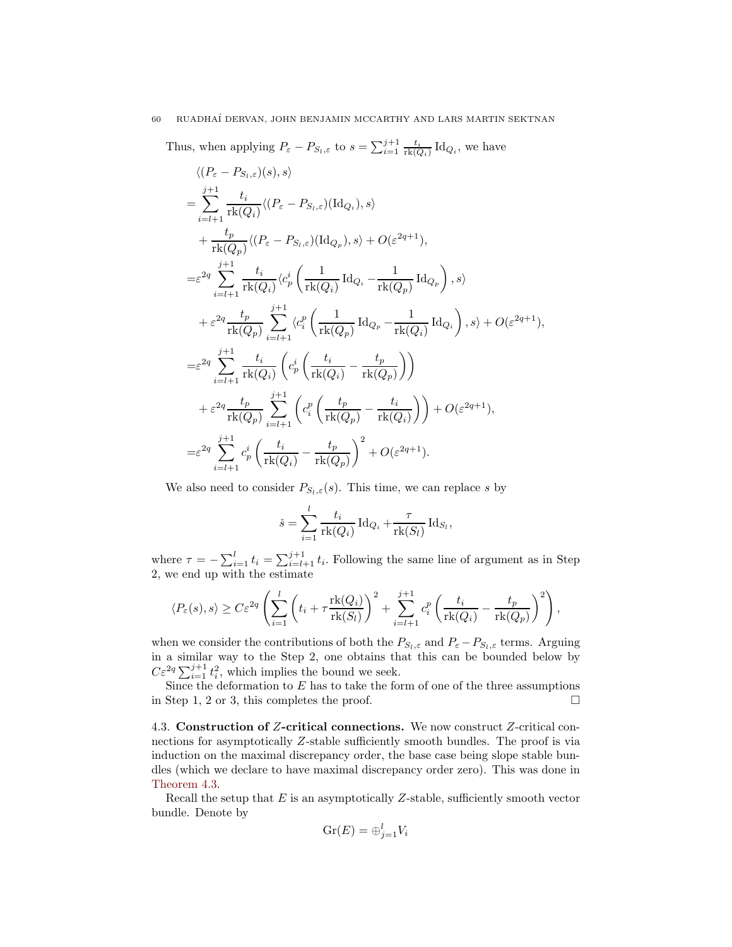Thus, when applying  $P_{\varepsilon} - P_{S_l, \varepsilon}$  to  $s = \sum_{i=1}^{j+1} \frac{t_i}{\text{rk}(Q_i)} \text{Id}_{Q_i}$ , we have

$$
\langle (P_{\varepsilon} - P_{S_l, \varepsilon})(s), s \rangle
$$
\n
$$
= \sum_{i=l+1}^{j+1} \frac{t_i}{\text{rk}(Q_i)} \langle (P_{\varepsilon} - P_{S_l, \varepsilon})(\text{Id}_{Q_i}), s \rangle
$$
\n
$$
+ \frac{t_p}{\text{rk}(Q_p)} \langle (P_{\varepsilon} - P_{S_l, \varepsilon})(\text{Id}_{Q_p}), s \rangle + O(\varepsilon^{2q+1}),
$$
\n
$$
= \varepsilon^{2q} \sum_{i=l+1}^{j+1} \frac{t_i}{\text{rk}(Q_i)} \langle c_p^i \left( \frac{1}{\text{rk}(Q_i)} \text{Id}_{Q_i} - \frac{1}{\text{rk}(Q_p)} \text{Id}_{Q_p} \right), s \rangle
$$
\n
$$
+ \varepsilon^{2q} \frac{t_p}{\text{rk}(Q_p)} \sum_{i=l+1}^{j+1} \langle c_i^p \left( \frac{1}{\text{rk}(Q_p)} \text{Id}_{Q_p} - \frac{1}{\text{rk}(Q_i)} \text{Id}_{Q_i} \right), s \rangle + O(\varepsilon^{2q+1}),
$$
\n
$$
= \varepsilon^{2q} \sum_{i=l+1}^{j+1} \frac{t_i}{\text{rk}(Q_i)} \left( c_p^i \left( \frac{t_i}{\text{rk}(Q_i)} - \frac{t_p}{\text{rk}(Q_p)} \right) \right)
$$
\n
$$
+ \varepsilon^{2q} \frac{t_p}{\text{rk}(Q_p)} \sum_{i=l+1}^{j+1} \left( c_i^p \left( \frac{t_p}{\text{rk}(Q_p)} - \frac{t_i}{\text{rk}(Q_i)} \right) \right) + O(\varepsilon^{2q+1}),
$$
\n
$$
= \varepsilon^{2q} \sum_{i=l+1}^{j+1} c_p^i \left( \frac{t_i}{\text{rk}(Q_i)} - \frac{t_p}{\text{rk}(Q_p)} \right)^2 + O(\varepsilon^{2q+1}).
$$

We also need to consider  $P_{S_l,\varepsilon}(s)$ . This time, we can replace s by

$$
\check{s} = \sum_{i=1}^{l} \frac{t_i}{\text{rk}(Q_i)} \operatorname{Id}_{Q_i} + \frac{\tau}{\text{rk}(S_l)} \operatorname{Id}_{S_l},
$$

where  $\tau = -\sum_{i=1}^{l} t_i = \sum_{i=l+1}^{j+1} t_i$ . Following the same line of argument as in Step 2, we end up with the estimate

$$
\langle P_{\varepsilon}(s), s \rangle \ge C \varepsilon^{2q} \left( \sum_{i=1}^{l} \left( t_i + \tau \frac{\mathrm{rk}(Q_i)}{\mathrm{rk}(S_l)} \right)^2 + \sum_{i=l+1}^{j+1} c_i^p \left( \frac{t_i}{\mathrm{rk}(Q_i)} - \frac{t_p}{\mathrm{rk}(Q_p)} \right)^2 \right),
$$

when we consider the contributions of both the  $P_{S_l,\varepsilon}$  and  $P_{\varepsilon}-P_{S_l,\varepsilon}$  terms. Arguing in a similar way to the Step 2, one obtains that this can be bounded below by  $C\varepsilon^{2q} \sum_{i=1}^{j+1} t_i^2$ , which implies the bound we seek.

Since the deformation to  $E$  has to take the form of one of the three assumptions in Step 1, 2 or 3, this completes the proof.  $\Box$ 

<span id="page-59-0"></span>4.3. Construction of Z-critical connections. We now construct Z-critical connections for asymptotically Z-stable sufficiently smooth bundles. The proof is via induction on the maximal discrepancy order, the base case being slope stable bundles (which we declare to have maximal discrepancy order zero). This was done in [Theorem 4.3.](#page-36-4)

Recall the setup that  $E$  is an asymptotically  $Z$ -stable, sufficiently smooth vector bundle. Denote by

$$
\operatorname{Gr}(E) = \bigoplus_{j=1}^{l} V_i
$$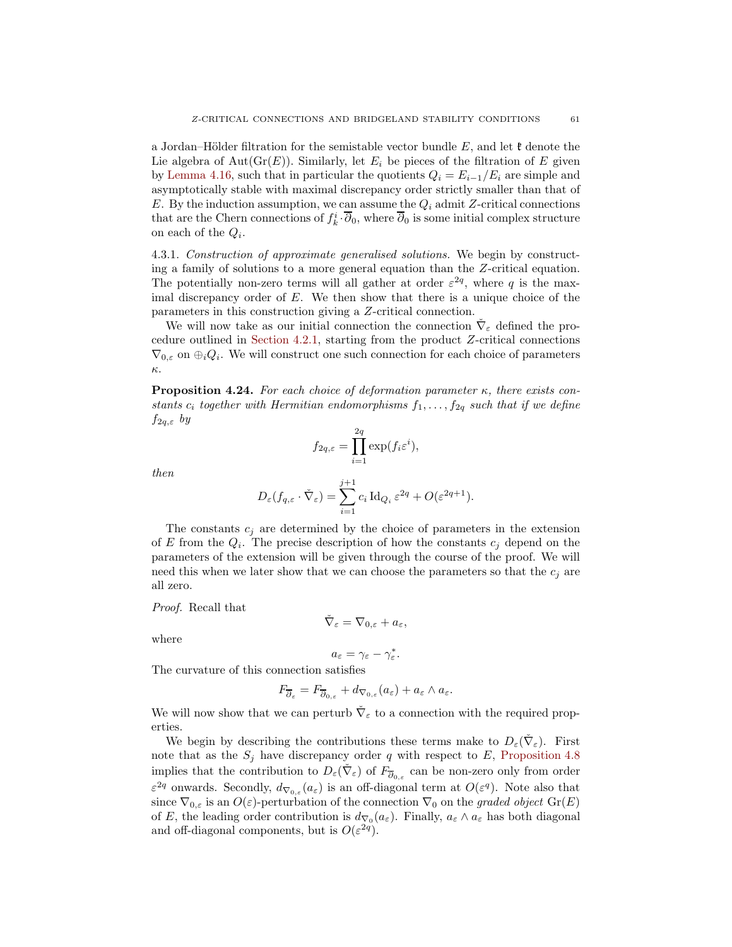a Jordan–Hölder filtration for the semistable vector bundle E, and let  $\mathfrak k$  denote the Lie algebra of Aut $(\text{Gr}(E))$ . Similarly, let  $E_i$  be pieces of the filtration of E given by [Lemma 4.16,](#page-46-0) such that in particular the quotients  $Q_i = E_{i-1}/E_i$  are simple and asymptotically stable with maximal discrepancy order strictly smaller than that of E. By the induction assumption, we can assume the  $Q_i$  admit Z-critical connections that are the Chern connections of  $f_k^i \cdot \overline{\partial}_0$ , where  $\overline{\partial}_0$  is some initial complex structure on each of the  $Q_i$ .

4.3.1. Construction of approximate generalised solutions. We begin by constructing a family of solutions to a more general equation than the Z-critical equation. The potentially non-zero terms will all gather at order  $\varepsilon^{2q}$ , where q is the maximal discrepancy order of  $E$ . We then show that there is a unique choice of the parameters in this construction giving a Z-critical connection.

We will now take as our initial connection the connection  $\check{\nabla}_{\varepsilon}$  defined the procedure outlined in [Section 4.2.1,](#page-38-1) starting from the product Z-critical connections  $\nabla_{0,\varepsilon}$  on  $\bigoplus_i Q_i$ . We will construct one such connection for each choice of parameters κ.

<span id="page-60-0"></span>**Proposition 4.24.** For each choice of deformation parameter  $\kappa$ , there exists constants  $c_i$  together with Hermitian endomorphisms  $f_1, \ldots, f_{2q}$  such that if we define  $f_{2q,\varepsilon}$  by

$$
f_{2q,\varepsilon} = \prod_{i=1}^{2q} \exp(f_i \varepsilon^i),
$$

then

$$
D_{\varepsilon}(f_{q,\varepsilon} \cdot \check{\nabla}_{\varepsilon}) = \sum_{i=1}^{j+1} c_i \operatorname{Id}_{Q_i} \varepsilon^{2q} + O(\varepsilon^{2q+1}).
$$

The constants  $c_j$  are determined by the choice of parameters in the extension of E from the  $Q_i$ . The precise description of how the constants  $c_j$  depend on the parameters of the extension will be given through the course of the proof. We will need this when we later show that we can choose the parameters so that the  $c_j$  are all zero.

Proof. Recall that

$$
\check{\nabla}_{\varepsilon} = \nabla_{0,\varepsilon} + a_{\varepsilon},
$$

where

$$
a_{\varepsilon}=\gamma_{\varepsilon}-\gamma_{\varepsilon}^*.
$$

The curvature of this connection satisfies

$$
F_{\overline{\partial}_{\varepsilon}} = F_{\overline{\partial}_{0,\varepsilon}} + d_{\nabla_{0,\varepsilon}}(a_{\varepsilon}) + a_{\varepsilon} \wedge a_{\varepsilon}.
$$

We will now show that we can perturb  $\check{\nabla}_{\varepsilon}$  to a connection with the required properties.

We begin by describing the contributions these terms make to  $D_{\varepsilon}(\check{\nabla}_{\varepsilon})$ . First note that as the  $S_j$  have discrepancy order q with respect to E, [Proposition 4.8](#page-41-0) implies that the contribution to  $D_\varepsilon(\check{\nabla}_\varepsilon)$  of  $F_{\overline{\partial}_{0,\varepsilon}}$  can be non-zero only from order  $\varepsilon^{2q}$  onwards. Secondly,  $d_{\nabla_{0,\varepsilon}}(a_{\varepsilon})$  is an off-diagonal term at  $O(\varepsilon^{q})$ . Note also that since  $\nabla_{0,\varepsilon}$  is an  $O(\varepsilon)$ -perturbation of the connection  $\nabla_0$  on the graded object  $Gr(E)$ of E, the leading order contribution is  $d_{\nabla_0}(a_{\varepsilon})$ . Finally,  $a_{\varepsilon} \wedge a_{\varepsilon}$  has both diagonal and off-diagonal components, but is  $O(\varepsilon^{2q})$ .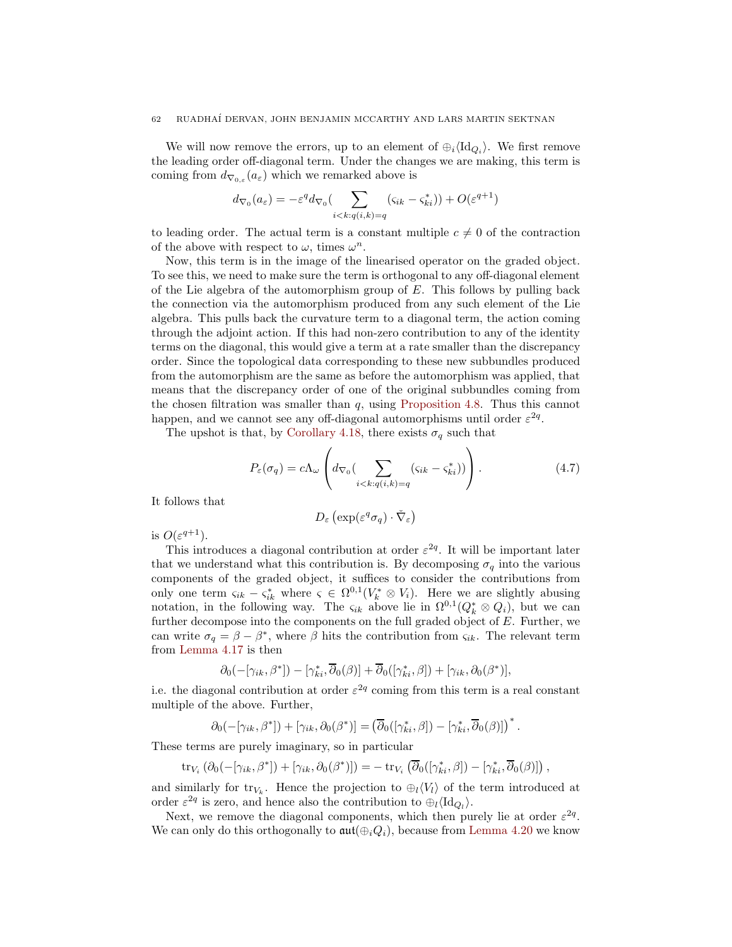We will now remove the errors, up to an element of  $\oplus_i \langle \mathrm{Id}_{Q_i} \rangle$ . We first remove the leading order off-diagonal term. Under the changes we are making, this term is coming from  $d_{\nabla_{0,\varepsilon}}(a_{\varepsilon})$  which we remarked above is

$$
d_{\nabla_0}(a_{\varepsilon}) = -\varepsilon^q d_{\nabla_0} \left( \sum_{i < k: q(i,k) = q} (s_{ik} - s_{ki}^*) \right) + O(\varepsilon^{q+1})
$$

to leading order. The actual term is a constant multiple  $c \neq 0$  of the contraction of the above with respect to  $\omega$ , times  $\omega^n$ .

Now, this term is in the image of the linearised operator on the graded object. To see this, we need to make sure the term is orthogonal to any off-diagonal element of the Lie algebra of the automorphism group of  $E$ . This follows by pulling back the connection via the automorphism produced from any such element of the Lie algebra. This pulls back the curvature term to a diagonal term, the action coming through the adjoint action. If this had non-zero contribution to any of the identity terms on the diagonal, this would give a term at a rate smaller than the discrepancy order. Since the topological data corresponding to these new subbundles produced from the automorphism are the same as before the automorphism was applied, that means that the discrepancy order of one of the original subbundles coming from the chosen filtration was smaller than  $q$ , using [Proposition 4.8.](#page-41-0) Thus this cannot happen, and we cannot see any off-diagonal automorphisms until order  $\varepsilon^{2q}$ .

The upshot is that, by [Corollary 4.18,](#page-48-1) there exists  $\sigma_q$  such that

$$
P_{\varepsilon}(\sigma_q) = c\Lambda_{\omega} \left( d_{\nabla_0} \left( \sum_{i < k: q(i,k) = q} (s_{ik} - s_{ki}^*) \right) \right). \tag{4.7}
$$

It follows that

<span id="page-61-0"></span>
$$
D_{\varepsilon}\left(\exp(\varepsilon^q\sigma_q)\cdot\check{\nabla}_{\varepsilon}\right)
$$

is  $O(\varepsilon^{q+1})$ .

This introduces a diagonal contribution at order  $\varepsilon^{2q}$ . It will be important later that we understand what this contribution is. By decomposing  $\sigma_q$  into the various components of the graded object, it suffices to consider the contributions from only one term  $\varsigma_{ik} - \varsigma_{ik}^*$  where  $\varsigma \in \Omega^{0,1}(V_k^* \otimes V_i)$ . Here we are slightly abusing notation, in the following way. The  $\varsigma_{ik}$  above lie in  $\Omega^{0,1}(Q_k^* \otimes Q_i)$ , but we can further decompose into the components on the full graded object of E. Further, we can write  $\sigma_q = \beta - \beta^*$ , where  $\beta$  hits the contribution from  $\varsigma_{ik}$ . The relevant term from [Lemma 4.17](#page-48-0) is then

$$
\partial_0(-[\gamma_{ik},\beta^*]) - [\gamma_{ki}^*,\overline{\partial}_0(\beta)] + \overline{\partial}_0([\gamma_{ki}^*,\beta]) + [\gamma_{ik},\partial_0(\beta^*)],
$$

i.e. the diagonal contribution at order  $\varepsilon^{2q}$  coming from this term is a real constant multiple of the above. Further,

$$
\partial_0(-[\gamma_{ik},\beta^*]) + [\gamma_{ik},\partial_0(\beta^*)] = (\overline{\partial}_0([\gamma^*_{ki},\beta]) - [\gamma^*_{ki},\overline{\partial}_0(\beta)]^*.
$$

These terms are purely imaginary, so in particular

$$
\operatorname{tr}_{V_i}(\partial_0(-[\gamma_{ik},\beta^*]) + [\gamma_{ik},\partial_0(\beta^*)]) = - \operatorname{tr}_{V_i}(\overline{\partial}_0([\gamma^*_{ki},\beta]) - [\gamma^*_{ki},\overline{\partial}_0(\beta)])
$$

and similarly for  $\text{tr}_{V_k}$ . Hence the projection to  $\bigoplus_l \langle V_l \rangle$  of the term introduced at order  $\varepsilon^{2q}$  is zero, and hence also the contribution to  $\oplus_l \langle \mathrm{Id}_{Q_l} \rangle$ .

Next, we remove the diagonal components, which then purely lie at order  $\varepsilon^{2q}$ . We can only do this orthogonally to  $\mathfrak{aut}(\oplus_iQ_i)$ , because from [Lemma 4.20](#page-50-0) we know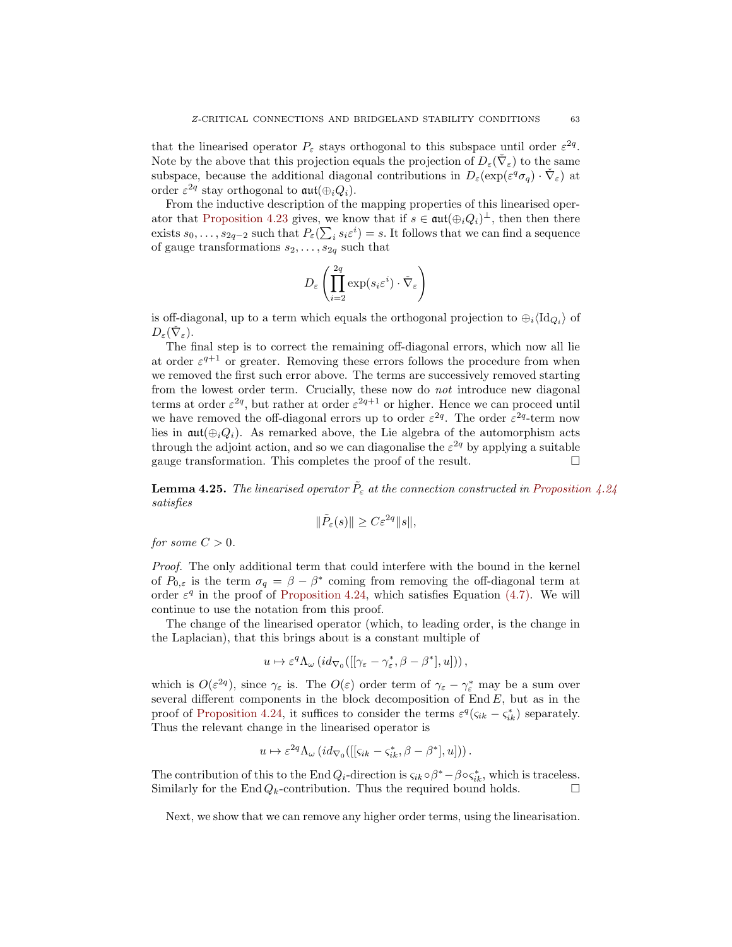that the linearised operator  $P_{\varepsilon}$  stays orthogonal to this subspace until order  $\varepsilon^{2q}$ . Note by the above that this projection equals the projection of  $D_{\varepsilon}(\check{\nabla}_{\varepsilon})$  to the same subspace, because the additional diagonal contributions in  $D_{\varepsilon}(\exp(\varepsilon^q \sigma_q) \cdot \check{\nabla}_{\varepsilon})$  at order  $\varepsilon^{2q}$  stay orthogonal to  $\mathfrak{aut}(\oplus_i Q_i)$ .

From the inductive description of the mapping properties of this linearised oper-ator that [Proposition 4.23](#page-53-0) gives, we know that if  $s \in \text{aut}(\bigoplus_i Q_i)^\perp$ , then then there exists  $s_0, \ldots, s_{2q-2}$  such that  $P_{\varepsilon}(\sum_i s_i \varepsilon^i) = s$ . It follows that we can find a sequence of gauge transformations  $s_2, \ldots, s_{2q}$  such that

$$
D_{\varepsilon}\left(\prod_{i=2}^{2q} \exp(s_i \varepsilon^i) \cdot \check{\nabla}_{\varepsilon}\right)
$$

is off-diagonal, up to a term which equals the orthogonal projection to  $\oplus_i \langle \mathrm{Id}_{Q_i} \rangle$  of  $D_{\varepsilon}(\check{\nabla}_{\varepsilon}).$ 

The final step is to correct the remaining off-diagonal errors, which now all lie at order  $\varepsilon^{q+1}$  or greater. Removing these errors follows the procedure from when we removed the first such error above. The terms are successively removed starting from the lowest order term. Crucially, these now do not introduce new diagonal terms at order  $\varepsilon^{2q}$ , but rather at order  $\varepsilon^{2q+1}$  or higher. Hence we can proceed until we have removed the off-diagonal errors up to order  $\varepsilon^{2q}$ . The order  $\varepsilon^{2q}$ -term now lies in  $\mathfrak{aut}(\oplus_iQ_i)$ . As remarked above, the Lie algebra of the automorphism acts through the adjoint action, and so we can diagonalise the  $\varepsilon^{2q}$  by applying a suitable gauge transformation. This completes the proof of the result.

<span id="page-62-0"></span>**Lemma 4.25.** The linearised operator  $\tilde{P}_{\varepsilon}$  at the connection constructed in [Proposition 4.24](#page-60-0) satisfies

$$
\|\tilde{P}_{\varepsilon}(s)\| \ge C\varepsilon^{2q} \|s\|,
$$

for some  $C > 0$ .

Proof. The only additional term that could interfere with the bound in the kernel of  $P_{0,\varepsilon}$  is the term  $\sigma_q = \beta - \beta^*$  coming from removing the off-diagonal term at order  $\varepsilon^q$  in the proof of [Proposition 4.24,](#page-60-0) which satisfies Equation [\(4.7\).](#page-61-0) We will continue to use the notation from this proof.

The change of the linearised operator (which, to leading order, is the change in the Laplacian), that this brings about is a constant multiple of

$$
u\mapsto \varepsilon^q\Lambda_\omega\left(id_{\nabla_0}([[\gamma_\varepsilon-\gamma^*_\varepsilon,\beta-\beta^*],u])\right),
$$

which is  $O(\varepsilon^{2q})$ , since  $\gamma_{\varepsilon}$  is. The  $O(\varepsilon)$  order term of  $\gamma_{\varepsilon} - \gamma_{\varepsilon}^*$  may be a sum over several different components in the block decomposition of  $End E$ , but as in the proof of [Proposition 4.24,](#page-60-0) it suffices to consider the terms  $\varepsilon^q(\varsigma_{ik} - \varsigma_{ik}^*)$  separately. Thus the relevant change in the linearised operator is

$$
u \mapsto \varepsilon^{2q} \Lambda_{\omega} (id_{\nabla_0}([[s_{ik} - s_{ik}^*, \beta - \beta^*], u])) .
$$

The contribution of this to the EndQ<sub>i</sub>-direction is  $\varsigma_{ik} \circ \beta^* - \beta \circ \varsigma_{ik}^*$ , which is traceless. Similarly for the End $Q_k$ -contribution. Thus the required bound holds.

<span id="page-62-1"></span>Next, we show that we can remove any higher order terms, using the linearisation.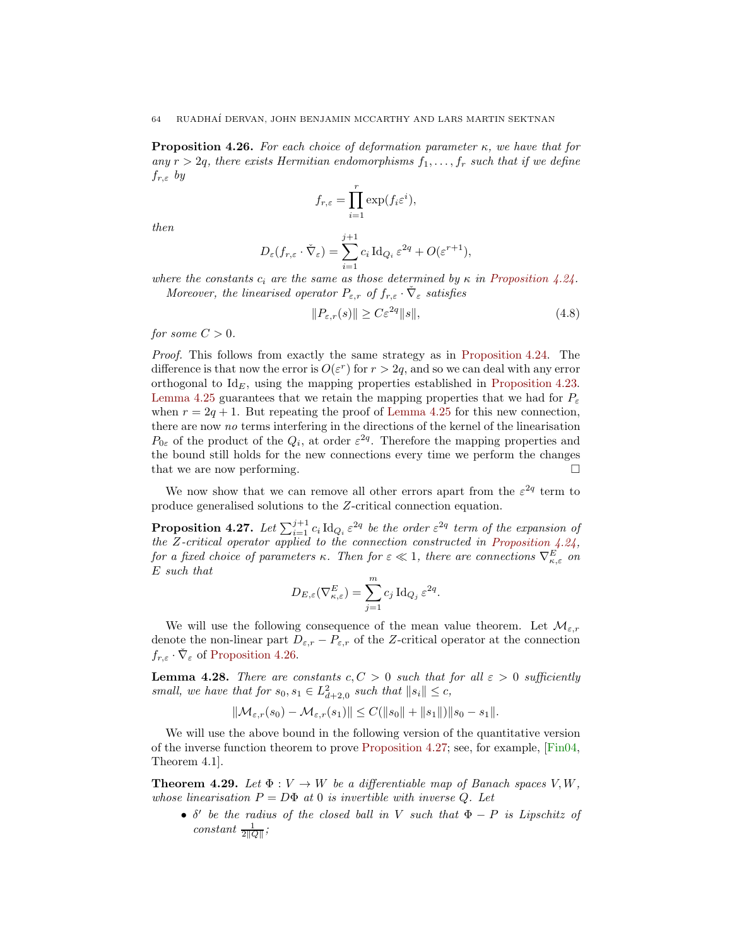<span id="page-63-4"></span>**Proposition 4.26.** For each choice of deformation parameter  $\kappa$ , we have that for any  $r > 2q$ , there exists Hermitian endomorphisms  $f_1, \ldots, f_r$  such that if we define  $f_{r,\varepsilon}$  by

$$
f_{r,\varepsilon} = \prod_{i=1}^r \exp(f_i \varepsilon^i),
$$

then

$$
D_{\varepsilon}(f_{r,\varepsilon} \cdot \check{\nabla}_{\varepsilon}) = \sum_{i=1}^{j+1} c_i \operatorname{Id}_{Q_i} \varepsilon^{2q} + O(\varepsilon^{r+1}),
$$

where the constants  $c_i$  are the same as those determined by  $\kappa$  in [Proposition 4.24.](#page-60-0) Moreover, the linearised operator  $P_{\varepsilon,r}$  of  $f_{r,\varepsilon} \cdot \tilde{\nabla}_{\varepsilon}$  satisfies

<span id="page-63-2"></span>
$$
||P_{\varepsilon,r}(s)|| \ge C\varepsilon^{2q}||s||,\tag{4.8}
$$

for some  $C > 0$ .

Proof. This follows from exactly the same strategy as in [Proposition 4.24.](#page-60-0) The difference is that now the error is  $O(\varepsilon^r)$  for  $r > 2q$ , and so we can deal with any error orthogonal to  $Id_E$ , using the mapping properties established in [Proposition 4.23.](#page-53-0) [Lemma 4.25](#page-62-0) guarantees that we retain the mapping properties that we had for  $P_{\varepsilon}$ when  $r = 2q + 1$ . But repeating the proof of [Lemma 4.25](#page-62-0) for this new connection, there are now no terms interfering in the directions of the kernel of the linearisation  $P_{0\varepsilon}$  of the product of the  $Q_i$ , at order  $\varepsilon^{2q}$ . Therefore the mapping properties and the bound still holds for the new connections every time we perform the changes that we are now performing.

<span id="page-63-0"></span>We now show that we can remove all other errors apart from the  $\varepsilon^{2q}$  term to produce generalised solutions to the Z-critical connection equation.

**Proposition 4.27.** Let  $\sum_{i=1}^{j+1} c_i \, \text{Id}_{Q_i} \, \varepsilon^{2q}$  be the order  $\varepsilon^{2q}$  term of the expansion of the Z-critical operator applied to the connection constructed in Proposition  $4.24$ , for a fixed choice of parameters  $\kappa$ . Then for  $\varepsilon \ll 1$ , there are connections  $\nabla_{\kappa,\varepsilon}^{E}$  on E such that

$$
D_{E,\varepsilon}(\nabla^E_{\kappa,\varepsilon}) = \sum_{j=1}^m c_j \operatorname{Id}_{Q_j} \varepsilon^{2q}.
$$

We will use the following consequence of the mean value theorem. Let  $\mathcal{M}_{\varepsilon,r}$ denote the non-linear part  $D_{\varepsilon,r} - P_{\varepsilon,r}$  of the Z-critical operator at the connection  $f_{r,\varepsilon} \cdot \check{\nabla}_{\varepsilon}$  of [Proposition 4.26.](#page-62-1)

<span id="page-63-1"></span>**Lemma 4.28.** There are constants  $c, C > 0$  such that for all  $\varepsilon > 0$  sufficiently small, we have that for  $s_0, s_1 \in L^2_{d+2,0}$  such that  $||s_i|| \leq c$ ,

$$
\|\mathcal{M}_{\varepsilon,r}(s_0) - \mathcal{M}_{\varepsilon,r}(s_1)\| \le C(\|s_0\| + \|s_1\|) \|s_0 - s_1\|.
$$

We will use the above bound in the following version of the quantitative version of the inverse function theorem to prove [Proposition 4.27;](#page-63-0) see, for example, [\[Fin04,](#page-68-18) Theorem 4.1].

<span id="page-63-3"></span>**Theorem 4.29.** Let  $\Phi: V \to W$  be a differentiable map of Banach spaces V, W, whose linearisation  $P = D\Phi$  at 0 is invertible with inverse Q. Let

•  $\delta'$  be the radius of the closed ball in V such that  $\Phi - P$  is Lipschitz of constant  $\frac{1}{2\|Q\|}$ ;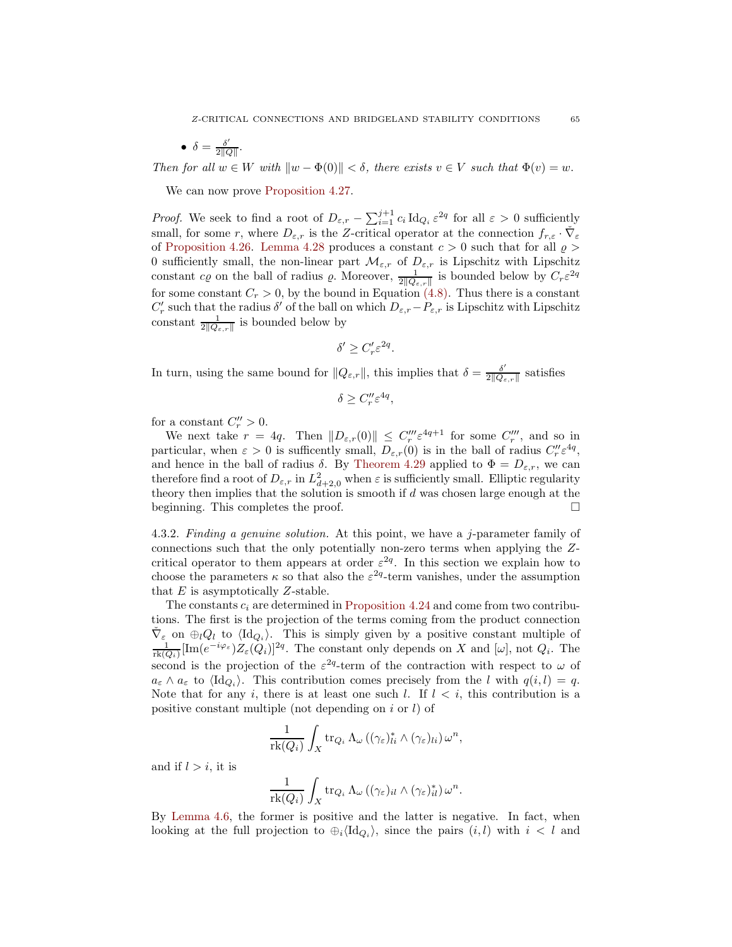• 
$$
\delta = \frac{\delta'}{2\|Q\|}.
$$

Then for all  $w \in W$  with  $\|w - \Phi(0)\| < \delta$ , there exists  $v \in V$  such that  $\Phi(v) = w$ .

We can now prove [Proposition 4.27.](#page-63-0)

*Proof.* We seek to find a root of  $D_{\varepsilon,r} - \sum_{i=1}^{j+1} c_i \, \mathrm{Id}_{Q_i} \, \varepsilon^{2q}$  for all  $\varepsilon > 0$  sufficiently small, for some r, where  $D_{\varepsilon,r}$  is the Z-critical operator at the connection  $f_{r,\varepsilon} \cdot \check{\nabla}_{\varepsilon}$ of [Proposition 4.26.](#page-62-1) [Lemma 4.28](#page-63-1) produces a constant  $c > 0$  such that for all  $\rho >$ 0 sufficiently small, the non-linear part  $\mathcal{M}_{\varepsilon,r}$  of  $D_{\varepsilon,r}$  is Lipschitz with Lipschitz constant c<sub>*Q*</sub> on the ball of radius  $\varrho$ . Moreover,  $\frac{1}{2||Q_{\varepsilon,r}||}$  is bounded below by  $C_r \varepsilon^{2q}$ for some constant  $C_r > 0$ , by the bound in Equation [\(4.8\).](#page-63-2) Thus there is a constant  $C'_r$  such that the radius  $\delta'$  of the ball on which  $D_{\varepsilon,r}-P_{\varepsilon,r}$  is Lipschitz with Lipschitz constant  $\frac{1}{2\|\mathcal{Q}_{\varepsilon,r}\|}$  is bounded below by

$$
\delta' \ge C'_r \varepsilon^{2q}.
$$

In turn, using the same bound for  $||Q_{\varepsilon,r}||$ , this implies that  $\delta = \frac{\delta'}{2||Q_{\varepsilon}||}$  $\frac{\delta}{2\|Q_{\varepsilon,r}\|}$  satisfies

$$
\delta \ge C''_r \varepsilon^{4q},
$$

for a constant  $C_r'' > 0$ .

We next take  $r = 4q$ . Then  $||D_{\varepsilon,r}(0)|| \leq C''_r \varepsilon^{4q+1}$  for some  $C''_r$ , and so in particular, when  $\varepsilon > 0$  is sufficently small,  $D_{\varepsilon,r}(0)$  is in the ball of radius  $C''_r \varepsilon^{4q}$ , and hence in the ball of radius  $\delta$ . By [Theorem 4.29](#page-63-3) applied to  $\Phi = D_{\varepsilon,r}$ , we can therefore find a root of  $D_{\varepsilon,r}$  in  $L^2_{d+2,0}$  when  $\varepsilon$  is sufficiently small. Elliptic regularity theory then implies that the solution is smooth if  $d$  was chosen large enough at the beginning. This completes the proof.

4.3.2. Finding a genuine solution. At this point, we have a j-parameter family of connections such that the only potentially non-zero terms when applying the Zcritical operator to them appears at order  $\varepsilon^{2q}$ . In this section we explain how to choose the parameters  $\kappa$  so that also the  $\varepsilon^{2q}$ -term vanishes, under the assumption that  $E$  is asymptotically  $Z$ -stable.

The constants  $c_i$  are determined in [Proposition 4.24](#page-60-0) and come from two contributions. The first is the projection of the terms coming from the product connection  $\check{\nabla}_{\varepsilon}$  on  $\oplus_{l}Q_{l}$  to  $\langle \mathrm{Id}_{Q_{i}} \rangle$ . This is simply given by a positive constant multiple of  $\frac{1}{\text{rk}(Q_i)}[\text{Im}(e^{-i\varphi_{\varepsilon}})Z_{\varepsilon}(Q_i)]^{2q}$ . The constant only depends on X and  $[\omega]$ , not  $Q_i$ . The second is the projection of the  $\varepsilon^{2q}$ -term of the contraction with respect to  $\omega$  of  $a_{\varepsilon} \wedge a_{\varepsilon}$  to  $\langle \mathrm{Id}_{Q_i} \rangle$ . This contribution comes precisely from the l with  $q(i, l) = q$ . Note that for any i, there is at least one such l. If  $l < i$ , this contribution is a positive constant multiple (not depending on  $i$  or  $l$ ) of

$$
\frac{1}{\text{rk}(Q_i)} \int_X \text{tr}_{Q_i} \Lambda_\omega \left( (\gamma_\varepsilon)_{li}^* \wedge (\gamma_\varepsilon)_{li} \right) \omega^n,
$$

and if  $l > i$ , it is

$$
\frac{1}{\mathrm{rk}(Q_i)} \int_X \mathrm{tr}_{Q_i} \Lambda_\omega \left( (\gamma_\varepsilon)_{il} \wedge (\gamma_\varepsilon)^*_{il} \right) \omega^n.
$$

By [Lemma 4.6,](#page-40-0) the former is positive and the latter is negative. In fact, when looking at the full projection to  $\oplus_i \langle \mathrm{Id}_{Q_i} \rangle$ , since the pairs  $(i, l)$  with  $i < l$  and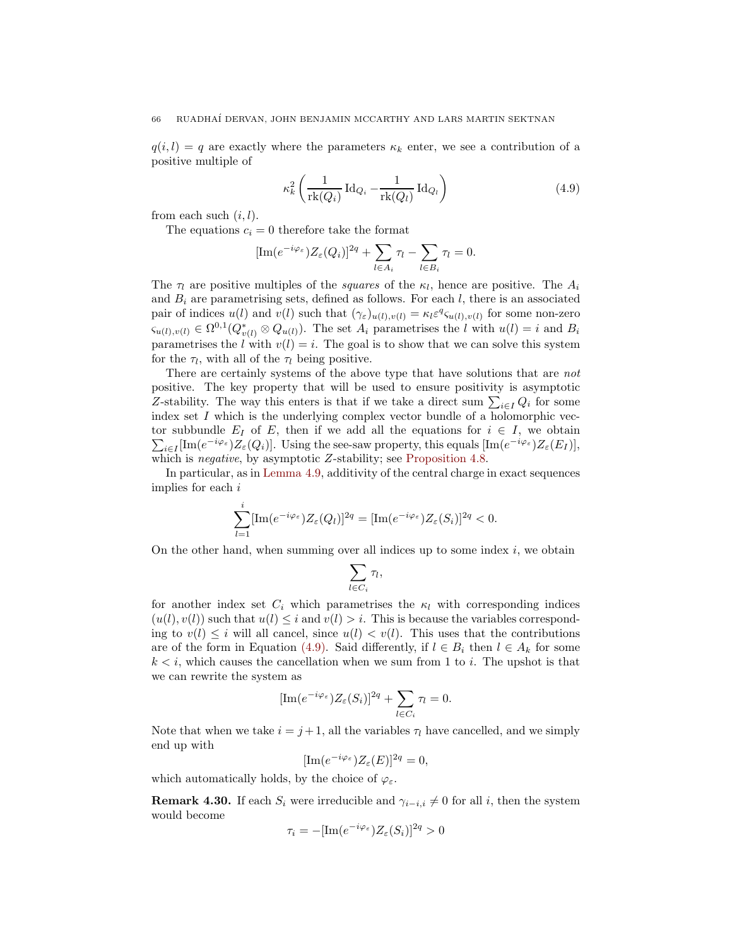$q(i, l) = q$  are exactly where the parameters  $\kappa_k$  enter, we see a contribution of a positive multiple of

<span id="page-65-0"></span>
$$
\kappa_k^2 \left( \frac{1}{\text{rk}(Q_i)} \operatorname{Id}_{Q_i} - \frac{1}{\text{rk}(Q_i)} \operatorname{Id}_{Q_i} \right) \tag{4.9}
$$

from each such  $(i, l)$ .

The equations  $c_i = 0$  therefore take the format

$$
[\text{Im}(e^{-i\varphi_{\varepsilon}})Z_{\varepsilon}(Q_i)]^{2q} + \sum_{l \in A_i} \tau_l - \sum_{l \in B_i} \tau_l = 0.
$$

The  $\tau_l$  are positive multiples of the *squares* of the  $\kappa_l$ , hence are positive. The  $A_i$ and  $B_i$  are parametrising sets, defined as follows. For each l, there is an associated pair of indices  $u(l)$  and  $v(l)$  such that  $(\gamma_{\varepsilon})_{u(l),v(l)} = \kappa_l \varepsilon^q \varsigma_{u(l),v(l)}$  for some non-zero  $\zeta_{u(l),v(l)} \in \Omega^{0,1}(Q_{v(l)}^* \otimes Q_{u(l)})$ . The set  $A_i$  parametrises the l with  $u(l) = i$  and  $B_i$ parametrises the l with  $v(l) = i$ . The goal is to show that we can solve this system for the  $\tau_l$ , with all of the  $\tau_l$  being positive.

There are certainly systems of the above type that have solutions that are *not* positive. The key property that will be used to ensure positivity is asymptotic Z-stability. The way this enters is that if we take a direct sum  $\sum_{i\in I} Q_i$  for some index set  $I$  which is the underlying complex vector bundle of a holomorphic vector subbundle  $E_I$  of  $E$ , then if we add all the equations for  $i \in I$ , we obtain  $\sum_{i\in I} [\text{Im}(e^{-i\varphi_{\varepsilon}})Z_{\varepsilon}(Q_i)].$  Using the see-saw property, this equals  $[\text{Im}(e^{-i\varphi_{\varepsilon}})Z_{\varepsilon}(E_I)],$ which is *negative*, by asymptotic Z-stability; see [Proposition 4.8.](#page-41-0)

In particular, as in [Lemma 4.9,](#page-41-1) additivity of the central charge in exact sequences implies for each i

$$
\sum_{l=1}^i [\text{Im}(e^{-i\varphi_{\varepsilon}})Z_{\varepsilon}(Q_l)]^{2q} = [\text{Im}(e^{-i\varphi_{\varepsilon}})Z_{\varepsilon}(S_i)]^{2q} < 0.
$$

On the other hand, when summing over all indices up to some index  $i$ , we obtain

$$
\sum_{l\in C_i}\tau_l,
$$

for another index set  $C_i$  which parametrises the  $\kappa_l$  with corresponding indices  $(u(l), v(l))$  such that  $u(l) \leq i$  and  $v(l) > i$ . This is because the variables corresponding to  $v(l) \leq i$  will all cancel, since  $u(l) < v(l)$ . This uses that the contributions are of the form in Equation [\(4.9\).](#page-65-0) Said differently, if  $l \in B_i$  then  $l \in A_k$  for some  $k < i$ , which causes the cancellation when we sum from 1 to i. The upshot is that we can rewrite the system as

$$
[\text{Im}(e^{-i\varphi_{\varepsilon}})Z_{\varepsilon}(S_i)]^{2q} + \sum_{l \in C_i} \tau_l = 0.
$$

Note that when we take  $i = j + 1$ , all the variables  $\tau_l$  have cancelled, and we simply end up with

$$
[\text{Im}(e^{-i\varphi_{\varepsilon}})Z_{\varepsilon}(E)]^{2q} = 0,
$$

<span id="page-65-1"></span>which automatically holds, by the choice of  $\varphi_{\varepsilon}$ .

**Remark 4.30.** If each  $S_i$  were irreducible and  $\gamma_{i-i,i} \neq 0$  for all i, then the system would become

$$
\tau_i = -[\text{Im}(e^{-i\varphi_{\varepsilon}})Z_{\varepsilon}(S_i)]^{2q} > 0
$$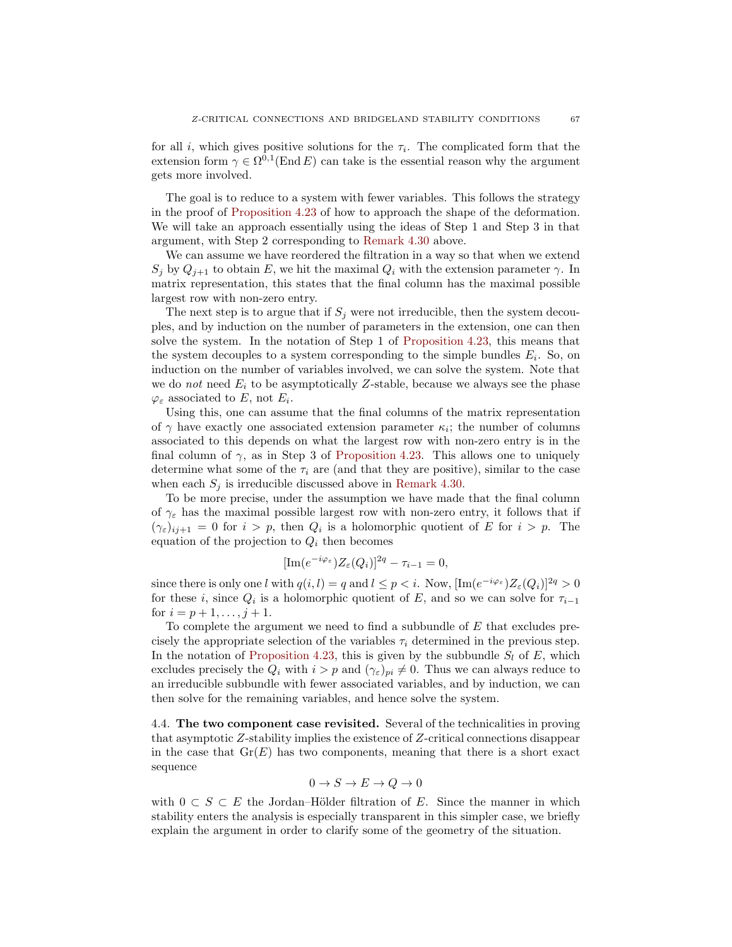for all *i*, which gives positive solutions for the  $\tau_i$ . The complicated form that the extension form  $\gamma \in \Omega^{0,1}(\text{End } E)$  can take is the essential reason why the argument gets more involved.

The goal is to reduce to a system with fewer variables. This follows the strategy in the proof of [Proposition 4.23](#page-53-0) of how to approach the shape of the deformation. We will take an approach essentially using the ideas of Step 1 and Step 3 in that argument, with Step 2 corresponding to [Remark 4.30](#page-65-1) above.

We can assume we have reordered the filtration in a way so that when we extend  $S_j$  by  $Q_{j+1}$  to obtain E, we hit the maximal  $Q_i$  with the extension parameter  $\gamma$ . In matrix representation, this states that the final column has the maximal possible largest row with non-zero entry.

The next step is to argue that if  $S_i$  were not irreducible, then the system decouples, and by induction on the number of parameters in the extension, one can then solve the system. In the notation of Step 1 of [Proposition 4.23,](#page-53-0) this means that the system decouples to a system corresponding to the simple bundles  $E_i$ . So, on induction on the number of variables involved, we can solve the system. Note that we do not need  $E_i$  to be asymptotically Z-stable, because we always see the phase  $\varphi_{\varepsilon}$  associated to E, not  $E_i$ .

Using this, one can assume that the final columns of the matrix representation of  $\gamma$  have exactly one associated extension parameter  $\kappa_i$ ; the number of columns associated to this depends on what the largest row with non-zero entry is in the final column of  $\gamma$ , as in Step 3 of [Proposition 4.23.](#page-53-0) This allows one to uniquely determine what some of the  $\tau_i$  are (and that they are positive), similar to the case when each  $S_j$  is irreducible discussed above in [Remark 4.30.](#page-65-1)

To be more precise, under the assumption we have made that the final column of  $\gamma_{\varepsilon}$  has the maximal possible largest row with non-zero entry, it follows that if  $(\gamma_{\varepsilon})_{i,j+1} = 0$  for  $i > p$ , then  $Q_i$  is a holomorphic quotient of E for  $i > p$ . The equation of the projection to  $Q_i$  then becomes

$$
[\text{Im}(e^{-i\varphi_{\varepsilon}})Z_{\varepsilon}(Q_i)]^{2q} - \tau_{i-1} = 0,
$$

since there is only one l with  $q(i, l) = q$  and  $l \leq p < i$ . Now,  $[\text{Im}(e^{-i\varphi_{\varepsilon}})Z_{\varepsilon}(Q_i)]^{2q} > 0$ for these *i*, since  $Q_i$  is a holomorphic quotient of E, and so we can solve for  $\tau_{i-1}$ for  $i = p + 1, \ldots, j + 1$ .

To complete the argument we need to find a subbundle of E that excludes precisely the appropriate selection of the variables  $\tau_i$  determined in the previous step. In the notation of [Proposition 4.23,](#page-53-0) this is given by the subbundle  $S_l$  of E, which excludes precisely the  $Q_i$  with  $i > p$  and  $(\gamma_{\varepsilon})_{pi} \neq 0$ . Thus we can always reduce to an irreducible subbundle with fewer associated variables, and by induction, we can then solve for the remaining variables, and hence solve the system.

<span id="page-66-0"></span>4.4. The two component case revisited. Several of the technicalities in proving that asymptotic Z-stability implies the existence of Z-critical connections disappear in the case that  $Gr(E)$  has two components, meaning that there is a short exact sequence

$$
0 \to S \to E \to Q \to 0
$$

with  $0 \subset S \subset E$  the Jordan–Hölder filtration of E. Since the manner in which stability enters the analysis is especially transparent in this simpler case, we briefly explain the argument in order to clarify some of the geometry of the situation.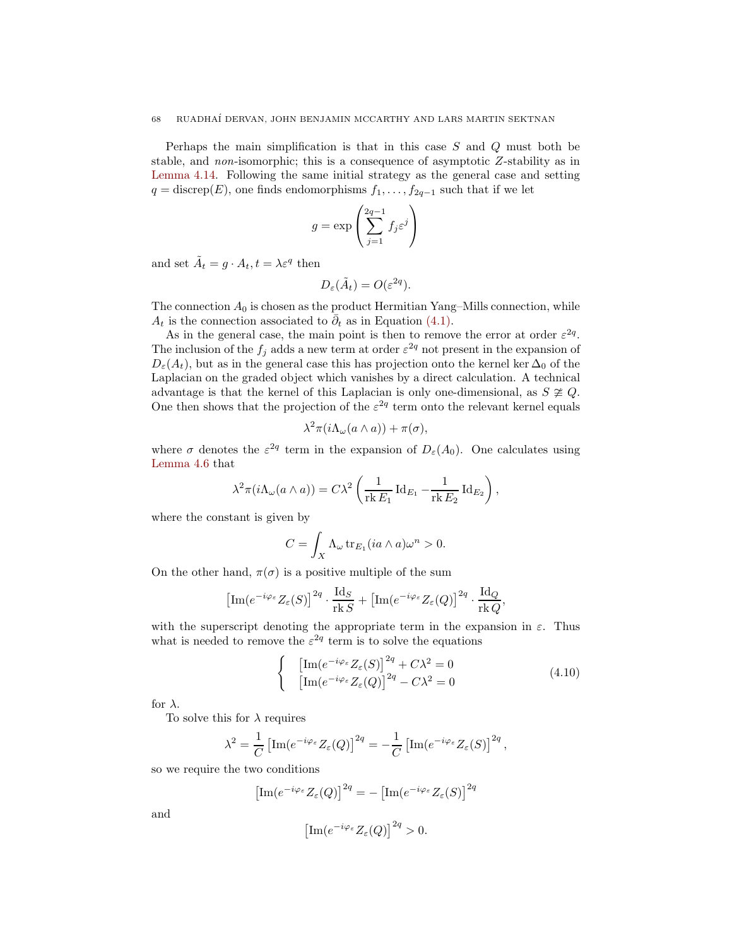Perhaps the main simplification is that in this case S and Q must both be stable, and non-isomorphic; this is a consequence of asymptotic Z-stability as in [Lemma 4.14.](#page-43-0) Following the same initial strategy as the general case and setting  $q = \text{discrep}(E)$ , one finds endomorphisms  $f_1, \ldots, f_{2q-1}$  such that if we let

$$
g = \exp\left(\sum_{j=1}^{2q-1} f_j \varepsilon^j\right)
$$

and set  $\tilde{A}_t = g \cdot A_t, t = \lambda \varepsilon^q$  then

$$
D_{\varepsilon}(\tilde{A}_t) = O(\varepsilon^{2q}).
$$

The connection  $A_0$  is chosen as the product Hermitian Yang–Mills connection, while  $A_t$  is the connection associated to  $\overline{\partial}_t$  as in Equation [\(4.1\).](#page-40-1)

As in the general case, the main point is then to remove the error at order  $\varepsilon^{2q}$ . The inclusion of the  $f_j$  adds a new term at order  $\varepsilon^{2q}$  not present in the expansion of  $D_{\varepsilon}(A_t)$ , but as in the general case this has projection onto the kernel ker  $\Delta_0$  of the Laplacian on the graded object which vanishes by a direct calculation. A technical advantage is that the kernel of this Laplacian is only one-dimensional, as  $S \not\cong Q$ . One then shows that the projection of the  $\varepsilon^{2q}$  term onto the relevant kernel equals

$$
\lambda^2 \pi (i \Lambda_\omega(a \wedge a)) + \pi(\sigma),
$$

where  $\sigma$  denotes the  $\varepsilon^{2q}$  term in the expansion of  $D_{\varepsilon}(A_0)$ . One calculates using [Lemma 4.6](#page-40-0) that

$$
\lambda^{2} \pi (i \Lambda_{\omega} (a \wedge a)) = C \lambda^{2} \left( \frac{1}{\text{rk } E_{1}} \operatorname{Id}_{E_{1}} - \frac{1}{\text{rk } E_{2}} \operatorname{Id}_{E_{2}} \right),
$$

where the constant is given by

$$
C = \int_X \Lambda_\omega \operatorname{tr}_{E_1}(ia \wedge a)\omega^n > 0.
$$

On the other hand,  $\pi(\sigma)$  is a positive multiple of the sum

$$
\left[\text{Im}(e^{-i\varphi_{\varepsilon}}Z_{\varepsilon}(S)\right]^{2q}\cdot\frac{\text{Id}_S}{\text{rk }S}+\left[\text{Im}(e^{-i\varphi_{\varepsilon}}Z_{\varepsilon}(Q)\right]^{2q}\cdot\frac{\text{Id}_Q}{\text{rk }Q},
$$

with the superscript denoting the appropriate term in the expansion in  $\varepsilon$ . Thus what is needed to remove the  $\varepsilon^{2q}$  term is to solve the equations

<span id="page-67-0"></span>
$$
\begin{cases}\n\left[\text{Im}(e^{-i\varphi_{\varepsilon}}Z_{\varepsilon}(S)\right]^{2q} + C\lambda^{2} = 0\\ \n\left[\text{Im}(e^{-i\varphi_{\varepsilon}}Z_{\varepsilon}(Q)\right]^{2q} - C\lambda^{2} = 0\n\end{cases}
$$
\n(4.10)

for  $\lambda$ .

To solve this for  $\lambda$  requires

$$
\lambda^{2} = \frac{1}{C} \left[ \text{Im} (e^{-i\varphi_{\varepsilon}} Z_{\varepsilon}(Q)) \right]^{2q} = -\frac{1}{C} \left[ \text{Im} (e^{-i\varphi_{\varepsilon}} Z_{\varepsilon}(S)) \right]^{2q},
$$

so we require the two conditions

$$
\left[\operatorname{Im} (e^{-i\varphi_{\varepsilon}} Z_{\varepsilon}(Q)\right]^{2q} = -\left[\operatorname{Im} (e^{-i\varphi_{\varepsilon}} Z_{\varepsilon}(S)\right]^{2q}
$$

and

$$
\left[\operatorname{Im} (e^{-i\varphi_{\varepsilon}} Z_{\varepsilon}(Q)\right]^{2q} > 0.
$$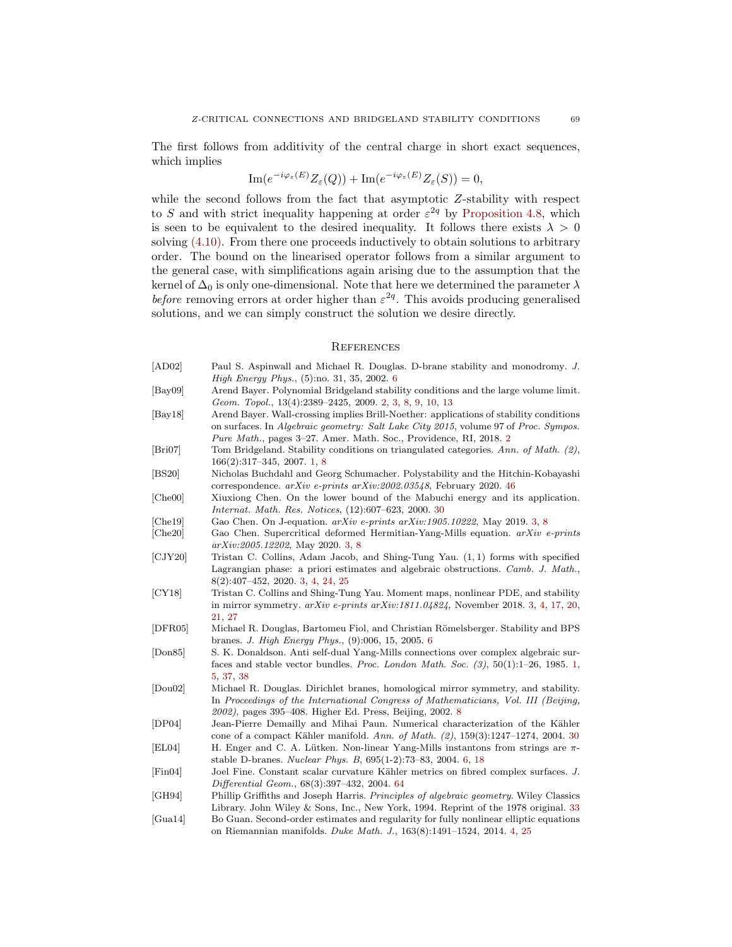The first follows from additivity of the central charge in short exact sequences, which implies

$$
\operatorname{Im}(e^{-i\varphi_{\varepsilon}(E)}Z_{\varepsilon}(Q)) + \operatorname{Im}(e^{-i\varphi_{\varepsilon}(E)}Z_{\varepsilon}(S)) = 0,
$$

while the second follows from the fact that asymptotic Z-stability with respect to S and with strict inequality happening at order  $\varepsilon^{2q}$  by [Proposition 4.8,](#page-41-0) which is seen to be equivalent to the desired inequality. It follows there exists  $\lambda > 0$ solving [\(4.10\).](#page-67-0) From there one proceeds inductively to obtain solutions to arbitrary order. The bound on the linearised operator follows from a similar argument to the general case, with simplifications again arising due to the assumption that the kernel of  $\Delta_0$  is only one-dimensional. Note that here we determined the parameter  $\lambda$ before removing errors at order higher than  $\varepsilon^{2q}$ . This avoids producing generalised solutions, and we can simply construct the solution we desire directly.

# <span id="page-68-0"></span>**REFERENCES**

- <span id="page-68-17"></span><span id="page-68-15"></span><span id="page-68-11"></span><span id="page-68-8"></span><span id="page-68-7"></span><span id="page-68-6"></span><span id="page-68-4"></span><span id="page-68-3"></span><span id="page-68-2"></span>[AD02] Paul S. Aspinwall and Michael R. Douglas. D-brane stability and monodromy. J. High Energy Phys., (5):no. 31, 35, 2002. [6](#page-5-2) [Bay09] Arend Bayer. Polynomial Bridgeland stability conditions and the large volume limit. Geom. Topol., 13(4):2389–2425, 2009. [2,](#page-1-0) [3,](#page-2-1) [8,](#page-7-3) [9,](#page-8-0) [10,](#page-9-2) [13](#page-12-0) [Bay18] Arend Bayer. Wall-crossing implies Brill-Noether: applications of stability conditions on surfaces. In Algebraic geometry: Salt Lake City 2015, volume 97 of Proc. Sympos. Pure Math., pages 3–27. Amer. Math. Soc., Providence, RI, 2018. [2](#page-1-0) [Bri07] Tom Bridgeland. Stability conditions on triangulated categories. Ann. of Math. (2), 166(2):317–345, 2007. [1,](#page-0-1) [8](#page-7-3) [BS20] Nicholas Buchdahl and Georg Schumacher. Polystability and the Hitchin-Kobayashi correspondence. arXiv e-prints arXiv:2002.03548, February 2020. [46](#page-45-1) [Che00] Xiuxiong Chen. On the lower bound of the Mabuchi energy and its application. Internat. Math. Res. Notices, (12):607–623, 2000. [30](#page-29-0) [Che19] Gao Chen. On J-equation.  $arXiv$  e-prints  $arXiv:1905.10222$ , May 2019. [3,](#page-2-1) [8](#page-7-3) [Che20] Gao Chen. Supercritical deformed Hermitian-Yang-Mills equation. arXiv e-prints arXiv:2005.12202, May 2020. [3,](#page-2-1) [8](#page-7-3) [CJY20] Tristan C. Collins, Adam Jacob, and Shing-Tung Yau. (1, 1) forms with specified Lagrangian phase: a priori estimates and algebraic obstructions. Camb. J. Math., 8(2):407–452, 2020. [3,](#page-2-1) [4,](#page-3-1) [24,](#page-23-1) [25](#page-24-1) [CY18] Tristan C. Collins and Shing-Tung Yau. Moment maps, nonlinear PDE, and stability in mirror symmetry. arXiv e-prints arXiv:1811.04824, November 2018. [3,](#page-2-1) [4,](#page-3-1) [17,](#page-16-0) [20,](#page-19-2) [21,](#page-20-1) [27](#page-26-0) [DFR05] Michael R. Douglas, Bartomeu Fiol, and Christian Römelsberger. Stability and BPS branes. J. High Energy Phys., (9):006, 15, 2005. [6](#page-5-2) [Don85] S. K. Donaldson. Anti self-dual Yang-Mills connections over complex algebraic surfaces and stable vector bundles. Proc. London Math. Soc.  $(3)$ ,  $50(1):1-26$ , 1985. [1,](#page-0-1) [5,](#page-4-0) [37,](#page-36-5) [38](#page-37-0) [Dou02] Michael R. Douglas. Dirichlet branes, homological mirror symmetry, and stability. In Proceedings of the International Congress of Mathematicians, Vol. III (Beijing, 2002), pages 395–408. Higher Ed. Press, Beijing, 2002. [8](#page-7-3) [DP04] Jean-Pierre Demailly and Mihai Paun. Numerical characterization of the Kähler cone of a compact Kähler manifold. Ann. of Math.  $(2)$ , 159 $(3)$ :1247–1274, 2004. [30](#page-29-0) [EL04] H. Enger and C. A. Lütken. Non-linear Yang-Mills instantons from strings are  $\pi$ stable D-branes. Nuclear Phys. B, 695(1-2):73–83, 2004. [6,](#page-5-2) [18](#page-17-2) [Fin04] Joel Fine. Constant scalar curvature Kähler metrics on fibred complex surfaces. J. Differential Geom., 68(3):397–432, 2004. [64](#page-63-4) [GH94] Phillip Griffiths and Joseph Harris. Principles of algebraic geometry. Wiley Classics Library. John Wiley & Sons, Inc., New York, 1994. Reprint of the 1978 original. [33](#page-32-2)
- <span id="page-68-18"></span><span id="page-68-16"></span><span id="page-68-14"></span><span id="page-68-13"></span><span id="page-68-12"></span><span id="page-68-10"></span><span id="page-68-9"></span><span id="page-68-5"></span><span id="page-68-1"></span>[Gua14] Bo Guan. Second-order estimates and regularity for fully nonlinear elliptic equations on Riemannian manifolds. Duke Math. J., 163(8):1491–1524, 2014. [4,](#page-3-1) [25](#page-24-1)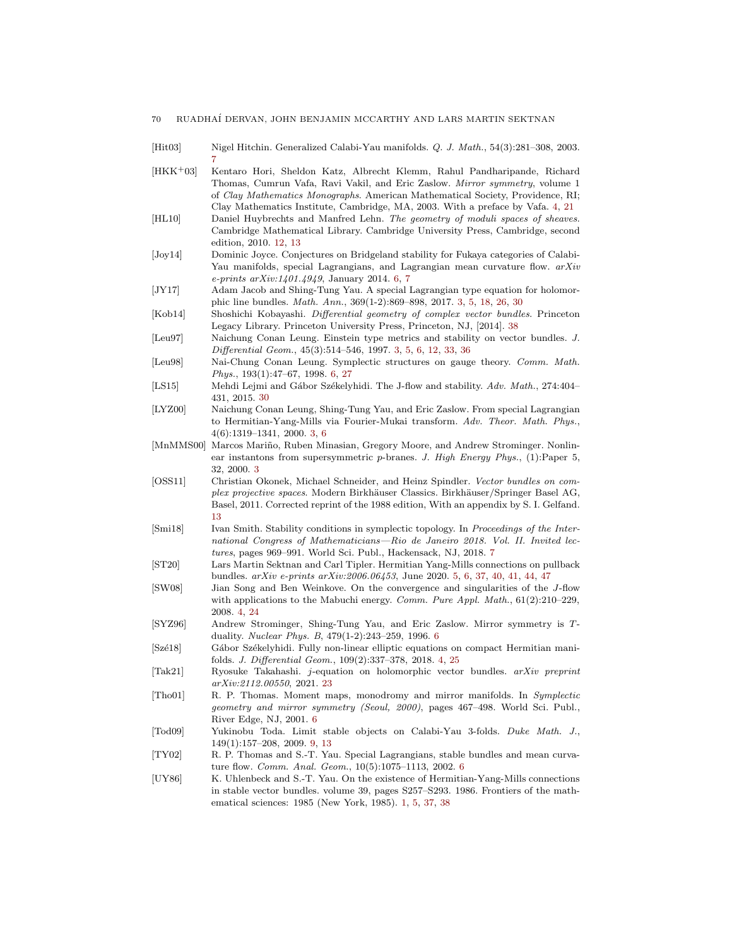- <span id="page-69-14"></span>[Hit03] Nigel Hitchin. Generalized Calabi-Yau manifolds. Q. J. Math., 54(3):281–308, 2003. [7](#page-6-1)
- <span id="page-69-5"></span>[HKK+03] Kentaro Hori, Sheldon Katz, Albrecht Klemm, Rahul Pandharipande, Richard Thomas, Cumrun Vafa, Ravi Vakil, and Eric Zaslow. Mirror symmetry, volume 1 of Clay Mathematics Monographs. American Mathematical Society, Providence, RI; Clay Mathematics Institute, Cambridge, MA, 2003. With a preface by Vafa. [4,](#page-3-1) [21](#page-20-1)
- <span id="page-69-17"></span>[HL10] Daniel Huybrechts and Manfred Lehn. The geometry of moduli spaces of sheaves. Cambridge Mathematical Library. Cambridge University Press, Cambridge, second edition, 2010. [12,](#page-11-3) [13](#page-12-0)
- <span id="page-69-13"></span>[Joy14] Dominic Joyce. Conjectures on Bridgeland stability for Fukaya categories of Calabi-Yau manifolds, special Lagrangians, and Lagrangian mean curvature flow. arXiv e-prints arXiv:1401.4949, January 2014. [6,](#page-5-2) [7](#page-6-1)
- <span id="page-69-3"></span>[JY17] Adam Jacob and Shing-Tung Yau. A special Lagrangian type equation for holomorphic line bundles. Math. Ann., 369(1-2):869–898, 2017. [3,](#page-2-1) [5,](#page-4-0) [18,](#page-17-2) [26,](#page-25-1) [30](#page-29-0)
- <span id="page-69-21"></span>[Kob14] Shoshichi Kobayashi. Differential geometry of complex vector bundles. Princeton Legacy Library. Princeton University Press, Princeton, NJ, [2014]. [38](#page-37-0)
- <span id="page-69-4"></span>[Leu97] Naichung Conan Leung. Einstein type metrics and stability on vector bundles. J. Differential Geom., 45(3):514–546, 1997. [3,](#page-2-1) [5,](#page-4-0) [6,](#page-5-2) [12,](#page-11-3) [33,](#page-32-2) [36](#page-35-0)
- <span id="page-69-9"></span>[Leu98] Nai-Chung Conan Leung. Symplectic structures on gauge theory. Comm. Math. Phys., 193(1):47–67, 1998. [6,](#page-5-2) [27](#page-26-0)
- <span id="page-69-20"></span>[LS15] Mehdi Lejmi and Gábor Székelyhidi. The J-flow and stability. Adv. Math., 274:404-431, 2015. [30](#page-29-0)
- <span id="page-69-1"></span>[LYZ00] Naichung Conan Leung, Shing-Tung Yau, and Eric Zaslow. From special Lagrangian to Hermitian-Yang-Mills via Fourier-Mukai transform. Adv. Theor. Math. Phys., 4(6):1319–1341, 2000. [3,](#page-2-1) [6](#page-5-2)
- <span id="page-69-2"></span>[MnMMS00] Marcos Mariño, Ruben Minasian, Gregory Moore, and Andrew Strominger. Nonlinear instantons from supersymmetric p-branes. J. High Energy Phys., (1):Paper 5, 32, 2000. [3](#page-2-1)
- <span id="page-69-18"></span>[OSS11] Christian Okonek, Michael Schneider, and Heinz Spindler. Vector bundles on complex projective spaces. Modern Birkhäuser Classics. Birkhäuser/Springer Basel AG, Basel, 2011. Corrected reprint of the 1988 edition, With an appendix by S. I. Gelfand. [13](#page-12-0)
- <span id="page-69-15"></span>[Smi18] Ivan Smith. Stability conditions in symplectic topology. In Proceedings of the International Congress of Mathematicians—Rio de Janeiro 2018. Vol. II. Invited lectures, pages 969–991. World Sci. Publ., Hackensack, NJ, 2018. [7](#page-6-1)
- <span id="page-69-8"></span>[ST20] Lars Martin Sektnan and Carl Tipler. Hermitian Yang-Mills connections on pullback bundles. arXiv e-prints arXiv:2006.06453, June 2020. [5,](#page-4-0) [6,](#page-5-2) [37,](#page-36-5) [40,](#page-39-1) [41,](#page-40-2) [44,](#page-43-2) [47](#page-46-1)
- <span id="page-69-6"></span>[SW08] Jian Song and Ben Weinkove. On the convergence and singularities of the J-flow with applications to the Mabuchi energy. Comm. Pure Appl. Math.,  $61(2):210-229$ , 2008. [4,](#page-3-1) [24](#page-23-1)
- <span id="page-69-10"></span>[SYZ96] Andrew Strominger, Shing-Tung Yau, and Eric Zaslow. Mirror symmetry is Tduality. Nuclear Phys. B, 479(1-2):243–259, 1996. [6](#page-5-2)
- <span id="page-69-7"></span>[Szé18] Gábor Székelyhidi. Fully non-linear elliptic equations on compact Hermitian manifolds. J. Differential Geom., 109(2):337–378, 2018. [4,](#page-3-1) [25](#page-24-1)
- <span id="page-69-19"></span>[Tak21] Ryosuke Takahashi. j-equation on holomorphic vector bundles. arXiv preprint arXiv:2112.00550, 2021. [23](#page-22-2)
- <span id="page-69-11"></span>[Tho01] R. P. Thomas. Moment maps, monodromy and mirror manifolds. In Symplectic geometry and mirror symmetry (Seoul, 2000), pages 467–498. World Sci. Publ., River Edge, NJ, 2001. [6](#page-5-2)
- <span id="page-69-16"></span>[Tod09] Yukinobu Toda. Limit stable objects on Calabi-Yau 3-folds. Duke Math. J., 149(1):157–208, 2009. [9,](#page-8-0) [13](#page-12-0)
- <span id="page-69-12"></span>[TY02] R. P. Thomas and S.-T. Yau. Special Lagrangians, stable bundles and mean curvature flow. Comm. Anal. Geom., 10(5):1075–1113, 2002. [6](#page-5-2)
- <span id="page-69-0"></span>[UY86] K. Uhlenbeck and S.-T. Yau. On the existence of Hermitian-Yang-Mills connections in stable vector bundles. volume 39, pages S257–S293. 1986. Frontiers of the mathematical sciences: 1985 (New York, 1985). [1,](#page-0-1) [5,](#page-4-0) [37,](#page-36-5) [38](#page-37-0)